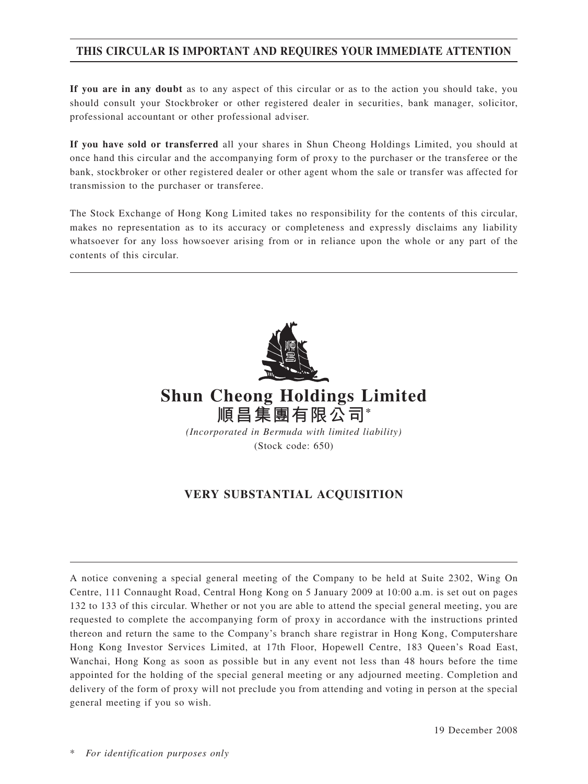# **THIS CIRCULAR IS IMPORTANT AND REQUIRES YOUR IMMEDIATE ATTENTION**

**If you are in any doubt** as to any aspect of this circular or as to the action you should take, you should consult your Stockbroker or other registered dealer in securities, bank manager, solicitor, professional accountant or other professional adviser.

**If you have sold or transferred** all your shares in Shun Cheong Holdings Limited, you should at once hand this circular and the accompanying form of proxy to the purchaser or the transferee or the bank, stockbroker or other registered dealer or other agent whom the sale or transfer was affected for transmission to the purchaser or transferee.

The Stock Exchange of Hong Kong Limited takes no responsibility for the contents of this circular, makes no representation as to its accuracy or completeness and expressly disclaims any liability whatsoever for any loss howsoever arising from or in reliance upon the whole or any part of the contents of this circular.



# **VERY SUBSTANTIAL ACQUISITION**

A notice convening a special general meeting of the Company to be held at Suite 2302, Wing On Centre, 111 Connaught Road, Central Hong Kong on 5 January 2009 at 10:00 a.m. is set out on pages 132 to 133 of this circular. Whether or not you are able to attend the special general meeting, you are requested to complete the accompanying form of proxy in accordance with the instructions printed thereon and return the same to the Company's branch share registrar in Hong Kong, Computershare Hong Kong Investor Services Limited, at 17th Floor, Hopewell Centre, 183 Queen's Road East, Wanchai, Hong Kong as soon as possible but in any event not less than 48 hours before the time appointed for the holding of the special general meeting or any adjourned meeting. Completion and delivery of the form of proxy will not preclude you from attending and voting in person at the special general meeting if you so wish.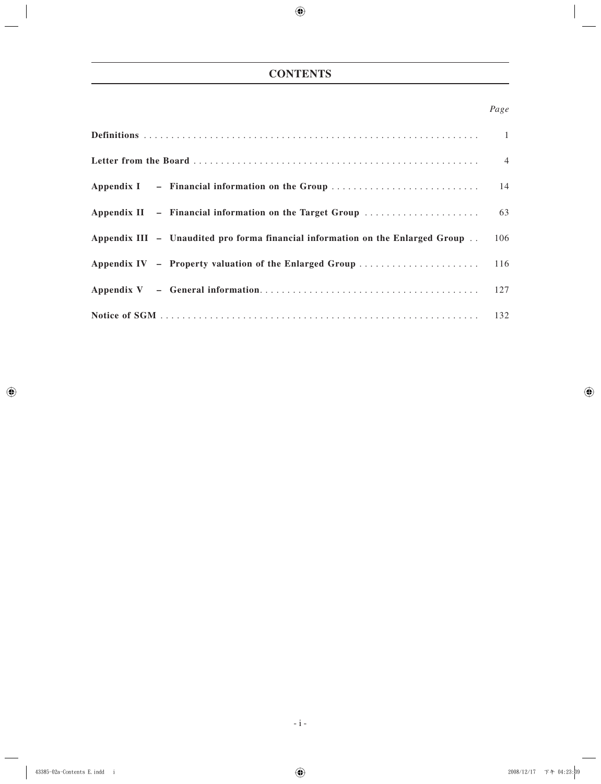# **CONTENTS**

# *Page*

| Appendix III - Unaudited pro forma financial information on the Enlarged Group | 106 |
|--------------------------------------------------------------------------------|-----|
|                                                                                |     |
|                                                                                |     |
|                                                                                |     |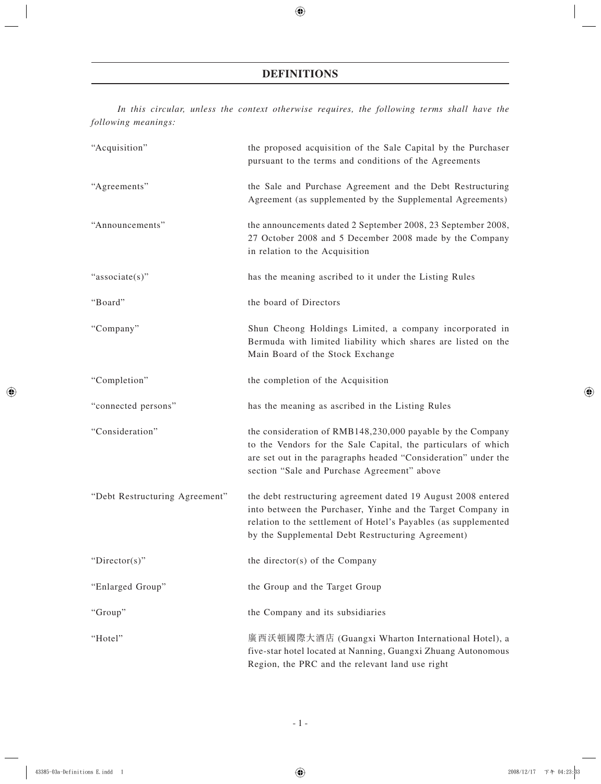# **DEFINITIONS**

*In this circular, unless the context otherwise requires, the following terms shall have the following meanings:*

| "Acquisition"                  | the proposed acquisition of the Sale Capital by the Purchaser<br>pursuant to the terms and conditions of the Agreements                                                                                                                              |
|--------------------------------|------------------------------------------------------------------------------------------------------------------------------------------------------------------------------------------------------------------------------------------------------|
| "Agreements"                   | the Sale and Purchase Agreement and the Debt Restructuring<br>Agreement (as supplemented by the Supplemental Agreements)                                                                                                                             |
| "Announcements"                | the announcements dated 2 September 2008, 23 September 2008,<br>27 October 2008 and 5 December 2008 made by the Company<br>in relation to the Acquisition                                                                                            |
| "associate(s)"                 | has the meaning ascribed to it under the Listing Rules                                                                                                                                                                                               |
| "Board"                        | the board of Directors                                                                                                                                                                                                                               |
| "Company"                      | Shun Cheong Holdings Limited, a company incorporated in<br>Bermuda with limited liability which shares are listed on the<br>Main Board of the Stock Exchange                                                                                         |
| "Completion"                   | the completion of the Acquisition                                                                                                                                                                                                                    |
| "connected persons"            | has the meaning as ascribed in the Listing Rules                                                                                                                                                                                                     |
| "Consideration"                | the consideration of RMB148,230,000 payable by the Company<br>to the Vendors for the Sale Capital, the particulars of which<br>are set out in the paragraphs headed "Consideration" under the<br>section "Sale and Purchase Agreement" above         |
| "Debt Restructuring Agreement" | the debt restructuring agreement dated 19 August 2008 entered<br>into between the Purchaser, Yinhe and the Target Company in<br>relation to the settlement of Hotel's Payables (as supplemented<br>by the Supplemental Debt Restructuring Agreement) |
| "Director(s)"                  | the director(s) of the Company                                                                                                                                                                                                                       |
| "Enlarged Group"               | the Group and the Target Group                                                                                                                                                                                                                       |
| "Group"                        | the Company and its subsidiaries                                                                                                                                                                                                                     |
| "Hotel"                        | 廣西沃頓國際大酒店 (Guangxi Wharton International Hotel), a<br>five-star hotel located at Nanning, Guangxi Zhuang Autonomous<br>Region, the PRC and the relevant land use right                                                                               |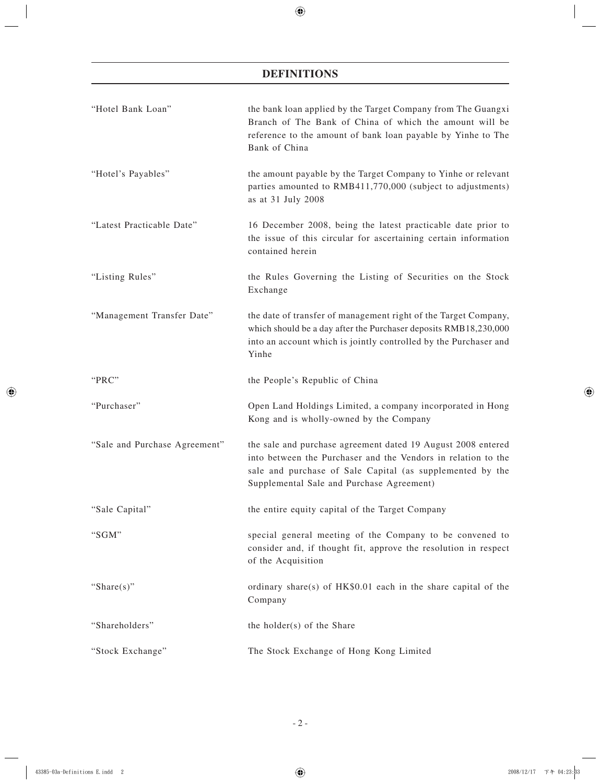# **DEFINITIONS**

| "Hotel Bank Loan"             | the bank loan applied by the Target Company from The Guangxi<br>Branch of The Bank of China of which the amount will be<br>reference to the amount of bank loan payable by Yinhe to The<br>Bank of China                                |
|-------------------------------|-----------------------------------------------------------------------------------------------------------------------------------------------------------------------------------------------------------------------------------------|
| "Hotel's Payables"            | the amount payable by the Target Company to Yinhe or relevant<br>parties amounted to RMB411,770,000 (subject to adjustments)<br>as at 31 July 2008                                                                                      |
| "Latest Practicable Date"     | 16 December 2008, being the latest practicable date prior to<br>the issue of this circular for ascertaining certain information<br>contained herein                                                                                     |
| "Listing Rules"               | the Rules Governing the Listing of Securities on the Stock<br>Exchange                                                                                                                                                                  |
| "Management Transfer Date"    | the date of transfer of management right of the Target Company,<br>which should be a day after the Purchaser deposits RMB18,230,000<br>into an account which is jointly controlled by the Purchaser and<br>Yinhe                        |
| "PRC"                         | the People's Republic of China                                                                                                                                                                                                          |
| "Purchaser"                   | Open Land Holdings Limited, a company incorporated in Hong<br>Kong and is wholly-owned by the Company                                                                                                                                   |
| "Sale and Purchase Agreement" | the sale and purchase agreement dated 19 August 2008 entered<br>into between the Purchaser and the Vendors in relation to the<br>sale and purchase of Sale Capital (as supplemented by the<br>Supplemental Sale and Purchase Agreement) |
| "Sale Capital"                | the entire equity capital of the Target Company                                                                                                                                                                                         |
| "SGM"                         | special general meeting of the Company to be convened to<br>consider and, if thought fit, approve the resolution in respect<br>of the Acquisition                                                                                       |
| "Share $(s)$ "                | ordinary share(s) of HK\$0.01 each in the share capital of the<br>Company                                                                                                                                                               |
| "Shareholders"                | the holder(s) of the Share                                                                                                                                                                                                              |
| "Stock Exchange"              | The Stock Exchange of Hong Kong Limited                                                                                                                                                                                                 |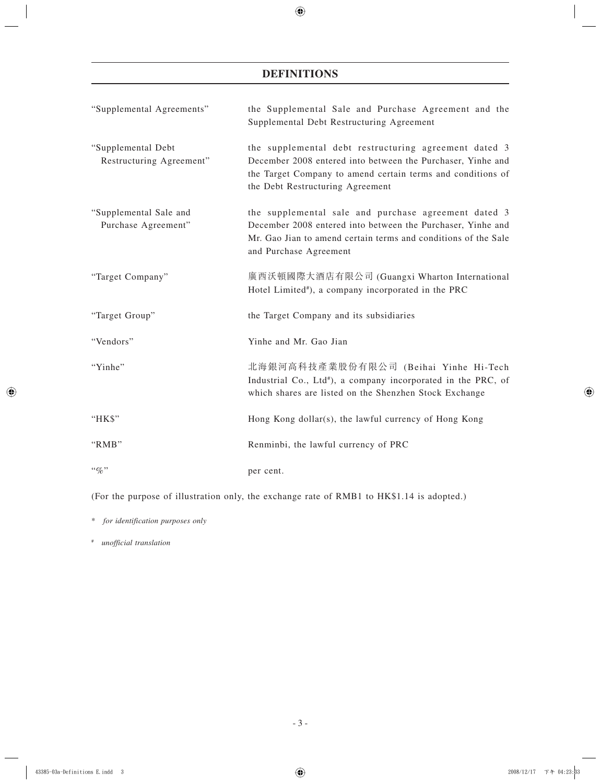# **DEFINITIONS**

| "Supplemental Agreements"                      | the Supplemental Sale and Purchase Agreement and the<br>Supplemental Debt Restructuring Agreement                                                                                                                       |
|------------------------------------------------|-------------------------------------------------------------------------------------------------------------------------------------------------------------------------------------------------------------------------|
| "Supplemental Debt<br>Restructuring Agreement" | the supplemental debt restructuring agreement dated 3<br>December 2008 entered into between the Purchaser, Yinhe and<br>the Target Company to amend certain terms and conditions of<br>the Debt Restructuring Agreement |
| "Supplemental Sale and<br>Purchase Agreement"  | the supplemental sale and purchase agreement dated 3<br>December 2008 entered into between the Purchaser, Yinhe and<br>Mr. Gao Jian to amend certain terms and conditions of the Sale<br>and Purchase Agreement         |
| "Target Company"                               | 廣西沃頓國際大酒店有限公司 (Guangxi Wharton International<br>Hotel Limited <sup>#</sup> ), a company incorporated in the PRC                                                                                                         |
| "Target Group"                                 | the Target Company and its subsidiaries                                                                                                                                                                                 |
| "Vendors"                                      | Yinhe and Mr. Gao Jian                                                                                                                                                                                                  |
| "Yinhe"                                        | 北海銀河高科技產業股份有限公司 (Beihai Yinhe Hi-Tech<br>Industrial Co., Ltd <sup>#</sup> ), a company incorporated in the PRC, of<br>which shares are listed on the Shenzhen Stock Exchange                                            |
| "HK\$"                                         | Hong Kong dollar(s), the lawful currency of Hong Kong                                                                                                                                                                   |
| "RMB"                                          | Renminbi, the lawful currency of PRC                                                                                                                                                                                    |
| $``q_0"$                                       | per cent.                                                                                                                                                                                                               |

(For the purpose of illustration only, the exchange rate of RMB1 to HK\$1.14 is adopted.)

\* *for identification purposes only*

#  *unofficial translation*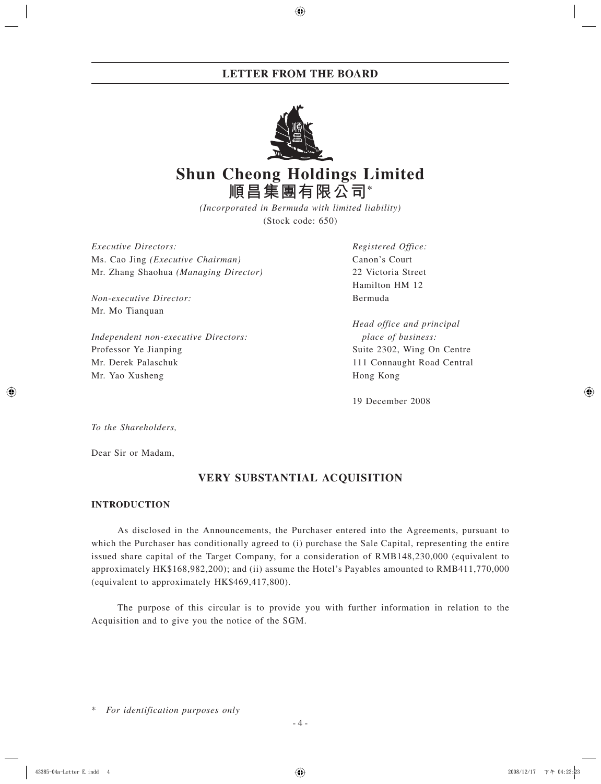

# **Shun Cheong Holdings Limited 順昌集團有限公司\***

*(Incorporated in Bermuda with limited liability)* (Stock code: 650)

*Executive Directors: Registered Office:* Ms. Cao Jing *(Executive Chairman)* Canon's Court Mr. Zhang Shaohua *(Managing Director)* 22 Victoria Street

*Non-executive Director:* Bermuda Mr. Mo Tianquan

*Independent non-executive Directors: place of business:* Professor Ye Jianping Suite 2302, Wing On Centre Mr. Derek Palaschuk 111 Connaught Road Central Mr. Yao Xusheng Hong Kong

Hamilton HM 12

*Head office and principal*

19 December 2008

*To the Shareholders,*

Dear Sir or Madam,

# **VERY SUBSTANTIAL ACQUISITION**

# **INTRODUCTION**

As disclosed in the Announcements, the Purchaser entered into the Agreements, pursuant to which the Purchaser has conditionally agreed to (i) purchase the Sale Capital, representing the entire issued share capital of the Target Company, for a consideration of RMB148,230,000 (equivalent to approximately HK\$168,982,200); and (ii) assume the Hotel's Payables amounted to RMB411,770,000 (equivalent to approximately HK\$469,417,800).

The purpose of this circular is to provide you with further information in relation to the Acquisition and to give you the notice of the SGM.

 $For$  *identification purposes only*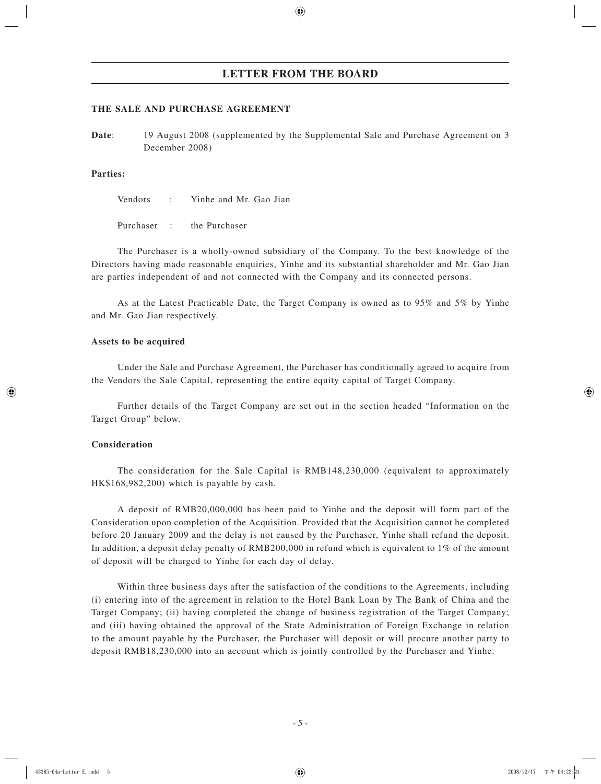## **THE SALE AND PURCHASE AGREEMENT**

**Date:** 19 August 2008 (supplemented by the Supplemental Sale and Purchase Agreement on 3 December 2008)

## **Parties:**

Vendors : Yinhe and Mr. Gao Jian

Purchaser : the Purchaser

The Purchaser is a wholly-owned subsidiary of the Company. To the best knowledge of the Directors having made reasonable enquiries, Yinhe and its substantial shareholder and Mr. Gao Jian are parties independent of and not connected with the Company and its connected persons.

As at the Latest Practicable Date, the Target Company is owned as to 95% and 5% by Yinhe and Mr. Gao Jian respectively.

## **Assets to be acquired**

Under the Sale and Purchase Agreement, the Purchaser has conditionally agreed to acquire from the Vendors the Sale Capital, representing the entire equity capital of Target Company.

Further details of the Target Company are set out in the section headed "Information on the Target Group" below.

# **Consideration**

The consideration for the Sale Capital is RMB148,230,000 (equivalent to approximately HK\$168,982,200) which is payable by cash.

A deposit of RMB20,000,000 has been paid to Yinhe and the deposit will form part of the Consideration upon completion of the Acquisition. Provided that the Acquisition cannot be completed before 20 January 2009 and the delay is not caused by the Purchaser, Yinhe shall refund the deposit. In addition, a deposit delay penalty of RMB200,000 in refund which is equivalent to 1% of the amount of deposit will be charged to Yinhe for each day of delay.

Within three business days after the satisfaction of the conditions to the Agreements, including (i) entering into of the agreement in relation to the Hotel Bank Loan by The Bank of China and the Target Company; (ii) having completed the change of business registration of the Target Company; and (iii) having obtained the approval of the State Administration of Foreign Exchange in relation to the amount payable by the Purchaser, the Purchaser will deposit or will procure another party to deposit RMB18,230,000 into an account which is jointly controlled by the Purchaser and Yinhe.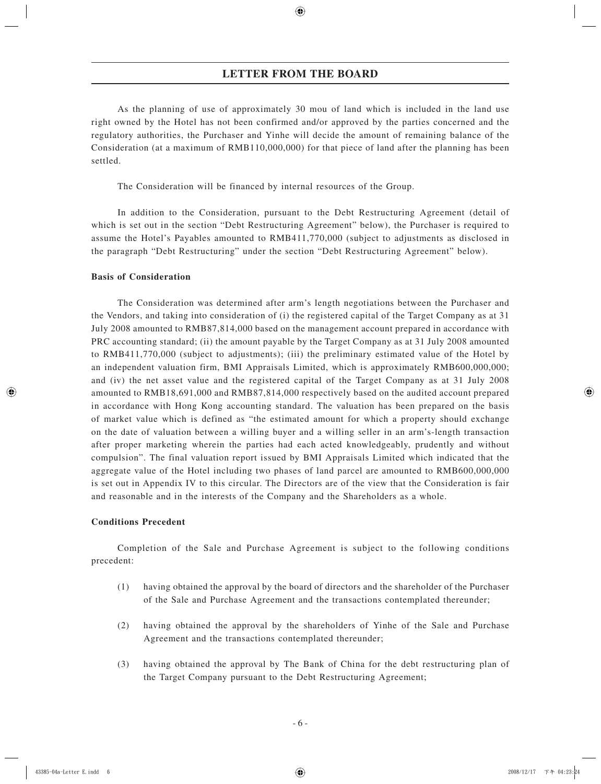As the planning of use of approximately 30 mou of land which is included in the land use right owned by the Hotel has not been confirmed and/or approved by the parties concerned and the regulatory authorities, the Purchaser and Yinhe will decide the amount of remaining balance of the Consideration (at a maximum of RMB110,000,000) for that piece of land after the planning has been settled.

The Consideration will be financed by internal resources of the Group.

In addition to the Consideration, pursuant to the Debt Restructuring Agreement (detail of which is set out in the section "Debt Restructuring Agreement" below), the Purchaser is required to assume the Hotel's Payables amounted to RMB411,770,000 (subject to adjustments as disclosed in the paragraph "Debt Restructuring" under the section "Debt Restructuring Agreement" below).

## **Basis of Consideration**

The Consideration was determined after arm's length negotiations between the Purchaser and the Vendors, and taking into consideration of (i) the registered capital of the Target Company as at 31 July 2008 amounted to RMB87,814,000 based on the management account prepared in accordance with PRC accounting standard; (ii) the amount payable by the Target Company as at 31 July 2008 amounted to RMB411,770,000 (subject to adjustments); (iii) the preliminary estimated value of the Hotel by an independent valuation firm, BMI Appraisals Limited, which is approximately RMB600,000,000; and (iv) the net asset value and the registered capital of the Target Company as at 31 July 2008 amounted to RMB18,691,000 and RMB87,814,000 respectively based on the audited account prepared in accordance with Hong Kong accounting standard. The valuation has been prepared on the basis of market value which is defined as "the estimated amount for which a property should exchange on the date of valuation between a willing buyer and a willing seller in an arm's-length transaction after proper marketing wherein the parties had each acted knowledgeably, prudently and without compulsion". The final valuation report issued by BMI Appraisals Limited which indicated that the aggregate value of the Hotel including two phases of land parcel are amounted to RMB600,000,000 is set out in Appendix IV to this circular. The Directors are of the view that the Consideration is fair and reasonable and in the interests of the Company and the Shareholders as a whole.

## **Conditions Precedent**

Completion of the Sale and Purchase Agreement is subject to the following conditions precedent:

- (1) having obtained the approval by the board of directors and the shareholder of the Purchaser of the Sale and Purchase Agreement and the transactions contemplated thereunder;
- (2) having obtained the approval by the shareholders of Yinhe of the Sale and Purchase Agreement and the transactions contemplated thereunder;
- (3) having obtained the approval by The Bank of China for the debt restructuring plan of the Target Company pursuant to the Debt Restructuring Agreement;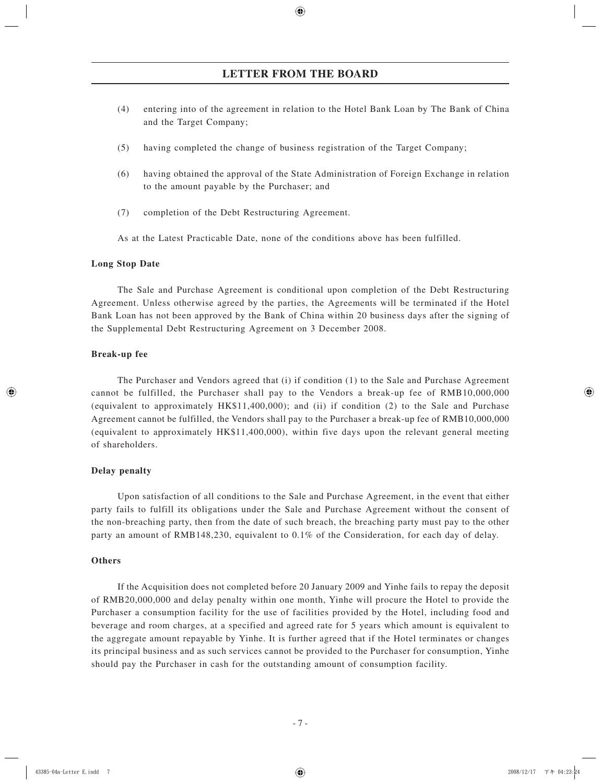- (4) entering into of the agreement in relation to the Hotel Bank Loan by The Bank of China and the Target Company;
- (5) having completed the change of business registration of the Target Company;
- (6) having obtained the approval of the State Administration of Foreign Exchange in relation to the amount payable by the Purchaser; and
- (7) completion of the Debt Restructuring Agreement.

As at the Latest Practicable Date, none of the conditions above has been fulfilled.

## **Long Stop Date**

The Sale and Purchase Agreement is conditional upon completion of the Debt Restructuring Agreement. Unless otherwise agreed by the parties, the Agreements will be terminated if the Hotel Bank Loan has not been approved by the Bank of China within 20 business days after the signing of the Supplemental Debt Restructuring Agreement on 3 December 2008.

## **Break-up fee**

The Purchaser and Vendors agreed that (i) if condition (1) to the Sale and Purchase Agreement cannot be fulfilled, the Purchaser shall pay to the Vendors a break-up fee of RMB10,000,000 (equivalent to approximately HK\$11,400,000); and (ii) if condition (2) to the Sale and Purchase Agreement cannot be fulfilled, the Vendors shall pay to the Purchaser a break-up fee of RMB10,000,000 (equivalent to approximately HK\$11,400,000), within five days upon the relevant general meeting of shareholders.

# **Delay penalty**

Upon satisfaction of all conditions to the Sale and Purchase Agreement, in the event that either party fails to fulfill its obligations under the Sale and Purchase Agreement without the consent of the non-breaching party, then from the date of such breach, the breaching party must pay to the other party an amount of RMB148,230, equivalent to 0.1% of the Consideration, for each day of delay.

## **Others**

If the Acquisition does not completed before 20 January 2009 and Yinhe fails to repay the deposit of RMB20,000,000 and delay penalty within one month, Yinhe will procure the Hotel to provide the Purchaser a consumption facility for the use of facilities provided by the Hotel, including food and beverage and room charges, at a specified and agreed rate for 5 years which amount is equivalent to the aggregate amount repayable by Yinhe. It is further agreed that if the Hotel terminates or changes its principal business and as such services cannot be provided to the Purchaser for consumption, Yinhe should pay the Purchaser in cash for the outstanding amount of consumption facility.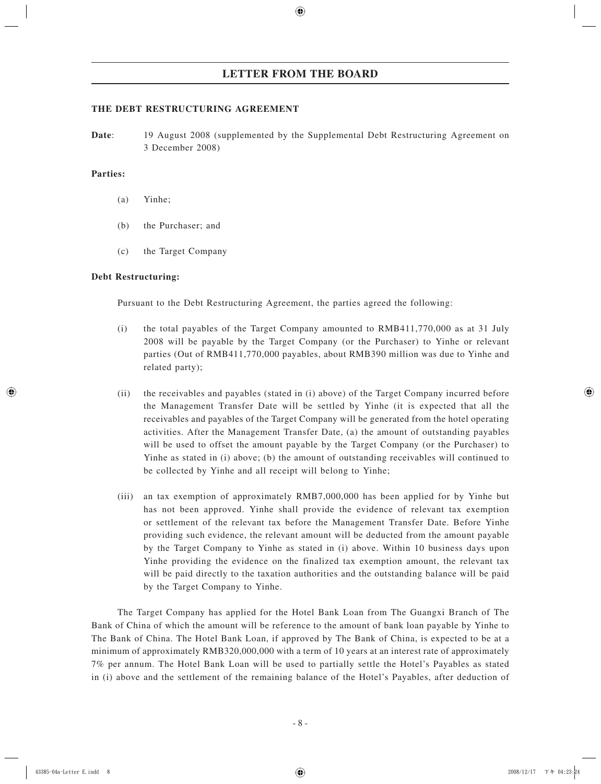# **THE DEBT RESTRUCTURING AGREEMENT**

**Date:** 19 August 2008 (supplemented by the Supplemental Debt Restructuring Agreement on 3 December 2008)

# **Parties:**

- (a) Yinhe;
- (b) the Purchaser; and
- (c) the Target Company

# **Debt Restructuring:**

Pursuant to the Debt Restructuring Agreement, the parties agreed the following:

- (i) the total payables of the Target Company amounted to RMB411,770,000 as at 31 July 2008 will be payable by the Target Company (or the Purchaser) to Yinhe or relevant parties (Out of RMB411,770,000 payables, about RMB390 million was due to Yinhe and related party);
- (ii) the receivables and payables (stated in (i) above) of the Target Company incurred before the Management Transfer Date will be settled by Yinhe (it is expected that all the receivables and payables of the Target Company will be generated from the hotel operating activities. After the Management Transfer Date, (a) the amount of outstanding payables will be used to offset the amount payable by the Target Company (or the Purchaser) to Yinhe as stated in (i) above; (b) the amount of outstanding receivables will continued to be collected by Yinhe and all receipt will belong to Yinhe;
- (iii) an tax exemption of approximately RMB7,000,000 has been applied for by Yinhe but has not been approved. Yinhe shall provide the evidence of relevant tax exemption or settlement of the relevant tax before the Management Transfer Date. Before Yinhe providing such evidence, the relevant amount will be deducted from the amount payable by the Target Company to Yinhe as stated in (i) above. Within 10 business days upon Yinhe providing the evidence on the finalized tax exemption amount, the relevant tax will be paid directly to the taxation authorities and the outstanding balance will be paid by the Target Company to Yinhe.

The Target Company has applied for the Hotel Bank Loan from The Guangxi Branch of The Bank of China of which the amount will be reference to the amount of bank loan payable by Yinhe to The Bank of China. The Hotel Bank Loan, if approved by The Bank of China, is expected to be at a minimum of approximately RMB320,000,000 with a term of 10 years at an interest rate of approximately 7% per annum. The Hotel Bank Loan will be used to partially settle the Hotel's Payables as stated in (i) above and the settlement of the remaining balance of the Hotel's Payables, after deduction of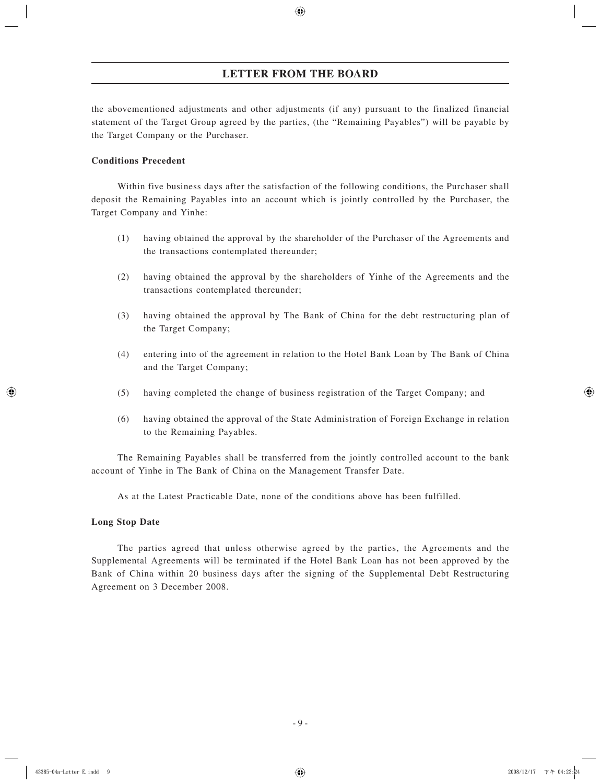the abovementioned adjustments and other adjustments (if any) pursuant to the finalized financial statement of the Target Group agreed by the parties, (the "Remaining Payables") will be payable by the Target Company or the Purchaser.

# **Conditions Precedent**

Within five business days after the satisfaction of the following conditions, the Purchaser shall deposit the Remaining Payables into an account which is jointly controlled by the Purchaser, the Target Company and Yinhe:

- (1) having obtained the approval by the shareholder of the Purchaser of the Agreements and the transactions contemplated thereunder;
- (2) having obtained the approval by the shareholders of Yinhe of the Agreements and the transactions contemplated thereunder;
- (3) having obtained the approval by The Bank of China for the debt restructuring plan of the Target Company;
- (4) entering into of the agreement in relation to the Hotel Bank Loan by The Bank of China and the Target Company;
- (5) having completed the change of business registration of the Target Company; and
- (6) having obtained the approval of the State Administration of Foreign Exchange in relation to the Remaining Payables.

The Remaining Payables shall be transferred from the jointly controlled account to the bank account of Yinhe in The Bank of China on the Management Transfer Date.

As at the Latest Practicable Date, none of the conditions above has been fulfilled.

# **Long Stop Date**

The parties agreed that unless otherwise agreed by the parties, the Agreements and the Supplemental Agreements will be terminated if the Hotel Bank Loan has not been approved by the Bank of China within 20 business days after the signing of the Supplemental Debt Restructuring Agreement on 3 December 2008.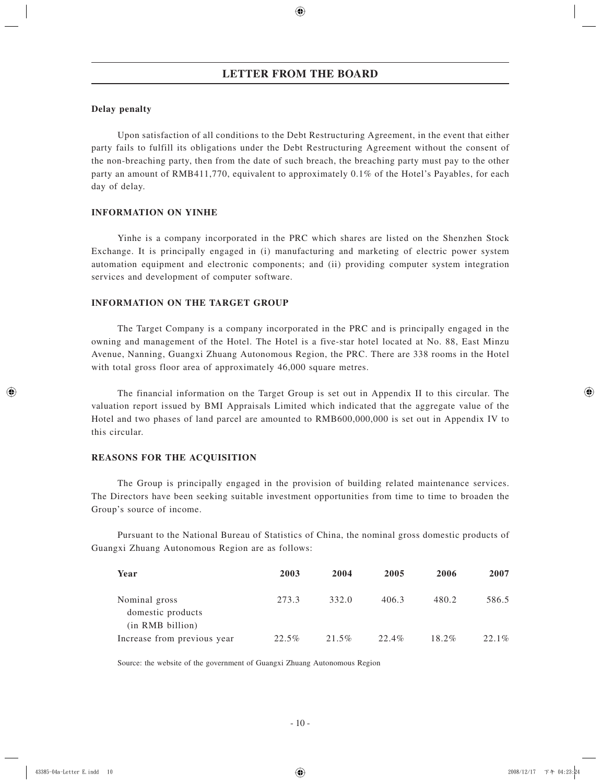# **Delay penalty**

Upon satisfaction of all conditions to the Debt Restructuring Agreement, in the event that either party fails to fulfill its obligations under the Debt Restructuring Agreement without the consent of the non-breaching party, then from the date of such breach, the breaching party must pay to the other party an amount of RMB411,770, equivalent to approximately 0.1% of the Hotel's Payables, for each day of delay.

# **INFORMATION ON YINHE**

Yinhe is a company incorporated in the PRC which shares are listed on the Shenzhen Stock Exchange. It is principally engaged in (i) manufacturing and marketing of electric power system automation equipment and electronic components; and (ii) providing computer system integration services and development of computer software.

# **INFORMATION ON THE TARGET GROUP**

The Target Company is a company incorporated in the PRC and is principally engaged in the owning and management of the Hotel. The Hotel is a five-star hotel located at No. 88, East Minzu Avenue, Nanning, Guangxi Zhuang Autonomous Region, the PRC. There are 338 rooms in the Hotel with total gross floor area of approximately 46,000 square metres.

The financial information on the Target Group is set out in Appendix II to this circular. The valuation report issued by BMI Appraisals Limited which indicated that the aggregate value of the Hotel and two phases of land parcel are amounted to RMB600,000,000 is set out in Appendix IV to this circular.

# **REASONS FOR THE ACQUISITION**

The Group is principally engaged in the provision of building related maintenance services. The Directors have been seeking suitable investment opportunities from time to time to broaden the Group's source of income.

Pursuant to the National Bureau of Statistics of China, the nominal gross domestic products of Guangxi Zhuang Autonomous Region are as follows:

| Year                                            | 2003  | 2004  | 2005  | 2006     | 2007  |
|-------------------------------------------------|-------|-------|-------|----------|-------|
| Nominal gross<br>domestic products              | 273.3 | 332.0 | 406.3 | 480.2    | 586.5 |
| (in RMB billion)<br>Increase from previous year | 22.5% | 21.5% | 22.4% | $18.2\%$ | 22.1% |

Source: the website of the government of Guangxi Zhuang Autonomous Region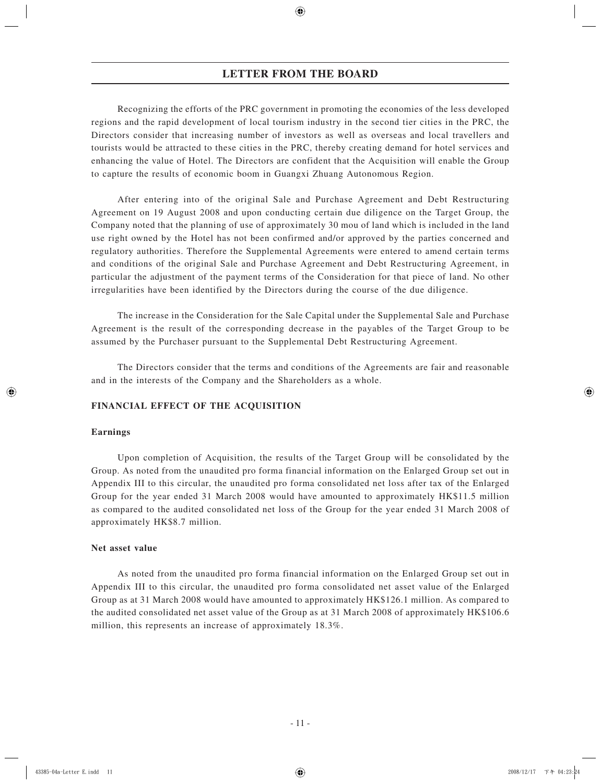Recognizing the efforts of the PRC government in promoting the economies of the less developed regions and the rapid development of local tourism industry in the second tier cities in the PRC, the Directors consider that increasing number of investors as well as overseas and local travellers and tourists would be attracted to these cities in the PRC, thereby creating demand for hotel services and enhancing the value of Hotel. The Directors are confident that the Acquisition will enable the Group to capture the results of economic boom in Guangxi Zhuang Autonomous Region.

After entering into of the original Sale and Purchase Agreement and Debt Restructuring Agreement on 19 August 2008 and upon conducting certain due diligence on the Target Group, the Company noted that the planning of use of approximately 30 mou of land which is included in the land use right owned by the Hotel has not been confirmed and/or approved by the parties concerned and regulatory authorities. Therefore the Supplemental Agreements were entered to amend certain terms and conditions of the original Sale and Purchase Agreement and Debt Restructuring Agreement, in particular the adjustment of the payment terms of the Consideration for that piece of land. No other irregularities have been identified by the Directors during the course of the due diligence.

The increase in the Consideration for the Sale Capital under the Supplemental Sale and Purchase Agreement is the result of the corresponding decrease in the payables of the Target Group to be assumed by the Purchaser pursuant to the Supplemental Debt Restructuring Agreement.

The Directors consider that the terms and conditions of the Agreements are fair and reasonable and in the interests of the Company and the Shareholders as a whole.

# **FINANCIAL EFFECT OF THE ACQUISITION**

### **Earnings**

Upon completion of Acquisition, the results of the Target Group will be consolidated by the Group. As noted from the unaudited pro forma financial information on the Enlarged Group set out in Appendix III to this circular, the unaudited pro forma consolidated net loss after tax of the Enlarged Group for the year ended 31 March 2008 would have amounted to approximately HK\$11.5 million as compared to the audited consolidated net loss of the Group for the year ended 31 March 2008 of approximately HK\$8.7 million.

### **Net asset value**

As noted from the unaudited pro forma financial information on the Enlarged Group set out in Appendix III to this circular, the unaudited pro forma consolidated net asset value of the Enlarged Group as at 31 March 2008 would have amounted to approximately HK\$126.1 million. As compared to the audited consolidated net asset value of the Group as at 31 March 2008 of approximately HK\$106.6 million, this represents an increase of approximately 18.3%.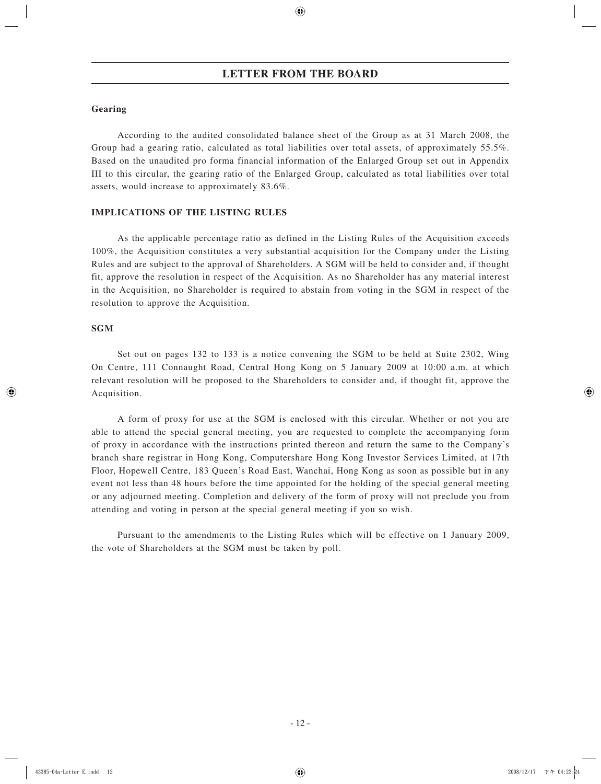# **Gearing**

According to the audited consolidated balance sheet of the Group as at 31 March 2008, the Group had a gearing ratio, calculated as total liabilities over total assets, of approximately 55.5%. Based on the unaudited pro forma financial information of the Enlarged Group set out in Appendix III to this circular, the gearing ratio of the Enlarged Group, calculated as total liabilities over total assets, would increase to approximately 83.6%.

# **IMPLICATIONS OF THE LISTING RULES**

As the applicable percentage ratio as defined in the Listing Rules of the Acquisition exceeds 100%, the Acquisition constitutes a very substantial acquisition for the Company under the Listing Rules and are subject to the approval of Shareholders. A SGM will be held to consider and, if thought fit, approve the resolution in respect of the Acquisition. As no Shareholder has any material interest in the Acquisition, no Shareholder is required to abstain from voting in the SGM in respect of the resolution to approve the Acquisition.

## **SGM**

Set out on pages 132 to 133 is a notice convening the SGM to be held at Suite 2302, Wing On Centre, 111 Connaught Road, Central Hong Kong on 5 January 2009 at 10:00 a.m. at which relevant resolution will be proposed to the Shareholders to consider and, if thought fit, approve the Acquisition.

A form of proxy for use at the SGM is enclosed with this circular. Whether or not you are able to attend the special general meeting, you are requested to complete the accompanying form of proxy in accordance with the instructions printed thereon and return the same to the Company's branch share registrar in Hong Kong, Computershare Hong Kong Investor Services Limited, at 17th Floor, Hopewell Centre, 183 Queen's Road East, Wanchai, Hong Kong as soon as possible but in any event not less than 48 hours before the time appointed for the holding of the special general meeting or any adjourned meeting. Completion and delivery of the form of proxy will not preclude you from attending and voting in person at the special general meeting if you so wish.

Pursuant to the amendments to the Listing Rules which will be effective on 1 January 2009, the vote of Shareholders at the SGM must be taken by poll.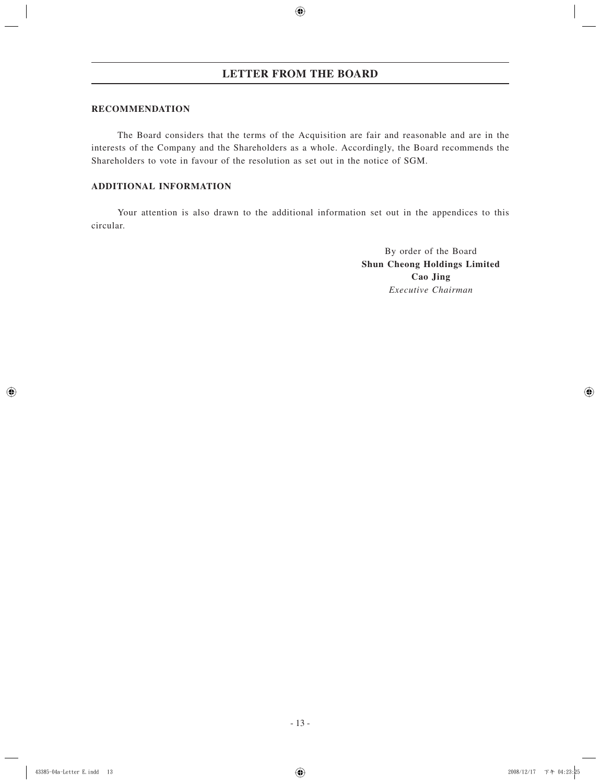# **RECOMMENDATION**

The Board considers that the terms of the Acquisition are fair and reasonable and are in the interests of the Company and the Shareholders as a whole. Accordingly, the Board recommends the Shareholders to vote in favour of the resolution as set out in the notice of SGM.

# **ADDITIONAL INFORMATION**

Your attention is also drawn to the additional information set out in the appendices to this circular.

> By order of the Board **Shun Cheong Holdings Limited Cao Jing** *Executive Chairman*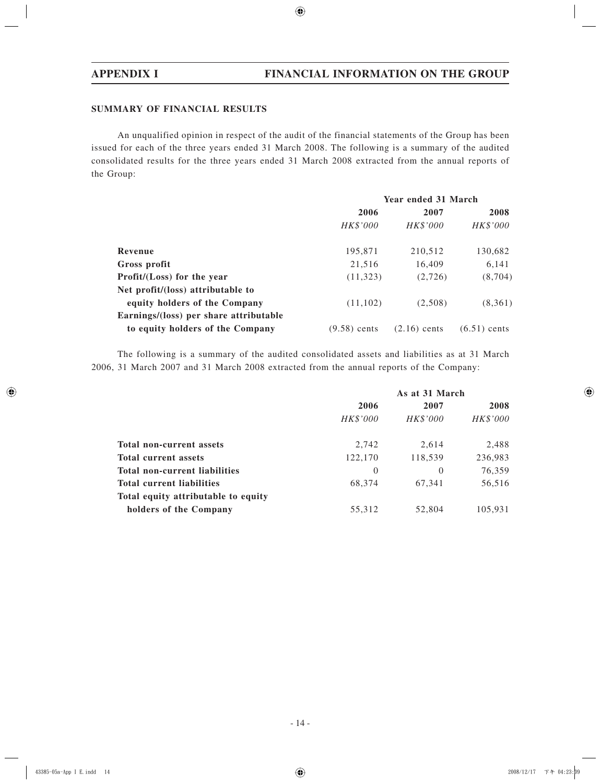# **SUMMARY OF FINANCIAL RESULTS**

An unqualified opinion in respect of the audit of the financial statements of the Group has been issued for each of the three years ended 31 March 2008. The following is a summary of the audited consolidated results for the three years ended 31 March 2008 extracted from the annual reports of the Group:

|                                        | Year ended 31 March |                |                |  |
|----------------------------------------|---------------------|----------------|----------------|--|
|                                        | 2006                | 2008           |                |  |
|                                        | HK\$'000            | HK\$'000       | HK\$'000       |  |
| Revenue                                | 195,871             | 210,512        | 130,682        |  |
| Gross profit                           | 21,516              | 16,409         | 6,141          |  |
| Profit/(Loss) for the year             | (11, 323)           | (2,726)        | (8,704)        |  |
| Net profit/(loss) attributable to      |                     |                |                |  |
| equity holders of the Company          | (11,102)            | (2,508)        | (8,361)        |  |
| Earnings/(loss) per share attributable |                     |                |                |  |
| to equity holders of the Company       | $(9.58)$ cents      | $(2.16)$ cents | $(6.51)$ cents |  |

The following is a summary of the audited consolidated assets and liabilities as at 31 March 2006, 31 March 2007 and 31 March 2008 extracted from the annual reports of the Company:

|                                     | As at 31 March |          |          |  |
|-------------------------------------|----------------|----------|----------|--|
|                                     | 2006           | 2007     | 2008     |  |
|                                     | HK\$'000       | HK\$'000 | HK\$'000 |  |
| Total non-current assets            | 2,742          | 2,614    | 2,488    |  |
| <b>Total current assets</b>         | 122,170        | 118,539  | 236,983  |  |
| Total non-current liabilities       | $\theta$       | $\Omega$ | 76,359   |  |
| <b>Total current liabilities</b>    | 68,374         | 67.341   | 56,516   |  |
| Total equity attributable to equity |                |          |          |  |
| holders of the Company              | 55,312         | 52.804   | 105,931  |  |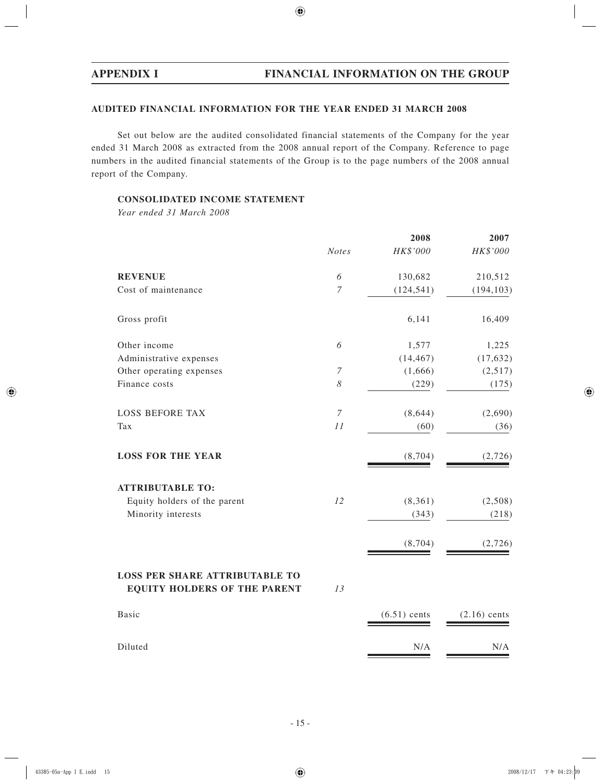# **AUDITED FINANCIAL INFORMATION FOR THE YEAR ENDED 31 MARCH 2008**

Set out below are the audited consolidated financial statements of the Company for the year ended 31 March 2008 as extracted from the 2008 annual report of the Company. Reference to page numbers in the audited financial statements of the Group is to the page numbers of the 2008 annual report of the Company.

# **CONSOLIDATED INCOME STATEMENT**

*Year ended 31 March 2008*

|                                                                              |                       | 2008           | 2007           |
|------------------------------------------------------------------------------|-----------------------|----------------|----------------|
|                                                                              | <b>Notes</b>          | HK\$'000       | HK\$'000       |
| <b>REVENUE</b>                                                               | $\boldsymbol{\delta}$ | 130,682        | 210,512        |
| Cost of maintenance                                                          | $\boldsymbol{7}$      | (124, 541)     | (194, 103)     |
| Gross profit                                                                 |                       | 6,141          | 16,409         |
| Other income                                                                 | 6                     | 1,577          | 1,225          |
| Administrative expenses                                                      |                       | (14, 467)      | (17, 632)      |
| Other operating expenses                                                     | $\overline{7}$        | (1,666)        | (2,517)        |
| Finance costs                                                                | 8                     | (229)          | (175)          |
| <b>LOSS BEFORE TAX</b>                                                       | $\overline{7}$        | (8, 644)       | (2,690)        |
| Tax                                                                          | 11                    | (60)           | (36)           |
| <b>LOSS FOR THE YEAR</b>                                                     |                       | (8, 704)       | (2,726)        |
| <b>ATTRIBUTABLE TO:</b>                                                      |                       |                |                |
| Equity holders of the parent                                                 | 12                    | (8, 361)       | (2,508)        |
| Minority interests                                                           |                       | (343)          | (218)          |
|                                                                              |                       | (8, 704)       | (2,726)        |
| <b>LOSS PER SHARE ATTRIBUTABLE TO</b><br><b>EQUITY HOLDERS OF THE PARENT</b> | 13                    |                |                |
| <b>Basic</b>                                                                 |                       | $(6.51)$ cents | $(2.16)$ cents |
| Diluted                                                                      |                       | N/A            | N/A            |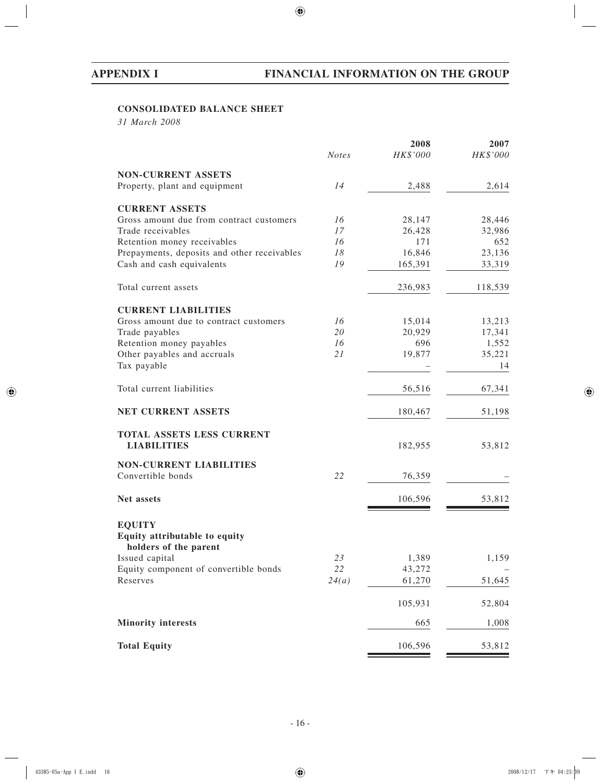# **CONSOLIDATED BALANCE SHEET**

*31 March 2008*

|                                                               |              | 2008             | 2007             |
|---------------------------------------------------------------|--------------|------------------|------------------|
|                                                               | <b>Notes</b> | HK\$'000         | HK\$'000         |
| <b>NON-CURRENT ASSETS</b>                                     |              |                  |                  |
| Property, plant and equipment                                 | 14           | 2,488            | 2,614            |
|                                                               |              |                  |                  |
| <b>CURRENT ASSETS</b>                                         |              |                  |                  |
| Gross amount due from contract customers<br>Trade receivables | 16<br>17     | 28,147<br>26,428 | 28,446<br>32,986 |
| Retention money receivables                                   | 16           | 171              | 652              |
| Prepayments, deposits and other receivables                   | 18           | 16,846           | 23,136           |
| Cash and cash equivalents                                     | 19           | 165,391          | 33,319           |
|                                                               |              |                  |                  |
| Total current assets                                          |              | 236,983          | 118,539          |
| <b>CURRENT LIABILITIES</b>                                    |              |                  |                  |
| Gross amount due to contract customers                        | 16           | 15,014           | 13,213           |
| Trade payables                                                | 20           | 20,929           | 17,341           |
| Retention money payables                                      | 16           | 696              | 1,552            |
| Other payables and accruals                                   | 21           | 19,877           | 35,221           |
| Tax payable                                                   |              |                  | 14               |
| Total current liabilities                                     |              | 56,516           | 67,341           |
| <b>NET CURRENT ASSETS</b>                                     |              | 180,467          | 51,198           |
| TOTAL ASSETS LESS CURRENT                                     |              |                  |                  |
| <b>LIABILITIES</b>                                            |              | 182,955          | 53,812           |
| <b>NON-CURRENT LIABILITIES</b>                                |              |                  |                  |
| Convertible bonds                                             | 22           | 76,359           |                  |
| Net assets                                                    |              | 106,596          | 53,812           |
|                                                               |              |                  |                  |
| <b>EQUITY</b>                                                 |              |                  |                  |
| Equity attributable to equity<br>holders of the parent        |              |                  |                  |
| Issued capital                                                | 23           | 1,389            | 1,159            |
| Equity component of convertible bonds                         | 22           | 43,272           |                  |
| Reserves                                                      | 24(a)        | 61,270           | 51,645           |
|                                                               |              | 105,931          | 52,804           |
| <b>Minority interests</b>                                     |              | 665              | 1,008            |
| <b>Total Equity</b>                                           |              | 106,596          | 53,812           |
|                                                               |              |                  |                  |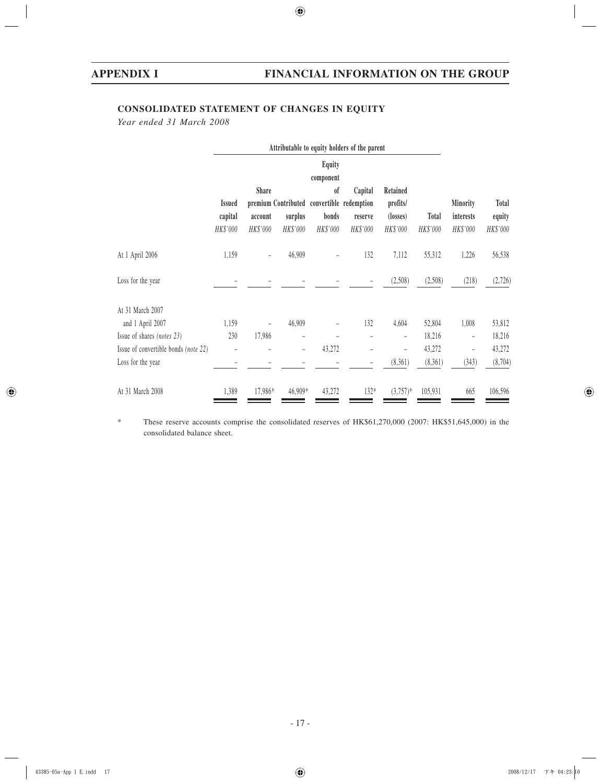# **CONSOLIDATED STATEMENT OF CHANGES IN EQUITY**

*Year ended 31 March 2008*

|                                      | Attributable to equity holders of the parent |              |                     |                     |                        |                          |          |                   |              |
|--------------------------------------|----------------------------------------------|--------------|---------------------|---------------------|------------------------|--------------------------|----------|-------------------|--------------|
|                                      |                                              |              |                     | Equity<br>component |                        |                          |          |                   |              |
|                                      |                                              | <b>Share</b> |                     | <sub>of</sub>       | Capital                | Retained                 |          |                   |              |
|                                      | <b>Issued</b>                                |              | premium Contributed |                     | convertible redemption | profits/                 |          | Minority          | <b>Total</b> |
|                                      | capital                                      | account      | surplus             | bonds               | reserve                | (losses)                 | Total    | interests         | equity       |
|                                      | HK\$'000                                     | HK\$'000     | HK\$'000            | HK\$'000            | HK\$'000               | HK\$'000                 | HK\$'000 | HK\$'000          | HK\$'000     |
| At 1 April 2006                      | 1,159                                        |              | 46,909              |                     | 132                    | 7,112                    | 55,312   | 1,226             | 56,538       |
| Loss for the year                    |                                              |              |                     |                     |                        | (2,508)                  | (2,508)  | (218)             | (2,726)      |
| At 31 March 2007                     |                                              |              |                     |                     |                        |                          |          |                   |              |
| and 1 April 2007                     | 1,159                                        |              | 46,909              |                     | 132                    | 4,604                    | 52,804   | 1,008             | 53,812       |
| Issue of shares (notes 23)           | 230                                          | 17,986       | -                   |                     |                        | $\overline{\phantom{0}}$ | 18,216   | $\qquad \qquad -$ | 18,216       |
| Issue of convertible bonds (note 22) |                                              |              | $\qquad \qquad -$   | 43,272              | -                      |                          | 43,272   | $\qquad \qquad -$ | 43,272       |
| Loss for the year                    |                                              |              |                     |                     |                        | (8,361)                  | (8,361)  | (343)             | (8,704)      |
| At 31 March 2008                     | 1,389                                        | 17,986*      | 46,909*             | 43,272              | 132*                   | $(3,757)^*$              | 105,931  | 665               | 106,596      |

\* These reserve accounts comprise the consolidated reserves of HK\$61,270,000 (2007: HK\$51,645,000) in the consolidated balance sheet.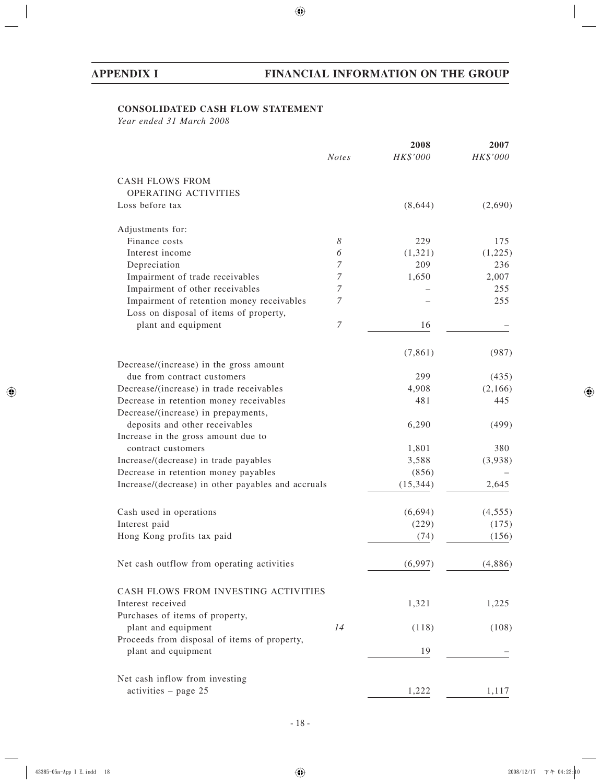# **CONSOLIDATED CASH FLOW STATEMENT**

*Year ended 31 March 2008*

| HK\$'000<br>HK\$'000<br><b>Notes</b><br><b>CASH FLOWS FROM</b><br>OPERATING ACTIVITIES<br>Loss before tax<br>(8,644)<br>Adjustments for:<br>Finance costs<br>8<br>229<br>175<br>Interest income<br>6<br>(1,321)<br>Depreciation<br>7<br>209<br>236<br>Impairment of trade receivables<br>7<br>2,007<br>1,650<br>Impairment of other receivables<br>7<br>255<br>Impairment of retention money receivables<br>255<br>7<br>Loss on disposal of items of property,<br>7<br>plant and equipment<br>16<br>(7, 861)<br>(987)<br>Decrease/(increase) in the gross amount<br>due from contract customers<br>299<br>(435)<br>4,908<br>(2,166)<br>Decrease/(increase) in trade receivables<br>481<br>Decrease in retention money receivables<br>445<br>Decrease/(increase) in prepayments,<br>deposits and other receivables<br>6,290<br>(499)<br>Increase in the gross amount due to<br>1,801<br>380<br>contract customers<br>Increase/(decrease) in trade payables<br>3,588<br>(3,938)<br>Decrease in retention money payables<br>(856)<br>Increase/(decrease) in other payables and accruals<br>2,645<br>(15, 344)<br>(6,694)<br>Cash used in operations<br>(4, 555)<br>Interest paid<br>(229)<br>(175)<br>Hong Kong profits tax paid<br>(74)<br>(156)<br>Net cash outflow from operating activities<br>(6,997)<br>CASH FLOWS FROM INVESTING ACTIVITIES<br>Interest received<br>1,321<br>1,225<br>Purchases of items of property,<br>plant and equipment<br>14<br>(118)<br>Proceeds from disposal of items of property,<br>plant and equipment<br>19<br>Net cash inflow from investing<br>activities - page 25<br>1,222<br>1,117 |  | 2008 | 2007    |
|--------------------------------------------------------------------------------------------------------------------------------------------------------------------------------------------------------------------------------------------------------------------------------------------------------------------------------------------------------------------------------------------------------------------------------------------------------------------------------------------------------------------------------------------------------------------------------------------------------------------------------------------------------------------------------------------------------------------------------------------------------------------------------------------------------------------------------------------------------------------------------------------------------------------------------------------------------------------------------------------------------------------------------------------------------------------------------------------------------------------------------------------------------------------------------------------------------------------------------------------------------------------------------------------------------------------------------------------------------------------------------------------------------------------------------------------------------------------------------------------------------------------------------------------------------------------------------------------------------------------------|--|------|---------|
|                                                                                                                                                                                                                                                                                                                                                                                                                                                                                                                                                                                                                                                                                                                                                                                                                                                                                                                                                                                                                                                                                                                                                                                                                                                                                                                                                                                                                                                                                                                                                                                                                          |  |      |         |
|                                                                                                                                                                                                                                                                                                                                                                                                                                                                                                                                                                                                                                                                                                                                                                                                                                                                                                                                                                                                                                                                                                                                                                                                                                                                                                                                                                                                                                                                                                                                                                                                                          |  |      |         |
|                                                                                                                                                                                                                                                                                                                                                                                                                                                                                                                                                                                                                                                                                                                                                                                                                                                                                                                                                                                                                                                                                                                                                                                                                                                                                                                                                                                                                                                                                                                                                                                                                          |  |      |         |
|                                                                                                                                                                                                                                                                                                                                                                                                                                                                                                                                                                                                                                                                                                                                                                                                                                                                                                                                                                                                                                                                                                                                                                                                                                                                                                                                                                                                                                                                                                                                                                                                                          |  |      | (2,690) |
|                                                                                                                                                                                                                                                                                                                                                                                                                                                                                                                                                                                                                                                                                                                                                                                                                                                                                                                                                                                                                                                                                                                                                                                                                                                                                                                                                                                                                                                                                                                                                                                                                          |  |      |         |
|                                                                                                                                                                                                                                                                                                                                                                                                                                                                                                                                                                                                                                                                                                                                                                                                                                                                                                                                                                                                                                                                                                                                                                                                                                                                                                                                                                                                                                                                                                                                                                                                                          |  |      |         |
|                                                                                                                                                                                                                                                                                                                                                                                                                                                                                                                                                                                                                                                                                                                                                                                                                                                                                                                                                                                                                                                                                                                                                                                                                                                                                                                                                                                                                                                                                                                                                                                                                          |  |      | (1,225) |
|                                                                                                                                                                                                                                                                                                                                                                                                                                                                                                                                                                                                                                                                                                                                                                                                                                                                                                                                                                                                                                                                                                                                                                                                                                                                                                                                                                                                                                                                                                                                                                                                                          |  |      |         |
|                                                                                                                                                                                                                                                                                                                                                                                                                                                                                                                                                                                                                                                                                                                                                                                                                                                                                                                                                                                                                                                                                                                                                                                                                                                                                                                                                                                                                                                                                                                                                                                                                          |  |      |         |
|                                                                                                                                                                                                                                                                                                                                                                                                                                                                                                                                                                                                                                                                                                                                                                                                                                                                                                                                                                                                                                                                                                                                                                                                                                                                                                                                                                                                                                                                                                                                                                                                                          |  |      |         |
|                                                                                                                                                                                                                                                                                                                                                                                                                                                                                                                                                                                                                                                                                                                                                                                                                                                                                                                                                                                                                                                                                                                                                                                                                                                                                                                                                                                                                                                                                                                                                                                                                          |  |      |         |
|                                                                                                                                                                                                                                                                                                                                                                                                                                                                                                                                                                                                                                                                                                                                                                                                                                                                                                                                                                                                                                                                                                                                                                                                                                                                                                                                                                                                                                                                                                                                                                                                                          |  |      |         |
|                                                                                                                                                                                                                                                                                                                                                                                                                                                                                                                                                                                                                                                                                                                                                                                                                                                                                                                                                                                                                                                                                                                                                                                                                                                                                                                                                                                                                                                                                                                                                                                                                          |  |      |         |
|                                                                                                                                                                                                                                                                                                                                                                                                                                                                                                                                                                                                                                                                                                                                                                                                                                                                                                                                                                                                                                                                                                                                                                                                                                                                                                                                                                                                                                                                                                                                                                                                                          |  |      |         |
|                                                                                                                                                                                                                                                                                                                                                                                                                                                                                                                                                                                                                                                                                                                                                                                                                                                                                                                                                                                                                                                                                                                                                                                                                                                                                                                                                                                                                                                                                                                                                                                                                          |  |      |         |
|                                                                                                                                                                                                                                                                                                                                                                                                                                                                                                                                                                                                                                                                                                                                                                                                                                                                                                                                                                                                                                                                                                                                                                                                                                                                                                                                                                                                                                                                                                                                                                                                                          |  |      |         |
|                                                                                                                                                                                                                                                                                                                                                                                                                                                                                                                                                                                                                                                                                                                                                                                                                                                                                                                                                                                                                                                                                                                                                                                                                                                                                                                                                                                                                                                                                                                                                                                                                          |  |      |         |
|                                                                                                                                                                                                                                                                                                                                                                                                                                                                                                                                                                                                                                                                                                                                                                                                                                                                                                                                                                                                                                                                                                                                                                                                                                                                                                                                                                                                                                                                                                                                                                                                                          |  |      |         |
|                                                                                                                                                                                                                                                                                                                                                                                                                                                                                                                                                                                                                                                                                                                                                                                                                                                                                                                                                                                                                                                                                                                                                                                                                                                                                                                                                                                                                                                                                                                                                                                                                          |  |      |         |
|                                                                                                                                                                                                                                                                                                                                                                                                                                                                                                                                                                                                                                                                                                                                                                                                                                                                                                                                                                                                                                                                                                                                                                                                                                                                                                                                                                                                                                                                                                                                                                                                                          |  |      |         |
|                                                                                                                                                                                                                                                                                                                                                                                                                                                                                                                                                                                                                                                                                                                                                                                                                                                                                                                                                                                                                                                                                                                                                                                                                                                                                                                                                                                                                                                                                                                                                                                                                          |  |      |         |
|                                                                                                                                                                                                                                                                                                                                                                                                                                                                                                                                                                                                                                                                                                                                                                                                                                                                                                                                                                                                                                                                                                                                                                                                                                                                                                                                                                                                                                                                                                                                                                                                                          |  |      |         |
|                                                                                                                                                                                                                                                                                                                                                                                                                                                                                                                                                                                                                                                                                                                                                                                                                                                                                                                                                                                                                                                                                                                                                                                                                                                                                                                                                                                                                                                                                                                                                                                                                          |  |      |         |
|                                                                                                                                                                                                                                                                                                                                                                                                                                                                                                                                                                                                                                                                                                                                                                                                                                                                                                                                                                                                                                                                                                                                                                                                                                                                                                                                                                                                                                                                                                                                                                                                                          |  |      |         |
|                                                                                                                                                                                                                                                                                                                                                                                                                                                                                                                                                                                                                                                                                                                                                                                                                                                                                                                                                                                                                                                                                                                                                                                                                                                                                                                                                                                                                                                                                                                                                                                                                          |  |      |         |
|                                                                                                                                                                                                                                                                                                                                                                                                                                                                                                                                                                                                                                                                                                                                                                                                                                                                                                                                                                                                                                                                                                                                                                                                                                                                                                                                                                                                                                                                                                                                                                                                                          |  |      |         |
|                                                                                                                                                                                                                                                                                                                                                                                                                                                                                                                                                                                                                                                                                                                                                                                                                                                                                                                                                                                                                                                                                                                                                                                                                                                                                                                                                                                                                                                                                                                                                                                                                          |  |      |         |
|                                                                                                                                                                                                                                                                                                                                                                                                                                                                                                                                                                                                                                                                                                                                                                                                                                                                                                                                                                                                                                                                                                                                                                                                                                                                                                                                                                                                                                                                                                                                                                                                                          |  |      |         |
|                                                                                                                                                                                                                                                                                                                                                                                                                                                                                                                                                                                                                                                                                                                                                                                                                                                                                                                                                                                                                                                                                                                                                                                                                                                                                                                                                                                                                                                                                                                                                                                                                          |  |      |         |
|                                                                                                                                                                                                                                                                                                                                                                                                                                                                                                                                                                                                                                                                                                                                                                                                                                                                                                                                                                                                                                                                                                                                                                                                                                                                                                                                                                                                                                                                                                                                                                                                                          |  |      | (4,886) |
|                                                                                                                                                                                                                                                                                                                                                                                                                                                                                                                                                                                                                                                                                                                                                                                                                                                                                                                                                                                                                                                                                                                                                                                                                                                                                                                                                                                                                                                                                                                                                                                                                          |  |      |         |
|                                                                                                                                                                                                                                                                                                                                                                                                                                                                                                                                                                                                                                                                                                                                                                                                                                                                                                                                                                                                                                                                                                                                                                                                                                                                                                                                                                                                                                                                                                                                                                                                                          |  |      |         |
|                                                                                                                                                                                                                                                                                                                                                                                                                                                                                                                                                                                                                                                                                                                                                                                                                                                                                                                                                                                                                                                                                                                                                                                                                                                                                                                                                                                                                                                                                                                                                                                                                          |  |      |         |
|                                                                                                                                                                                                                                                                                                                                                                                                                                                                                                                                                                                                                                                                                                                                                                                                                                                                                                                                                                                                                                                                                                                                                                                                                                                                                                                                                                                                                                                                                                                                                                                                                          |  |      | (108)   |
|                                                                                                                                                                                                                                                                                                                                                                                                                                                                                                                                                                                                                                                                                                                                                                                                                                                                                                                                                                                                                                                                                                                                                                                                                                                                                                                                                                                                                                                                                                                                                                                                                          |  |      |         |
|                                                                                                                                                                                                                                                                                                                                                                                                                                                                                                                                                                                                                                                                                                                                                                                                                                                                                                                                                                                                                                                                                                                                                                                                                                                                                                                                                                                                                                                                                                                                                                                                                          |  |      |         |
|                                                                                                                                                                                                                                                                                                                                                                                                                                                                                                                                                                                                                                                                                                                                                                                                                                                                                                                                                                                                                                                                                                                                                                                                                                                                                                                                                                                                                                                                                                                                                                                                                          |  |      |         |
|                                                                                                                                                                                                                                                                                                                                                                                                                                                                                                                                                                                                                                                                                                                                                                                                                                                                                                                                                                                                                                                                                                                                                                                                                                                                                                                                                                                                                                                                                                                                                                                                                          |  |      |         |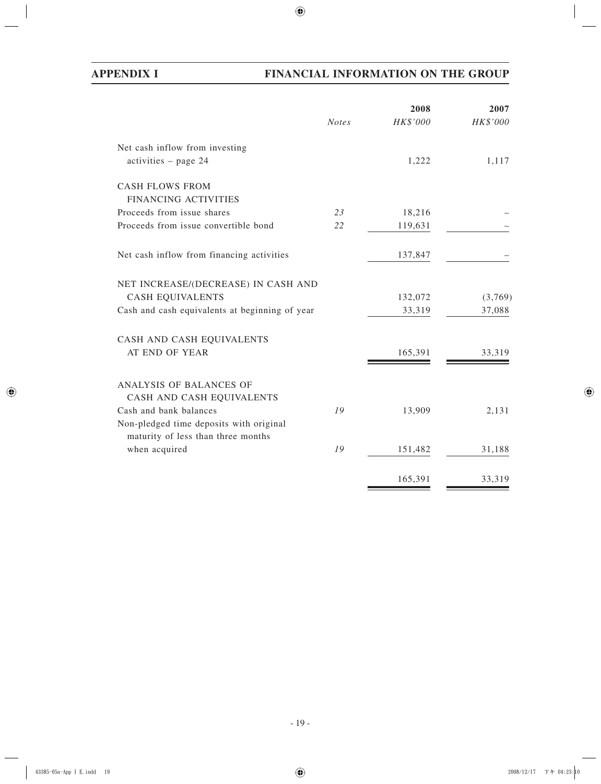# **APPENDIX I FINANCIAL INFORMATION ON THE GROUP**

|                                                                               |              | 2008     | 2007     |
|-------------------------------------------------------------------------------|--------------|----------|----------|
|                                                                               | <b>Notes</b> | HK\$'000 | HK\$'000 |
| Net cash inflow from investing                                                |              |          |          |
| $activities - page 24$                                                        |              | 1,222    | 1,117    |
| <b>CASH FLOWS FROM</b>                                                        |              |          |          |
| FINANCING ACTIVITIES                                                          |              |          |          |
| Proceeds from issue shares                                                    | 23           | 18,216   |          |
| Proceeds from issue convertible bond                                          | 22           | 119,631  |          |
| Net cash inflow from financing activities                                     |              | 137,847  |          |
| NET INCREASE/(DECREASE) IN CASH AND                                           |              |          |          |
| <b>CASH EQUIVALENTS</b>                                                       |              | 132,072  | (3,769)  |
| Cash and cash equivalents at beginning of year                                |              | 33,319   | 37,088   |
| CASH AND CASH EQUIVALENTS                                                     |              |          |          |
| AT END OF YEAR                                                                |              | 165,391  | 33,319   |
| ANALYSIS OF BALANCES OF                                                       |              |          |          |
| CASH AND CASH EQUIVALENTS                                                     |              |          |          |
| Cash and bank balances                                                        | 19           | 13,909   | 2,131    |
| Non-pledged time deposits with original<br>maturity of less than three months |              |          |          |
| when acquired                                                                 | 19           | 151,482  | 31,188   |
|                                                                               |              | 165,391  | 33,319   |
|                                                                               |              |          |          |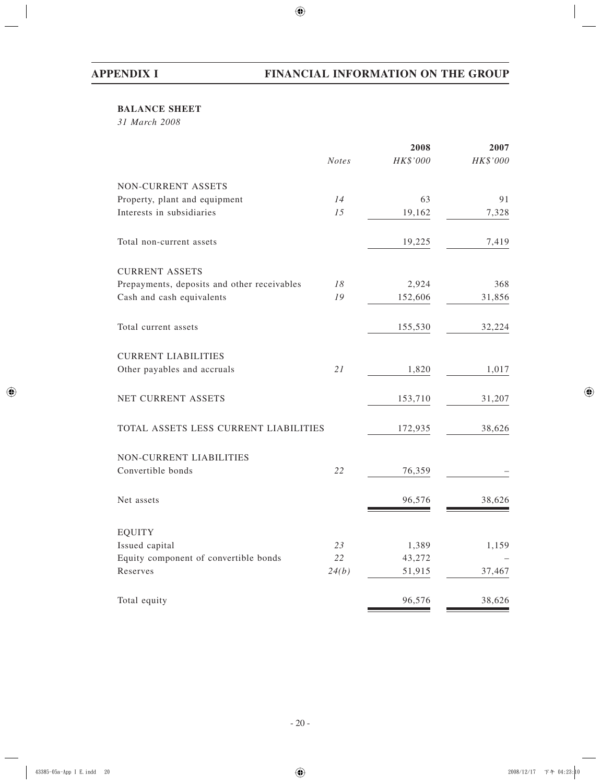# **BALANCE SHEET**

*31 March 2008*

| HK\$'000<br><b>Notes</b><br>63 | HK\$'000 |
|--------------------------------|----------|
|                                |          |
|                                |          |
|                                | 91       |
| 19,162                         | 7,328    |
| 19,225                         | 7,419    |
|                                |          |
| 2,924                          | 368      |
| 152,606                        | 31,856   |
| 155,530                        | 32,224   |
|                                |          |
| 1,820                          | 1,017    |
| 153,710                        | 31,207   |
| 172,935                        | 38,626   |
|                                |          |
| 76,359                         |          |
| 96,576                         | 38,626   |
|                                |          |
| 1,389                          | 1,159    |
| 43,272                         |          |
| 24(b)<br>51,915                | 37,467   |
| 96,576                         | 38,626   |
|                                |          |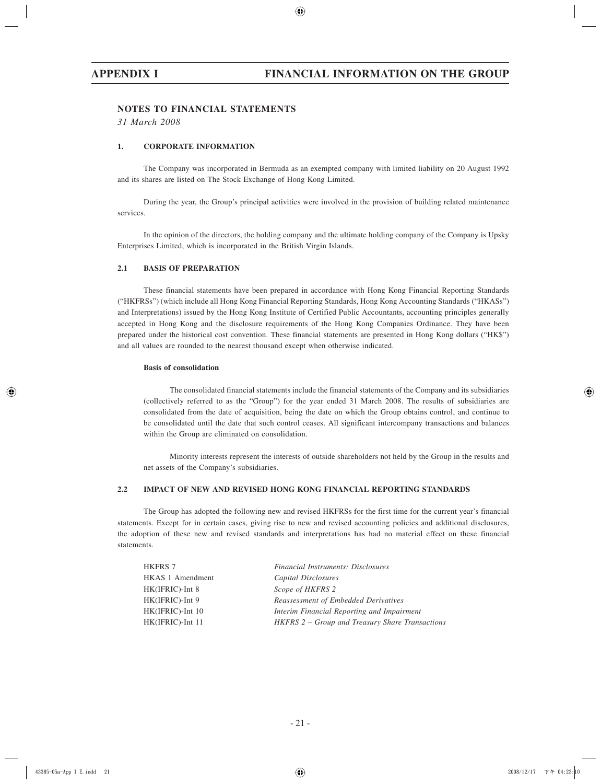## **NOTES TO FINANCIAL STATEMENTS**

*31 March 2008*

## **1. CORPORATE INFORMATION**

The Company was incorporated in Bermuda as an exempted company with limited liability on 20 August 1992 and its shares are listed on The Stock Exchange of Hong Kong Limited.

During the year, the Group's principal activities were involved in the provision of building related maintenance services.

In the opinion of the directors, the holding company and the ultimate holding company of the Company is Upsky Enterprises Limited, which is incorporated in the British Virgin Islands.

### **2.1 BASIS OF PREPARATION**

These financial statements have been prepared in accordance with Hong Kong Financial Reporting Standards ("HKFRSs") (which include all Hong Kong Financial Reporting Standards, Hong Kong Accounting Standards ("HKASs") and Interpretations) issued by the Hong Kong Institute of Certified Public Accountants, accounting principles generally accepted in Hong Kong and the disclosure requirements of the Hong Kong Companies Ordinance. They have been prepared under the historical cost convention. These financial statements are presented in Hong Kong dollars ("HK\$") and all values are rounded to the nearest thousand except when otherwise indicated.

### **Basis of consolidation**

The consolidated financial statements include the financial statements of the Company and its subsidiaries (collectively referred to as the "Group") for the year ended 31 March 2008. The results of subsidiaries are consolidated from the date of acquisition, being the date on which the Group obtains control, and continue to be consolidated until the date that such control ceases. All significant intercompany transactions and balances within the Group are eliminated on consolidation.

Minority interests represent the interests of outside shareholders not held by the Group in the results and net assets of the Company's subsidiaries.

### **2.2 IMPACT OF NEW AND REVISED HONG KONG FINANCIAL REPORTING STANDARDS**

The Group has adopted the following new and revised HKFRSs for the first time for the current year's financial statements. Except for in certain cases, giving rise to new and revised accounting policies and additional disclosures, the adoption of these new and revised standards and interpretations has had no material effect on these financial statements.

| <b>HKFRS 7</b>   | Financial Instruments: Disclosures              |
|------------------|-------------------------------------------------|
| HKAS 1 Amendment | Capital Disclosures                             |
| HK(IFRIC)-Int 8  | Scope of HKFRS 2                                |
| HK(IFRIC)-Int 9  | Reassessment of Embedded Derivatives            |
| HK(IFRIC)-Int 10 | Interim Financial Reporting and Impairment      |
| HK(IFRIC)-Int 11 | HKFRS 2 – Group and Treasury Share Transactions |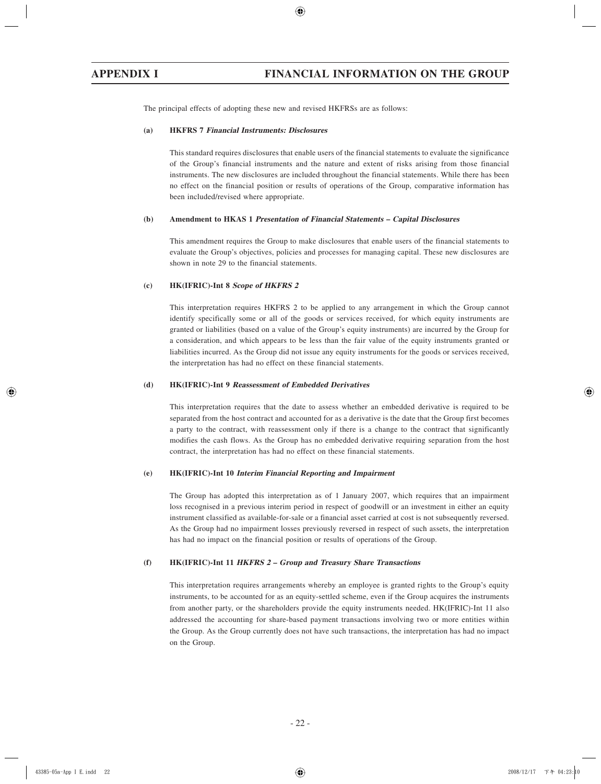The principal effects of adopting these new and revised HKFRSs are as follows:

#### **(a) HKFRS 7 Financial Instruments: Disclosures**

This standard requires disclosures that enable users of the financial statements to evaluate the significance of the Group's financial instruments and the nature and extent of risks arising from those financial instruments. The new disclosures are included throughout the financial statements. While there has been no effect on the financial position or results of operations of the Group, comparative information has been included/revised where appropriate.

#### **(b) Amendment to HKAS 1 Presentation of Financial Statements – Capital Disclosures**

This amendment requires the Group to make disclosures that enable users of the financial statements to evaluate the Group's objectives, policies and processes for managing capital. These new disclosures are shown in note 29 to the financial statements.

#### **(c) HK(IFRIC)-Int 8 Scope of HKFRS 2**

This interpretation requires HKFRS 2 to be applied to any arrangement in which the Group cannot identify specifically some or all of the goods or services received, for which equity instruments are granted or liabilities (based on a value of the Group's equity instruments) are incurred by the Group for a consideration, and which appears to be less than the fair value of the equity instruments granted or liabilities incurred. As the Group did not issue any equity instruments for the goods or services received, the interpretation has had no effect on these financial statements.

#### **(d) HK(IFRIC)-Int 9 Reassessment of Embedded Derivatives**

This interpretation requires that the date to assess whether an embedded derivative is required to be separated from the host contract and accounted for as a derivative is the date that the Group first becomes a party to the contract, with reassessment only if there is a change to the contract that significantly modifies the cash flows. As the Group has no embedded derivative requiring separation from the host contract, the interpretation has had no effect on these financial statements.

#### **(e) HK(IFRIC)-Int 10 Interim Financial Reporting and Impairment**

The Group has adopted this interpretation as of 1 January 2007, which requires that an impairment loss recognised in a previous interim period in respect of goodwill or an investment in either an equity instrument classified as available-for-sale or a financial asset carried at cost is not subsequently reversed. As the Group had no impairment losses previously reversed in respect of such assets, the interpretation has had no impact on the financial position or results of operations of the Group.

#### **(f) HK(IFRIC)-Int 11 HKFRS 2 – Group and Treasury Share Transactions**

This interpretation requires arrangements whereby an employee is granted rights to the Group's equity instruments, to be accounted for as an equity-settled scheme, even if the Group acquires the instruments from another party, or the shareholders provide the equity instruments needed. HK(IFRIC)-Int 11 also addressed the accounting for share-based payment transactions involving two or more entities within the Group. As the Group currently does not have such transactions, the interpretation has had no impact on the Group.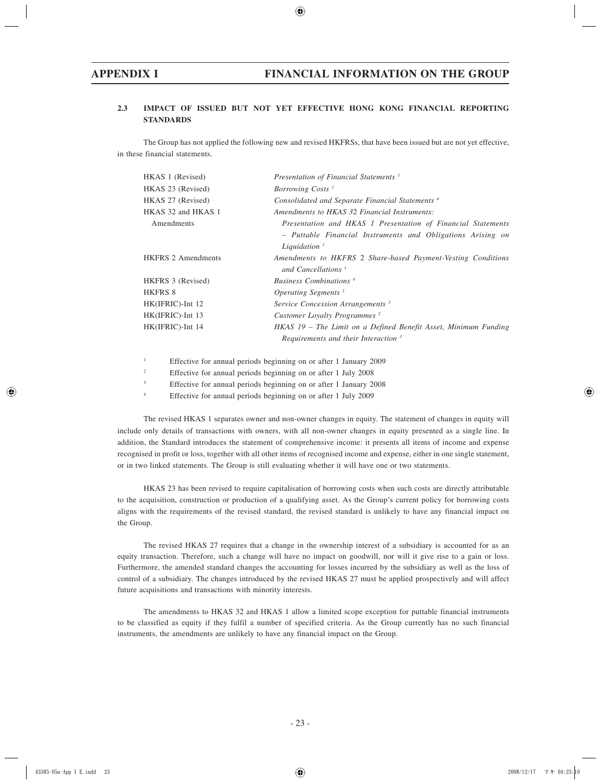## **2.3 IMPACT OF ISSUED BUT NOT YET EFFECTIVE HONG KONG FINANCIAL REPORTING STANDARDS**

The Group has not applied the following new and revised HKFRSs, that have been issued but are not yet effective, in these financial statements.

| HKAS 1 (Revised)          | Presentation of Financial Statements <sup>1</sup>               |
|---------------------------|-----------------------------------------------------------------|
| HKAS 23 (Revised)         | Borrowing Costs <sup>1</sup>                                    |
| HKAS 27 (Revised)         | Consolidated and Separate Financial Statements <sup>4</sup>     |
| HKAS 32 and HKAS 1        | Amendments to HKAS 32 Financial Instruments:                    |
| Amendments                | Presentation and HKAS 1 Presentation of Financial Statements    |
|                           | - Puttable Financial Instruments and Obligations Arising on     |
|                           | Liquidation $^1$                                                |
| <b>HKFRS 2 Amendments</b> | Amendments to HKFRS 2 Share-based Payment-Vesting Conditions    |
|                           | and Cancellations <sup>1</sup>                                  |
| HKFRS 3 (Revised)         | Business Combinations <sup>4</sup>                              |
| <b>HKFRS 8</b>            | <i>Operating Segments</i> <sup>1</sup>                          |
| $HK(IFRIC)$ -Int 12       | Service Concession Arrangements <sup>3</sup>                    |
| HK(IFRIC)-Int 13          | Customer Loyalty Programmes <sup>2</sup>                        |
| HK(IFRIC)-Int 14          | HKAS 19 – The Limit on a Defined Benefit Asset, Minimum Funding |
|                           | Requirements and their Interaction $3$                          |
|                           |                                                                 |

1 Effective for annual periods beginning on or after 1 January 2009

 $\overline{2}$ Effective for annual periods beginning on or after 1 July 2008

3 Effective for annual periods beginning on or after 1 January 2008

4 Effective for annual periods beginning on or after 1 July 2009

The revised HKAS 1 separates owner and non-owner changes in equity. The statement of changes in equity will include only details of transactions with owners, with all non-owner changes in equity presented as a single line. In addition, the Standard introduces the statement of comprehensive income: it presents all items of income and expense recognised in profit or loss, together with all other items of recognised income and expense, either in one single statement, or in two linked statements. The Group is still evaluating whether it will have one or two statements.

HKAS 23 has been revised to require capitalisation of borrowing costs when such costs are directly attributable to the acquisition, construction or production of a qualifying asset. As the Group's current policy for borrowing costs aligns with the requirements of the revised standard, the revised standard is unlikely to have any financial impact on the Group.

The revised HKAS 27 requires that a change in the ownership interest of a subsidiary is accounted for as an equity transaction. Therefore, such a change will have no impact on goodwill, nor will it give rise to a gain or loss. Furthermore, the amended standard changes the accounting for losses incurred by the subsidiary as well as the loss of control of a subsidiary. The changes introduced by the revised HKAS 27 must be applied prospectively and will affect future acquisitions and transactions with minority interests.

The amendments to HKAS 32 and HKAS 1 allow a limited scope exception for puttable financial instruments to be classified as equity if they fulfil a number of specified criteria. As the Group currently has no such financial instruments, the amendments are unlikely to have any financial impact on the Group.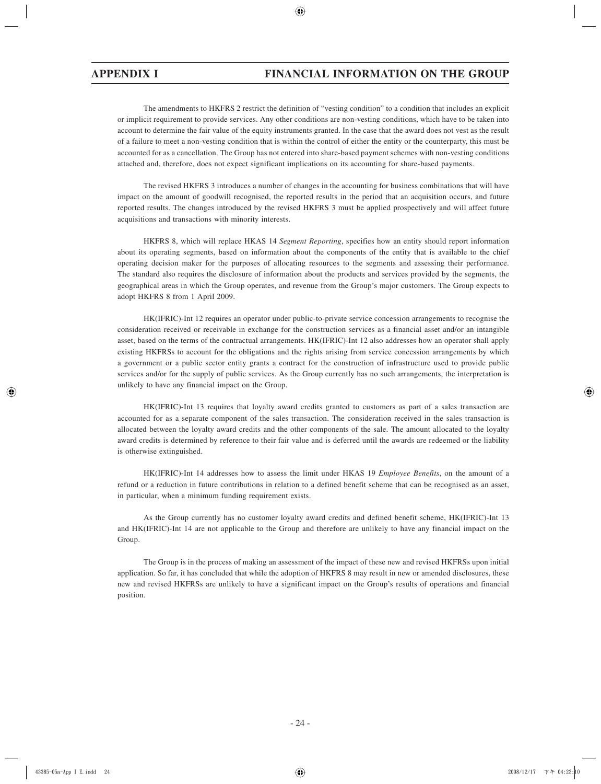The amendments to HKFRS 2 restrict the definition of "vesting condition" to a condition that includes an explicit or implicit requirement to provide services. Any other conditions are non-vesting conditions, which have to be taken into account to determine the fair value of the equity instruments granted. In the case that the award does not vest as the result of a failure to meet a non-vesting condition that is within the control of either the entity or the counterparty, this must be accounted for as a cancellation. The Group has not entered into share-based payment schemes with non-vesting conditions attached and, therefore, does not expect significant implications on its accounting for share-based payments.

The revised HKFRS 3 introduces a number of changes in the accounting for business combinations that will have impact on the amount of goodwill recognised, the reported results in the period that an acquisition occurs, and future reported results. The changes introduced by the revised HKFRS 3 must be applied prospectively and will affect future acquisitions and transactions with minority interests.

HKFRS 8, which will replace HKAS 14 *Segment Reporting*, specifies how an entity should report information about its operating segments, based on information about the components of the entity that is available to the chief operating decision maker for the purposes of allocating resources to the segments and assessing their performance. The standard also requires the disclosure of information about the products and services provided by the segments, the geographical areas in which the Group operates, and revenue from the Group's major customers. The Group expects to adopt HKFRS 8 from 1 April 2009.

HK(IFRIC)-Int 12 requires an operator under public-to-private service concession arrangements to recognise the consideration received or receivable in exchange for the construction services as a financial asset and/or an intangible asset, based on the terms of the contractual arrangements. HK(IFRIC)-Int 12 also addresses how an operator shall apply existing HKFRSs to account for the obligations and the rights arising from service concession arrangements by which a government or a public sector entity grants a contract for the construction of infrastructure used to provide public services and/or for the supply of public services. As the Group currently has no such arrangements, the interpretation is unlikely to have any financial impact on the Group.

HK(IFRIC)-Int 13 requires that loyalty award credits granted to customers as part of a sales transaction are accounted for as a separate component of the sales transaction. The consideration received in the sales transaction is allocated between the loyalty award credits and the other components of the sale. The amount allocated to the loyalty award credits is determined by reference to their fair value and is deferred until the awards are redeemed or the liability is otherwise extinguished.

HK(IFRIC)-Int 14 addresses how to assess the limit under HKAS 19 *Employee Benefits*, on the amount of a refund or a reduction in future contributions in relation to a defined benefit scheme that can be recognised as an asset, in particular, when a minimum funding requirement exists.

As the Group currently has no customer loyalty award credits and defined benefit scheme, HK(IFRIC)-Int 13 and HK(IFRIC)-Int 14 are not applicable to the Group and therefore are unlikely to have any financial impact on the Group.

The Group is in the process of making an assessment of the impact of these new and revised HKFRSs upon initial application. So far, it has concluded that while the adoption of HKFRS 8 may result in new or amended disclosures, these new and revised HKFRSs are unlikely to have a significant impact on the Group's results of operations and financial position.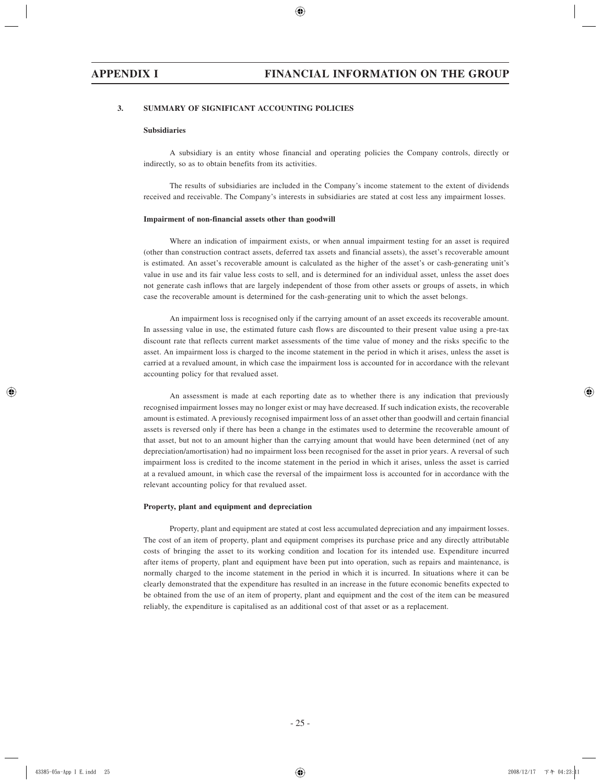### **3. SUMMARY OF SIGNIFICANT ACCOUNTING POLICIES**

#### **Subsidiaries**

A subsidiary is an entity whose financial and operating policies the Company controls, directly or indirectly, so as to obtain benefits from its activities.

The results of subsidiaries are included in the Company's income statement to the extent of dividends received and receivable. The Company's interests in subsidiaries are stated at cost less any impairment losses.

#### **Impairment of non-financial assets other than goodwill**

Where an indication of impairment exists, or when annual impairment testing for an asset is required (other than construction contract assets, deferred tax assets and financial assets), the asset's recoverable amount is estimated. An asset's recoverable amount is calculated as the higher of the asset's or cash-generating unit's value in use and its fair value less costs to sell, and is determined for an individual asset, unless the asset does not generate cash inflows that are largely independent of those from other assets or groups of assets, in which case the recoverable amount is determined for the cash-generating unit to which the asset belongs.

An impairment loss is recognised only if the carrying amount of an asset exceeds its recoverable amount. In assessing value in use, the estimated future cash flows are discounted to their present value using a pre-tax discount rate that reflects current market assessments of the time value of money and the risks specific to the asset. An impairment loss is charged to the income statement in the period in which it arises, unless the asset is carried at a revalued amount, in which case the impairment loss is accounted for in accordance with the relevant accounting policy for that revalued asset.

An assessment is made at each reporting date as to whether there is any indication that previously recognised impairment losses may no longer exist or may have decreased. If such indication exists, the recoverable amount is estimated. A previously recognised impairment loss of an asset other than goodwill and certain financial assets is reversed only if there has been a change in the estimates used to determine the recoverable amount of that asset, but not to an amount higher than the carrying amount that would have been determined (net of any depreciation/amortisation) had no impairment loss been recognised for the asset in prior years. A reversal of such impairment loss is credited to the income statement in the period in which it arises, unless the asset is carried at a revalued amount, in which case the reversal of the impairment loss is accounted for in accordance with the relevant accounting policy for that revalued asset.

#### **Property, plant and equipment and depreciation**

Property, plant and equipment are stated at cost less accumulated depreciation and any impairment losses. The cost of an item of property, plant and equipment comprises its purchase price and any directly attributable costs of bringing the asset to its working condition and location for its intended use. Expenditure incurred after items of property, plant and equipment have been put into operation, such as repairs and maintenance, is normally charged to the income statement in the period in which it is incurred. In situations where it can be clearly demonstrated that the expenditure has resulted in an increase in the future economic benefits expected to be obtained from the use of an item of property, plant and equipment and the cost of the item can be measured reliably, the expenditure is capitalised as an additional cost of that asset or as a replacement.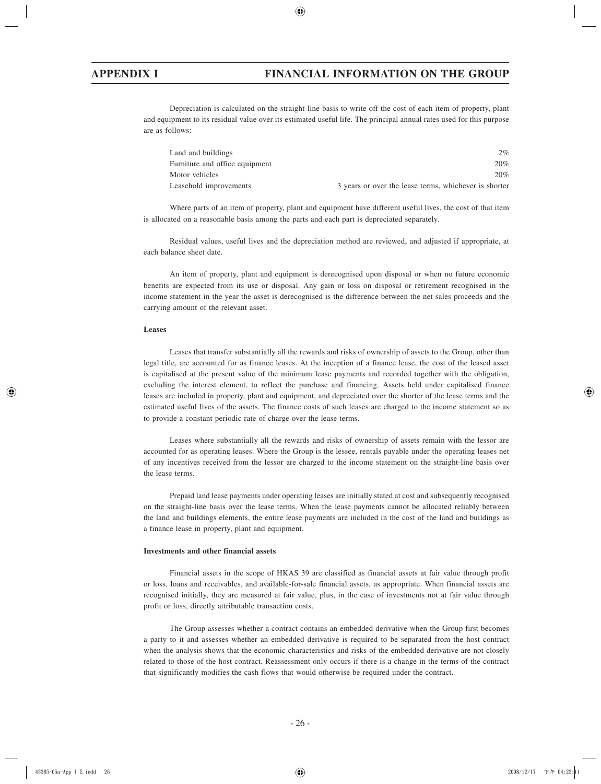Depreciation is calculated on the straight-line basis to write off the cost of each item of property, plant and equipment to its residual value over its estimated useful life. The principal annual rates used for this purpose are as follows:

| Land and buildings             | 2%                                                    |
|--------------------------------|-------------------------------------------------------|
| Furniture and office equipment | 20%                                                   |
| Motor vehicles                 | 20%                                                   |
| Leasehold improvements         | 3 years or over the lease terms, whichever is shorter |

Where parts of an item of property, plant and equipment have different useful lives, the cost of that item is allocated on a reasonable basis among the parts and each part is depreciated separately.

Residual values, useful lives and the depreciation method are reviewed, and adjusted if appropriate, at each balance sheet date.

An item of property, plant and equipment is derecognised upon disposal or when no future economic benefits are expected from its use or disposal. Any gain or loss on disposal or retirement recognised in the income statement in the year the asset is derecognised is the difference between the net sales proceeds and the carrying amount of the relevant asset.

#### **Leases**

Leases that transfer substantially all the rewards and risks of ownership of assets to the Group, other than legal title, are accounted for as finance leases. At the inception of a finance lease, the cost of the leased asset is capitalised at the present value of the minimum lease payments and recorded together with the obligation, excluding the interest element, to reflect the purchase and financing. Assets held under capitalised finance leases are included in property, plant and equipment, and depreciated over the shorter of the lease terms and the estimated useful lives of the assets. The finance costs of such leases are charged to the income statement so as to provide a constant periodic rate of charge over the lease terms.

Leases where substantially all the rewards and risks of ownership of assets remain with the lessor are accounted for as operating leases. Where the Group is the lessee, rentals payable under the operating leases net of any incentives received from the lessor are charged to the income statement on the straight-line basis over the lease terms.

Prepaid land lease payments under operating leases are initially stated at cost and subsequently recognised on the straight-line basis over the lease terms. When the lease payments cannot be allocated reliably between the land and buildings elements, the entire lease payments are included in the cost of the land and buildings as a finance lease in property, plant and equipment.

#### **Investments and other financial assets**

Financial assets in the scope of HKAS 39 are classified as financial assets at fair value through profit or loss, loans and receivables, and available-for-sale financial assets, as appropriate. When financial assets are recognised initially, they are measured at fair value, plus, in the case of investments not at fair value through profit or loss, directly attributable transaction costs.

The Group assesses whether a contract contains an embedded derivative when the Group first becomes a party to it and assesses whether an embedded derivative is required to be separated from the host contract when the analysis shows that the economic characteristics and risks of the embedded derivative are not closely related to those of the host contract. Reassessment only occurs if there is a change in the terms of the contract that significantly modifies the cash flows that would otherwise be required under the contract.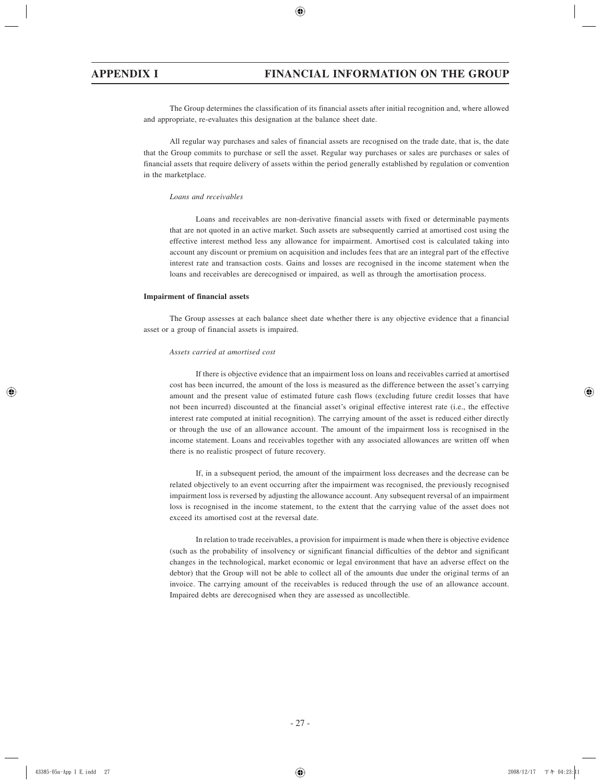The Group determines the classification of its financial assets after initial recognition and, where allowed and appropriate, re-evaluates this designation at the balance sheet date.

All regular way purchases and sales of financial assets are recognised on the trade date, that is, the date that the Group commits to purchase or sell the asset. Regular way purchases or sales are purchases or sales of financial assets that require delivery of assets within the period generally established by regulation or convention in the marketplace.

### *Loans and receivables*

Loans and receivables are non-derivative financial assets with fixed or determinable payments that are not quoted in an active market. Such assets are subsequently carried at amortised cost using the effective interest method less any allowance for impairment. Amortised cost is calculated taking into account any discount or premium on acquisition and includes fees that are an integral part of the effective interest rate and transaction costs. Gains and losses are recognised in the income statement when the loans and receivables are derecognised or impaired, as well as through the amortisation process.

#### **Impairment of financial assets**

The Group assesses at each balance sheet date whether there is any objective evidence that a financial asset or a group of financial assets is impaired.

#### *Assets carried at amortised cost*

If there is objective evidence that an impairment loss on loans and receivables carried at amortised cost has been incurred, the amount of the loss is measured as the difference between the asset's carrying amount and the present value of estimated future cash flows (excluding future credit losses that have not been incurred) discounted at the financial asset's original effective interest rate (i.e., the effective interest rate computed at initial recognition). The carrying amount of the asset is reduced either directly or through the use of an allowance account. The amount of the impairment loss is recognised in the income statement. Loans and receivables together with any associated allowances are written off when there is no realistic prospect of future recovery.

If, in a subsequent period, the amount of the impairment loss decreases and the decrease can be related objectively to an event occurring after the impairment was recognised, the previously recognised impairment loss is reversed by adjusting the allowance account. Any subsequent reversal of an impairment loss is recognised in the income statement, to the extent that the carrying value of the asset does not exceed its amortised cost at the reversal date.

In relation to trade receivables, a provision for impairment is made when there is objective evidence (such as the probability of insolvency or significant financial difficulties of the debtor and significant changes in the technological, market economic or legal environment that have an adverse effect on the debtor) that the Group will not be able to collect all of the amounts due under the original terms of an invoice. The carrying amount of the receivables is reduced through the use of an allowance account. Impaired debts are derecognised when they are assessed as uncollectible.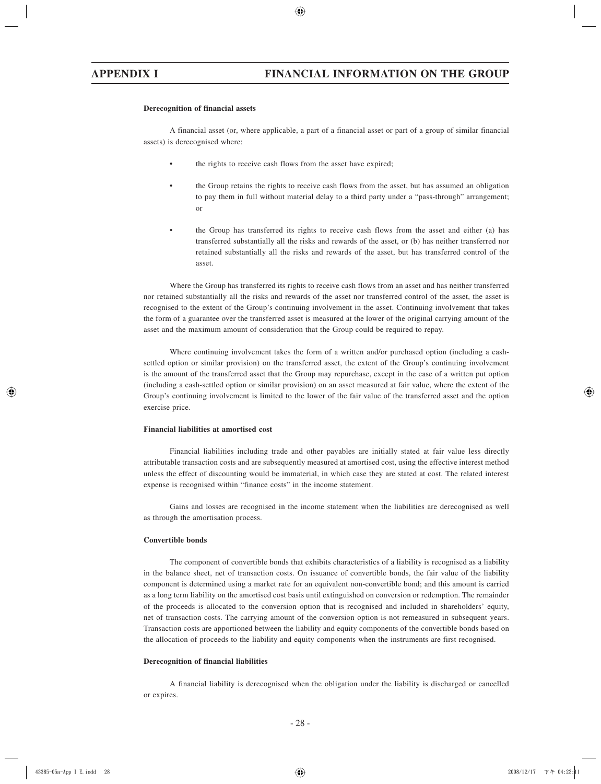#### **Derecognition of financial assets**

A financial asset (or, where applicable, a part of a financial asset or part of a group of similar financial assets) is derecognised where:

- the rights to receive cash flows from the asset have expired;
- the Group retains the rights to receive cash flows from the asset, but has assumed an obligation to pay them in full without material delay to a third party under a "pass-through" arrangement; or
- the Group has transferred its rights to receive cash flows from the asset and either (a) has transferred substantially all the risks and rewards of the asset, or (b) has neither transferred nor retained substantially all the risks and rewards of the asset, but has transferred control of the asset.

Where the Group has transferred its rights to receive cash flows from an asset and has neither transferred nor retained substantially all the risks and rewards of the asset nor transferred control of the asset, the asset is recognised to the extent of the Group's continuing involvement in the asset. Continuing involvement that takes the form of a guarantee over the transferred asset is measured at the lower of the original carrying amount of the asset and the maximum amount of consideration that the Group could be required to repay.

Where continuing involvement takes the form of a written and/or purchased option (including a cashsettled option or similar provision) on the transferred asset, the extent of the Group's continuing involvement is the amount of the transferred asset that the Group may repurchase, except in the case of a written put option (including a cash-settled option or similar provision) on an asset measured at fair value, where the extent of the Group's continuing involvement is limited to the lower of the fair value of the transferred asset and the option exercise price.

#### **Financial liabilities at amortised cost**

Financial liabilities including trade and other payables are initially stated at fair value less directly attributable transaction costs and are subsequently measured at amortised cost, using the effective interest method unless the effect of discounting would be immaterial, in which case they are stated at cost. The related interest expense is recognised within "finance costs" in the income statement.

Gains and losses are recognised in the income statement when the liabilities are derecognised as well as through the amortisation process.

### **Convertible bonds**

The component of convertible bonds that exhibits characteristics of a liability is recognised as a liability in the balance sheet, net of transaction costs. On issuance of convertible bonds, the fair value of the liability component is determined using a market rate for an equivalent non-convertible bond; and this amount is carried as a long term liability on the amortised cost basis until extinguished on conversion or redemption. The remainder of the proceeds is allocated to the conversion option that is recognised and included in shareholders' equity, net of transaction costs. The carrying amount of the conversion option is not remeasured in subsequent years. Transaction costs are apportioned between the liability and equity components of the convertible bonds based on the allocation of proceeds to the liability and equity components when the instruments are first recognised.

#### **Derecognition of financial liabilities**

A financial liability is derecognised when the obligation under the liability is discharged or cancelled or expires.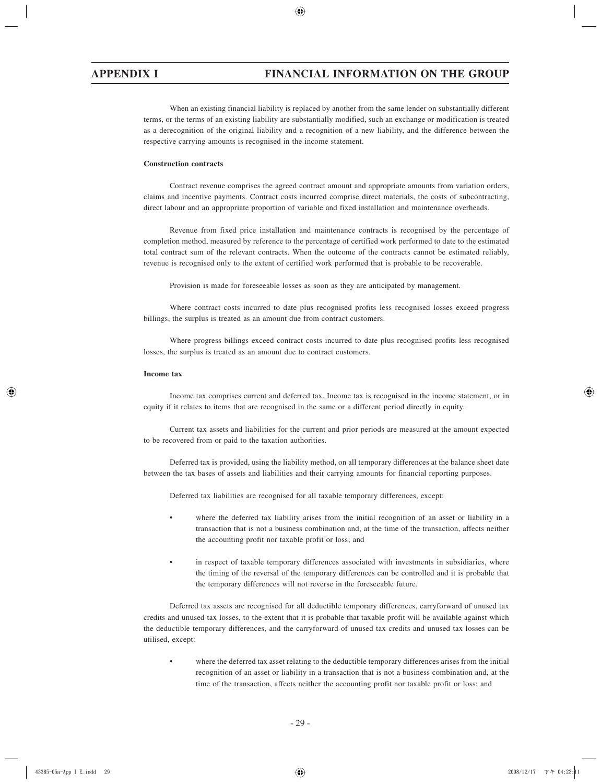When an existing financial liability is replaced by another from the same lender on substantially different terms, or the terms of an existing liability are substantially modified, such an exchange or modification is treated as a derecognition of the original liability and a recognition of a new liability, and the difference between the respective carrying amounts is recognised in the income statement.

### **Construction contracts**

Contract revenue comprises the agreed contract amount and appropriate amounts from variation orders, claims and incentive payments. Contract costs incurred comprise direct materials, the costs of subcontracting, direct labour and an appropriate proportion of variable and fixed installation and maintenance overheads.

Revenue from fixed price installation and maintenance contracts is recognised by the percentage of completion method, measured by reference to the percentage of certified work performed to date to the estimated total contract sum of the relevant contracts. When the outcome of the contracts cannot be estimated reliably, revenue is recognised only to the extent of certified work performed that is probable to be recoverable.

Provision is made for foreseeable losses as soon as they are anticipated by management.

Where contract costs incurred to date plus recognised profits less recognised losses exceed progress billings, the surplus is treated as an amount due from contract customers.

Where progress billings exceed contract costs incurred to date plus recognised profits less recognised losses, the surplus is treated as an amount due to contract customers.

#### **Income tax**

Income tax comprises current and deferred tax. Income tax is recognised in the income statement, or in equity if it relates to items that are recognised in the same or a different period directly in equity.

Current tax assets and liabilities for the current and prior periods are measured at the amount expected to be recovered from or paid to the taxation authorities.

Deferred tax is provided, using the liability method, on all temporary differences at the balance sheet date between the tax bases of assets and liabilities and their carrying amounts for financial reporting purposes.

Deferred tax liabilities are recognised for all taxable temporary differences, except:

- where the deferred tax liability arises from the initial recognition of an asset or liability in a transaction that is not a business combination and, at the time of the transaction, affects neither the accounting profit nor taxable profit or loss; and
- in respect of taxable temporary differences associated with investments in subsidiaries, where the timing of the reversal of the temporary differences can be controlled and it is probable that the temporary differences will not reverse in the foreseeable future.

Deferred tax assets are recognised for all deductible temporary differences, carryforward of unused tax credits and unused tax losses, to the extent that it is probable that taxable profit will be available against which the deductible temporary differences, and the carryforward of unused tax credits and unused tax losses can be utilised, except:

• where the deferred tax asset relating to the deductible temporary differences arises from the initial recognition of an asset or liability in a transaction that is not a business combination and, at the time of the transaction, affects neither the accounting profit nor taxable profit or loss; and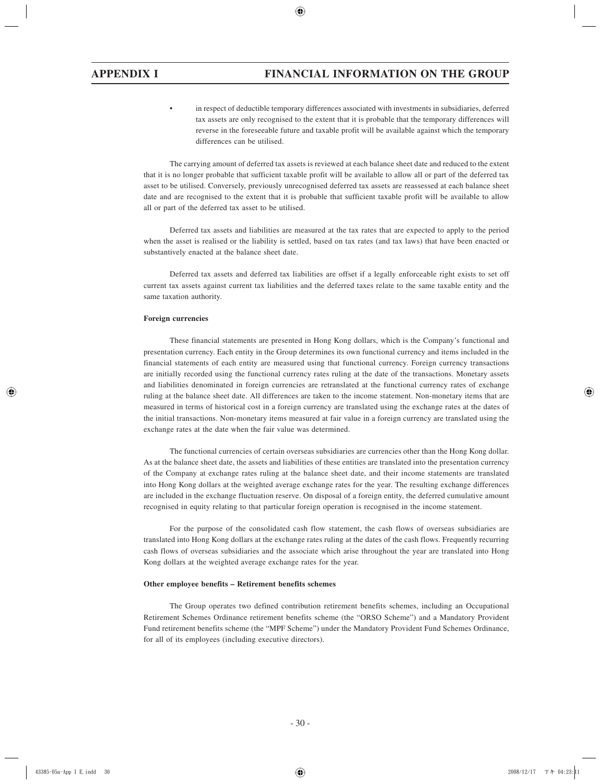• in respect of deductible temporary differences associated with investments in subsidiaries, deferred tax assets are only recognised to the extent that it is probable that the temporary differences will reverse in the foreseeable future and taxable profit will be available against which the temporary differences can be utilised.

The carrying amount of deferred tax assets is reviewed at each balance sheet date and reduced to the extent that it is no longer probable that sufficient taxable profit will be available to allow all or part of the deferred tax asset to be utilised. Conversely, previously unrecognised deferred tax assets are reassessed at each balance sheet date and are recognised to the extent that it is probable that sufficient taxable profit will be available to allow all or part of the deferred tax asset to be utilised.

Deferred tax assets and liabilities are measured at the tax rates that are expected to apply to the period when the asset is realised or the liability is settled, based on tax rates (and tax laws) that have been enacted or substantively enacted at the balance sheet date.

Deferred tax assets and deferred tax liabilities are offset if a legally enforceable right exists to set off current tax assets against current tax liabilities and the deferred taxes relate to the same taxable entity and the same taxation authority.

### **Foreign currencies**

These financial statements are presented in Hong Kong dollars, which is the Company's functional and presentation currency. Each entity in the Group determines its own functional currency and items included in the financial statements of each entity are measured using that functional currency. Foreign currency transactions are initially recorded using the functional currency rates ruling at the date of the transactions. Monetary assets and liabilities denominated in foreign currencies are retranslated at the functional currency rates of exchange ruling at the balance sheet date. All differences are taken to the income statement. Non-monetary items that are measured in terms of historical cost in a foreign currency are translated using the exchange rates at the dates of the initial transactions. Non-monetary items measured at fair value in a foreign currency are translated using the exchange rates at the date when the fair value was determined.

The functional currencies of certain overseas subsidiaries are currencies other than the Hong Kong dollar. As at the balance sheet date, the assets and liabilities of these entities are translated into the presentation currency of the Company at exchange rates ruling at the balance sheet date, and their income statements are translated into Hong Kong dollars at the weighted average exchange rates for the year. The resulting exchange differences are included in the exchange fluctuation reserve. On disposal of a foreign entity, the deferred cumulative amount recognised in equity relating to that particular foreign operation is recognised in the income statement.

For the purpose of the consolidated cash flow statement, the cash flows of overseas subsidiaries are translated into Hong Kong dollars at the exchange rates ruling at the dates of the cash flows. Frequently recurring cash flows of overseas subsidiaries and the associate which arise throughout the year are translated into Hong Kong dollars at the weighted average exchange rates for the year.

#### **Other employee benefits – Retirement benefits schemes**

The Group operates two defined contribution retirement benefits schemes, including an Occupational Retirement Schemes Ordinance retirement benefits scheme (the "ORSO Scheme") and a Mandatory Provident Fund retirement benefits scheme (the "MPF Scheme") under the Mandatory Provident Fund Schemes Ordinance, for all of its employees (including executive directors).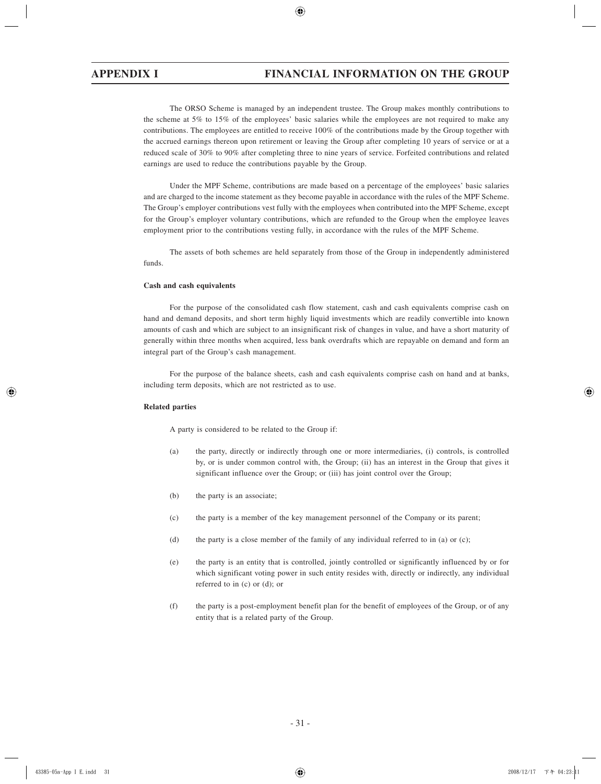The ORSO Scheme is managed by an independent trustee. The Group makes monthly contributions to the scheme at 5% to 15% of the employees' basic salaries while the employees are not required to make any contributions. The employees are entitled to receive 100% of the contributions made by the Group together with the accrued earnings thereon upon retirement or leaving the Group after completing 10 years of service or at a reduced scale of 30% to 90% after completing three to nine years of service. Forfeited contributions and related earnings are used to reduce the contributions payable by the Group.

Under the MPF Scheme, contributions are made based on a percentage of the employees' basic salaries and are charged to the income statement as they become payable in accordance with the rules of the MPF Scheme. The Group's employer contributions vest fully with the employees when contributed into the MPF Scheme, except for the Group's employer voluntary contributions, which are refunded to the Group when the employee leaves employment prior to the contributions vesting fully, in accordance with the rules of the MPF Scheme.

The assets of both schemes are held separately from those of the Group in independently administered funds.

#### **Cash and cash equivalents**

For the purpose of the consolidated cash flow statement, cash and cash equivalents comprise cash on hand and demand deposits, and short term highly liquid investments which are readily convertible into known amounts of cash and which are subject to an insignificant risk of changes in value, and have a short maturity of generally within three months when acquired, less bank overdrafts which are repayable on demand and form an integral part of the Group's cash management.

For the purpose of the balance sheets, cash and cash equivalents comprise cash on hand and at banks, including term deposits, which are not restricted as to use.

### **Related parties**

A party is considered to be related to the Group if:

- (a) the party, directly or indirectly through one or more intermediaries, (i) controls, is controlled by, or is under common control with, the Group; (ii) has an interest in the Group that gives it significant influence over the Group; or (iii) has joint control over the Group;
- (b) the party is an associate;
- (c) the party is a member of the key management personnel of the Company or its parent;
- (d) the party is a close member of the family of any individual referred to in (a) or (c);
- (e) the party is an entity that is controlled, jointly controlled or significantly influenced by or for which significant voting power in such entity resides with, directly or indirectly, any individual referred to in (c) or (d); or
- (f) the party is a post-employment benefit plan for the benefit of employees of the Group, or of any entity that is a related party of the Group.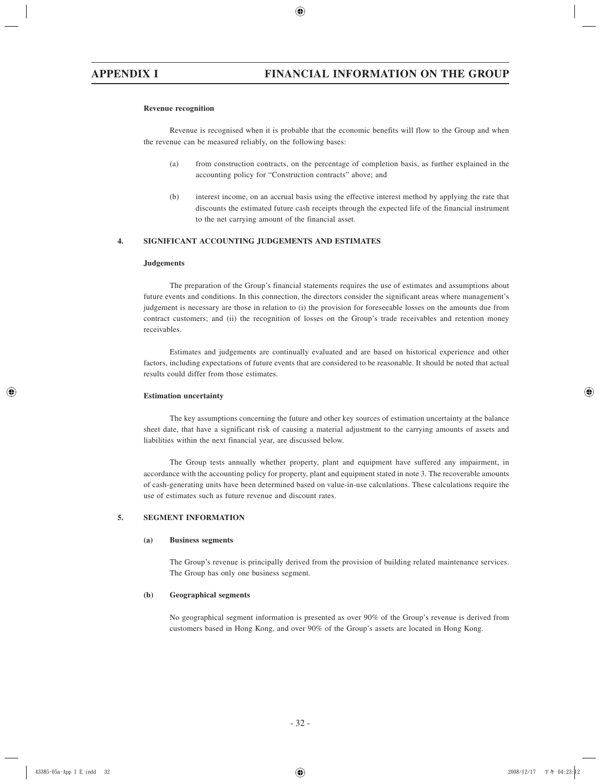#### **Revenue recognition**

Revenue is recognised when it is probable that the economic benefits will flow to the Group and when the revenue can be measured reliably, on the following bases:

- (a) from construction contracts, on the percentage of completion basis, as further explained in the accounting policy for "Construction contracts" above; and
- (b) interest income, on an accrual basis using the effective interest method by applying the rate that discounts the estimated future cash receipts through the expected life of the financial instrument to the net carrying amount of the financial asset.

### **4. SIGNIFICANT ACCOUNTING JUDGEMENTS AND ESTIMATES**

### **Judgements**

The preparation of the Group's financial statements requires the use of estimates and assumptions about future events and conditions. In this connection, the directors consider the significant areas where management's judgement is necessary are those in relation to (i) the provision for foreseeable losses on the amounts due from contract customers; and (ii) the recognition of losses on the Group's trade receivables and retention money receivables.

Estimates and judgements are continually evaluated and are based on historical experience and other factors, including expectations of future events that are considered to be reasonable. It should be noted that actual results could differ from those estimates.

#### **Estimation uncertainty**

The key assumptions concerning the future and other key sources of estimation uncertainty at the balance sheet date, that have a significant risk of causing a material adjustment to the carrying amounts of assets and liabilities within the next financial year, are discussed below.

The Group tests annually whether property, plant and equipment have suffered any impairment, in accordance with the accounting policy for property, plant and equipment stated in note 3. The recoverable amounts of cash-generating units have been determined based on value-in-use calculations. These calculations require the use of estimates such as future revenue and discount rates.

### **5. SEGMENT INFORMATION**

#### **(a) Business segments**

The Group's revenue is principally derived from the provision of building related maintenance services. The Group has only one business segment.

#### **(b) Geographical segments**

No geographical segment information is presented as over 90% of the Group's revenue is derived from customers based in Hong Kong, and over 90% of the Group's assets are located in Hong Kong.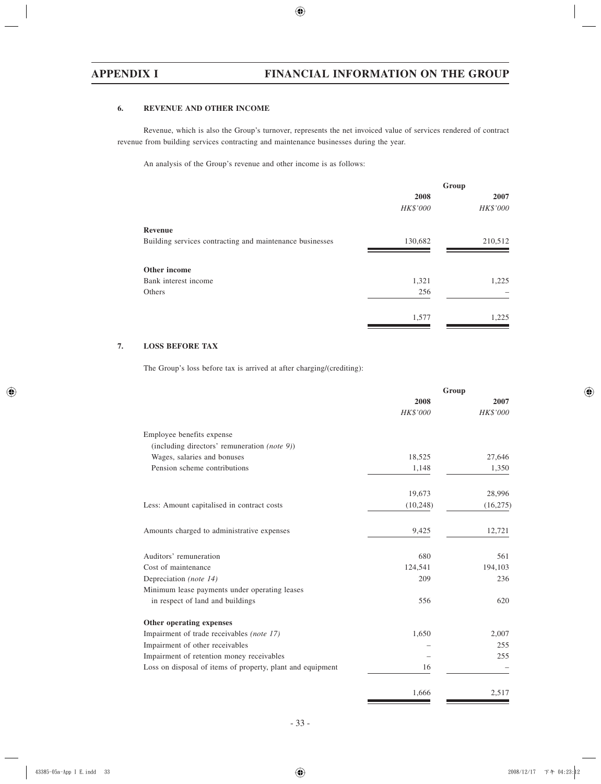## **6. REVENUE AND OTHER INCOME**

Revenue, which is also the Group's turnover, represents the net invoiced value of services rendered of contract revenue from building services contracting and maintenance businesses during the year.

An analysis of the Group's revenue and other income is as follows:

|                                                          | Group           |          |
|----------------------------------------------------------|-----------------|----------|
|                                                          | 2008            | 2007     |
|                                                          | <b>HK\$'000</b> | HK\$'000 |
| Revenue                                                  |                 |          |
| Building services contracting and maintenance businesses | 130,682         | 210,512  |
| Other income                                             |                 |          |
| Bank interest income                                     | 1,321           | 1,225    |
| Others                                                   | 256             |          |
|                                                          | 1,577           | 1,225    |

### **7. LOSS BEFORE TAX**

The Group's loss before tax is arrived at after charging/(crediting):

|                                                            | Group     |                 |
|------------------------------------------------------------|-----------|-----------------|
|                                                            | 2008      | 2007            |
|                                                            | HK\$'000  | <b>HK\$'000</b> |
| Employee benefits expense                                  |           |                 |
| (including directors' remuneration (note 9))               |           |                 |
| Wages, salaries and bonuses                                | 18,525    | 27,646          |
| Pension scheme contributions                               | 1,148     | 1,350           |
|                                                            | 19,673    | 28,996          |
| Less: Amount capitalised in contract costs                 | (10, 248) | (16,275)        |
| Amounts charged to administrative expenses                 | 9,425     | 12,721          |
| Auditors' remuneration                                     | 680       | 561             |
| Cost of maintenance                                        | 124,541   | 194,103         |
| Depreciation (note 14)                                     | 209       | 236             |
| Minimum lease payments under operating leases              |           |                 |
| in respect of land and buildings                           | 556       | 620             |
| Other operating expenses                                   |           |                 |
| Impairment of trade receivables (note 17)                  | 1,650     | 2,007           |
| Impairment of other receivables                            |           | 255             |
| Impairment of retention money receivables                  |           | 255             |
| Loss on disposal of items of property, plant and equipment | 16        |                 |
|                                                            | 1,666     | 2,517           |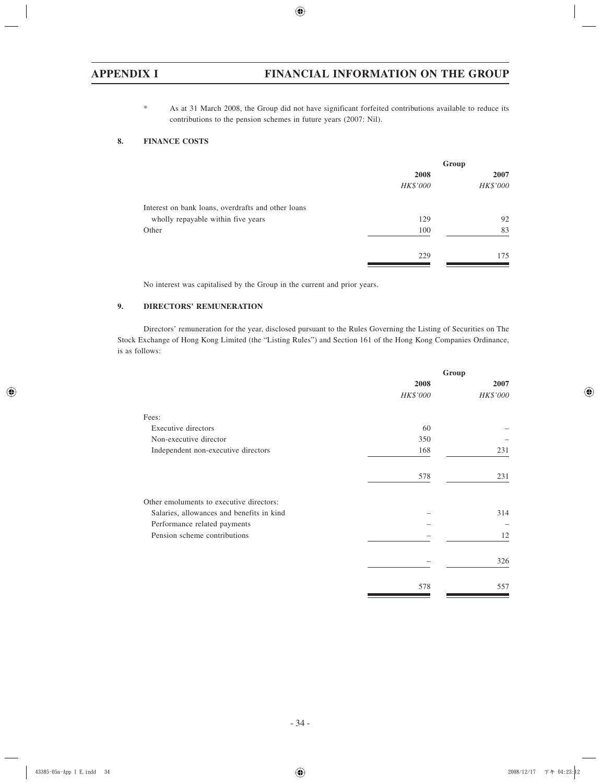\* As at 31 March 2008, the Group did not have significant forfeited contributions available to reduce its contributions to the pension schemes in future years (2007: Nil).

## **8. FINANCE COSTS**

|          | Group           |
|----------|-----------------|
| 2008     | 2007            |
| HK\$'000 | <b>HK\$'000</b> |
|          |                 |
| 129      | 92              |
| 100      | 83              |
| 229      | 175             |
|          |                 |

No interest was capitalised by the Group in the current and prior years.

## **9. DIRECTORS' REMUNERATION**

Directors' remuneration for the year, disclosed pursuant to the Rules Governing the Listing of Securities on The Stock Exchange of Hong Kong Limited (the "Listing Rules") and Section 161 of the Hong Kong Companies Ordinance, is as follows:

|                                           | Group    |          |
|-------------------------------------------|----------|----------|
|                                           | 2008     | 2007     |
|                                           | HK\$'000 | HK\$'000 |
| Fees:                                     |          |          |
| Executive directors                       | 60       |          |
| Non-executive director                    | 350      |          |
| Independent non-executive directors       | 168      | 231      |
|                                           | 578      | 231      |
| Other emoluments to executive directors:  |          |          |
| Salaries, allowances and benefits in kind |          | 314      |
| Performance related payments              |          |          |
| Pension scheme contributions              |          | 12       |
|                                           |          | 326      |
|                                           | 578      | 557      |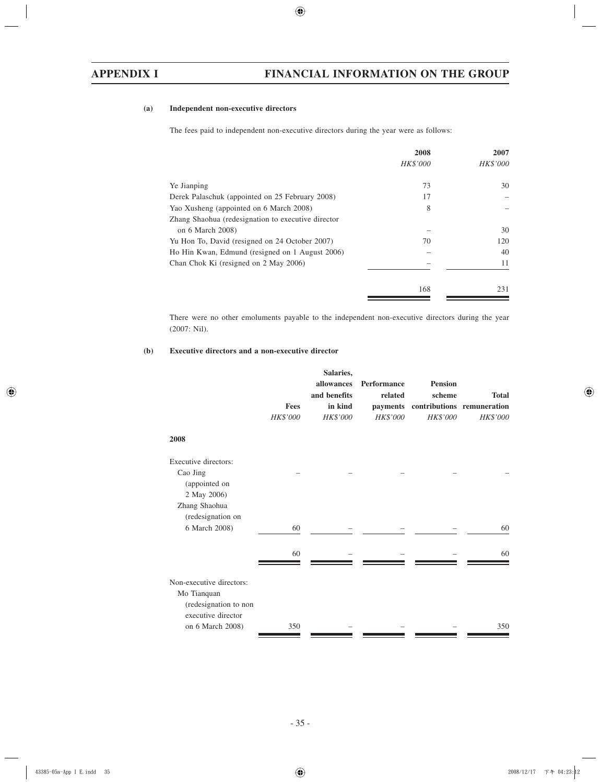#### **(a) Independent non-executive directors**

The fees paid to independent non-executive directors during the year were as follows:

| 2008     | 2007     |
|----------|----------|
| HK\$'000 | HK\$'000 |
|          |          |
| 73       | 30       |
| 17       |          |
| 8        |          |
|          |          |
|          | 30       |
| 70       | 120      |
|          | 40       |
|          | 11       |
|          |          |
| 168      | 231      |
|          |          |

There were no other emoluments payable to the independent non-executive directors during the year (2007: Nil).

#### **(b) Executive directors and a non-executive director**

|                                                                                                            | <b>Fees</b><br>HK\$'000 | Salaries,<br>allowances<br>and benefits<br>in kind<br>HK\$'000 | <b>Performance</b><br>related<br>HK\$'000 | <b>Pension</b><br>scheme<br>payments contributions remuneration<br>HK\$'000 | <b>Total</b><br><b>HK\$'000</b> |
|------------------------------------------------------------------------------------------------------------|-------------------------|----------------------------------------------------------------|-------------------------------------------|-----------------------------------------------------------------------------|---------------------------------|
| 2008                                                                                                       |                         |                                                                |                                           |                                                                             |                                 |
| Executive directors:<br>Cao Jing<br>(appointed on<br>2 May 2006)                                           |                         |                                                                |                                           |                                                                             |                                 |
| Zhang Shaohua<br>(redesignation on<br>6 March 2008)                                                        | 60                      |                                                                |                                           |                                                                             | 60                              |
|                                                                                                            | 60                      |                                                                |                                           |                                                                             | 60                              |
| Non-executive directors:<br>Mo Tianquan<br>(redesignation to non<br>executive director<br>on 6 March 2008) | 350                     |                                                                |                                           |                                                                             | 350                             |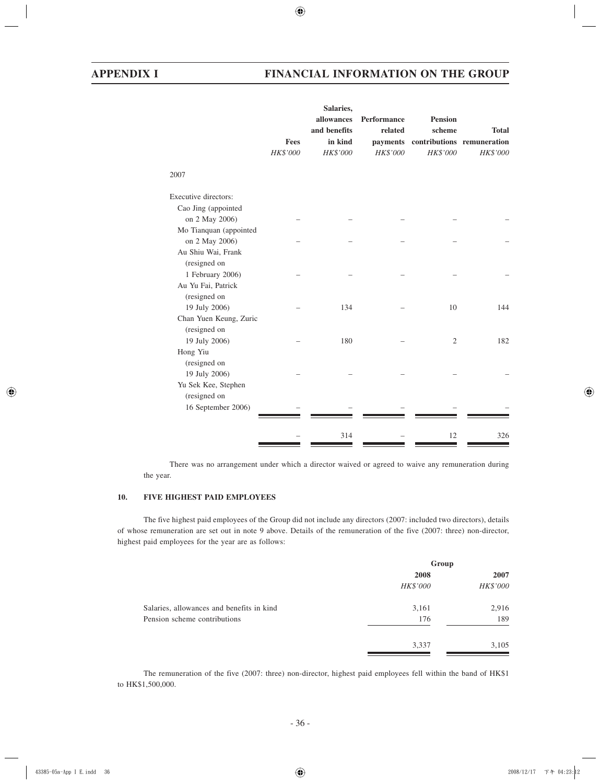|                        |          | Salaries,               |                      |                |                                        |
|------------------------|----------|-------------------------|----------------------|----------------|----------------------------------------|
|                        |          | allowances              | Performance          | <b>Pension</b> |                                        |
|                        | Fees     | and benefits<br>in kind | related              | scheme         | <b>Total</b>                           |
|                        | HK\$'000 | HK\$'000                | payments<br>HK\$'000 | HK\$'000       | contributions remuneration<br>HK\$'000 |
|                        |          |                         |                      |                |                                        |
| 2007                   |          |                         |                      |                |                                        |
| Executive directors:   |          |                         |                      |                |                                        |
| Cao Jing (appointed    |          |                         |                      |                |                                        |
| on 2 May 2006)         |          |                         |                      |                |                                        |
| Mo Tianquan (appointed |          |                         |                      |                |                                        |
| on 2 May 2006)         |          |                         |                      |                |                                        |
| Au Shiu Wai, Frank     |          |                         |                      |                |                                        |
| (resigned on           |          |                         |                      |                |                                        |
| 1 February 2006)       |          |                         |                      |                |                                        |
| Au Yu Fai, Patrick     |          |                         |                      |                |                                        |
| (resigned on           |          |                         |                      |                |                                        |
| 19 July 2006)          |          | 134                     |                      | 10             | 144                                    |
| Chan Yuen Keung, Zuric |          |                         |                      |                |                                        |
| (resigned on           |          |                         |                      |                |                                        |
| 19 July 2006)          |          | 180                     |                      | $\mathfrak{2}$ | 182                                    |
| Hong Yiu               |          |                         |                      |                |                                        |
| (resigned on           |          |                         |                      |                |                                        |
| 19 July 2006)          |          |                         |                      |                |                                        |
| Yu Sek Kee, Stephen    |          |                         |                      |                |                                        |
| (resigned on           |          |                         |                      |                |                                        |
| 16 September 2006)     |          |                         |                      |                |                                        |
|                        |          | 314                     |                      | 12             | 326                                    |
|                        |          |                         |                      |                |                                        |

There was no arrangement under which a director waived or agreed to waive any remuneration during the year.

# **10. FIVE HIGHEST PAID EMPLOYEES**

The five highest paid employees of the Group did not include any directors (2007: included two directors), details of whose remuneration are set out in note 9 above. Details of the remuneration of the five (2007: three) non-director, highest paid employees for the year are as follows:

|                                           | Group           |          |
|-------------------------------------------|-----------------|----------|
|                                           | 2008            | 2007     |
|                                           | <b>HK\$'000</b> | HK\$'000 |
| Salaries, allowances and benefits in kind | 3,161           | 2,916    |
| Pension scheme contributions              | 176             | 189      |
|                                           | 3,337           | 3,105    |

The remuneration of the five (2007: three) non-director, highest paid employees fell within the band of HK\$1 to HK\$1,500,000.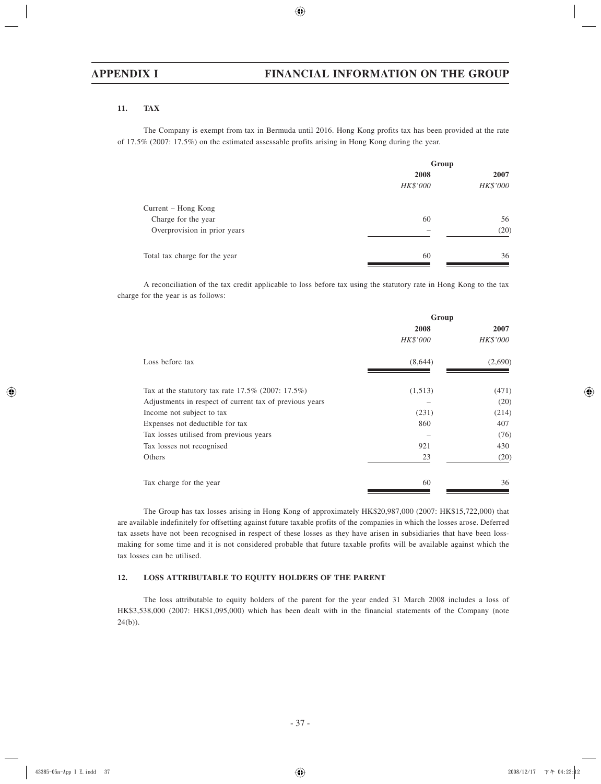#### **11. TAX**

The Company is exempt from tax in Bermuda until 2016. Hong Kong profits tax has been provided at the rate of 17.5% (2007: 17.5%) on the estimated assessable profits arising in Hong Kong during the year.

|                               | Group           |                 |  |
|-------------------------------|-----------------|-----------------|--|
|                               | 2008            | 2007            |  |
|                               | <b>HK\$'000</b> | <b>HK\$'000</b> |  |
| Current – Hong Kong           |                 |                 |  |
| Charge for the year           | 60              | 56              |  |
| Overprovision in prior years  |                 | (20)            |  |
| Total tax charge for the year | 60              | 36              |  |

A reconciliation of the tax credit applicable to loss before tax using the statutory rate in Hong Kong to the tax charge for the year is as follows:

|                                                         | Group    |          |  |
|---------------------------------------------------------|----------|----------|--|
|                                                         | 2008     | 2007     |  |
|                                                         | HK\$'000 | HK\$'000 |  |
| Loss before tax                                         | (8,644)  | (2,690)  |  |
| Tax at the statutory tax rate $17.5\%$ (2007: 17.5%)    | (1,513)  | (471)    |  |
| Adjustments in respect of current tax of previous years |          | (20)     |  |
| Income not subject to tax                               | (231)    | (214)    |  |
| Expenses not deductible for tax                         | 860      | 407      |  |
| Tax losses utilised from previous years                 |          | (76)     |  |
| Tax losses not recognised                               | 921      | 430      |  |
| Others                                                  | 23       | (20)     |  |
| Tax charge for the year                                 | 60       | 36       |  |

The Group has tax losses arising in Hong Kong of approximately HK\$20,987,000 (2007: HK\$15,722,000) that are available indefinitely for offsetting against future taxable profits of the companies in which the losses arose. Deferred tax assets have not been recognised in respect of these losses as they have arisen in subsidiaries that have been lossmaking for some time and it is not considered probable that future taxable profits will be available against which the tax losses can be utilised.

#### **12. LOSS ATTRIBUTABLE TO EQUITY HOLDERS OF THE PARENT**

The loss attributable to equity holders of the parent for the year ended 31 March 2008 includes a loss of HK\$3,538,000 (2007: HK\$1,095,000) which has been dealt with in the financial statements of the Company (note 24(b)).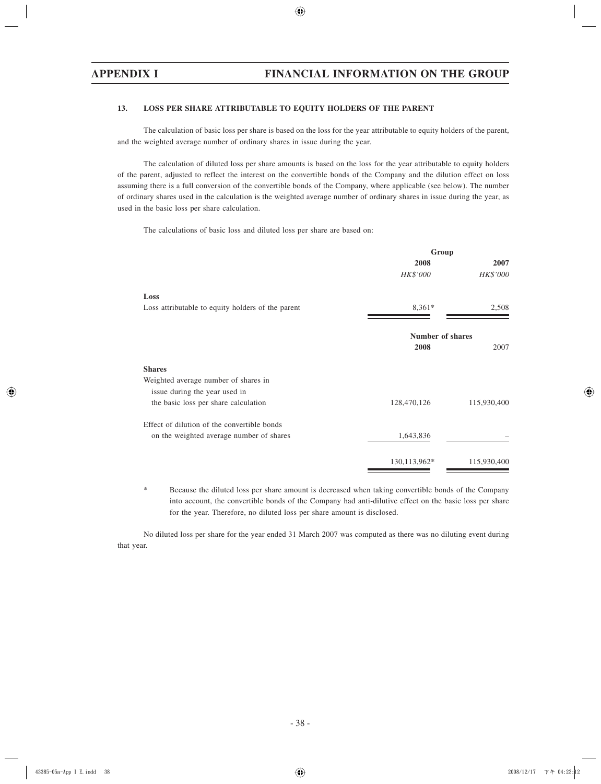#### **13. LOSS PER SHARE ATTRIBUTABLE TO EQUITY HOLDERS OF THE PARENT**

The calculation of basic loss per share is based on the loss for the year attributable to equity holders of the parent, and the weighted average number of ordinary shares in issue during the year.

The calculation of diluted loss per share amounts is based on the loss for the year attributable to equity holders of the parent, adjusted to reflect the interest on the convertible bonds of the Company and the dilution effect on loss assuming there is a full conversion of the convertible bonds of the Company, where applicable (see below). The number of ordinary shares used in the calculation is the weighted average number of ordinary shares in issue during the year, as used in the basic loss per share calculation.

The calculations of basic loss and diluted loss per share are based on:

|                                                   | Group                   |                 |
|---------------------------------------------------|-------------------------|-----------------|
|                                                   | 2008                    | 2007            |
|                                                   | HK\$'000                | <b>HK\$'000</b> |
| Loss                                              |                         |                 |
| Loss attributable to equity holders of the parent | $8,361*$                | 2,508           |
|                                                   | <b>Number of shares</b> |                 |
|                                                   | 2008                    | 2007            |
| <b>Shares</b>                                     |                         |                 |
| Weighted average number of shares in              |                         |                 |
| issue during the year used in                     |                         |                 |
| the basic loss per share calculation              | 128,470,126             | 115,930,400     |
| Effect of dilution of the convertible bonds       |                         |                 |
| on the weighted average number of shares          | 1,643,836               |                 |
|                                                   | 130,113,962*            | 115,930,400     |
|                                                   |                         |                 |

\* Because the diluted loss per share amount is decreased when taking convertible bonds of the Company into account, the convertible bonds of the Company had anti-dilutive effect on the basic loss per share for the year. Therefore, no diluted loss per share amount is disclosed.

No diluted loss per share for the year ended 31 March 2007 was computed as there was no diluting event during that year.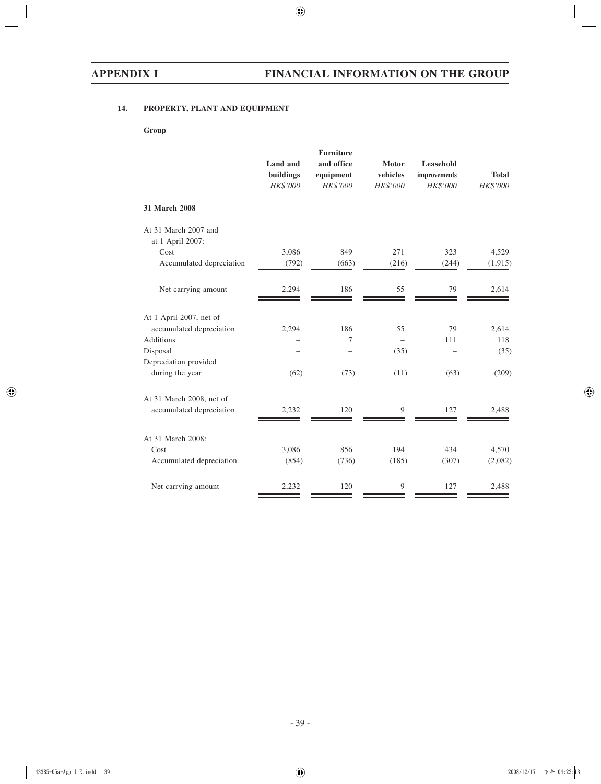# **14. PROPERTY, PLANT AND EQUIPMENT**

## **Group**

| 323<br>4,529      |
|-------------------|
|                   |
|                   |
|                   |
| (244)<br>(1, 915) |
| 79<br>2,614       |
|                   |
| 79<br>2,614       |
| 118<br>111        |
| (35)              |
|                   |
| (209)<br>(63)     |
|                   |
| 127<br>2,488      |
|                   |
| 434<br>4,570      |
| (307)<br>(2,082)  |
| 127<br>2,488      |
|                   |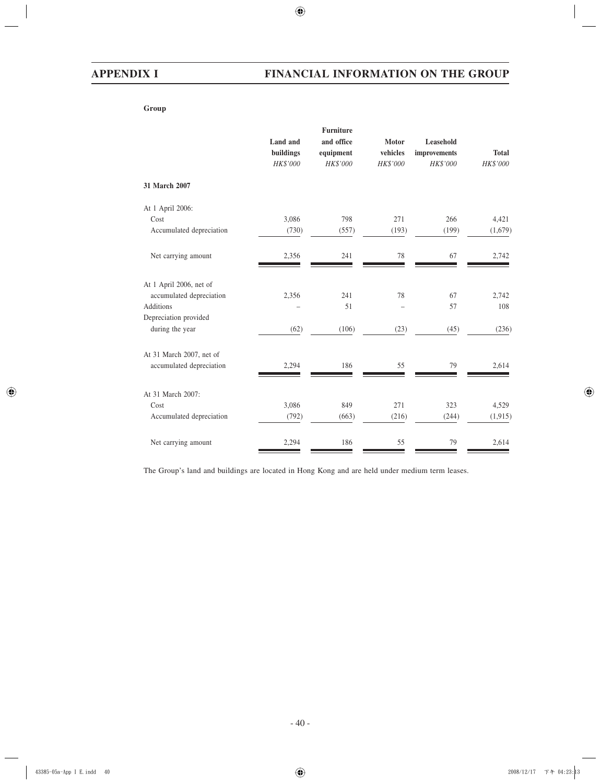**Group**

|                          |           | <b>Furniture</b> |          |                 |              |
|--------------------------|-----------|------------------|----------|-----------------|--------------|
|                          | Land and  | and office       | Motor    | Leasehold       |              |
|                          | buildings | equipment        | vehicles | improvements    | <b>Total</b> |
|                          | HK\$'000  | HK\$'000         | HK\$'000 | <b>HK\$'000</b> | HK\$'000     |
| 31 March 2007            |           |                  |          |                 |              |
| At 1 April 2006:         |           |                  |          |                 |              |
| Cost                     | 3,086     | 798              | 271      | 266             | 4,421        |
| Accumulated depreciation | (730)     | (557)            | (193)    | (199)           | (1,679)      |
| Net carrying amount      | 2,356     | 241              | 78       | 67              | 2,742        |
| At 1 April 2006, net of  |           |                  |          |                 |              |
| accumulated depreciation | 2,356     | 241              | 78       | 67              | 2,742        |
| <b>Additions</b>         |           | 51               |          | 57              | 108          |
| Depreciation provided    |           |                  |          |                 |              |
| during the year          | (62)      | (106)            | (23)     | (45)            | (236)        |
| At 31 March 2007, net of |           |                  |          |                 |              |
| accumulated depreciation | 2,294     | 186              | 55       | 79              | 2,614        |
| At 31 March 2007:        |           |                  |          |                 |              |
| Cost                     | 3,086     | 849              | 271      | 323             | 4,529        |
| Accumulated depreciation | (792)     | (663)            | (216)    | (244)           | (1, 915)     |
|                          |           |                  |          |                 |              |
| Net carrying amount      | 2,294     | 186              | 55       | 79              | 2,614        |

The Group's land and buildings are located in Hong Kong and are held under medium term leases.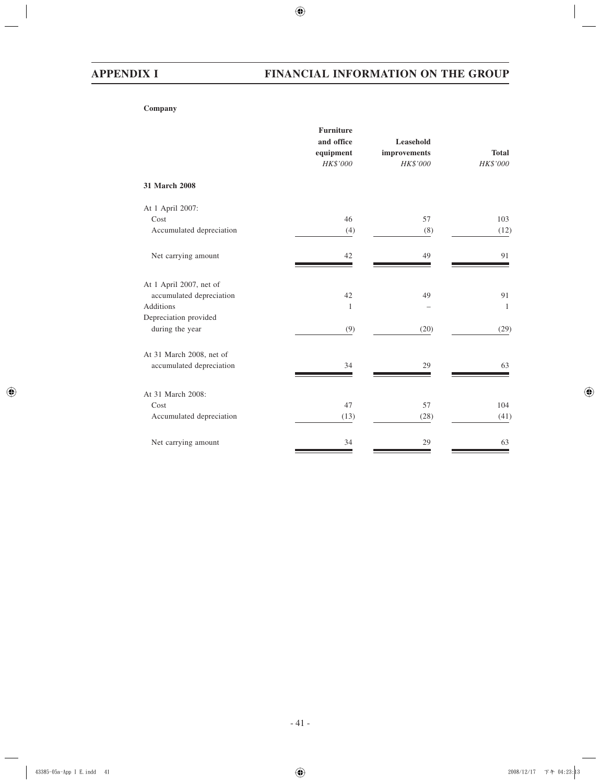**Company**

|                          | <b>Furniture</b><br>and office<br>equipment<br>HK\$'000 | Leasehold<br>improvements<br>HK\$'000 | <b>Total</b><br>HK\$'000 |
|--------------------------|---------------------------------------------------------|---------------------------------------|--------------------------|
| 31 March 2008            |                                                         |                                       |                          |
| At 1 April 2007:         |                                                         |                                       |                          |
| Cost                     | 46                                                      | 57                                    | 103                      |
| Accumulated depreciation | (4)                                                     | (8)                                   | (12)                     |
| Net carrying amount      | 42                                                      | 49                                    | 91                       |
| At 1 April 2007, net of  |                                                         |                                       |                          |
| accumulated depreciation | 42                                                      | 49                                    | 91                       |
| <b>Additions</b>         | $\mathbf{1}$                                            |                                       | $\overline{1}$           |
| Depreciation provided    |                                                         |                                       |                          |
| during the year          | (9)                                                     | (20)                                  | (29)                     |
| At 31 March 2008, net of |                                                         |                                       |                          |
| accumulated depreciation | 34                                                      | 29                                    | 63                       |
| At 31 March 2008:        |                                                         |                                       |                          |
| Cost                     | 47                                                      | 57                                    | 104                      |
| Accumulated depreciation | (13)                                                    | (28)                                  | (41)                     |
| Net carrying amount      | 34                                                      | 29                                    | 63                       |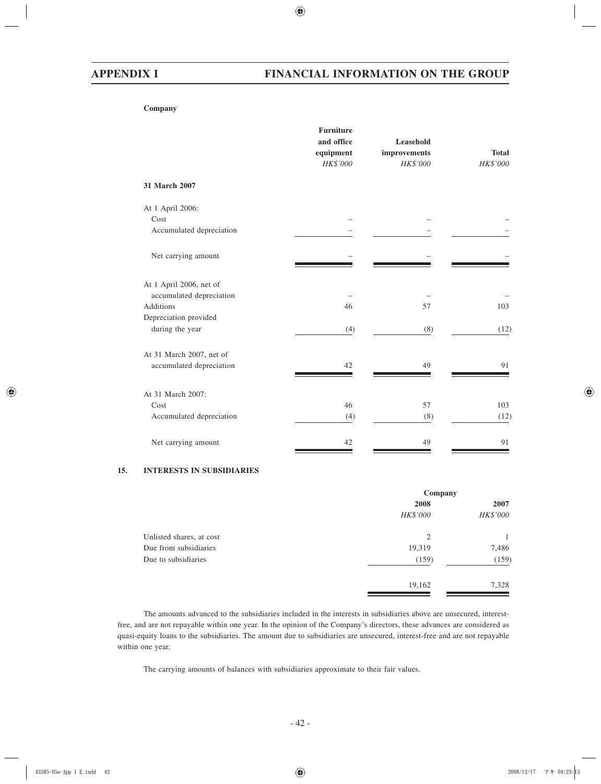**Company**

|                                                     | <b>Furniture</b><br>and office<br>equipment<br>HK\$'000 | Leasehold<br>improvements<br>HK\$'000 | <b>Total</b><br>HK\$'000 |
|-----------------------------------------------------|---------------------------------------------------------|---------------------------------------|--------------------------|
| 31 March 2007                                       |                                                         |                                       |                          |
| At 1 April 2006:                                    |                                                         |                                       |                          |
| Cost                                                |                                                         |                                       |                          |
| Accumulated depreciation                            |                                                         |                                       |                          |
| Net carrying amount                                 |                                                         |                                       |                          |
| At 1 April 2006, net of<br>accumulated depreciation |                                                         |                                       |                          |
| <b>Additions</b>                                    | 46                                                      | 57                                    | 103                      |
| Depreciation provided                               |                                                         |                                       |                          |
| during the year                                     | (4)                                                     | (8)                                   | (12)                     |
| At 31 March 2007, net of                            |                                                         |                                       |                          |
| accumulated depreciation                            | 42                                                      | 49                                    | 91                       |
| At 31 March 2007:                                   |                                                         |                                       |                          |
| Cost                                                | 46                                                      | 57                                    | 103                      |
| Accumulated depreciation                            | (4)                                                     | (8)                                   | (12)                     |
| Net carrying amount                                 | 42                                                      | 49                                    | 91                       |

#### **15. INTERESTS IN SUBSIDIARIES**

|                          | Company         |                 |  |
|--------------------------|-----------------|-----------------|--|
|                          | 2008            | 2007            |  |
|                          | <b>HK\$'000</b> | <b>HK\$'000</b> |  |
| Unlisted shares, at cost | 2               |                 |  |
| Due from subsidiaries    | 19,319          | 7,486           |  |
| Due to subsidiaries      | (159)           | (159)           |  |
|                          | 19,162          | 7,328           |  |

The amounts advanced to the subsidiaries included in the interests in subsidiaries above are unsecured, interestfree, and are not repayable within one year. In the opinion of the Company's directors, these advances are considered as quasi-equity loans to the subsidiaries. The amount due to subsidiaries are unsecured, interest-free and are not repayable within one year.

The carrying amounts of balances with subsidiaries approximate to their fair values.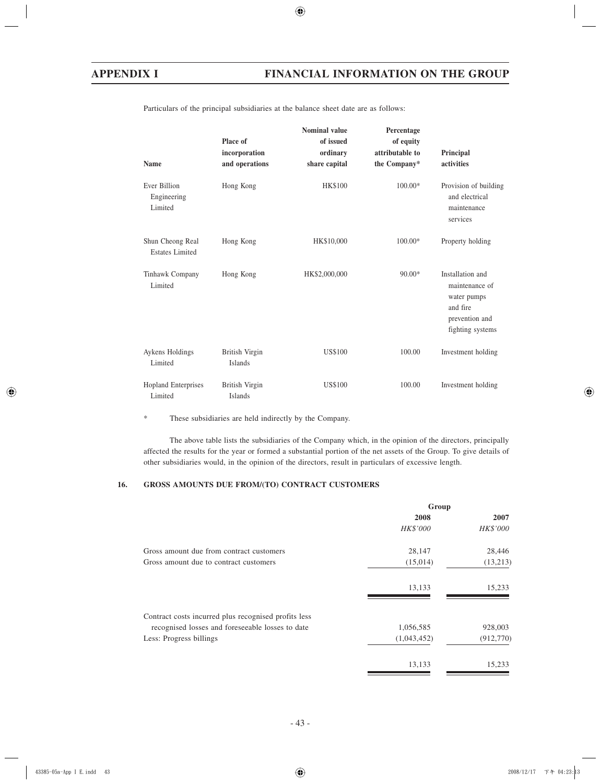| <b>Name</b>                                | Place of<br>incorporation<br>and operations | <b>Nominal value</b><br>of issued<br>ordinary<br>share capital | Percentage<br>of equity<br>attributable to<br>the Company* | Principal<br>activities                                                                             |
|--------------------------------------------|---------------------------------------------|----------------------------------------------------------------|------------------------------------------------------------|-----------------------------------------------------------------------------------------------------|
| Ever Billion<br>Engineering<br>Limited     | Hong Kong                                   | <b>HK\$100</b>                                                 | $100.00*$                                                  | Provision of building<br>and electrical<br>maintenance<br>services                                  |
| Shun Cheong Real<br><b>Estates Limited</b> | Hong Kong                                   | HK\$10,000                                                     | $100.00*$                                                  | Property holding                                                                                    |
| Tinhawk Company<br>Limited                 | Hong Kong                                   | HK\$2,000,000                                                  | $90.00*$                                                   | Installation and<br>maintenance of<br>water pumps<br>and fire<br>prevention and<br>fighting systems |
| Aykens Holdings<br>Limited                 | British Virgin<br>Islands                   | <b>US\$100</b>                                                 | 100.00                                                     | Investment holding                                                                                  |
| <b>Hopland Enterprises</b><br>Limited      | British Virgin<br>Islands                   | <b>US\$100</b>                                                 | 100.00                                                     | Investment holding                                                                                  |

Particulars of the principal subsidiaries at the balance sheet date are as follows:

\* These subsidiaries are held indirectly by the Company.

The above table lists the subsidiaries of the Company which, in the opinion of the directors, principally affected the results for the year or formed a substantial portion of the net assets of the Group. To give details of other subsidiaries would, in the opinion of the directors, result in particulars of excessive length.

# **16. GROSS AMOUNTS DUE FROM/(TO) CONTRACT CUSTOMERS**

|                                                      | Group       |                 |  |
|------------------------------------------------------|-------------|-----------------|--|
|                                                      | 2008        | 2007            |  |
|                                                      | HK\$'000    | <b>HK\$'000</b> |  |
| Gross amount due from contract customers             | 28,147      | 28,446          |  |
| Gross amount due to contract customers               | (15,014)    | (13,213)        |  |
|                                                      | 13,133      | 15,233          |  |
| Contract costs incurred plus recognised profits less |             |                 |  |
| recognised losses and foreseeable losses to date     | 1,056,585   | 928,003         |  |
| Less: Progress billings                              | (1,043,452) | (912,770)       |  |
|                                                      | 13,133      | 15,233          |  |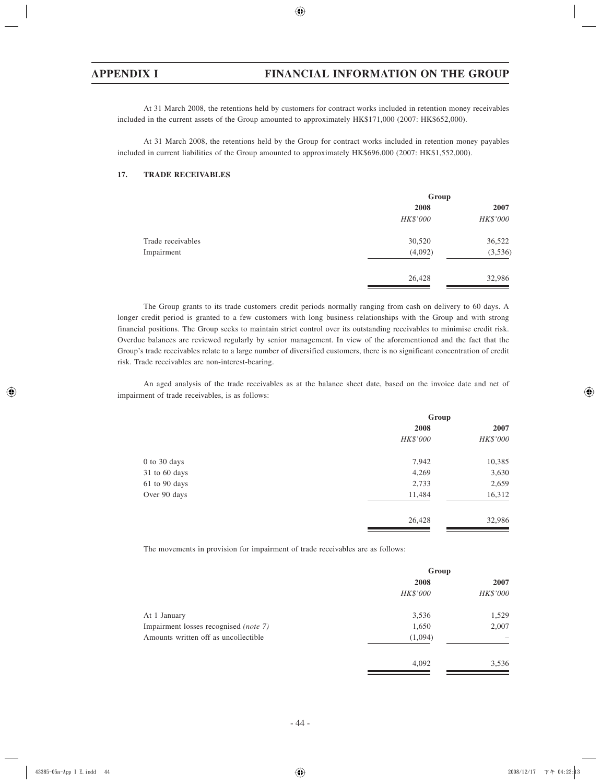At 31 March 2008, the retentions held by customers for contract works included in retention money receivables included in the current assets of the Group amounted to approximately HK\$171,000 (2007: HK\$652,000).

At 31 March 2008, the retentions held by the Group for contract works included in retention money payables included in current liabilities of the Group amounted to approximately HK\$696,000 (2007: HK\$1,552,000).

#### **17. TRADE RECEIVABLES**

|                   | Group           |          |  |  |
|-------------------|-----------------|----------|--|--|
|                   | 2008            | 2007     |  |  |
|                   | <b>HK\$'000</b> | HK\$'000 |  |  |
| Trade receivables | 30,520          | 36,522   |  |  |
| Impairment        | (4,092)         | (3,536)  |  |  |
|                   | 26,428          | 32,986   |  |  |

The Group grants to its trade customers credit periods normally ranging from cash on delivery to 60 days. A longer credit period is granted to a few customers with long business relationships with the Group and with strong financial positions. The Group seeks to maintain strict control over its outstanding receivables to minimise credit risk. Overdue balances are reviewed regularly by senior management. In view of the aforementioned and the fact that the Group's trade receivables relate to a large number of diversified customers, there is no significant concentration of credit risk. Trade receivables are non-interest-bearing.

An aged analysis of the trade receivables as at the balance sheet date, based on the invoice date and net of impairment of trade receivables, is as follows:

|                  | Group           |                 |  |
|------------------|-----------------|-----------------|--|
|                  | 2008            | 2007            |  |
|                  | <b>HK\$'000</b> | <b>HK\$'000</b> |  |
| $0$ to $30$ days | 7,942           | 10,385          |  |
| 31 to 60 days    | 4,269           | 3,630           |  |
| 61 to 90 days    | 2,733           | 2,659           |  |
| Over 90 days     | 11,484          | 16,312          |  |
|                  | 26,428          | 32,986          |  |

The movements in provision for impairment of trade receivables are as follows:

|                                              | Group    |                 |  |
|----------------------------------------------|----------|-----------------|--|
|                                              | 2008     | 2007            |  |
|                                              | HK\$'000 | <b>HK\$'000</b> |  |
| At 1 January                                 | 3,536    | 1,529           |  |
| Impairment losses recognised <i>(note 7)</i> | 1,650    | 2,007           |  |
| Amounts written off as uncollectible         | (1,094)  |                 |  |
|                                              | 4,092    | 3,536           |  |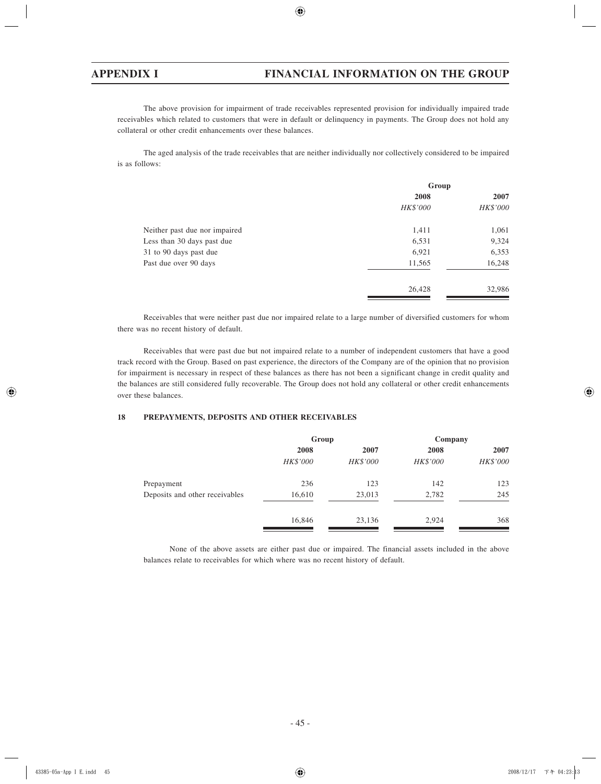The above provision for impairment of trade receivables represented provision for individually impaired trade receivables which related to customers that were in default or delinquency in payments. The Group does not hold any collateral or other credit enhancements over these balances.

The aged analysis of the trade receivables that are neither individually nor collectively considered to be impaired is as follows:

|                               | Group    |          |  |
|-------------------------------|----------|----------|--|
|                               | 2008     | 2007     |  |
|                               | HK\$'000 | HK\$'000 |  |
| Neither past due nor impaired | 1,411    | 1,061    |  |
| Less than 30 days past due    | 6,531    | 9,324    |  |
| 31 to 90 days past due        | 6,921    | 6,353    |  |
| Past due over 90 days         | 11,565   | 16,248   |  |
|                               | 26,428   | 32,986   |  |

Receivables that were neither past due nor impaired relate to a large number of diversified customers for whom there was no recent history of default.

Receivables that were past due but not impaired relate to a number of independent customers that have a good track record with the Group. Based on past experience, the directors of the Company are of the opinion that no provision for impairment is necessary in respect of these balances as there has not been a significant change in credit quality and the balances are still considered fully recoverable. The Group does not hold any collateral or other credit enhancements over these balances.

## **18 PREPAYMENTS, DEPOSITS AND OTHER RECEIVABLES**

|                                | Group    |          | Company         |          |
|--------------------------------|----------|----------|-----------------|----------|
|                                | 2008     | 2007     | 2008            | 2007     |
|                                | HK\$'000 | HK\$'000 | <b>HK\$'000</b> | HK\$'000 |
| Prepayment                     | 236      | 123      | 142             | 123      |
| Deposits and other receivables | 16,610   | 23,013   | 2,782           | 245      |
|                                | 16,846   | 23,136   | 2,924           | 368      |

None of the above assets are either past due or impaired. The financial assets included in the above balances relate to receivables for which where was no recent history of default.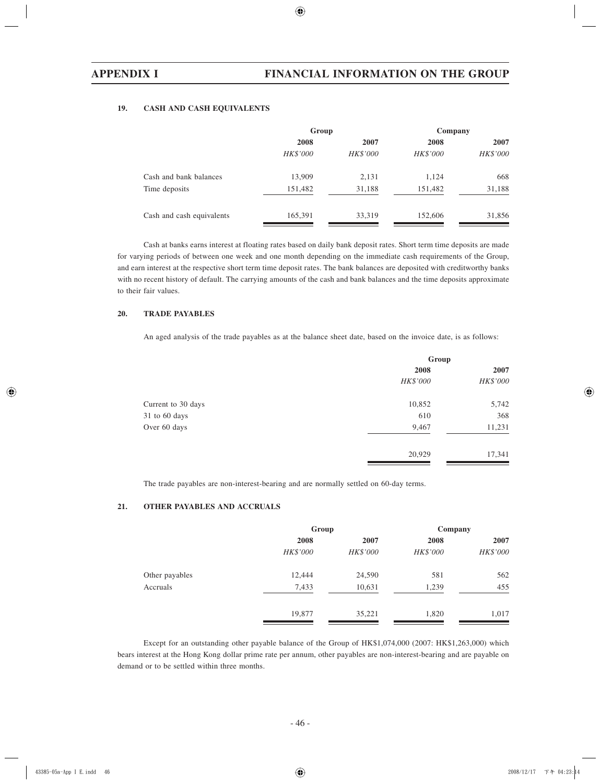### **19. CASH AND CASH EQUIVALENTS**

|                           | Group           |                 | Company         |                 |
|---------------------------|-----------------|-----------------|-----------------|-----------------|
|                           | 2008            | 2007            | 2008            | 2007            |
|                           | <b>HK\$'000</b> | <b>HK\$'000</b> | <b>HK\$'000</b> | <b>HK\$'000</b> |
| Cash and bank balances    | 13,909          | 2,131           | 1,124           | 668             |
| Time deposits             | 151,482         | 31,188          | 151,482         | 31,188          |
| Cash and cash equivalents | 165,391         | 33,319          | 152,606         | 31,856          |

Cash at banks earns interest at floating rates based on daily bank deposit rates. Short term time deposits are made for varying periods of between one week and one month depending on the immediate cash requirements of the Group, and earn interest at the respective short term time deposit rates. The bank balances are deposited with creditworthy banks with no recent history of default. The carrying amounts of the cash and bank balances and the time deposits approximate to their fair values.

#### **20. TRADE PAYABLES**

An aged analysis of the trade payables as at the balance sheet date, based on the invoice date, is as follows:

|                    | Group           |          |  |
|--------------------|-----------------|----------|--|
|                    | 2008            | 2007     |  |
|                    | <b>HK\$'000</b> | HK\$'000 |  |
| Current to 30 days | 10,852          | 5,742    |  |
| 31 to 60 days      | 610             | 368      |  |
| Over 60 days       | 9,467           | 11,231   |  |
|                    | 20,929          | 17,341   |  |

The trade payables are non-interest-bearing and are normally settled on 60-day terms.

### **21. OTHER PAYABLES AND ACCRUALS**

|                | Group    |          | Company  |          |
|----------------|----------|----------|----------|----------|
|                | 2008     | 2007     | 2008     | 2007     |
|                | HK\$'000 | HK\$'000 | HK\$'000 | HK\$'000 |
| Other payables | 12,444   | 24,590   | 581      | 562      |
| Accruals       | 7,433    | 10,631   | 1,239    | 455      |
|                | 19,877   | 35,221   | 1,820    | 1,017    |

Except for an outstanding other payable balance of the Group of HK\$1,074,000 (2007: HK\$1,263,000) which bears interest at the Hong Kong dollar prime rate per annum, other payables are non-interest-bearing and are payable on demand or to be settled within three months.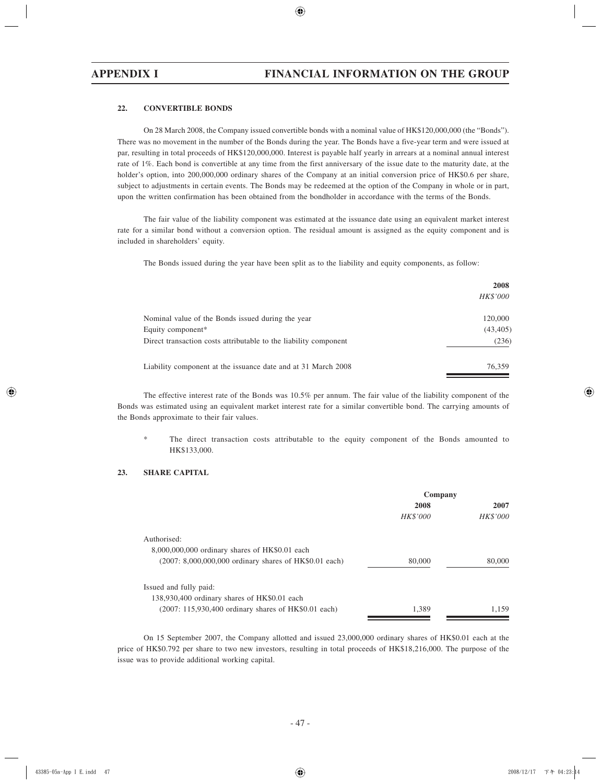#### **22. CONVERTIBLE BONDS**

On 28 March 2008, the Company issued convertible bonds with a nominal value of HK\$120,000,000 (the "Bonds"). There was no movement in the number of the Bonds during the year. The Bonds have a five-year term and were issued at par, resulting in total proceeds of HK\$120,000,000. Interest is payable half yearly in arrears at a nominal annual interest rate of 1%. Each bond is convertible at any time from the first anniversary of the issue date to the maturity date, at the holder's option, into 200,000,000 ordinary shares of the Company at an initial conversion price of HK\$0.6 per share, subject to adjustments in certain events. The Bonds may be redeemed at the option of the Company in whole or in part, upon the written confirmation has been obtained from the bondholder in accordance with the terms of the Bonds.

The fair value of the liability component was estimated at the issuance date using an equivalent market interest rate for a similar bond without a conversion option. The residual amount is assigned as the equity component and is included in shareholders' equity.

The Bonds issued during the year have been split as to the liability and equity components, as follow:

|                                                                  | 2008      |
|------------------------------------------------------------------|-----------|
|                                                                  | HK\$'000  |
| Nominal value of the Bonds issued during the year                | 120,000   |
| Equity component*                                                | (43, 405) |
| Direct transaction costs attributable to the liability component | (236)     |
| Liability component at the issuance date and at 31 March 2008    | 76.359    |

The effective interest rate of the Bonds was 10.5% per annum. The fair value of the liability component of the Bonds was estimated using an equivalent market interest rate for a similar convertible bond. The carrying amounts of the Bonds approximate to their fair values.

The direct transaction costs attributable to the equity component of the Bonds amounted to HK\$133,000.

### **23. SHARE CAPITAL**

|                                                           | Company         |                 |  |
|-----------------------------------------------------------|-----------------|-----------------|--|
|                                                           | 2008            | 2007            |  |
|                                                           | <b>HK\$'000</b> | <i>HK\$'000</i> |  |
| Authorised:                                               |                 |                 |  |
| $8,000,000,000$ ordinary shares of HK\$0.01 each          |                 |                 |  |
| $(2007: 8,000,000,000)$ ordinary shares of HK\$0.01 each) | 80,000          | 80,000          |  |
| Issued and fully paid:                                    |                 |                 |  |
| 138,930,400 ordinary shares of HK\$0.01 each              |                 |                 |  |
| $(2007: 115,930,400)$ ordinary shares of HK\$0.01 each)   | 1.389           | 1.159           |  |

On 15 September 2007, the Company allotted and issued 23,000,000 ordinary shares of HK\$0.01 each at the price of HK\$0.792 per share to two new investors, resulting in total proceeds of HK\$18,216,000. The purpose of the issue was to provide additional working capital.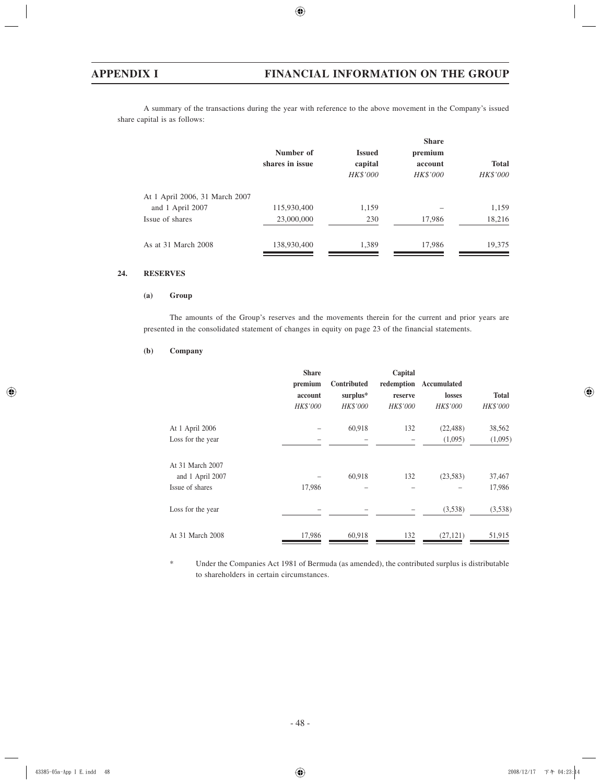A summary of the transactions during the year with reference to the above movement in the Company's issued share capital is as follows:

|                                | Number of<br>shares in issue | <b>Issued</b><br>capital<br><b>HK\$'000</b> | <b>Share</b><br>premium<br>account<br><b>HK\$'000</b> | <b>Total</b><br>HK\$'000 |
|--------------------------------|------------------------------|---------------------------------------------|-------------------------------------------------------|--------------------------|
| At 1 April 2006, 31 March 2007 |                              |                                             |                                                       |                          |
| and 1 April 2007               | 115,930,400                  | 1,159                                       |                                                       | 1,159                    |
| Issue of shares                | 23,000,000                   | 230                                         | 17,986                                                | 18,216                   |
| As at 31 March 2008            | 138,930,400                  | 1,389                                       | 17,986                                                | 19,375                   |

## **24. RESERVES**

#### **(a) Group**

The amounts of the Group's reserves and the movements therein for the current and prior years are presented in the consolidated statement of changes in equity on page 23 of the financial statements.

#### **(b) Company**

|                   | <b>Share</b><br>premium<br>account<br>HK\$'000 | Contributed<br>surplus*<br>HK\$'000 | Capital<br>redemption<br>reserve<br><b>HK\$'000</b> | Accumulated<br>losses<br>HK\$'000 | <b>Total</b><br>HK\$'000 |
|-------------------|------------------------------------------------|-------------------------------------|-----------------------------------------------------|-----------------------------------|--------------------------|
| At 1 April 2006   |                                                | 60,918                              | 132                                                 | (22, 488)                         | 38,562                   |
| Loss for the year |                                                | -                                   |                                                     | (1,095)                           | (1,095)                  |
| At 31 March 2007  |                                                |                                     |                                                     |                                   |                          |
| and 1 April 2007  |                                                | 60,918                              | 132                                                 | (23,583)                          | 37,467                   |
| Issue of shares   | 17,986                                         |                                     |                                                     |                                   | 17,986                   |
| Loss for the year |                                                |                                     |                                                     | (3,538)                           | (3,538)                  |
| At 31 March 2008  | 17,986                                         | 60,918                              | 132                                                 | (27, 121)                         | 51,915                   |

\* Under the Companies Act 1981 of Bermuda (as amended), the contributed surplus is distributable to shareholders in certain circumstances.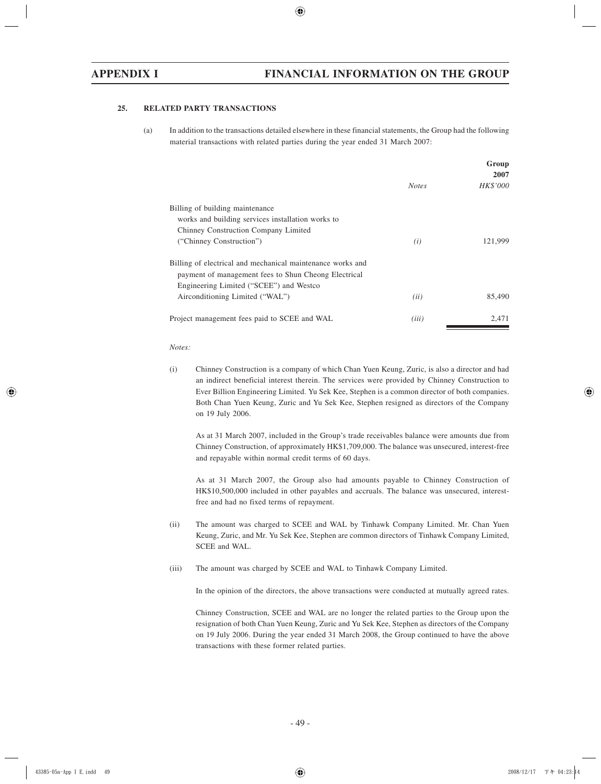#### **25. RELATED PARTY TRANSACTIONS**

(a) In addition to the transactions detailed elsewhere in these financial statements, the Group had the following material transactions with related parties during the year ended 31 March 2007:

|                                                                                                                    |              | Group    |
|--------------------------------------------------------------------------------------------------------------------|--------------|----------|
|                                                                                                                    |              | 2007     |
|                                                                                                                    | <b>Notes</b> | HK\$'000 |
| Billing of building maintenance                                                                                    |              |          |
| works and building services installation works to                                                                  |              |          |
| Chinney Construction Company Limited                                                                               |              |          |
| ("Chinney Construction")                                                                                           | (i)          | 121,999  |
| Billing of electrical and mechanical maintenance works and<br>payment of management fees to Shun Cheong Electrical |              |          |
| Engineering Limited ("SCEE") and Westco                                                                            |              |          |
| Airconditioning Limited ("WAL")                                                                                    | (ii)         | 85,490   |
| Project management fees paid to SCEE and WAL                                                                       | (iii)        | 2.471    |

#### *Notes:*

(i) Chinney Construction is a company of which Chan Yuen Keung, Zuric, is also a director and had an indirect beneficial interest therein. The services were provided by Chinney Construction to Ever Billion Engineering Limited. Yu Sek Kee, Stephen is a common director of both companies. Both Chan Yuen Keung, Zuric and Yu Sek Kee, Stephen resigned as directors of the Company on 19 July 2006.

As at 31 March 2007, included in the Group's trade receivables balance were amounts due from Chinney Construction, of approximately HK\$1,709,000. The balance was unsecured, interest-free and repayable within normal credit terms of 60 days.

As at 31 March 2007, the Group also had amounts payable to Chinney Construction of HK\$10,500,000 included in other payables and accruals. The balance was unsecured, interestfree and had no fixed terms of repayment.

- (ii) The amount was charged to SCEE and WAL by Tinhawk Company Limited. Mr. Chan Yuen Keung, Zuric, and Mr. Yu Sek Kee, Stephen are common directors of Tinhawk Company Limited, SCEE and WAL.
- (iii) The amount was charged by SCEE and WAL to Tinhawk Company Limited.

In the opinion of the directors, the above transactions were conducted at mutually agreed rates.

Chinney Construction, SCEE and WAL are no longer the related parties to the Group upon the resignation of both Chan Yuen Keung, Zuric and Yu Sek Kee, Stephen as directors of the Company on 19 July 2006. During the year ended 31 March 2008, the Group continued to have the above transactions with these former related parties.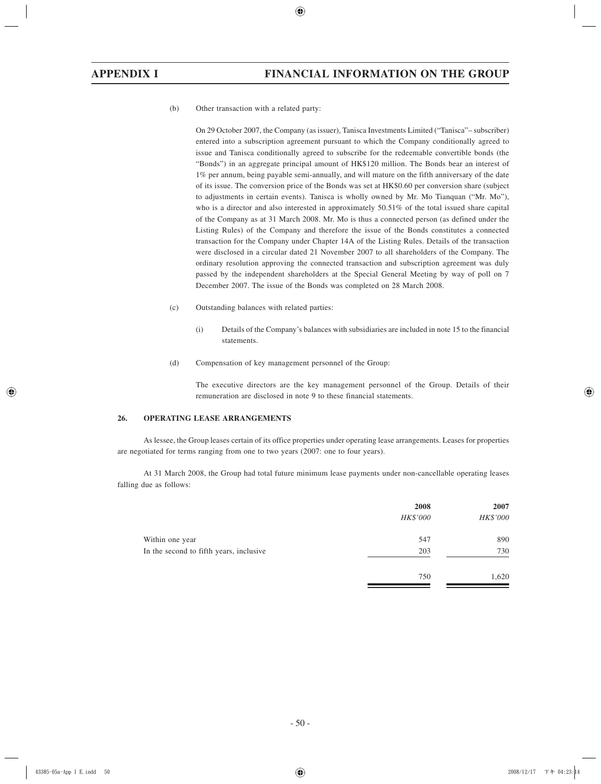(b) Other transaction with a related party:

On 29 October 2007, the Company (as issuer), Tanisca Investments Limited ("Tanisca"– subscriber) entered into a subscription agreement pursuant to which the Company conditionally agreed to issue and Tanisca conditionally agreed to subscribe for the redeemable convertible bonds (the "Bonds") in an aggregate principal amount of HK\$120 million. The Bonds bear an interest of 1% per annum, being payable semi-annually, and will mature on the fifth anniversary of the date of its issue. The conversion price of the Bonds was set at HK\$0.60 per conversion share (subject to adjustments in certain events). Tanisca is wholly owned by Mr. Mo Tianquan ("Mr. Mo"), who is a director and also interested in approximately 50.51% of the total issued share capital of the Company as at 31 March 2008. Mr. Mo is thus a connected person (as defined under the Listing Rules) of the Company and therefore the issue of the Bonds constitutes a connected transaction for the Company under Chapter 14A of the Listing Rules. Details of the transaction were disclosed in a circular dated 21 November 2007 to all shareholders of the Company. The ordinary resolution approving the connected transaction and subscription agreement was duly passed by the independent shareholders at the Special General Meeting by way of poll on 7 December 2007. The issue of the Bonds was completed on 28 March 2008.

- (c) Outstanding balances with related parties:
	- (i) Details of the Company's balances with subsidiaries are included in note 15 to the financial statements.
- (d) Compensation of key management personnel of the Group:

The executive directors are the key management personnel of the Group. Details of their remuneration are disclosed in note 9 to these financial statements.

#### **26. OPERATING LEASE ARRANGEMENTS**

As lessee, the Group leases certain of its office properties under operating lease arrangements. Leases for properties are negotiated for terms ranging from one to two years (2007: one to four years).

At 31 March 2008, the Group had total future minimum lease payments under non-cancellable operating leases falling due as follows:

|                                         | 2008<br><b>HK\$'000</b> | 2007<br>HK\$'000 |
|-----------------------------------------|-------------------------|------------------|
| Within one year                         | 547                     | 890              |
| In the second to fifth years, inclusive | 203                     | 730              |
|                                         | 750                     | 1,620            |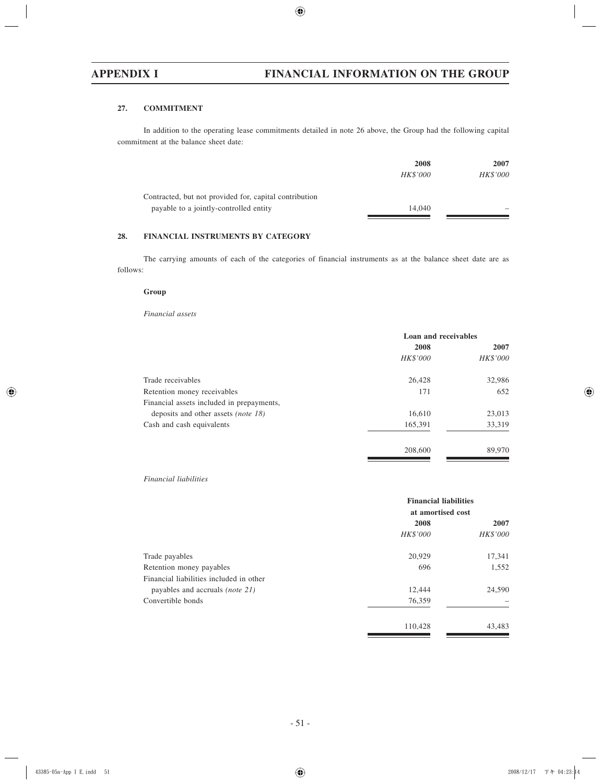# **27. COMMITMENT**

In addition to the operating lease commitments detailed in note 26 above, the Group had the following capital commitment at the balance sheet date:

|                                                        | 2008     | 2007            |  |
|--------------------------------------------------------|----------|-----------------|--|
|                                                        | HK\$'000 | <b>HK\$'000</b> |  |
| Contracted, but not provided for, capital contribution |          |                 |  |
| payable to a jointly-controlled entity                 | 14,040   |                 |  |
|                                                        |          |                 |  |

### **28. FINANCIAL INSTRUMENTS BY CATEGORY**

The carrying amounts of each of the categories of financial instruments as at the balance sheet date are as follows:

#### **Group**

*Financial assets*

|                                            | Loan and receivables |                 |  |
|--------------------------------------------|----------------------|-----------------|--|
|                                            | 2008                 | 2007            |  |
|                                            | HK\$'000             | <b>HK\$'000</b> |  |
| Trade receivables                          | 26,428               | 32,986          |  |
| Retention money receivables                | 171                  | 652             |  |
| Financial assets included in prepayments,  |                      |                 |  |
| deposits and other assets <i>(note 18)</i> | 16,610               | 23,013          |  |
| Cash and cash equivalents                  | 165,391              | 33,319          |  |
|                                            | 208,600              | 89,970          |  |

### *Financial liabilities*

|                                         | <b>Financial liabilities</b><br>at amortised cost |                 |
|-----------------------------------------|---------------------------------------------------|-----------------|
|                                         | 2008                                              | 2007            |
|                                         | <b>HK\$'000</b>                                   | <b>HK\$'000</b> |
| Trade payables                          | 20,929                                            | 17,341          |
| Retention money payables                | 696                                               | 1,552           |
| Financial liabilities included in other |                                                   |                 |
| payables and accruals <i>(note 21)</i>  | 12,444                                            | 24,590          |
| Convertible bonds                       | 76,359                                            |                 |
|                                         | 110,428                                           | 43,483          |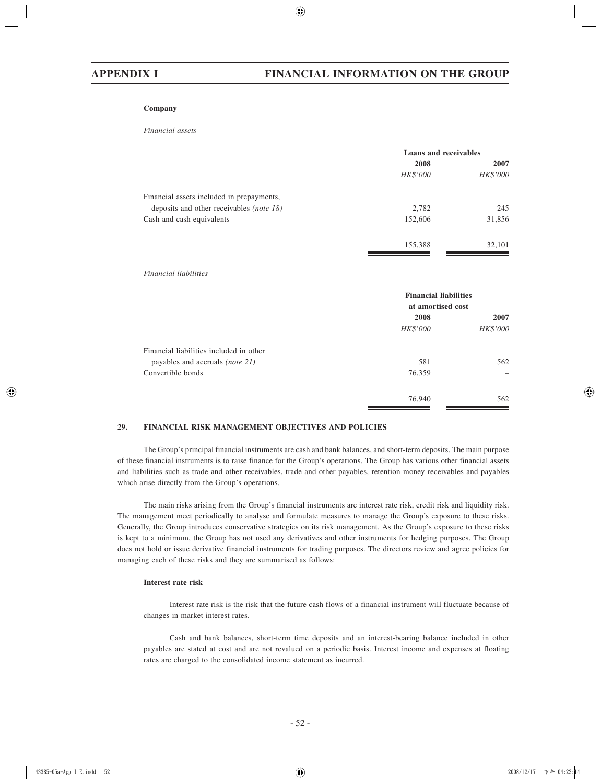#### **Company**

#### *Financial assets*

|                                                 | <b>Loans and receivables</b> |          |
|-------------------------------------------------|------------------------------|----------|
|                                                 | 2008                         | 2007     |
|                                                 | HK\$'000                     | HK\$'000 |
| Financial assets included in prepayments,       |                              |          |
| deposits and other receivables <i>(note 18)</i> | 2,782                        | 245      |
| Cash and cash equivalents                       | 152,606                      | 31,856   |
|                                                 | 155,388                      | 32,101   |

#### *Financial liabilities*

|                                         | <b>Financial liabilities</b><br>at amortised cost |          |  |
|-----------------------------------------|---------------------------------------------------|----------|--|
|                                         | 2008                                              | 2007     |  |
|                                         | <b>HK\$'000</b>                                   | HK\$'000 |  |
| Financial liabilities included in other |                                                   |          |  |
| payables and accruals <i>(note 21)</i>  | 581                                               | 562      |  |
| Convertible bonds                       | 76,359                                            |          |  |
|                                         | 76,940                                            | 562      |  |

#### **29. FINANCIAL RISK MANAGEMENT OBJECTIVES AND POLICIES**

The Group's principal financial instruments are cash and bank balances, and short-term deposits. The main purpose of these financial instruments is to raise finance for the Group's operations. The Group has various other financial assets and liabilities such as trade and other receivables, trade and other payables, retention money receivables and payables which arise directly from the Group's operations.

The main risks arising from the Group's financial instruments are interest rate risk, credit risk and liquidity risk. The management meet periodically to analyse and formulate measures to manage the Group's exposure to these risks. Generally, the Group introduces conservative strategies on its risk management. As the Group's exposure to these risks is kept to a minimum, the Group has not used any derivatives and other instruments for hedging purposes. The Group does not hold or issue derivative financial instruments for trading purposes. The directors review and agree policies for managing each of these risks and they are summarised as follows:

### **Interest rate risk**

Interest rate risk is the risk that the future cash flows of a financial instrument will fluctuate because of changes in market interest rates.

Cash and bank balances, short-term time deposits and an interest-bearing balance included in other payables are stated at cost and are not revalued on a periodic basis. Interest income and expenses at floating rates are charged to the consolidated income statement as incurred.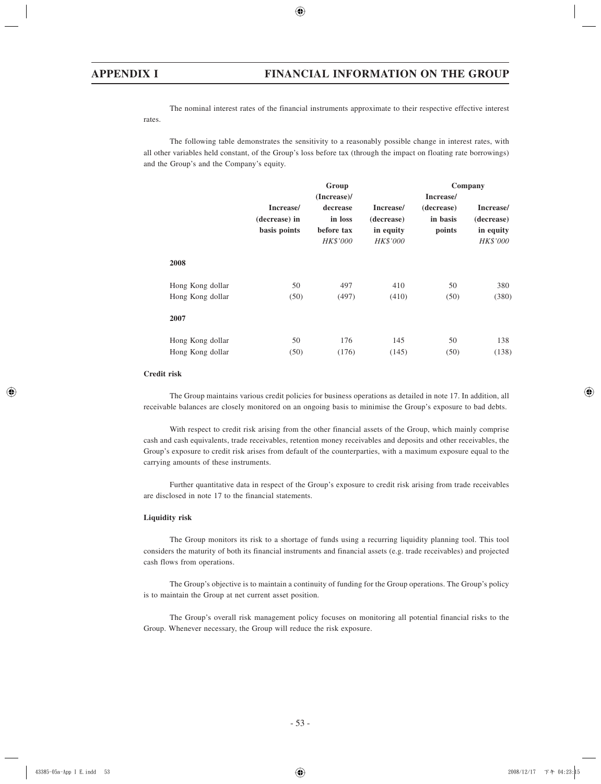The nominal interest rates of the financial instruments approximate to their respective effective interest rates.

The following table demonstrates the sensitivity to a reasonably possible change in interest rates, with all other variables held constant, of the Group's loss before tax (through the impact on floating rate borrowings) and the Group's and the Company's equity.

|                  | Group         |                        |                       | Company    |                       |  |
|------------------|---------------|------------------------|-----------------------|------------|-----------------------|--|
|                  |               | (Increase)/            |                       | Increase/  |                       |  |
|                  | Increase/     | decrease               | Increase/             | (decrease) | Increase/             |  |
|                  | (decrease) in | in loss                | (decrease)            | in basis   | (decrease)            |  |
|                  | basis points  | before tax<br>HK\$'000 | in equity<br>HK\$'000 | points     | in equity<br>HK\$'000 |  |
| 2008             |               |                        |                       |            |                       |  |
| Hong Kong dollar | 50            | 497                    | 410                   | 50         | 380                   |  |
| Hong Kong dollar | (50)          | (497)                  | (410)                 | (50)       | (380)                 |  |
| 2007             |               |                        |                       |            |                       |  |
| Hong Kong dollar | 50            | 176                    | 145                   | 50         | 138                   |  |
| Hong Kong dollar | (50)          | (176)                  | (145)                 | (50)       | (138)                 |  |

### **Credit risk**

The Group maintains various credit policies for business operations as detailed in note 17. In addition, all receivable balances are closely monitored on an ongoing basis to minimise the Group's exposure to bad debts.

With respect to credit risk arising from the other financial assets of the Group, which mainly comprise cash and cash equivalents, trade receivables, retention money receivables and deposits and other receivables, the Group's exposure to credit risk arises from default of the counterparties, with a maximum exposure equal to the carrying amounts of these instruments.

Further quantitative data in respect of the Group's exposure to credit risk arising from trade receivables are disclosed in note 17 to the financial statements.

#### **Liquidity risk**

The Group monitors its risk to a shortage of funds using a recurring liquidity planning tool. This tool considers the maturity of both its financial instruments and financial assets (e.g. trade receivables) and projected cash flows from operations.

The Group's objective is to maintain a continuity of funding for the Group operations. The Group's policy is to maintain the Group at net current asset position.

The Group's overall risk management policy focuses on monitoring all potential financial risks to the Group. Whenever necessary, the Group will reduce the risk exposure.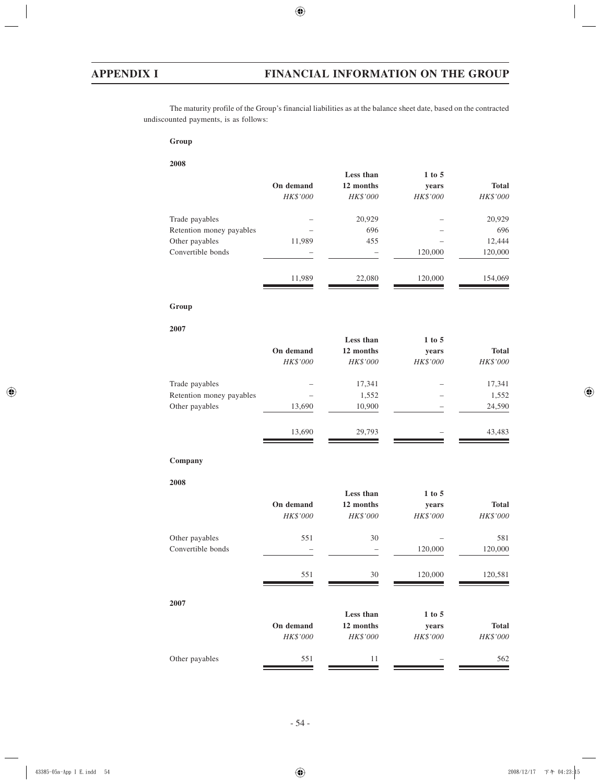The maturity profile of the Group's financial liabilities as at the balance sheet date, based on the contracted undiscounted payments, is as follows:

## **Group**

#### **2008**

| On demand<br>HK\$'000 | 12 months<br>HK\$'000 | years<br>HK\$'000 | <b>Total</b><br>HK\$'000 |
|-----------------------|-----------------------|-------------------|--------------------------|
|                       |                       |                   |                          |
|                       |                       |                   |                          |
|                       | 20,929                |                   | 20,929                   |
|                       | 696                   |                   | 696                      |
| 11,989                | 455                   |                   | 12,444                   |
|                       |                       | 120,000           | 120,000                  |
| 11,989                | 22,080                | 120,000           | 154,069                  |
|                       |                       |                   |                          |

# **Group**

#### **2007**

|                          |           | Less than | $1$ to $5$ |              |
|--------------------------|-----------|-----------|------------|--------------|
|                          | On demand | 12 months | years      | <b>Total</b> |
|                          | HK\$'000  | HK\$'000  | HK\$'000   | HK\$'000     |
| Trade payables           |           | 17,341    |            | 17,341       |
| Retention money payables |           | 1,552     |            | 1,552        |
| Other payables           | 13,690    | 10,900    | -          | 24,590       |
|                          | 13,690    | 29.793    |            | 43,483       |

#### **Company**

#### **2008**

| $1$ to $5$ | Less than  |                          |                   |
|------------|------------|--------------------------|-------------------|
| years      | 12 months  | On demand                |                   |
| HK\$'000   | HK\$'000   | HK\$'000                 |                   |
|            | 30         | 551                      | Other payables    |
| 120,000    |            | $\overline{\phantom{0}}$ | Convertible bonds |
| 120,000    | 30         | 551                      |                   |
|            |            |                          | 2007              |
|            |            |                          |                   |
| years      | 12 months  |                          |                   |
| HK\$'000   | HK\$'000   | HK\$'000                 |                   |
|            | 11         | 551                      | Other payables    |
|            | $1$ to $5$ | Less than                | On demand         |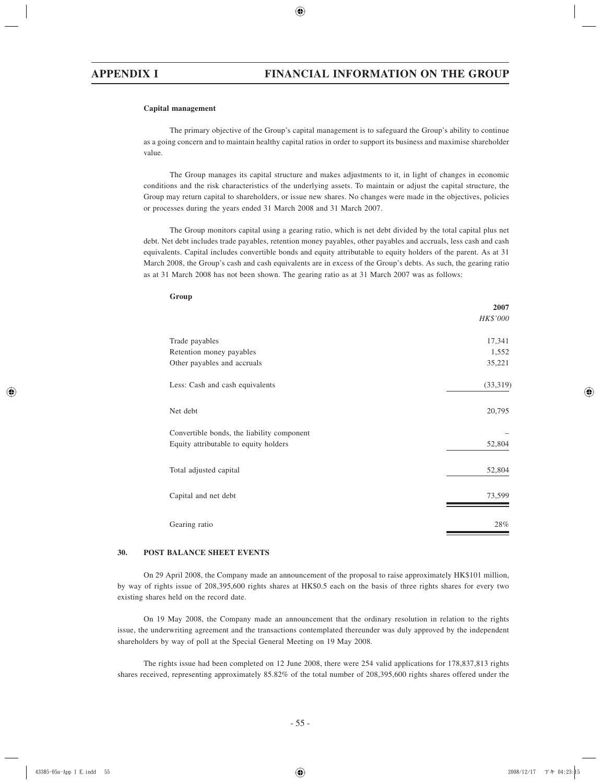#### **Capital management**

The primary objective of the Group's capital management is to safeguard the Group's ability to continue as a going concern and to maintain healthy capital ratios in order to support its business and maximise shareholder value.

The Group manages its capital structure and makes adjustments to it, in light of changes in economic conditions and the risk characteristics of the underlying assets. To maintain or adjust the capital structure, the Group may return capital to shareholders, or issue new shares. No changes were made in the objectives, policies or processes during the years ended 31 March 2008 and 31 March 2007.

The Group monitors capital using a gearing ratio, which is net debt divided by the total capital plus net debt. Net debt includes trade payables, retention money payables, other payables and accruals, less cash and cash equivalents. Capital includes convertible bonds and equity attributable to equity holders of the parent. As at 31 March 2008, the Group's cash and cash equivalents are in excess of the Group's debts. As such, the gearing ratio as at 31 March 2008 has not been shown. The gearing ratio as at 31 March 2007 was as follows:

| utuup                                      | 2007<br>HK\$'000 |
|--------------------------------------------|------------------|
| Trade payables                             | 17,341           |
| Retention money payables                   | 1,552            |
| Other payables and accruals                | 35,221           |
| Less: Cash and cash equivalents            | (33, 319)        |
| Net debt                                   | 20,795           |
| Convertible bonds, the liability component |                  |
| Equity attributable to equity holders      | 52,804           |
| Total adjusted capital                     | 52,804           |
| Capital and net debt                       | 73,599           |
| Gearing ratio                              | 28%              |

#### **30. POST BALANCE SHEET EVENTS**

On 29 April 2008, the Company made an announcement of the proposal to raise approximately HK\$101 million, by way of rights issue of 208,395,600 rights shares at HK\$0.5 each on the basis of three rights shares for every two existing shares held on the record date.

On 19 May 2008, the Company made an announcement that the ordinary resolution in relation to the rights issue, the underwriting agreement and the transactions contemplated thereunder was duly approved by the independent shareholders by way of poll at the Special General Meeting on 19 May 2008.

The rights issue had been completed on 12 June 2008, there were 254 valid applications for 178,837,813 rights shares received, representing approximately 85.82% of the total number of 208,395,600 rights shares offered under the

**Group**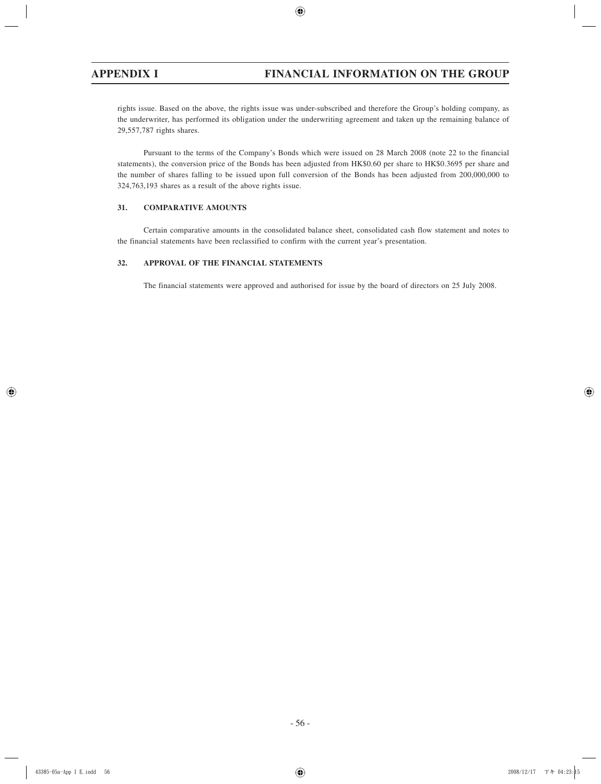rights issue. Based on the above, the rights issue was under-subscribed and therefore the Group's holding company, as the underwriter, has performed its obligation under the underwriting agreement and taken up the remaining balance of 29,557,787 rights shares.

Pursuant to the terms of the Company's Bonds which were issued on 28 March 2008 (note 22 to the financial statements), the conversion price of the Bonds has been adjusted from HK\$0.60 per share to HK\$0.3695 per share and the number of shares falling to be issued upon full conversion of the Bonds has been adjusted from 200,000,000 to 324,763,193 shares as a result of the above rights issue.

# **31. COMPARATIVE AMOUNTS**

Certain comparative amounts in the consolidated balance sheet, consolidated cash flow statement and notes to the financial statements have been reclassified to confirm with the current year's presentation.

### **32. APPROVAL OF THE FINANCIAL STATEMENTS**

The financial statements were approved and authorised for issue by the board of directors on 25 July 2008.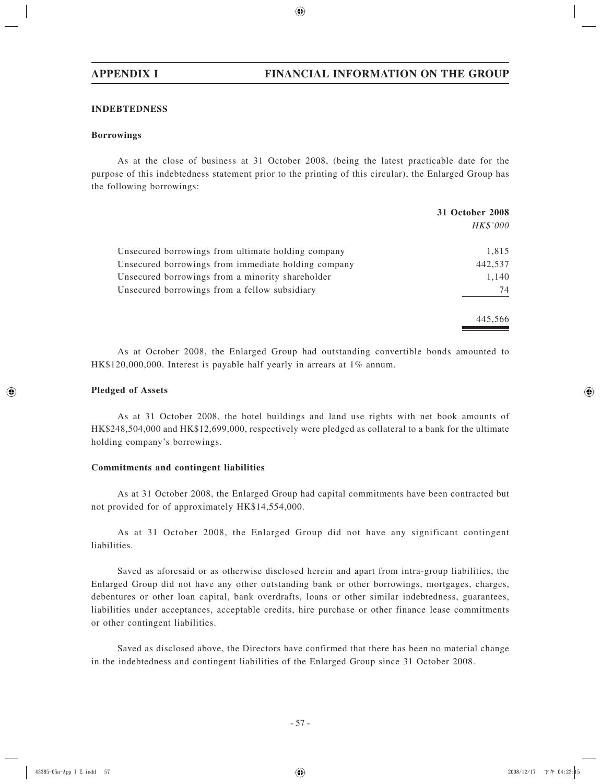### **INDEBTEDNESS**

### **Borrowings**

As at the close of business at 31 October 2008, (being the latest practicable date for the purpose of this indebtedness statement prior to the printing of this circular), the Enlarged Group has the following borrowings:

|                                                     | <b>31 October 2008</b> |
|-----------------------------------------------------|------------------------|
|                                                     | HK\$'000               |
| Unsecured borrowings from ultimate holding company  | 1,815                  |
| Unsecured borrowings from immediate holding company | 442,537                |
| Unsecured borrowings from a minority shareholder    | 1,140                  |
| Unsecured borrowings from a fellow subsidiary       | 74                     |
|                                                     | 445.566                |

As at October 2008, the Enlarged Group had outstanding convertible bonds amounted to HK\$120,000,000. Interest is payable half yearly in arrears at 1% annum.

# **Pledged of Assets**

As at 31 October 2008, the hotel buildings and land use rights with net book amounts of HK\$248,504,000 and HK\$12,699,000, respectively were pledged as collateral to a bank for the ultimate holding company's borrowings.

### **Commitments and contingent liabilities**

As at 31 October 2008, the Enlarged Group had capital commitments have been contracted but not provided for of approximately HK\$14,554,000.

As at 31 October 2008, the Enlarged Group did not have any significant contingent liabilities.

Saved as aforesaid or as otherwise disclosed herein and apart from intra-group liabilities, the Enlarged Group did not have any other outstanding bank or other borrowings, mortgages, charges, debentures or other loan capital, bank overdrafts, loans or other similar indebtedness, guarantees, liabilities under acceptances, acceptable credits, hire purchase or other finance lease commitments or other contingent liabilities.

Saved as disclosed above, the Directors have confirmed that there has been no material change in the indebtedness and contingent liabilities of the Enlarged Group since 31 October 2008.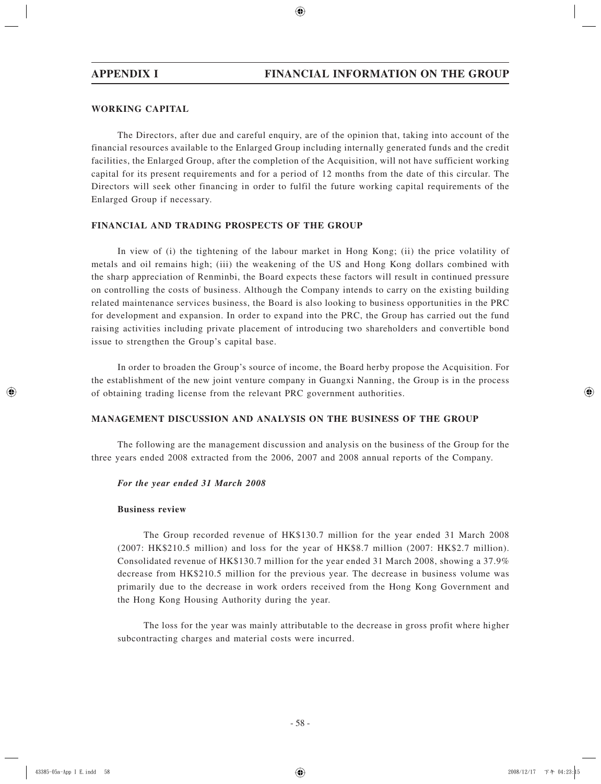# **WORKING CAPITAL**

The Directors, after due and careful enquiry, are of the opinion that, taking into account of the financial resources available to the Enlarged Group including internally generated funds and the credit facilities, the Enlarged Group, after the completion of the Acquisition, will not have sufficient working capital for its present requirements and for a period of 12 months from the date of this circular. The Directors will seek other financing in order to fulfil the future working capital requirements of the Enlarged Group if necessary.

# **FINANCIAL AND TRADING PROSPECTS OF THE GROUP**

In view of (i) the tightening of the labour market in Hong Kong; (ii) the price volatility of metals and oil remains high; (iii) the weakening of the US and Hong Kong dollars combined with the sharp appreciation of Renminbi, the Board expects these factors will result in continued pressure on controlling the costs of business. Although the Company intends to carry on the existing building related maintenance services business, the Board is also looking to business opportunities in the PRC for development and expansion. In order to expand into the PRC, the Group has carried out the fund raising activities including private placement of introducing two shareholders and convertible bond issue to strengthen the Group's capital base.

In order to broaden the Group's source of income, the Board herby propose the Acquisition. For the establishment of the new joint venture company in Guangxi Nanning, the Group is in the process of obtaining trading license from the relevant PRC government authorities.

# **MANAGEMENT DISCUSSION AND ANALYSIS ON THE BUSINESS OF THE GROUP**

The following are the management discussion and analysis on the business of the Group for the three years ended 2008 extracted from the 2006, 2007 and 2008 annual reports of the Company.

### *For the year ended 31 March 2008*

### **Business review**

The Group recorded revenue of HK\$130.7 million for the year ended 31 March 2008 (2007: HK\$210.5 million) and loss for the year of HK\$8.7 million (2007: HK\$2.7 million). Consolidated revenue of HK\$130.7 million for the year ended 31 March 2008, showing a 37.9% decrease from HK\$210.5 million for the previous year. The decrease in business volume was primarily due to the decrease in work orders received from the Hong Kong Government and the Hong Kong Housing Authority during the year.

The loss for the year was mainly attributable to the decrease in gross profit where higher subcontracting charges and material costs were incurred.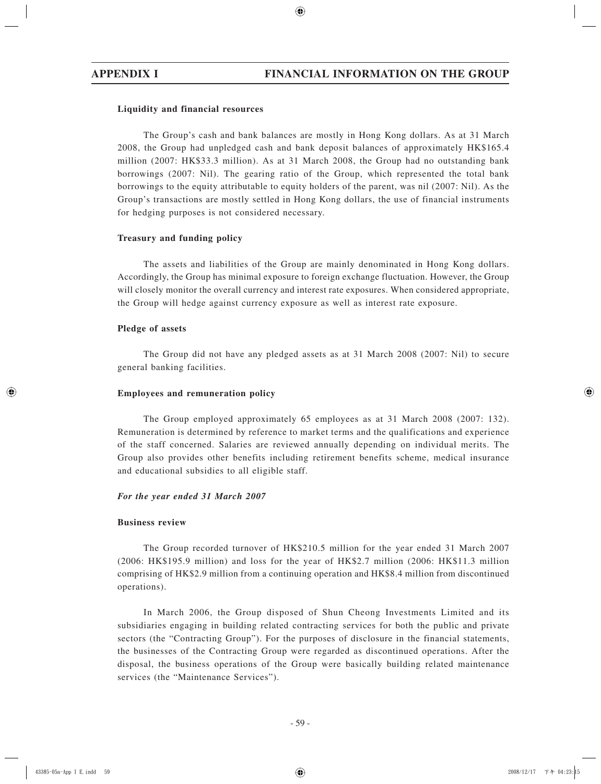# **Liquidity and financial resources**

The Group's cash and bank balances are mostly in Hong Kong dollars. As at 31 March 2008, the Group had unpledged cash and bank deposit balances of approximately HK\$165.4 million (2007: HK\$33.3 million). As at 31 March 2008, the Group had no outstanding bank borrowings (2007: Nil). The gearing ratio of the Group, which represented the total bank borrowings to the equity attributable to equity holders of the parent, was nil (2007: Nil). As the Group's transactions are mostly settled in Hong Kong dollars, the use of financial instruments for hedging purposes is not considered necessary.

# **Treasury and funding policy**

The assets and liabilities of the Group are mainly denominated in Hong Kong dollars. Accordingly, the Group has minimal exposure to foreign exchange fluctuation. However, the Group will closely monitor the overall currency and interest rate exposures. When considered appropriate, the Group will hedge against currency exposure as well as interest rate exposure.

## **Pledge of assets**

The Group did not have any pledged assets as at 31 March 2008 (2007: Nil) to secure general banking facilities.

### **Employees and remuneration policy**

The Group employed approximately 65 employees as at 31 March 2008 (2007: 132). Remuneration is determined by reference to market terms and the qualifications and experience of the staff concerned. Salaries are reviewed annually depending on individual merits. The Group also provides other benefits including retirement benefits scheme, medical insurance and educational subsidies to all eligible staff.

# *For the year ended 31 March 2007*

### **Business review**

The Group recorded turnover of HK\$210.5 million for the year ended 31 March 2007 (2006: HK\$195.9 million) and loss for the year of HK\$2.7 million (2006: HK\$11.3 million comprising of HK\$2.9 million from a continuing operation and HK\$8.4 million from discontinued operations).

In March 2006, the Group disposed of Shun Cheong Investments Limited and its subsidiaries engaging in building related contracting services for both the public and private sectors (the "Contracting Group"). For the purposes of disclosure in the financial statements, the businesses of the Contracting Group were regarded as discontinued operations. After the disposal, the business operations of the Group were basically building related maintenance services (the "Maintenance Services").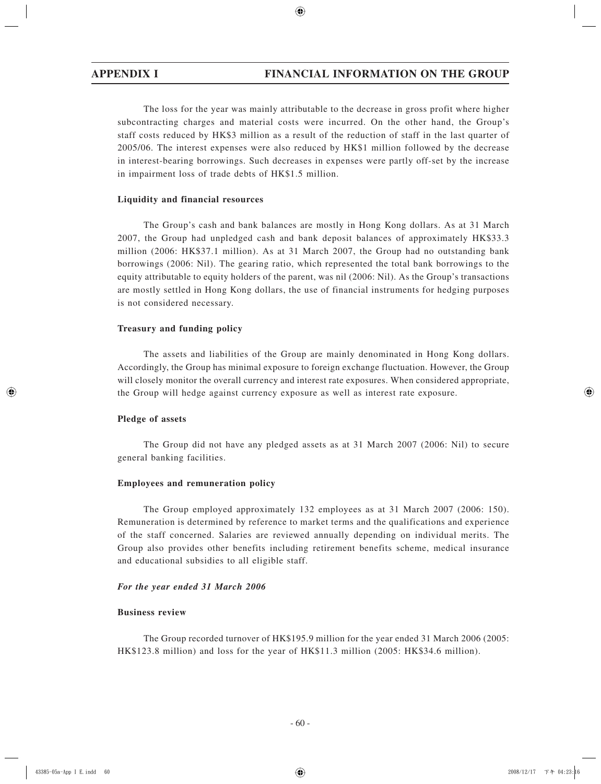The loss for the year was mainly attributable to the decrease in gross profit where higher subcontracting charges and material costs were incurred. On the other hand, the Group's staff costs reduced by HK\$3 million as a result of the reduction of staff in the last quarter of 2005/06. The interest expenses were also reduced by HK\$1 million followed by the decrease in interest-bearing borrowings. Such decreases in expenses were partly off-set by the increase in impairment loss of trade debts of HK\$1.5 million.

## **Liquidity and financial resources**

The Group's cash and bank balances are mostly in Hong Kong dollars. As at 31 March 2007, the Group had unpledged cash and bank deposit balances of approximately HK\$33.3 million (2006: HK\$37.1 million). As at 31 March 2007, the Group had no outstanding bank borrowings (2006: Nil). The gearing ratio, which represented the total bank borrowings to the equity attributable to equity holders of the parent, was nil (2006: Nil). As the Group's transactions are mostly settled in Hong Kong dollars, the use of financial instruments for hedging purposes is not considered necessary.

## **Treasury and funding policy**

The assets and liabilities of the Group are mainly denominated in Hong Kong dollars. Accordingly, the Group has minimal exposure to foreign exchange fluctuation. However, the Group will closely monitor the overall currency and interest rate exposures. When considered appropriate, the Group will hedge against currency exposure as well as interest rate exposure.

# **Pledge of assets**

The Group did not have any pledged assets as at 31 March 2007 (2006: Nil) to secure general banking facilities.

### **Employees and remuneration policy**

The Group employed approximately 132 employees as at 31 March 2007 (2006: 150). Remuneration is determined by reference to market terms and the qualifications and experience of the staff concerned. Salaries are reviewed annually depending on individual merits. The Group also provides other benefits including retirement benefits scheme, medical insurance and educational subsidies to all eligible staff.

### *For the year ended 31 March 2006*

# **Business review**

The Group recorded turnover of HK\$195.9 million for the year ended 31 March 2006 (2005: HK\$123.8 million) and loss for the year of HK\$11.3 million (2005: HK\$34.6 million).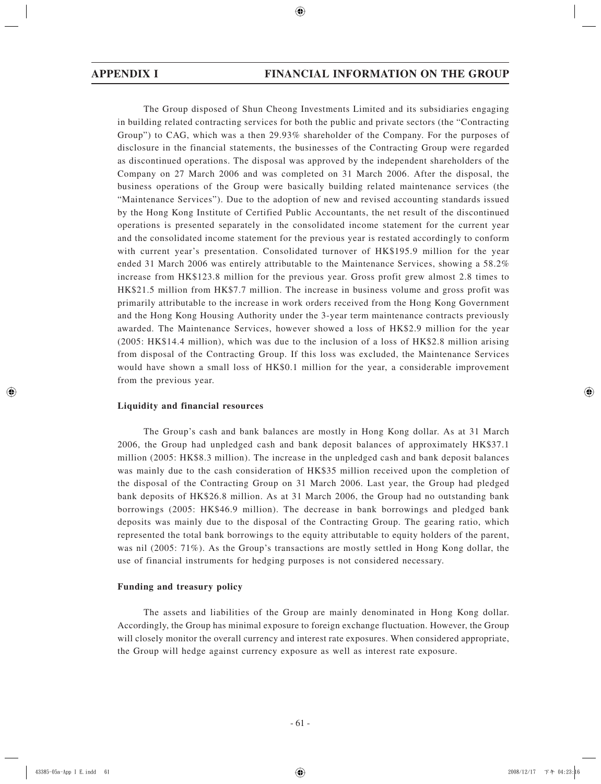The Group disposed of Shun Cheong Investments Limited and its subsidiaries engaging in building related contracting services for both the public and private sectors (the "Contracting Group") to CAG, which was a then 29.93% shareholder of the Company. For the purposes of disclosure in the financial statements, the businesses of the Contracting Group were regarded as discontinued operations. The disposal was approved by the independent shareholders of the Company on 27 March 2006 and was completed on 31 March 2006. After the disposal, the business operations of the Group were basically building related maintenance services (the "Maintenance Services"). Due to the adoption of new and revised accounting standards issued by the Hong Kong Institute of Certified Public Accountants, the net result of the discontinued operations is presented separately in the consolidated income statement for the current year and the consolidated income statement for the previous year is restated accordingly to conform with current year's presentation. Consolidated turnover of HK\$195.9 million for the year ended 31 March 2006 was entirely attributable to the Maintenance Services, showing a 58.2% increase from HK\$123.8 million for the previous year. Gross profit grew almost 2.8 times to HK\$21.5 million from HK\$7.7 million. The increase in business volume and gross profit was primarily attributable to the increase in work orders received from the Hong Kong Government and the Hong Kong Housing Authority under the 3-year term maintenance contracts previously awarded. The Maintenance Services, however showed a loss of HK\$2.9 million for the year (2005: HK\$14.4 million), which was due to the inclusion of a loss of HK\$2.8 million arising from disposal of the Contracting Group. If this loss was excluded, the Maintenance Services would have shown a small loss of HK\$0.1 million for the year, a considerable improvement from the previous year.

# **Liquidity and financial resources**

The Group's cash and bank balances are mostly in Hong Kong dollar. As at 31 March 2006, the Group had unpledged cash and bank deposit balances of approximately HK\$37.1 million (2005: HK\$8.3 million). The increase in the unpledged cash and bank deposit balances was mainly due to the cash consideration of HK\$35 million received upon the completion of the disposal of the Contracting Group on 31 March 2006. Last year, the Group had pledged bank deposits of HK\$26.8 million. As at 31 March 2006, the Group had no outstanding bank borrowings (2005: HK\$46.9 million). The decrease in bank borrowings and pledged bank deposits was mainly due to the disposal of the Contracting Group. The gearing ratio, which represented the total bank borrowings to the equity attributable to equity holders of the parent, was nil (2005: 71%). As the Group's transactions are mostly settled in Hong Kong dollar, the use of financial instruments for hedging purposes is not considered necessary.

### **Funding and treasury policy**

The assets and liabilities of the Group are mainly denominated in Hong Kong dollar. Accordingly, the Group has minimal exposure to foreign exchange fluctuation. However, the Group will closely monitor the overall currency and interest rate exposures. When considered appropriate, the Group will hedge against currency exposure as well as interest rate exposure.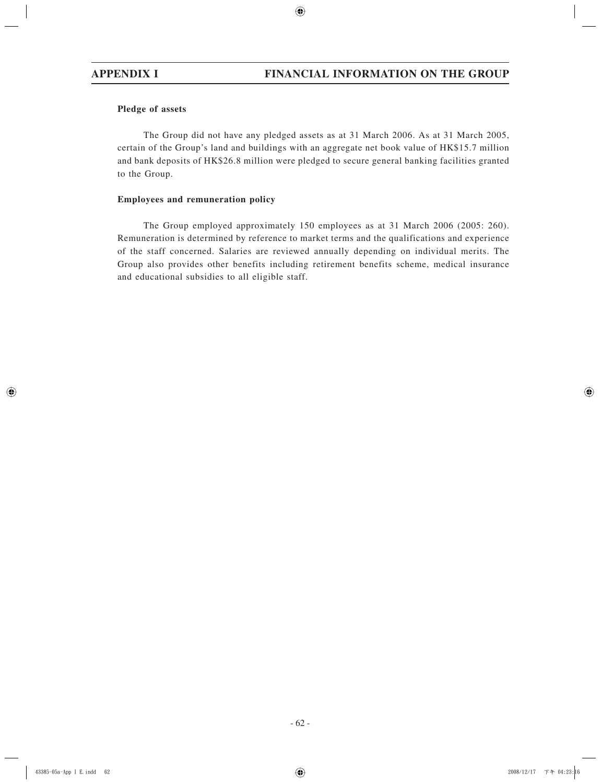# **Pledge of assets**

The Group did not have any pledged assets as at 31 March 2006. As at 31 March 2005, certain of the Group's land and buildings with an aggregate net book value of HK\$15.7 million and bank deposits of HK\$26.8 million were pledged to secure general banking facilities granted to the Group.

# **Employees and remuneration policy**

The Group employed approximately 150 employees as at 31 March 2006 (2005: 260). Remuneration is determined by reference to market terms and the qualifications and experience of the staff concerned. Salaries are reviewed annually depending on individual merits. The Group also provides other benefits including retirement benefits scheme, medical insurance and educational subsidies to all eligible staff.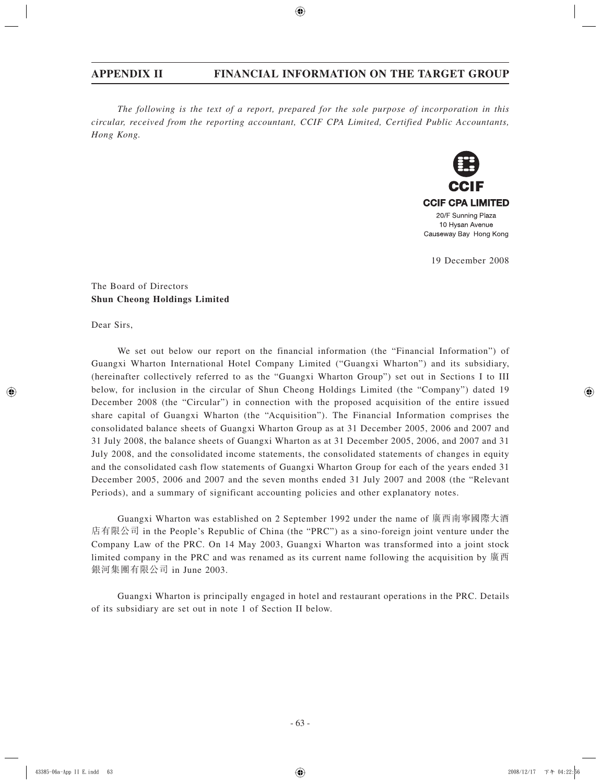*The following is the text of a report, prepared for the sole purpose of incorporation in this circular, received from the reporting accountant, CCIF CPA Limited, Certified Public Accountants, Hong Kong.*



19 December 2008

The Board of Directors **Shun Cheong Holdings Limited**

Dear Sirs,

We set out below our report on the financial information (the "Financial Information") of Guangxi Wharton International Hotel Company Limited ("Guangxi Wharton") and its subsidiary, (hereinafter collectively referred to as the "Guangxi Wharton Group") set out in Sections I to III below, for inclusion in the circular of Shun Cheong Holdings Limited (the "Company") dated 19 December 2008 (the "Circular") in connection with the proposed acquisition of the entire issued share capital of Guangxi Wharton (the "Acquisition"). The Financial Information comprises the consolidated balance sheets of Guangxi Wharton Group as at 31 December 2005, 2006 and 2007 and 31 July 2008, the balance sheets of Guangxi Wharton as at 31 December 2005, 2006, and 2007 and 31 July 2008, and the consolidated income statements, the consolidated statements of changes in equity and the consolidated cash flow statements of Guangxi Wharton Group for each of the years ended 31 December 2005, 2006 and 2007 and the seven months ended 31 July 2007 and 2008 (the "Relevant Periods), and a summary of significant accounting policies and other explanatory notes.

Guangxi Wharton was established on 2 September 1992 under the name of 廣西南寧國際大酒 店有限公司 in the People's Republic of China (the "PRC") as a sino-foreign joint venture under the Company Law of the PRC. On 14 May 2003, Guangxi Wharton was transformed into a joint stock limited company in the PRC and was renamed as its current name following the acquisition by 廣西 銀河集團有限公司 in June 2003.

Guangxi Wharton is principally engaged in hotel and restaurant operations in the PRC. Details of its subsidiary are set out in note 1 of Section II below.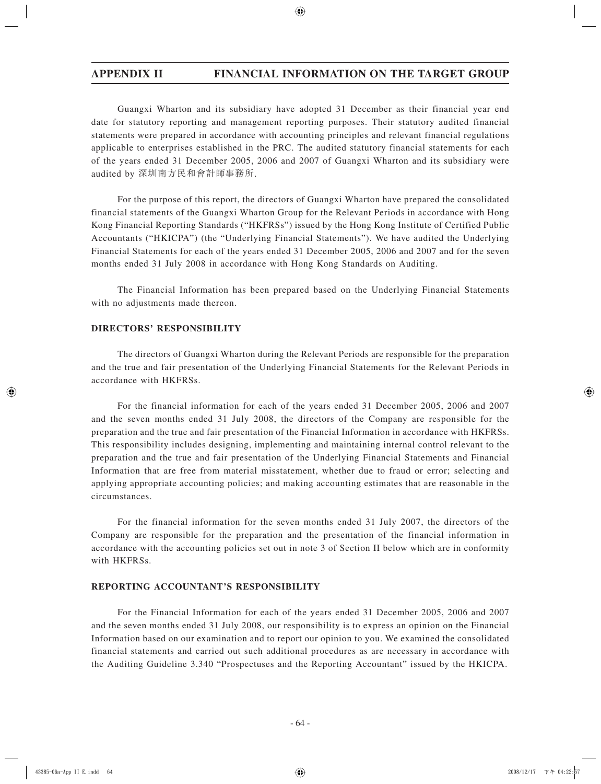Guangxi Wharton and its subsidiary have adopted 31 December as their financial year end date for statutory reporting and management reporting purposes. Their statutory audited financial statements were prepared in accordance with accounting principles and relevant financial regulations applicable to enterprises established in the PRC. The audited statutory financial statements for each of the years ended 31 December 2005, 2006 and 2007 of Guangxi Wharton and its subsidiary were audited by 深圳南方民和會計師事務所.

For the purpose of this report, the directors of Guangxi Wharton have prepared the consolidated financial statements of the Guangxi Wharton Group for the Relevant Periods in accordance with Hong Kong Financial Reporting Standards ("HKFRSs") issued by the Hong Kong Institute of Certified Public Accountants ("HKICPA") (the "Underlying Financial Statements"). We have audited the Underlying Financial Statements for each of the years ended 31 December 2005, 2006 and 2007 and for the seven months ended 31 July 2008 in accordance with Hong Kong Standards on Auditing.

The Financial Information has been prepared based on the Underlying Financial Statements with no adjustments made thereon.

# **DIRECTORS' RESPONSIBILITY**

The directors of Guangxi Wharton during the Relevant Periods are responsible for the preparation and the true and fair presentation of the Underlying Financial Statements for the Relevant Periods in accordance with HKFRSs.

For the financial information for each of the years ended 31 December 2005, 2006 and 2007 and the seven months ended 31 July 2008, the directors of the Company are responsible for the preparation and the true and fair presentation of the Financial Information in accordance with HKFRSs. This responsibility includes designing, implementing and maintaining internal control relevant to the preparation and the true and fair presentation of the Underlying Financial Statements and Financial Information that are free from material misstatement, whether due to fraud or error; selecting and applying appropriate accounting policies; and making accounting estimates that are reasonable in the circumstances.

For the financial information for the seven months ended 31 July 2007, the directors of the Company are responsible for the preparation and the presentation of the financial information in accordance with the accounting policies set out in note 3 of Section II below which are in conformity with HKFRSs.

## **REPORTING ACCOUNTANT'S RESPONSIBILITY**

For the Financial Information for each of the years ended 31 December 2005, 2006 and 2007 and the seven months ended 31 July 2008, our responsibility is to express an opinion on the Financial Information based on our examination and to report our opinion to you. We examined the consolidated financial statements and carried out such additional procedures as are necessary in accordance with the Auditing Guideline 3.340 "Prospectuses and the Reporting Accountant" issued by the HKICPA.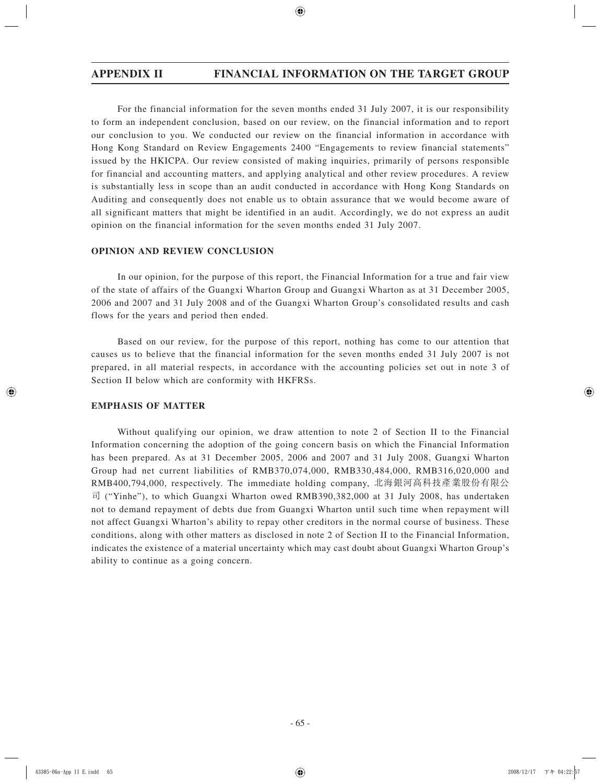For the financial information for the seven months ended 31 July 2007, it is our responsibility to form an independent conclusion, based on our review, on the financial information and to report our conclusion to you. We conducted our review on the financial information in accordance with Hong Kong Standard on Review Engagements 2400 "Engagements to review financial statements" issued by the HKICPA. Our review consisted of making inquiries, primarily of persons responsible for financial and accounting matters, and applying analytical and other review procedures. A review is substantially less in scope than an audit conducted in accordance with Hong Kong Standards on Auditing and consequently does not enable us to obtain assurance that we would become aware of all significant matters that might be identified in an audit. Accordingly, we do not express an audit opinion on the financial information for the seven months ended 31 July 2007.

## **OPINION AND REVIEW CONCLUSION**

In our opinion, for the purpose of this report, the Financial Information for a true and fair view of the state of affairs of the Guangxi Wharton Group and Guangxi Wharton as at 31 December 2005, 2006 and 2007 and 31 July 2008 and of the Guangxi Wharton Group's consolidated results and cash flows for the years and period then ended.

Based on our review, for the purpose of this report, nothing has come to our attention that causes us to believe that the financial information for the seven months ended 31 July 2007 is not prepared, in all material respects, in accordance with the accounting policies set out in note 3 of Section II below which are conformity with HKFRSs.

# **EMPHASIS OF MATTER**

Without qualifying our opinion, we draw attention to note 2 of Section II to the Financial Information concerning the adoption of the going concern basis on which the Financial Information has been prepared. As at 31 December 2005, 2006 and 2007 and 31 July 2008, Guangxi Wharton Group had net current liabilities of RMB370,074,000, RMB330,484,000, RMB316,020,000 and RMB400,794,000, respectively. The immediate holding company, 北海銀河高科技產業股份有限公 司 ("Yinhe"), to which Guangxi Wharton owed RMB390,382,000 at 31 July 2008, has undertaken not to demand repayment of debts due from Guangxi Wharton until such time when repayment will not affect Guangxi Wharton's ability to repay other creditors in the normal course of business. These conditions, along with other matters as disclosed in note 2 of Section II to the Financial Information, indicates the existence of a material uncertainty which may cast doubt about Guangxi Wharton Group's ability to continue as a going concern.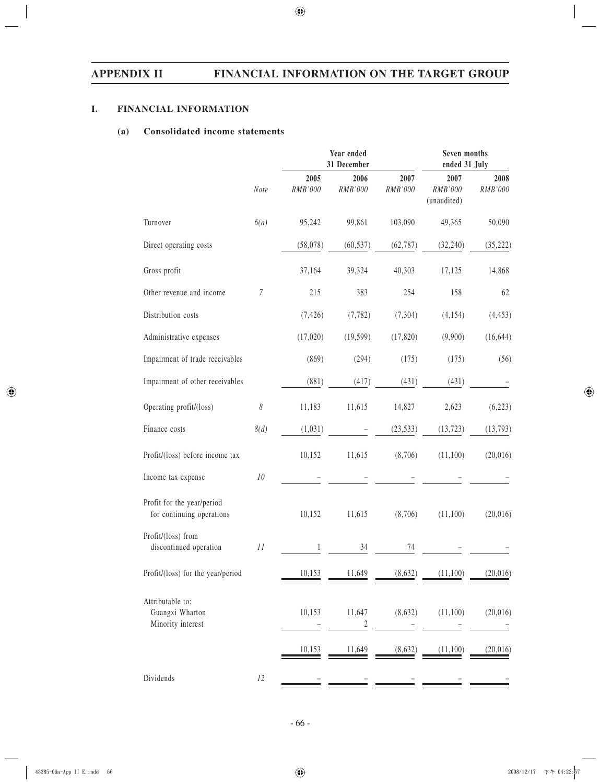# **I. FINANCIAL INFORMATION**

# **(a) Consolidated income statements**

|                                                          |                       | Year ended<br>31 December | Seven months<br>ended 31 July |                 |                                |                 |
|----------------------------------------------------------|-----------------------|---------------------------|-------------------------------|-----------------|--------------------------------|-----------------|
|                                                          | Note                  | 2005<br>RMB'000           | 2006<br>RMB'000               | 2007<br>RMB'000 | 2007<br>RMB'000<br>(unaudited) | 2008<br>RMB'000 |
| Turnover                                                 | 6(a)                  | 95,242                    | 99,861                        | 103,090         | 49,365                         | 50,090          |
| Direct operating costs                                   |                       | (58, 078)                 | (60, 537)                     | (62, 787)       | (32, 240)                      | (35, 222)       |
| Gross profit                                             |                       | 37,164                    | 39,324                        | 40,303          | 17,125                         | 14,868          |
| Other revenue and income                                 | $\sqrt{ }$            | 215                       | 383                           | 254             | 158                            | 62              |
| Distribution costs                                       |                       | (7, 426)                  | (7, 782)                      | (7,304)         | (4, 154)                       | (4, 453)        |
| Administrative expenses                                  |                       | (17,020)                  | (19, 599)                     | (17, 820)       | (9,900)                        | (16, 644)       |
| Impairment of trade receivables                          |                       | (869)                     | (294)                         | (175)           | (175)                          | (56)            |
| Impairment of other receivables                          |                       | (881)                     | (417)                         | (431)           | (431)                          |                 |
| Operating profit/(loss)                                  | $\boldsymbol{\delta}$ | 11,183                    | 11,615                        | 14,827          | 2,623                          | (6,223)         |
| Finance costs                                            | 8(d)                  | (1,031)                   |                               | (23, 533)       | (13, 723)                      | (13, 793)       |
| Profit/(loss) before income tax                          |                       | 10,152                    | 11,615                        | (8,706)         | (11,100)                       | (20,016)        |
| Income tax expense                                       | $10\,$                |                           |                               |                 |                                |                 |
| Profit for the year/period<br>for continuing operations  |                       | 10,152                    | 11,615                        | (8,706)         | (11,100)                       | (20,016)        |
| Profit/(loss) from<br>discontinued operation             | 11                    | 1                         | 34                            | 74              |                                |                 |
| Profit/(loss) for the year/period                        |                       | 10,153                    | 11,649                        | (8,632)         | (11,100)                       | (20, 016)       |
| Attributable to:<br>Guangxi Wharton<br>Minority interest |                       | 10,153                    | 11,647<br>2                   | (8,632)         | (11,100)                       | (20, 016)       |
|                                                          |                       | 10,153                    | 11,649                        | (8,632)         | (11,100)                       | (20,016)        |
| Dividends                                                | 12                    |                           |                               |                 |                                |                 |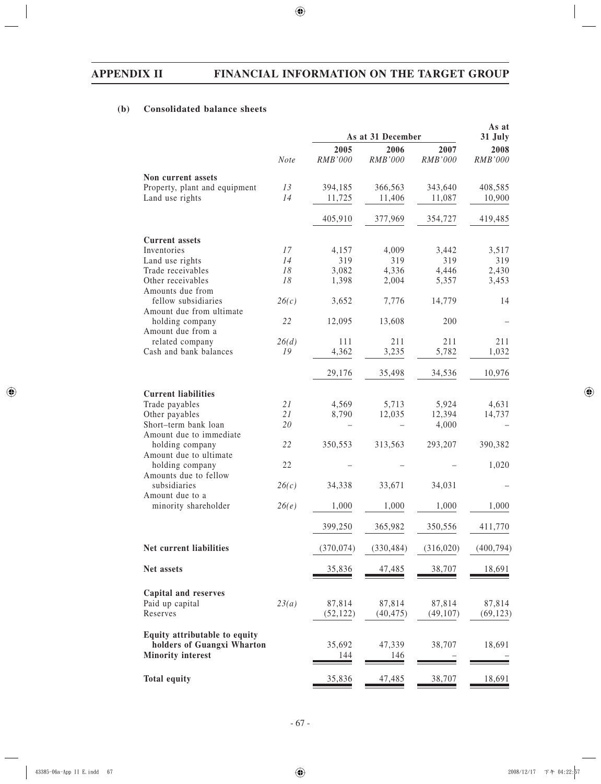# **(b) Consolidated balance sheets**

|                               |             | As at 31 December | As at<br>31 July |            |            |
|-------------------------------|-------------|-------------------|------------------|------------|------------|
|                               |             | 2005              | 2006             | 2007       | 2008       |
|                               | <b>Note</b> | <b>RMB'000</b>    | <b>RMB'000</b>   | RMB'000    | RMB'000    |
| Non current assets            |             |                   |                  |            |            |
| Property, plant and equipment | 13          | 394,185           | 366,563          | 343,640    | 408,585    |
| Land use rights               | 14          | 11,725            | 11,406           | 11,087     | 10,900     |
|                               |             | 405,910           | 377,969          | 354,727    | 419,485    |
| <b>Current assets</b>         |             |                   |                  |            |            |
| Inventories                   | 17          | 4,157             | 4,009            | 3,442      | 3,517      |
| Land use rights               | 14          | 319               | 319              | 319        | 319        |
| Trade receivables             | 18          | 3,082             | 4,336            | 4,446      | 2,430      |
| Other receivables             | 18          | 1,398             | 2,004            | 5,357      | 3,453      |
| Amounts due from              |             |                   |                  |            |            |
| fellow subsidiaries           | 26(c)       | 3,652             | 7,776            | 14,779     | 14         |
| Amount due from ultimate      |             |                   |                  |            |            |
| holding company               | 22          | 12,095            | 13,608           | 200        |            |
| Amount due from a             |             |                   |                  |            |            |
| related company               | 26(d)       | 111               | 211              | 211        | 211        |
| Cash and bank balances        | 19          | 4,362             | 3,235            | 5,782      | 1,032      |
|                               |             |                   |                  |            |            |
|                               |             | 29,176            | 35,498           | 34,536     | 10,976     |
| <b>Current liabilities</b>    |             |                   |                  |            |            |
| Trade payables                | 21          | 4,569             | 5,713            | 5,924      | 4,631      |
|                               | 21          |                   |                  | 12,394     |            |
| Other payables                |             | 8,790             | 12,035           |            | 14,737     |
| Short-term bank loan          | 20          |                   |                  | 4,000      |            |
| Amount due to immediate       |             |                   |                  |            |            |
| holding company               | 22          | 350,553           | 313,563          | 293,207    | 390,382    |
| Amount due to ultimate        |             |                   |                  |            |            |
| holding company               | 22          |                   |                  |            | 1,020      |
| Amounts due to fellow         |             |                   |                  |            |            |
| subsidiaries                  | 26(c)       | 34,338            | 33,671           | 34,031     |            |
| Amount due to a               |             |                   |                  |            |            |
| minority shareholder          | 26(e)       | 1,000             | 1,000            | 1,000      | 1,000      |
|                               |             | 399,250           | 365,982          | 350,556    | 411,770    |
| Net current liabilities       |             | (370, 074)        | (330, 484)       | (316, 020) | (400, 794) |
|                               |             |                   |                  |            |            |
| Net assets                    |             | 35,836            | 47,485           | 38,707     | 18,691     |
| Capital and reserves          |             |                   |                  |            |            |
| Paid up capital               | 23(a)       | 87,814            | 87,814           | 87,814     | 87,814     |
| Reserves                      |             | (52, 122)         | (40, 475)        | (49, 107)  | (69, 123)  |
| Equity attributable to equity |             |                   |                  |            |            |
| holders of Guangxi Wharton    |             | 35,692            | 47,339           | 38,707     | 18,691     |
| <b>Minority interest</b>      |             | 144               | 146              |            |            |
|                               |             |                   |                  |            |            |
| <b>Total equity</b>           |             | <u>35,836</u>     | 47,485           | 38,707     | 18,691     |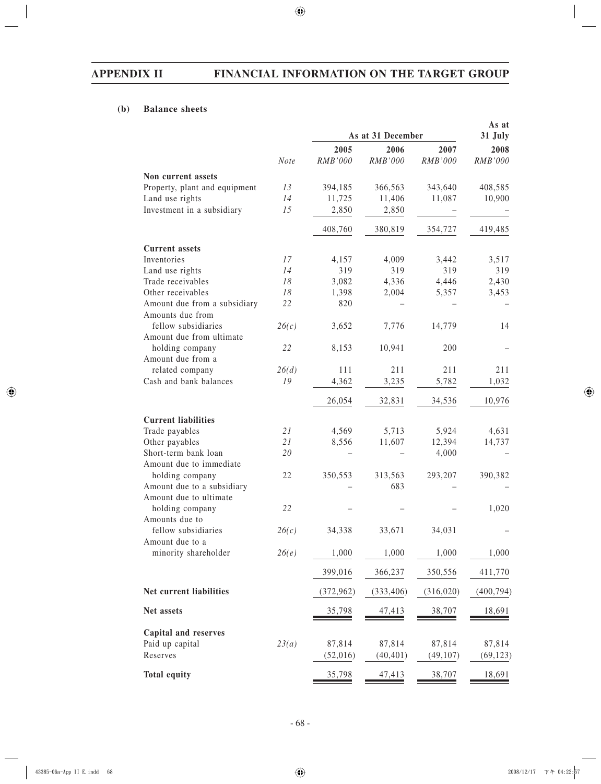# **(b) Balance sheets**

|                               |             | As at 31 December | As at<br>31 July |            |            |
|-------------------------------|-------------|-------------------|------------------|------------|------------|
|                               |             | 2005              | 2006             | 2007       | 2008       |
|                               | <b>Note</b> | RMB'000           | <b>RMB'000</b>   | RMB'000    | RMB'000    |
| Non current assets            |             |                   |                  |            |            |
| Property, plant and equipment | 13          | 394,185           | 366,563          | 343,640    | 408,585    |
| Land use rights               | 14          | 11,725            | 11,406           | 11,087     | 10,900     |
| Investment in a subsidiary    | 15          | 2,850             | 2,850            |            |            |
|                               |             | 408,760           | 380,819          | 354,727    | 419,485    |
| <b>Current assets</b>         |             |                   |                  |            |            |
| Inventories                   | 17          | 4,157             | 4,009            | 3,442      | 3,517      |
| Land use rights               | 14          | 319               | 319              | 319        | 319        |
| Trade receivables             | 18          | 3,082             | 4,336            | 4,446      | 2,430      |
| Other receivables             | 18          | 1,398             | 2,004            | 5,357      | 3,453      |
| Amount due from a subsidiary  | 22          | 820               |                  |            |            |
| Amounts due from              |             |                   |                  |            |            |
| fellow subsidiaries           | 26(c)       | 3,652             | 7,776            | 14,779     | 14         |
| Amount due from ultimate      |             |                   |                  |            |            |
| holding company               | 22          | 8,153             | 10,941           | 200        |            |
| Amount due from a             |             |                   |                  |            |            |
| related company               | 26(d)       | 111               | 211              | 211        | 211        |
| Cash and bank balances        | 19          | 4,362             | 3,235            | 5,782      | 1,032      |
|                               |             |                   |                  |            |            |
|                               |             | 26,054            | 32,831           | 34,536     | 10,976     |
| <b>Current liabilities</b>    |             |                   |                  |            |            |
| Trade payables                | 21          | 4,569             | 5,713            | 5,924      | 4,631      |
| Other payables                | 21          | 8,556             | 11,607           | 12,394     | 14,737     |
| Short-term bank loan          | 20          |                   |                  | 4,000      |            |
| Amount due to immediate       |             |                   |                  |            |            |
| holding company               | 22          | 350,553           | 313,563          | 293,207    | 390,382    |
| Amount due to a subsidiary    |             |                   | 683              |            |            |
| Amount due to ultimate        |             |                   |                  |            |            |
| holding company               | 22          |                   |                  |            | 1,020      |
| Amounts due to                |             |                   |                  |            |            |
| fellow subsidiaries           | 26(c)       | 34,338            | 33,671           | 34,031     |            |
| Amount due to a               |             |                   |                  |            |            |
| minority shareholder          | 26(e)       | 1,000             | 1,000            | 1,000      | 1,000      |
|                               |             | 399,016           | 366,237          | 350,556    | 411,770    |
| Net current liabilities       |             | (372, 962)        | (333, 406)       | (316, 020) | (400, 794) |
| Net assets                    |             | 35,798            | 47,413           | 38,707     | 18,691     |
|                               |             |                   |                  |            |            |
| <b>Capital and reserves</b>   |             |                   |                  |            |            |
| Paid up capital               | 23(a)       | 87,814            | 87,814           | 87,814     | 87,814     |
| Reserves                      |             | (52,016)          | (40, 401)        | (49, 107)  | (69, 123)  |
| <b>Total equity</b>           |             | 35,798            | 47,413           | 38,707     | 18,691     |
|                               |             |                   |                  |            |            |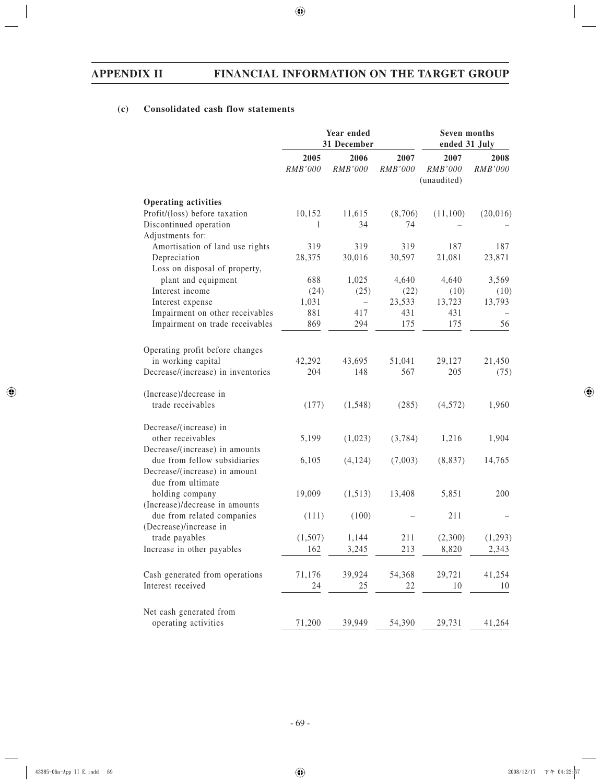# **(c) Consolidated cash flow statements**

|                                                               | Year ended<br>31 December |                        |                 | Seven months<br>ended 31 July  |                 |
|---------------------------------------------------------------|---------------------------|------------------------|-----------------|--------------------------------|-----------------|
|                                                               | 2005<br>RMB'000           | 2006<br><b>RMB'000</b> | 2007<br>RMB'000 | 2007<br>RMB'000<br>(unaudited) | 2008<br>RMB'000 |
| <b>Operating activities</b>                                   |                           |                        |                 |                                |                 |
| Profit/(loss) before taxation                                 | 10,152                    | 11,615                 | (8,706)         | (11,100)                       | (20,016)        |
| Discontinued operation                                        | 1                         | 34                     | 74              |                                |                 |
| Adjustments for:                                              |                           |                        |                 |                                |                 |
| Amortisation of land use rights                               | 319                       | 319                    | 319             | 187                            | 187             |
| Depreciation                                                  | 28,375                    | 30,016                 | 30,597          | 21,081                         | 23,871          |
| Loss on disposal of property,                                 |                           |                        |                 |                                |                 |
| plant and equipment                                           | 688                       | 1,025                  | 4,640           | 4,640                          | 3,569           |
| Interest income                                               | (24)                      | (25)                   | (22)            | (10)                           | (10)            |
| Interest expense                                              | 1,031                     | $\qquad \qquad -$      | 23,533          | 13,723                         | 13,793          |
| Impairment on other receivables                               | 881                       | 417                    | 431             | 431                            |                 |
| Impairment on trade receivables                               | 869                       | 294                    | 175             | 175                            | 56              |
| Operating profit before changes                               |                           |                        |                 |                                |                 |
| in working capital                                            | 42,292                    | 43,695                 | 51,041          | 29,127                         | 21,450          |
| Decrease/(increase) in inventories                            | 204                       | 148                    | 567             | 205                            | (75)            |
| (Increase)/decrease in                                        |                           |                        |                 |                                |                 |
| trade receivables                                             | (177)                     | (1, 548)               | (285)           | (4,572)                        | 1,960           |
| Decrease/(increase) in                                        |                           |                        |                 |                                |                 |
| other receivables                                             | 5,199                     | (1,023)                | (3,784)         | 1,216                          | 1,904           |
| Decrease/(increase) in amounts                                |                           |                        |                 |                                |                 |
| due from fellow subsidiaries<br>Decrease/(increase) in amount | 6,105                     | (4, 124)               | (7,003)         | (8, 837)                       | 14,765          |
| due from ultimate<br>holding company                          | 19,009                    | (1,513)                | 13,408          | 5,851                          | 200             |
| (Increase)/decrease in amounts                                |                           |                        |                 |                                |                 |
| due from related companies                                    | (111)                     | (100)                  |                 | 211                            |                 |
| (Decrease)/increase in                                        |                           |                        |                 |                                |                 |
| trade payables                                                | (1,507)                   | 1,144                  | 211             | (2,300)                        | (1,293)         |
| Increase in other payables                                    | 162                       | 3,245                  | 213             | 8,820                          | 2,343           |
|                                                               |                           |                        |                 |                                |                 |
| Cash generated from operations                                | 71,176                    | 39,924                 | 54,368          | 29,721                         | 41,254          |
| Interest received                                             | 24                        | 25                     | 22              | 10                             | 10              |
| Net cash generated from                                       |                           |                        |                 |                                |                 |
| operating activities                                          | 71,200                    | 39,949                 | 54,390          | 29,731                         | 41,264          |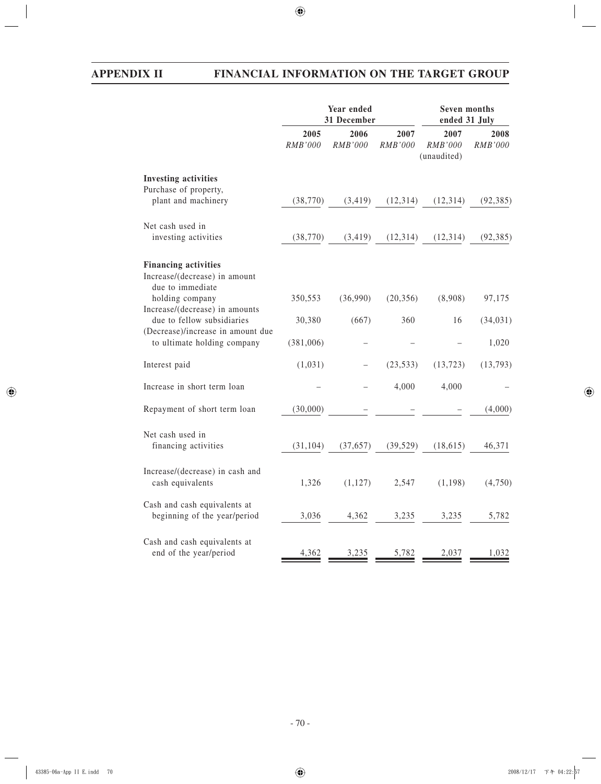|                                                                                  | Year ended<br>31 December |                        |                 | Seven months<br>ended 31 July  |                 |
|----------------------------------------------------------------------------------|---------------------------|------------------------|-----------------|--------------------------------|-----------------|
|                                                                                  | 2005<br>RMB'000           | 2006<br><b>RMB'000</b> | 2007<br>RMB'000 | 2007<br>RMB'000<br>(unaudited) | 2008<br>RMB'000 |
| <b>Investing activities</b>                                                      |                           |                        |                 |                                |                 |
| Purchase of property,<br>plant and machinery                                     | (38, 770)                 | (3, 419)               | (12, 314)       | (12,314)                       | (92, 385)       |
| Net cash used in<br>investing activities                                         | (38, 770)                 | (3, 419)               | (12, 314)       | (12, 314)                      | (92, 385)       |
| <b>Financing activities</b><br>Increase/(decrease) in amount<br>due to immediate |                           |                        |                 |                                |                 |
| holding company<br>Increase/(decrease) in amounts                                | 350,553                   | (36,990)               | (20, 356)       | (8,908)                        | 97,175          |
| due to fellow subsidiaries                                                       | 30,380                    | (667)                  | 360             | 16                             | (34, 031)       |
| (Decrease)/increase in amount due<br>to ultimate holding company                 | (381,006)                 |                        |                 |                                | 1,020           |
| Interest paid                                                                    | (1,031)                   |                        | (23, 533)       | (13, 723)                      | (13, 793)       |
| Increase in short term loan                                                      |                           |                        | 4,000           | 4,000                          |                 |
| Repayment of short term loan                                                     | (30,000)                  |                        |                 |                                | (4,000)         |
| Net cash used in<br>financing activities                                         | (31, 104)                 | (37, 657)              | (39, 529)       | (18, 615)                      | 46,371          |
| Increase/(decrease) in cash and<br>cash equivalents                              | 1,326                     | (1, 127)               | 2,547           | (1, 198)                       | (4,750)         |
| Cash and cash equivalents at<br>beginning of the year/period                     | 3,036                     | 4,362                  | 3,235           | 3,235                          | 5,782           |
| Cash and cash equivalents at<br>end of the year/period                           | 4,362                     | 3,235                  | 5,782           | 2,037                          | 1,032           |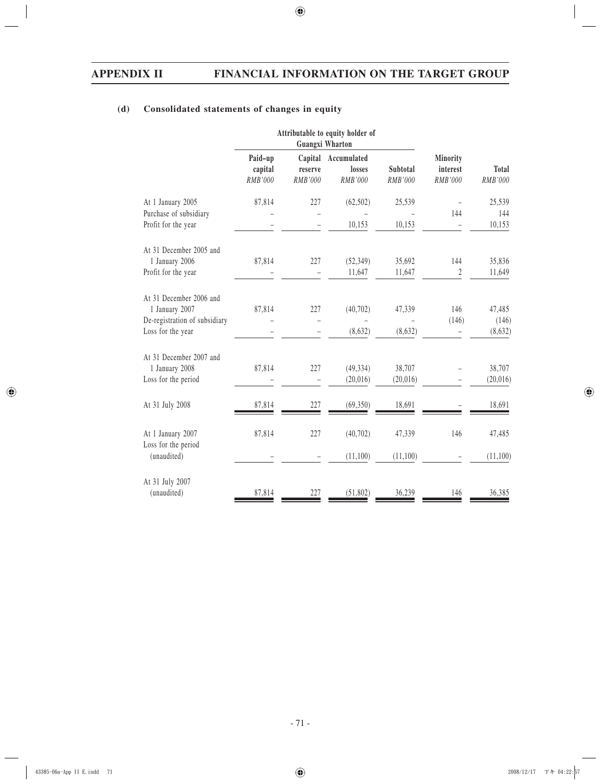# **(d) Consolidated statements of changes in equity**

|                                    |                               | Attributable to equity holder of<br><b>Guangxi Wharton</b> |                                  |                     |                                 |                         |
|------------------------------------|-------------------------------|------------------------------------------------------------|----------------------------------|---------------------|---------------------------------|-------------------------|
|                                    | Paid-up<br>capital<br>RMB'000 | Capital<br>reserve<br>RMB'000                              | Accumulated<br>losses<br>RMB'000 | Subtotal<br>RMB'000 | Minority<br>interest<br>RMB'000 | <b>Total</b><br>RMB'000 |
| At 1 January 2005                  | 87,814                        | 227                                                        | (62, 502)                        | 25,539              |                                 | 25,539                  |
| Purchase of subsidiary             |                               |                                                            |                                  |                     | 144                             | 144                     |
| Profit for the year                |                               |                                                            | 10,153                           | 10,153              |                                 | 10,153                  |
| At 31 December 2005 and            |                               |                                                            |                                  |                     |                                 |                         |
| 1 January 2006                     | 87,814                        | 227                                                        | (52, 349)                        | 35,692              | 144                             | 35,836                  |
| Profit for the year                |                               |                                                            | 11,647                           | 11,647              | $\boldsymbol{2}$                | 11,649                  |
| At 31 December 2006 and            |                               |                                                            |                                  |                     |                                 |                         |
| 1 January 2007                     | 87,814                        | 227                                                        | (40, 702)                        | 47,339              | 146                             | 47,485                  |
| De-registration of subsidiary      |                               |                                                            |                                  |                     | (146)                           | (146)                   |
| Loss for the year                  |                               |                                                            | (8,632)                          | (8,632)             |                                 | (8,632)                 |
| At 31 December 2007 and            |                               |                                                            |                                  |                     |                                 |                         |
| 1 January 2008                     | 87,814                        | 227                                                        | (49, 334)                        | 38,707              |                                 | 38,707                  |
| Loss for the period                |                               |                                                            | (20, 016)                        | (20,016)            |                                 | (20, 016)               |
| At 31 July 2008                    | 87,814                        | 227                                                        | (69, 350)                        | 18,691              |                                 | 18,691                  |
| At 1 January 2007                  | 87,814                        | 227                                                        | (40, 702)                        | 47,339              | 146                             | 47,485                  |
| Loss for the period<br>(unaudited) |                               |                                                            | (11,100)                         | (11,100)            |                                 | (11,100)                |
| At 31 July 2007                    |                               |                                                            |                                  |                     |                                 |                         |
| (unaudited)                        | 87,814                        | 227                                                        | (51, 802)                        | 36,239              | 146                             | 36,385                  |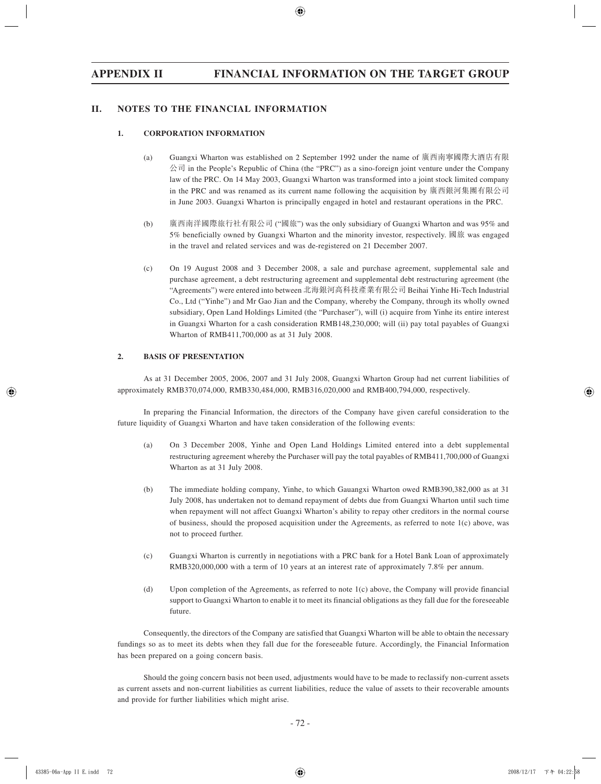# **II. NOTES TO THE FINANCIAL INFORMATION**

## **1. CORPORATION INFORMATION**

- (a) Guangxi Wharton was established on 2 September 1992 under the name of 廣西南寧國際大酒店有限  $\triangle$ 司 in the People's Republic of China (the "PRC") as a sino-foreign joint venture under the Company law of the PRC. On 14 May 2003, Guangxi Wharton was transformed into a joint stock limited company in the PRC and was renamed as its current name following the acquisition by 廣西銀河集團有限公司 in June 2003. Guangxi Wharton is principally engaged in hotel and restaurant operations in the PRC.
- (b) 廣西南洋國際旅行社有限公司 ("國旅") was the only subsidiary of Guangxi Wharton and was 95% and 5% beneficially owned by Guangxi Wharton and the minority investor, respectively. 國旅 was engaged in the travel and related services and was de-registered on 21 December 2007.
- (c) On 19 August 2008 and 3 December 2008, a sale and purchase agreement, supplemental sale and purchase agreement, a debt restructuring agreement and supplemental debt restructuring agreement (the "Agreements") were entered into between 北海銀河高科技產業有限公司 Beihai Yinhe Hi-Tech Industrial Co., Ltd ("Yinhe") and Mr Gao Jian and the Company, whereby the Company, through its wholly owned subsidiary, Open Land Holdings Limited (the "Purchaser"), will (i) acquire from Yinhe its entire interest in Guangxi Wharton for a cash consideration RMB148,230,000; will (ii) pay total payables of Guangxi Wharton of RMB411,700,000 as at 31 July 2008.

## **2. BASIS OF PRESENTATION**

As at 31 December 2005, 2006, 2007 and 31 July 2008, Guangxi Wharton Group had net current liabilities of approximately RMB370,074,000, RMB330,484,000, RMB316,020,000 and RMB400,794,000, respectively.

In preparing the Financial Information, the directors of the Company have given careful consideration to the future liquidity of Guangxi Wharton and have taken consideration of the following events:

- (a) On 3 December 2008, Yinhe and Open Land Holdings Limited entered into a debt supplemental restructuring agreement whereby the Purchaser will pay the total payables of RMB411,700,000 of Guangxi Wharton as at 31 July 2008.
- (b) The immediate holding company, Yinhe, to which Gauangxi Wharton owed RMB390,382,000 as at 31 July 2008, has undertaken not to demand repayment of debts due from Guangxi Wharton until such time when repayment will not affect Guangxi Wharton's ability to repay other creditors in the normal course of business, should the proposed acquisition under the Agreements, as referred to note  $1(c)$  above, was not to proceed further.
- (c) Guangxi Wharton is currently in negotiations with a PRC bank for a Hotel Bank Loan of approximately RMB320,000,000 with a term of 10 years at an interest rate of approximately 7.8% per annum.
- (d) Upon completion of the Agreements, as referred to note 1(c) above, the Company will provide financial support to Guangxi Wharton to enable it to meet its financial obligations as they fall due for the foreseeable future.

Consequently, the directors of the Company are satisfied that Guangxi Wharton will be able to obtain the necessary fundings so as to meet its debts when they fall due for the foreseeable future. Accordingly, the Financial Information has been prepared on a going concern basis.

Should the going concern basis not been used, adjustments would have to be made to reclassify non-current assets as current assets and non-current liabilities as current liabilities, reduce the value of assets to their recoverable amounts and provide for further liabilities which might arise.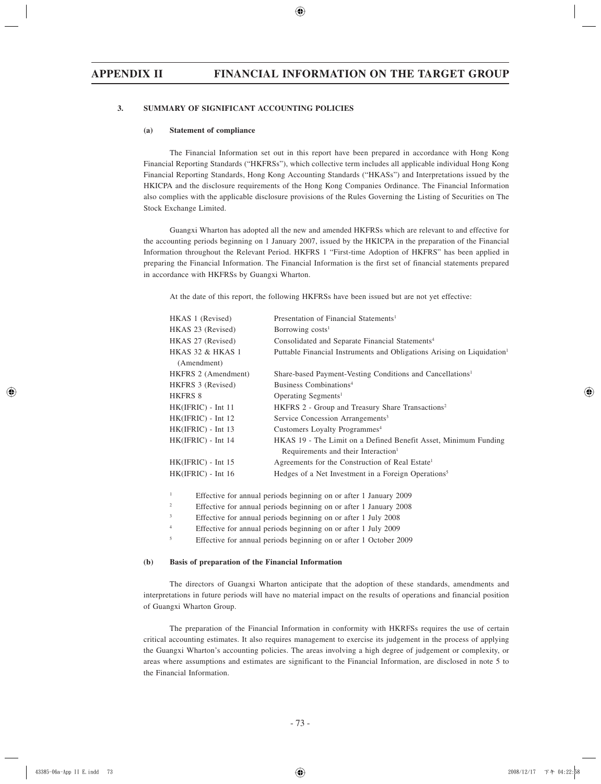## **3. SUMMARY OF SIGNIFICANT ACCOUNTING POLICIES**

#### **(a) Statement of compliance**

The Financial Information set out in this report have been prepared in accordance with Hong Kong Financial Reporting Standards ("HKFRSs"), which collective term includes all applicable individual Hong Kong Financial Reporting Standards, Hong Kong Accounting Standards ("HKASs") and Interpretations issued by the HKICPA and the disclosure requirements of the Hong Kong Companies Ordinance. The Financial Information also complies with the applicable disclosure provisions of the Rules Governing the Listing of Securities on The Stock Exchange Limited.

Guangxi Wharton has adopted all the new and amended HKFRSs which are relevant to and effective for the accounting periods beginning on 1 January 2007, issued by the HKICPA in the preparation of the Financial Information throughout the Relevant Period. HKFRS 1 "First-time Adoption of HKFRS" has been applied in preparing the Financial Information. The Financial Information is the first set of financial statements prepared in accordance with HKFRSs by Guangxi Wharton.

At the date of this report, the following HKFRSs have been issued but are not yet effective:

| HKAS 1 (Revised)     | Presentation of Financial Statements <sup>1</sup>                                  |
|----------------------|------------------------------------------------------------------------------------|
| HKAS 23 (Revised)    | Borrowing $costs1$                                                                 |
| HKAS 27 (Revised)    | Consolidated and Separate Financial Statements <sup>4</sup>                        |
| HKAS 32 & HKAS 1     | Puttable Financial Instruments and Obligations Arising on Liquidation <sup>1</sup> |
| (Amendment)          |                                                                                    |
| HKFRS 2 (Amendment)  | Share-based Payment-Vesting Conditions and Cancellations <sup>1</sup>              |
| HKFRS 3 (Revised)    | Business Combinations <sup>4</sup>                                                 |
| HKFRS 8              | Operating Segments <sup>1</sup>                                                    |
| $HK(IFRIC) - Int 11$ | HKFRS 2 - Group and Treasury Share Transactions <sup>2</sup>                       |
| $HK(IFRIC) - Int 12$ | Service Concession Arrangements <sup>3</sup>                                       |
| $HK(IFRIC) - Int 13$ | Customers Loyalty Programmes <sup>4</sup>                                          |
| $HK(IFRIC) - Int 14$ | HKAS 19 - The Limit on a Defined Benefit Asset, Minimum Funding                    |
|                      | Requirements and their Interaction <sup>1</sup>                                    |
| HK(IFRIC) - Int 15   | Agreements for the Construction of Real Estate <sup>1</sup>                        |
| $HK(IFRIC) - Int 16$ | Hedges of a Net Investment in a Foreign Operations <sup>5</sup>                    |
|                      |                                                                                    |
|                      |                                                                                    |

1 Effective for annual periods beginning on or after 1 January 2009

2 Effective for annual periods beginning on or after 1 January 2008

- 3 Effective for annual periods beginning on or after 1 July 2008
- 4 Effective for annual periods beginning on or after 1 July 2009
- 5 Effective for annual periods beginning on or after 1 October 2009

#### **(b) Basis of preparation of the Financial Information**

The directors of Guangxi Wharton anticipate that the adoption of these standards, amendments and interpretations in future periods will have no material impact on the results of operations and financial position of Guangxi Wharton Group.

The preparation of the Financial Information in conformity with HKRFSs requires the use of certain critical accounting estimates. It also requires management to exercise its judgement in the process of applying the Guangxi Wharton's accounting policies. The areas involving a high degree of judgement or complexity, or areas where assumptions and estimates are significant to the Financial Information, are disclosed in note 5 to the Financial Information.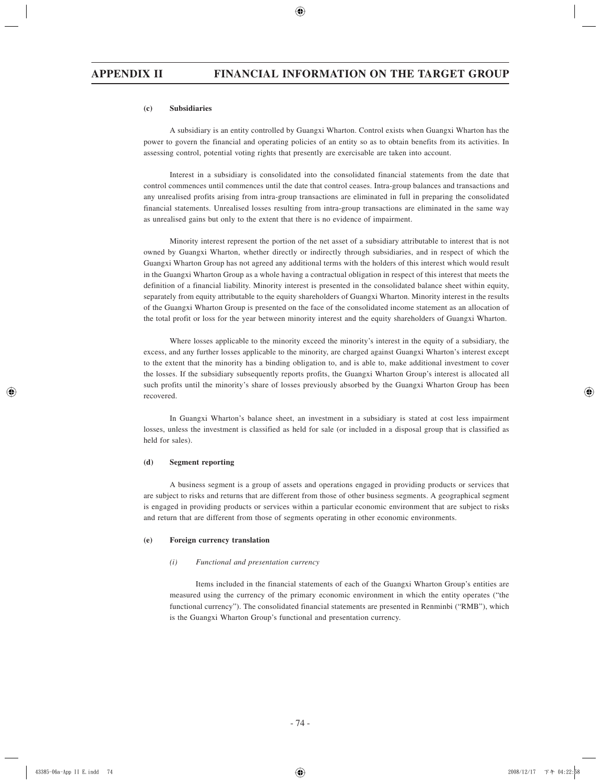#### **(c) Subsidiaries**

A subsidiary is an entity controlled by Guangxi Wharton. Control exists when Guangxi Wharton has the power to govern the financial and operating policies of an entity so as to obtain benefits from its activities. In assessing control, potential voting rights that presently are exercisable are taken into account.

Interest in a subsidiary is consolidated into the consolidated financial statements from the date that control commences until commences until the date that control ceases. Intra-group balances and transactions and any unrealised profits arising from intra-group transactions are eliminated in full in preparing the consolidated financial statements. Unrealised losses resulting from intra-group transactions are eliminated in the same way as unrealised gains but only to the extent that there is no evidence of impairment.

Minority interest represent the portion of the net asset of a subsidiary attributable to interest that is not owned by Guangxi Wharton, whether directly or indirectly through subsidiaries, and in respect of which the Guangxi Wharton Group has not agreed any additional terms with the holders of this interest which would result in the Guangxi Wharton Group as a whole having a contractual obligation in respect of this interest that meets the definition of a financial liability. Minority interest is presented in the consolidated balance sheet within equity, separately from equity attributable to the equity shareholders of Guangxi Wharton. Minority interest in the results of the Guangxi Wharton Group is presented on the face of the consolidated income statement as an allocation of the total profit or loss for the year between minority interest and the equity shareholders of Guangxi Wharton.

Where losses applicable to the minority exceed the minority's interest in the equity of a subsidiary, the excess, and any further losses applicable to the minority, are charged against Guangxi Wharton's interest except to the extent that the minority has a binding obligation to, and is able to, make additional investment to cover the losses. If the subsidiary subsequently reports profits, the Guangxi Wharton Group's interest is allocated all such profits until the minority's share of losses previously absorbed by the Guangxi Wharton Group has been recovered.

In Guangxi Wharton's balance sheet, an investment in a subsidiary is stated at cost less impairment losses, unless the investment is classified as held for sale (or included in a disposal group that is classified as held for sales).

#### **(d) Segment reporting**

A business segment is a group of assets and operations engaged in providing products or services that are subject to risks and returns that are different from those of other business segments. A geographical segment is engaged in providing products or services within a particular economic environment that are subject to risks and return that are different from those of segments operating in other economic environments.

#### **(e) Foreign currency translation**

#### *(i) Functional and presentation currency*

Items included in the financial statements of each of the Guangxi Wharton Group's entities are measured using the currency of the primary economic environment in which the entity operates ("the functional currency"). The consolidated financial statements are presented in Renminbi ("RMB"), which is the Guangxi Wharton Group's functional and presentation currency.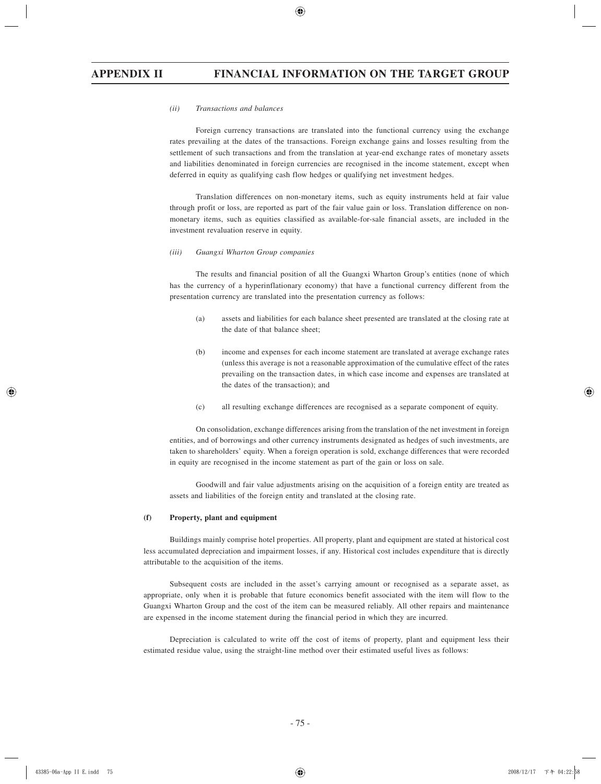#### *(ii) Transactions and balances*

Foreign currency transactions are translated into the functional currency using the exchange rates prevailing at the dates of the transactions. Foreign exchange gains and losses resulting from the settlement of such transactions and from the translation at year-end exchange rates of monetary assets and liabilities denominated in foreign currencies are recognised in the income statement, except when deferred in equity as qualifying cash flow hedges or qualifying net investment hedges.

Translation differences on non-monetary items, such as equity instruments held at fair value through profit or loss, are reported as part of the fair value gain or loss. Translation difference on nonmonetary items, such as equities classified as available-for-sale financial assets, are included in the investment revaluation reserve in equity.

#### *(iii) Guangxi Wharton Group companies*

The results and financial position of all the Guangxi Wharton Group's entities (none of which has the currency of a hyperinflationary economy) that have a functional currency different from the presentation currency are translated into the presentation currency as follows:

- (a) assets and liabilities for each balance sheet presented are translated at the closing rate at the date of that balance sheet;
- (b) income and expenses for each income statement are translated at average exchange rates (unless this average is not a reasonable approximation of the cumulative effect of the rates prevailing on the transaction dates, in which case income and expenses are translated at the dates of the transaction); and
- (c) all resulting exchange differences are recognised as a separate component of equity.

On consolidation, exchange differences arising from the translation of the net investment in foreign entities, and of borrowings and other currency instruments designated as hedges of such investments, are taken to shareholders' equity. When a foreign operation is sold, exchange differences that were recorded in equity are recognised in the income statement as part of the gain or loss on sale.

Goodwill and fair value adjustments arising on the acquisition of a foreign entity are treated as assets and liabilities of the foreign entity and translated at the closing rate.

#### **(f) Property, plant and equipment**

Buildings mainly comprise hotel properties. All property, plant and equipment are stated at historical cost less accumulated depreciation and impairment losses, if any. Historical cost includes expenditure that is directly attributable to the acquisition of the items.

Subsequent costs are included in the asset's carrying amount or recognised as a separate asset, as appropriate, only when it is probable that future economics benefit associated with the item will flow to the Guangxi Wharton Group and the cost of the item can be measured reliably. All other repairs and maintenance are expensed in the income statement during the financial period in which they are incurred.

Depreciation is calculated to write off the cost of items of property, plant and equipment less their estimated residue value, using the straight-line method over their estimated useful lives as follows: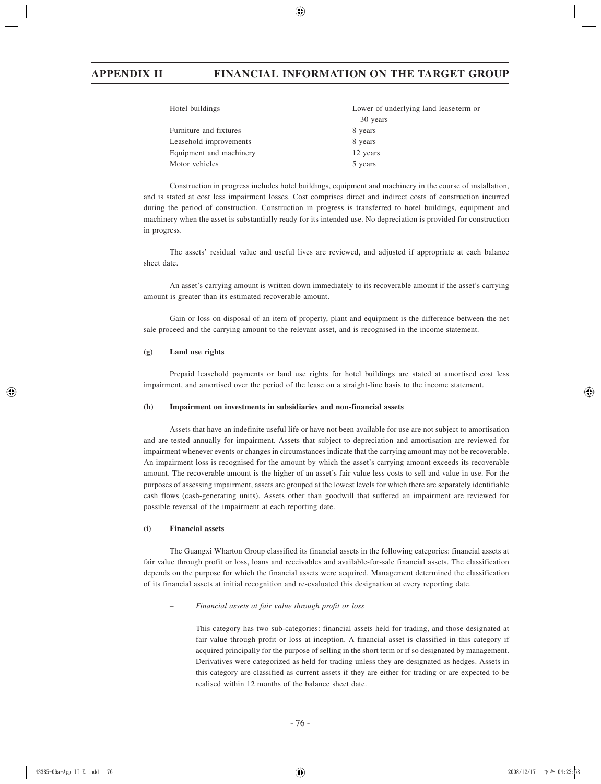Construction in progress includes hotel buildings, equipment and machinery in the course of installation, and is stated at cost less impairment losses. Cost comprises direct and indirect costs of construction incurred during the period of construction. Construction in progress is transferred to hotel buildings, equipment and machinery when the asset is substantially ready for its intended use. No depreciation is provided for construction in progress.

The assets' residual value and useful lives are reviewed, and adjusted if appropriate at each balance sheet date.

An asset's carrying amount is written down immediately to its recoverable amount if the asset's carrying amount is greater than its estimated recoverable amount.

Gain or loss on disposal of an item of property, plant and equipment is the difference between the net sale proceed and the carrying amount to the relevant asset, and is recognised in the income statement.

#### **(g) Land use rights**

Prepaid leasehold payments or land use rights for hotel buildings are stated at amortised cost less impairment, and amortised over the period of the lease on a straight-line basis to the income statement.

#### **(h) Impairment on investments in subsidiaries and non-financial assets**

Assets that have an indefinite useful life or have not been available for use are not subject to amortisation and are tested annually for impairment. Assets that subject to depreciation and amortisation are reviewed for impairment whenever events or changes in circumstances indicate that the carrying amount may not be recoverable. An impairment loss is recognised for the amount by which the asset's carrying amount exceeds its recoverable amount. The recoverable amount is the higher of an asset's fair value less costs to sell and value in use. For the purposes of assessing impairment, assets are grouped at the lowest levels for which there are separately identifiable cash flows (cash-generating units). Assets other than goodwill that suffered an impairment are reviewed for possible reversal of the impairment at each reporting date.

## **(i) Financial assets**

The Guangxi Wharton Group classified its financial assets in the following categories: financial assets at fair value through profit or loss, loans and receivables and available-for-sale financial assets. The classification depends on the purpose for which the financial assets were acquired. Management determined the classification of its financial assets at initial recognition and re-evaluated this designation at every reporting date.

## *– Financial assets at fair value through profit or loss*

This category has two sub-categories: financial assets held for trading, and those designated at fair value through profit or loss at inception. A financial asset is classified in this category if acquired principally for the purpose of selling in the short term or if so designated by management. Derivatives were categorized as held for trading unless they are designated as hedges. Assets in this category are classified as current assets if they are either for trading or are expected to be realised within 12 months of the balance sheet date.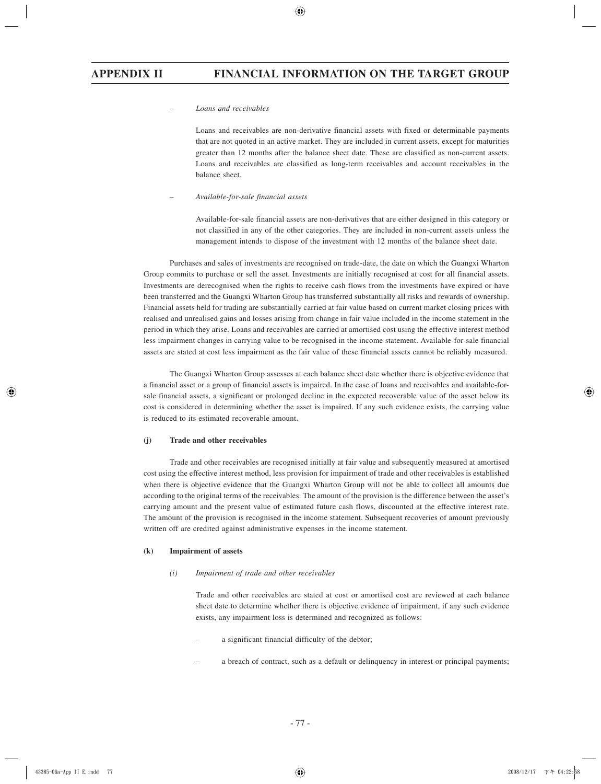#### *– Loans and receivables*

Loans and receivables are non-derivative financial assets with fixed or determinable payments that are not quoted in an active market. They are included in current assets, except for maturities greater than 12 months after the balance sheet date. These are classified as non-current assets. Loans and receivables are classified as long-term receivables and account receivables in the balance sheet.

### *– Available-for-sale financial assets*

Available-for-sale financial assets are non-derivatives that are either designed in this category or not classified in any of the other categories. They are included in non-current assets unless the management intends to dispose of the investment with 12 months of the balance sheet date.

Purchases and sales of investments are recognised on trade-date, the date on which the Guangxi Wharton Group commits to purchase or sell the asset. Investments are initially recognised at cost for all financial assets. Investments are derecognised when the rights to receive cash flows from the investments have expired or have been transferred and the Guangxi Wharton Group has transferred substantially all risks and rewards of ownership. Financial assets held for trading are substantially carried at fair value based on current market closing prices with realised and unrealised gains and losses arising from change in fair value included in the income statement in the period in which they arise. Loans and receivables are carried at amortised cost using the effective interest method less impairment changes in carrying value to be recognised in the income statement. Available-for-sale financial assets are stated at cost less impairment as the fair value of these financial assets cannot be reliably measured.

The Guangxi Wharton Group assesses at each balance sheet date whether there is objective evidence that a financial asset or a group of financial assets is impaired. In the case of loans and receivables and available-forsale financial assets, a significant or prolonged decline in the expected recoverable value of the asset below its cost is considered in determining whether the asset is impaired. If any such evidence exists, the carrying value is reduced to its estimated recoverable amount.

#### **(j) Trade and other receivables**

Trade and other receivables are recognised initially at fair value and subsequently measured at amortised cost using the effective interest method, less provision for impairment of trade and other receivables is established when there is objective evidence that the Guangxi Wharton Group will not be able to collect all amounts due according to the original terms of the receivables. The amount of the provision is the difference between the asset's carrying amount and the present value of estimated future cash flows, discounted at the effective interest rate. The amount of the provision is recognised in the income statement. Subsequent recoveries of amount previously written off are credited against administrative expenses in the income statement.

#### **(k) Impairment of assets**

#### *(i) Impairment of trade and other receivables*

Trade and other receivables are stated at cost or amortised cost are reviewed at each balance sheet date to determine whether there is objective evidence of impairment, if any such evidence exists, any impairment loss is determined and recognized as follows:

- a significant financial difficulty of the debtor;
- a breach of contract, such as a default or delinquency in interest or principal payments;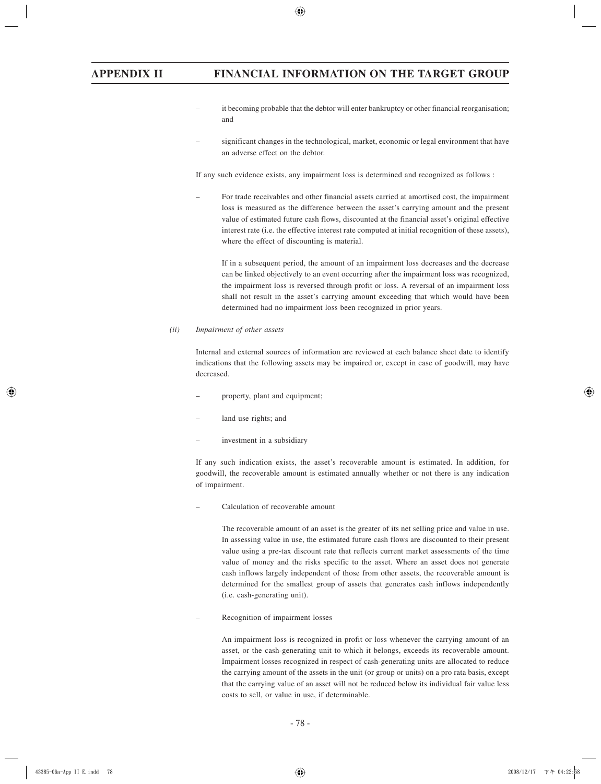- it becoming probable that the debtor will enter bankruptcy or other financial reorganisation; and
- significant changes in the technological, market, economic or legal environment that have an adverse effect on the debtor.

If any such evidence exists, any impairment loss is determined and recognized as follows :

– For trade receivables and other financial assets carried at amortised cost, the impairment loss is measured as the difference between the asset's carrying amount and the present value of estimated future cash flows, discounted at the financial asset's original effective interest rate (i.e. the effective interest rate computed at initial recognition of these assets), where the effect of discounting is material.

 If in a subsequent period, the amount of an impairment loss decreases and the decrease can be linked objectively to an event occurring after the impairment loss was recognized, the impairment loss is reversed through profit or loss. A reversal of an impairment loss shall not result in the asset's carrying amount exceeding that which would have been determined had no impairment loss been recognized in prior years.

## *(ii) Impairment of other assets*

Internal and external sources of information are reviewed at each balance sheet date to identify indications that the following assets may be impaired or, except in case of goodwill, may have decreased.

- property, plant and equipment;
- land use rights; and
- investment in a subsidiary

If any such indication exists, the asset's recoverable amount is estimated. In addition, for goodwill, the recoverable amount is estimated annually whether or not there is any indication of impairment.

– Calculation of recoverable amount

 The recoverable amount of an asset is the greater of its net selling price and value in use. In assessing value in use, the estimated future cash flows are discounted to their present value using a pre-tax discount rate that reflects current market assessments of the time value of money and the risks specific to the asset. Where an asset does not generate cash inflows largely independent of those from other assets, the recoverable amount is determined for the smallest group of assets that generates cash inflows independently (i.e. cash-generating unit).

– Recognition of impairment losses

 An impairment loss is recognized in profit or loss whenever the carrying amount of an asset, or the cash-generating unit to which it belongs, exceeds its recoverable amount. Impairment losses recognized in respect of cash-generating units are allocated to reduce the carrying amount of the assets in the unit (or group or units) on a pro rata basis, except that the carrying value of an asset will not be reduced below its individual fair value less costs to sell, or value in use, if determinable.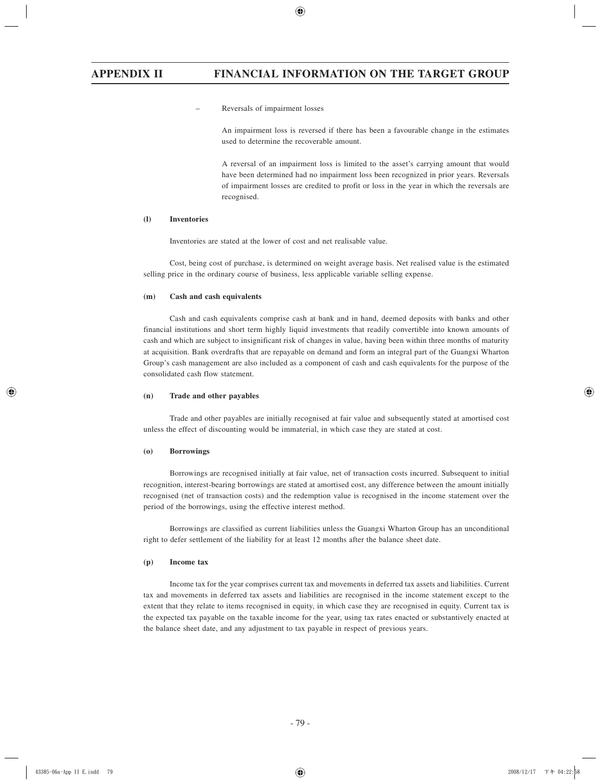– Reversals of impairment losses

 An impairment loss is reversed if there has been a favourable change in the estimates used to determine the recoverable amount.

 A reversal of an impairment loss is limited to the asset's carrying amount that would have been determined had no impairment loss been recognized in prior years. Reversals of impairment losses are credited to profit or loss in the year in which the reversals are recognised.

## **(l) Inventories**

Inventories are stated at the lower of cost and net realisable value.

Cost, being cost of purchase, is determined on weight average basis. Net realised value is the estimated selling price in the ordinary course of business, less applicable variable selling expense.

#### **(m) Cash and cash equivalents**

Cash and cash equivalents comprise cash at bank and in hand, deemed deposits with banks and other financial institutions and short term highly liquid investments that readily convertible into known amounts of cash and which are subject to insignificant risk of changes in value, having been within three months of maturity at acquisition. Bank overdrafts that are repayable on demand and form an integral part of the Guangxi Wharton Group's cash management are also included as a component of cash and cash equivalents for the purpose of the consolidated cash flow statement.

#### **(n) Trade and other payables**

Trade and other payables are initially recognised at fair value and subsequently stated at amortised cost unless the effect of discounting would be immaterial, in which case they are stated at cost.

#### **(o) Borrowings**

Borrowings are recognised initially at fair value, net of transaction costs incurred. Subsequent to initial recognition, interest-bearing borrowings are stated at amortised cost, any difference between the amount initially recognised (net of transaction costs) and the redemption value is recognised in the income statement over the period of the borrowings, using the effective interest method.

Borrowings are classified as current liabilities unless the Guangxi Wharton Group has an unconditional right to defer settlement of the liability for at least 12 months after the balance sheet date.

#### **(p) Income tax**

Income tax for the year comprises current tax and movements in deferred tax assets and liabilities. Current tax and movements in deferred tax assets and liabilities are recognised in the income statement except to the extent that they relate to items recognised in equity, in which case they are recognised in equity. Current tax is the expected tax payable on the taxable income for the year, using tax rates enacted or substantively enacted at the balance sheet date, and any adjustment to tax payable in respect of previous years.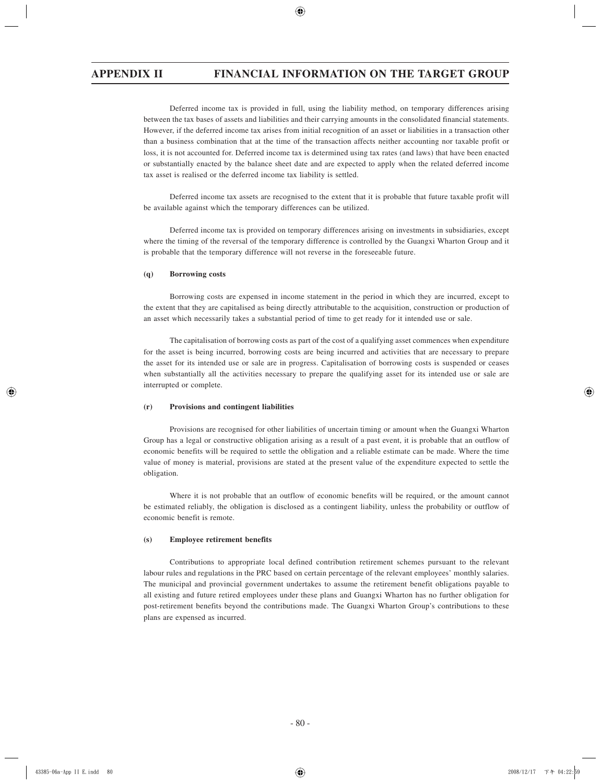Deferred income tax is provided in full, using the liability method, on temporary differences arising between the tax bases of assets and liabilities and their carrying amounts in the consolidated financial statements. However, if the deferred income tax arises from initial recognition of an asset or liabilities in a transaction other than a business combination that at the time of the transaction affects neither accounting nor taxable profit or loss, it is not accounted for. Deferred income tax is determined using tax rates (and laws) that have been enacted or substantially enacted by the balance sheet date and are expected to apply when the related deferred income tax asset is realised or the deferred income tax liability is settled.

Deferred income tax assets are recognised to the extent that it is probable that future taxable profit will be available against which the temporary differences can be utilized.

Deferred income tax is provided on temporary differences arising on investments in subsidiaries, except where the timing of the reversal of the temporary difference is controlled by the Guangxi Wharton Group and it is probable that the temporary difference will not reverse in the foreseeable future.

#### **(q) Borrowing costs**

Borrowing costs are expensed in income statement in the period in which they are incurred, except to the extent that they are capitalised as being directly attributable to the acquisition, construction or production of an asset which necessarily takes a substantial period of time to get ready for it intended use or sale.

The capitalisation of borrowing costs as part of the cost of a qualifying asset commences when expenditure for the asset is being incurred, borrowing costs are being incurred and activities that are necessary to prepare the asset for its intended use or sale are in progress. Capitalisation of borrowing costs is suspended or ceases when substantially all the activities necessary to prepare the qualifying asset for its intended use or sale are interrupted or complete.

#### **(r) Provisions and contingent liabilities**

Provisions are recognised for other liabilities of uncertain timing or amount when the Guangxi Wharton Group has a legal or constructive obligation arising as a result of a past event, it is probable that an outflow of economic benefits will be required to settle the obligation and a reliable estimate can be made. Where the time value of money is material, provisions are stated at the present value of the expenditure expected to settle the obligation.

Where it is not probable that an outflow of economic benefits will be required, or the amount cannot be estimated reliably, the obligation is disclosed as a contingent liability, unless the probability or outflow of economic benefit is remote.

#### **(s) Employee retirement benefits**

Contributions to appropriate local defined contribution retirement schemes pursuant to the relevant labour rules and regulations in the PRC based on certain percentage of the relevant employees' monthly salaries. The municipal and provincial government undertakes to assume the retirement benefit obligations payable to all existing and future retired employees under these plans and Guangxi Wharton has no further obligation for post-retirement benefits beyond the contributions made. The Guangxi Wharton Group's contributions to these plans are expensed as incurred.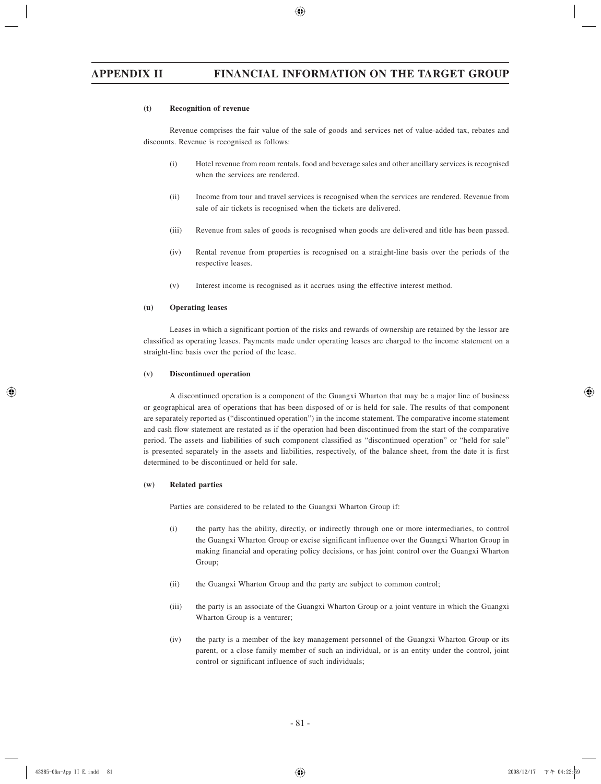#### **(t) Recognition of revenue**

Revenue comprises the fair value of the sale of goods and services net of value-added tax, rebates and discounts. Revenue is recognised as follows:

- (i) Hotel revenue from room rentals, food and beverage sales and other ancillary services is recognised when the services are rendered.
- (ii) Income from tour and travel services is recognised when the services are rendered. Revenue from sale of air tickets is recognised when the tickets are delivered.
- (iii) Revenue from sales of goods is recognised when goods are delivered and title has been passed.
- (iv) Rental revenue from properties is recognised on a straight-line basis over the periods of the respective leases.
- (v) Interest income is recognised as it accrues using the effective interest method.

### **(u) Operating leases**

Leases in which a significant portion of the risks and rewards of ownership are retained by the lessor are classified as operating leases. Payments made under operating leases are charged to the income statement on a straight-line basis over the period of the lease.

#### **(v) Discontinued operation**

A discontinued operation is a component of the Guangxi Wharton that may be a major line of business or geographical area of operations that has been disposed of or is held for sale. The results of that component are separately reported as ("discontinued operation") in the income statement. The comparative income statement and cash flow statement are restated as if the operation had been discontinued from the start of the comparative period. The assets and liabilities of such component classified as "discontinued operation" or "held for sale" is presented separately in the assets and liabilities, respectively, of the balance sheet, from the date it is first determined to be discontinued or held for sale.

#### **(w) Related parties**

Parties are considered to be related to the Guangxi Wharton Group if:

- (i) the party has the ability, directly, or indirectly through one or more intermediaries, to control the Guangxi Wharton Group or excise significant influence over the Guangxi Wharton Group in making financial and operating policy decisions, or has joint control over the Guangxi Wharton Group;
- (ii) the Guangxi Wharton Group and the party are subject to common control;
- (iii) the party is an associate of the Guangxi Wharton Group or a joint venture in which the Guangxi Wharton Group is a venturer;
- (iv) the party is a member of the key management personnel of the Guangxi Wharton Group or its parent, or a close family member of such an individual, or is an entity under the control, joint control or significant influence of such individuals;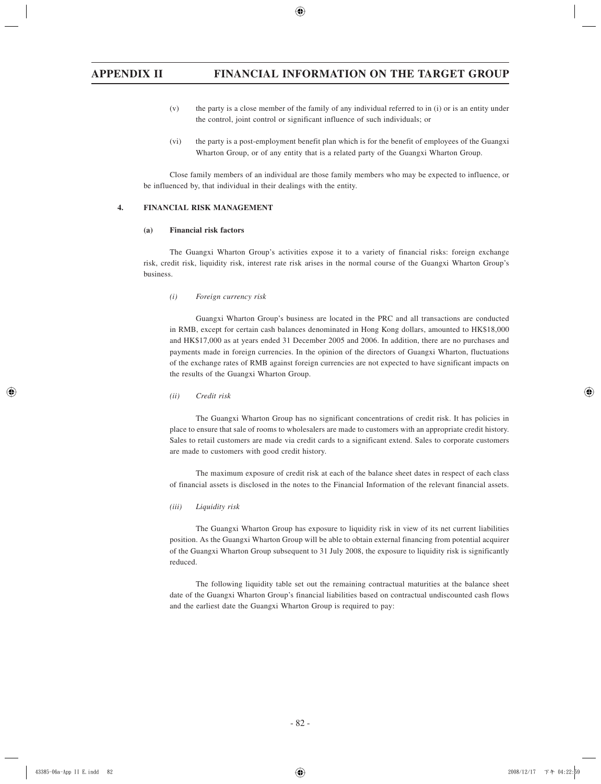- (v) the party is a close member of the family of any individual referred to in (i) or is an entity under the control, joint control or significant influence of such individuals; or
- (vi) the party is a post-employment benefit plan which is for the benefit of employees of the Guangxi Wharton Group, or of any entity that is a related party of the Guangxi Wharton Group.

Close family members of an individual are those family members who may be expected to influence, or be influenced by, that individual in their dealings with the entity.

# **4. FINANCIAL RISK MANAGEMENT**

#### **(a) Financial risk factors**

The Guangxi Wharton Group's activities expose it to a variety of financial risks: foreign exchange risk, credit risk, liquidity risk, interest rate risk arises in the normal course of the Guangxi Wharton Group's business.

*(i) Foreign currency risk*

Guangxi Wharton Group's business are located in the PRC and all transactions are conducted in RMB, except for certain cash balances denominated in Hong Kong dollars, amounted to HK\$18,000 and HK\$17,000 as at years ended 31 December 2005 and 2006. In addition, there are no purchases and payments made in foreign currencies. In the opinion of the directors of Guangxi Wharton, fluctuations of the exchange rates of RMB against foreign currencies are not expected to have significant impacts on the results of the Guangxi Wharton Group.

#### *(ii) Credit risk*

The Guangxi Wharton Group has no significant concentrations of credit risk. It has policies in place to ensure that sale of rooms to wholesalers are made to customers with an appropriate credit history. Sales to retail customers are made via credit cards to a significant extend. Sales to corporate customers are made to customers with good credit history.

The maximum exposure of credit risk at each of the balance sheet dates in respect of each class of financial assets is disclosed in the notes to the Financial Information of the relevant financial assets.

#### *(iii) Liquidity risk*

The Guangxi Wharton Group has exposure to liquidity risk in view of its net current liabilities position. As the Guangxi Wharton Group will be able to obtain external financing from potential acquirer of the Guangxi Wharton Group subsequent to 31 July 2008, the exposure to liquidity risk is significantly reduced.

The following liquidity table set out the remaining contractual maturities at the balance sheet date of the Guangxi Wharton Group's financial liabilities based on contractual undiscounted cash flows and the earliest date the Guangxi Wharton Group is required to pay: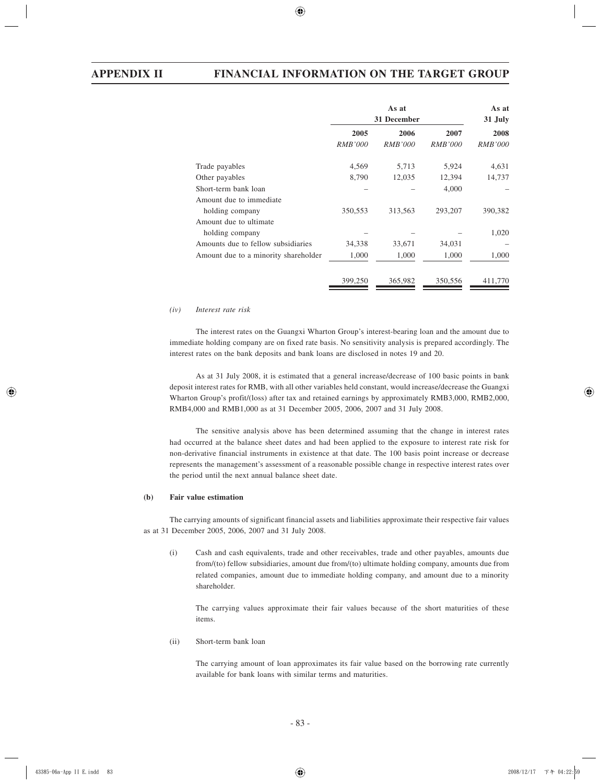|                                      | 31 December    |                | As at<br>31 July |                |
|--------------------------------------|----------------|----------------|------------------|----------------|
|                                      | 2005           | 2006           | 2007             | 2008           |
|                                      | <b>RMB'000</b> | <i>RMB'000</i> | <i>RMB'000</i>   | <b>RMB'000</b> |
| Trade payables                       | 4,569          | 5,713          | 5,924            | 4,631          |
| Other payables                       | 8,790          | 12,035         | 12,394           | 14,737         |
| Short-term bank loan                 |                |                | 4,000            |                |
| Amount due to immediate              |                |                |                  |                |
| holding company                      | 350,553        | 313,563        | 293,207          | 390,382        |
| Amount due to ultimate               |                |                |                  |                |
| holding company                      |                |                |                  | 1,020          |
| Amounts due to fellow subsidiaries   | 34,338         | 33,671         | 34,031           |                |
| Amount due to a minority shareholder | 1,000          | 1,000          | 1,000            | 1,000          |
|                                      | 399,250        | 365,982        | 350,556          | 411,770        |

#### *(iv) Interest rate risk*

The interest rates on the Guangxi Wharton Group's interest-bearing loan and the amount due to immediate holding company are on fixed rate basis. No sensitivity analysis is prepared accordingly. The interest rates on the bank deposits and bank loans are disclosed in notes 19 and 20.

As at 31 July 2008, it is estimated that a general increase/decrease of 100 basic points in bank deposit interest rates for RMB, with all other variables held constant, would increase/decrease the Guangxi Wharton Group's profit/(loss) after tax and retained earnings by approximately RMB3,000, RMB2,000, RMB4,000 and RMB1,000 as at 31 December 2005, 2006, 2007 and 31 July 2008.

The sensitive analysis above has been determined assuming that the change in interest rates had occurred at the balance sheet dates and had been applied to the exposure to interest rate risk for non-derivative financial instruments in existence at that date. The 100 basis point increase or decrease represents the management's assessment of a reasonable possible change in respective interest rates over the period until the next annual balance sheet date.

## **(b) Fair value estimation**

The carrying amounts of significant financial assets and liabilities approximate their respective fair values as at 31 December 2005, 2006, 2007 and 31 July 2008.

(i) Cash and cash equivalents, trade and other receivables, trade and other payables, amounts due from/(to) fellow subsidiaries, amount due from/(to) ultimate holding company, amounts due from related companies, amount due to immediate holding company, and amount due to a minority shareholder.

 The carrying values approximate their fair values because of the short maturities of these items.

(ii) Short-term bank loan

 The carrying amount of loan approximates its fair value based on the borrowing rate currently available for bank loans with similar terms and maturities.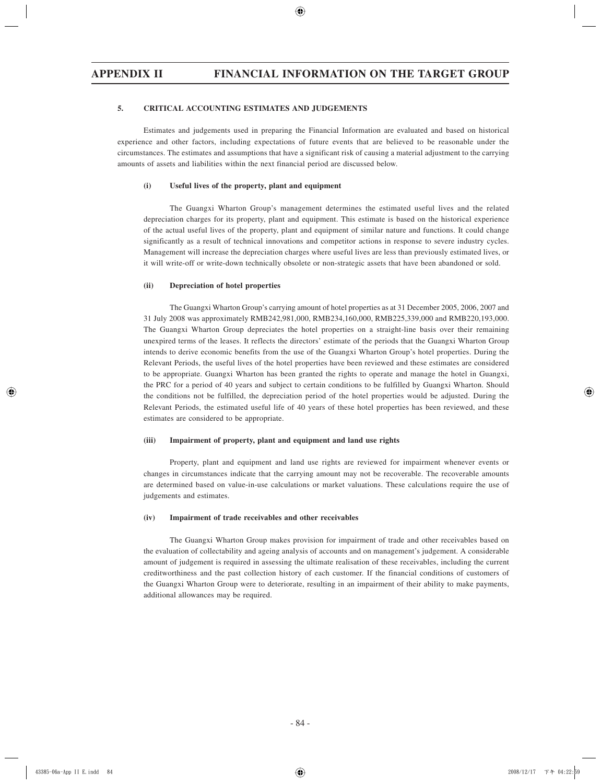### **5. CRITICAL ACCOUNTING ESTIMATES AND JUDGEMENTS**

Estimates and judgements used in preparing the Financial Information are evaluated and based on historical experience and other factors, including expectations of future events that are believed to be reasonable under the circumstances. The estimates and assumptions that have a significant risk of causing a material adjustment to the carrying amounts of assets and liabilities within the next financial period are discussed below.

#### **(i) Useful lives of the property, plant and equipment**

The Guangxi Wharton Group's management determines the estimated useful lives and the related depreciation charges for its property, plant and equipment. This estimate is based on the historical experience of the actual useful lives of the property, plant and equipment of similar nature and functions. It could change significantly as a result of technical innovations and competitor actions in response to severe industry cycles. Management will increase the depreciation charges where useful lives are less than previously estimated lives, or it will write-off or write-down technically obsolete or non-strategic assets that have been abandoned or sold.

## **(ii) Depreciation of hotel properties**

The Guangxi Wharton Group's carrying amount of hotel properties as at 31 December 2005, 2006, 2007 and 31 July 2008 was approximately RMB242,981,000, RMB234,160,000, RMB225,339,000 and RMB220,193,000. The Guangxi Wharton Group depreciates the hotel properties on a straight-line basis over their remaining unexpired terms of the leases. It reflects the directors' estimate of the periods that the Guangxi Wharton Group intends to derive economic benefits from the use of the Guangxi Wharton Group's hotel properties. During the Relevant Periods, the useful lives of the hotel properties have been reviewed and these estimates are considered to be appropriate. Guangxi Wharton has been granted the rights to operate and manage the hotel in Guangxi, the PRC for a period of 40 years and subject to certain conditions to be fulfilled by Guangxi Wharton. Should the conditions not be fulfilled, the depreciation period of the hotel properties would be adjusted. During the Relevant Periods, the estimated useful life of 40 years of these hotel properties has been reviewed, and these estimates are considered to be appropriate.

#### **(iii) Impairment of property, plant and equipment and land use rights**

Property, plant and equipment and land use rights are reviewed for impairment whenever events or changes in circumstances indicate that the carrying amount may not be recoverable. The recoverable amounts are determined based on value-in-use calculations or market valuations. These calculations require the use of judgements and estimates.

#### **(iv) Impairment of trade receivables and other receivables**

The Guangxi Wharton Group makes provision for impairment of trade and other receivables based on the evaluation of collectability and ageing analysis of accounts and on management's judgement. A considerable amount of judgement is required in assessing the ultimate realisation of these receivables, including the current creditworthiness and the past collection history of each customer. If the financial conditions of customers of the Guangxi Wharton Group were to deteriorate, resulting in an impairment of their ability to make payments, additional allowances may be required.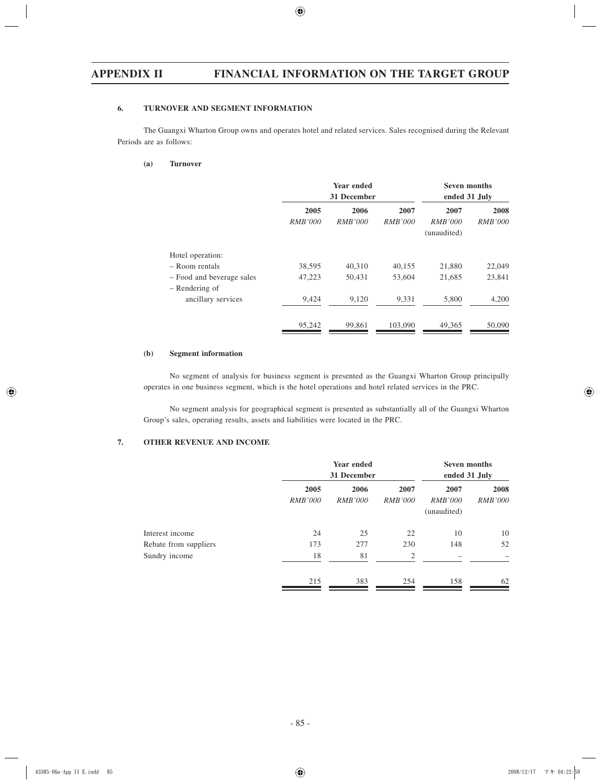# **6. TURNOVER AND SEGMENT INFORMATION**

The Guangxi Wharton Group owns and operates hotel and related services. Sales recognised during the Relevant Periods are as follows:

# **(a) Turnover**

|                           | <b>Year ended</b><br>31 December |                        |                        | <b>Seven months</b><br>ended 31 July  |                        |
|---------------------------|----------------------------------|------------------------|------------------------|---------------------------------------|------------------------|
|                           | 2005<br><i>RMB'000</i>           | 2006<br><i>RMB'000</i> | 2007<br><i>RMB'000</i> | 2007<br><i>RMB'000</i><br>(unaudited) | 2008<br><i>RMB'000</i> |
| Hotel operation:          |                                  |                        |                        |                                       |                        |
| - Room rentals            | 38,595                           | 40,310                 | 40,155                 | 21,880                                | 22,049                 |
| - Food and beverage sales | 47,223                           | 50,431                 | 53,604                 | 21,685                                | 23,841                 |
| – Rendering of            |                                  |                        |                        |                                       |                        |
| ancillary services        | 9,424                            | 9,120                  | 9,331                  | 5,800                                 | 4,200                  |
|                           | 95,242                           | 99,861                 | 103,090                | 49,365                                | 50,090                 |

# **(b) Segment information**

No segment of analysis for business segment is presented as the Guangxi Wharton Group principally operates in one business segment, which is the hotel operations and hotel related services in the PRC.

No segment analysis for geographical segment is presented as substantially all of the Guangxi Wharton Group's sales, operating results, assets and liabilities were located in the PRC.

# **7. OTHER REVENUE AND INCOME**

|                       |                        | Year ended<br>31 December |                        |                                       | <b>Seven months</b><br>ended 31 July |  |
|-----------------------|------------------------|---------------------------|------------------------|---------------------------------------|--------------------------------------|--|
|                       | 2005<br><b>RMB'000</b> | 2006<br><b>RMB'000</b>    | 2007<br><b>RMB'000</b> | 2007<br><i>RMB'000</i><br>(unaudited) | 2008<br><i>RMB'000</i>               |  |
| Interest income       | 24                     | 25                        | 22                     | 10                                    | 10                                   |  |
| Rebate from suppliers | 173                    | 277                       | 230                    | 148                                   | 52                                   |  |
| Sundry income         | 18                     | 81                        | $\overline{2}$         | $\overline{\phantom{0}}$              | -                                    |  |
|                       | 215                    | 383                       | 254                    | 158                                   | 62                                   |  |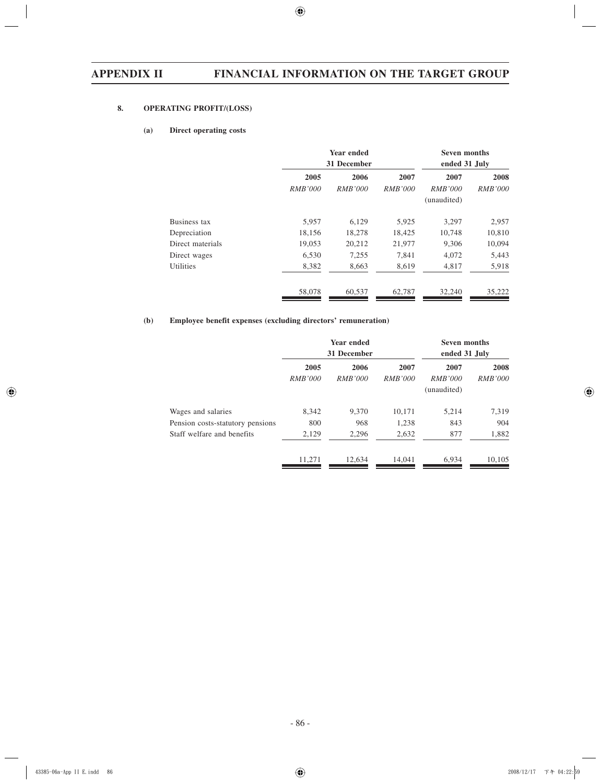# **8. OPERATING PROFIT/(LOSS)**

## **(a) Direct operating costs**

|                  | Year ended<br>31 December |                        |                        | <b>Seven months</b><br>ended 31 July  |                        |
|------------------|---------------------------|------------------------|------------------------|---------------------------------------|------------------------|
|                  | 2005<br><i>RMB'000</i>    | 2006<br><i>RMB'000</i> | 2007<br><i>RMB'000</i> | 2007<br><i>RMB'000</i><br>(unaudited) | 2008<br><b>RMB'000</b> |
| Business tax     | 5,957                     | 6,129                  | 5,925                  | 3,297                                 | 2,957                  |
| Depreciation     | 18,156                    | 18,278                 | 18,425                 | 10,748                                | 10,810                 |
| Direct materials | 19,053                    | 20,212                 | 21,977                 | 9,306                                 | 10,094                 |
| Direct wages     | 6,530                     | 7,255                  | 7,841                  | 4,072                                 | 5,443                  |
| <b>Utilities</b> | 8,382                     | 8,663                  | 8,619                  | 4,817                                 | 5,918                  |
|                  | 58,078                    | 60,537                 | 62,787                 | 32,240                                | 35,222                 |

## **(b) Employee benefit expenses (excluding directors' remuneration)**

|                                                        | Year ended<br>31 December |                        |                        | <b>Seven months</b><br>ended 31 July  |                        |
|--------------------------------------------------------|---------------------------|------------------------|------------------------|---------------------------------------|------------------------|
|                                                        | 2005<br><i>RMB'000</i>    | 2006<br><i>RMB'000</i> | 2007<br><i>RMB'000</i> | 2007<br><i>RMB'000</i><br>(unaudited) | 2008<br><i>RMB'000</i> |
| Wages and salaries<br>Pension costs-statutory pensions | 8.342<br>800              | 9.370<br>968           | 10,171<br>1,238        | 5,214<br>843                          | 7,319<br>904           |
| Staff welfare and benefits                             | 2,129                     | 2,296                  | 2,632                  | 877                                   | 1,882                  |
|                                                        | 11,271                    | 12,634                 | 14,041                 | 6,934                                 | 10,105                 |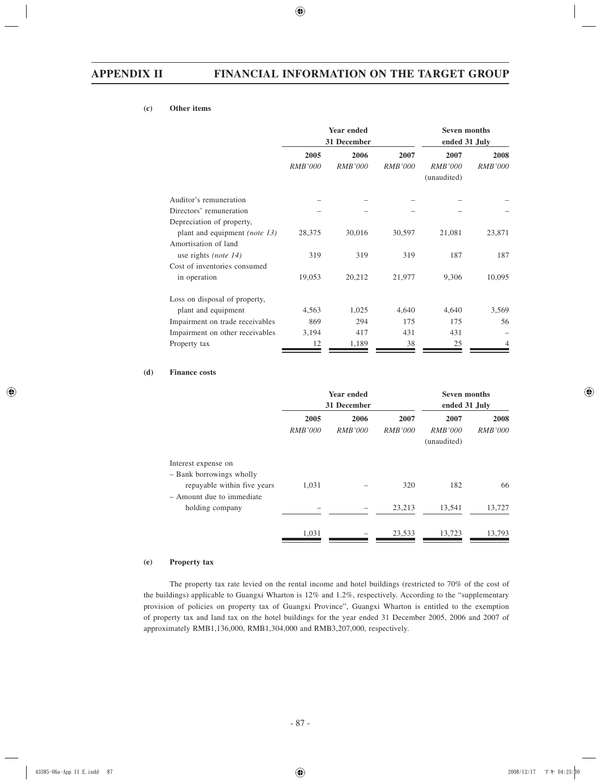# **(c) Other items**

|                                      | Year ended<br>31 December |                        |                        | <b>Seven months</b><br>ended 31 July  |                        |
|--------------------------------------|---------------------------|------------------------|------------------------|---------------------------------------|------------------------|
|                                      | 2005<br><b>RMB'000</b>    | 2006<br><b>RMB'000</b> | 2007<br><b>RMB'000</b> | 2007<br><i>RMB'000</i><br>(unaudited) | 2008<br><i>RMB'000</i> |
| Auditor's remuneration               |                           |                        |                        |                                       |                        |
| Directors' remuneration              |                           |                        |                        |                                       |                        |
| Depreciation of property,            |                           |                        |                        |                                       |                        |
| plant and equipment <i>(note 13)</i> | 28,375                    | 30,016                 | 30,597                 | 21,081                                | 23,871                 |
| Amortisation of land                 |                           |                        |                        |                                       |                        |
| use rights ( <i>note</i> $14$ )      | 319                       | 319                    | 319                    | 187                                   | 187                    |
| Cost of inventories consumed         |                           |                        |                        |                                       |                        |
| in operation                         | 19,053                    | 20,212                 | 21,977                 | 9,306                                 | 10,095                 |
| Loss on disposal of property,        |                           |                        |                        |                                       |                        |
| plant and equipment                  | 4,563                     | 1,025                  | 4,640                  | 4,640                                 | 3,569                  |
| Impairment on trade receivables      | 869                       | 294                    | 175                    | 175                                   | 56                     |
| Impairment on other receivables      | 3,194                     | 417                    | 431                    | 431                                   |                        |
| Property tax                         | 12                        | 1,189                  | 38                     | 25                                    |                        |

## **(d) Finance costs**

|                                                                             | <b>Year ended</b><br>31 December |                        |                        | <b>Seven months</b><br>ended 31 July  |                        |
|-----------------------------------------------------------------------------|----------------------------------|------------------------|------------------------|---------------------------------------|------------------------|
|                                                                             | 2005<br><i>RMB'000</i>           | 2006<br><b>RMB'000</b> | 2007<br><i>RMB'000</i> | 2007<br><i>RMB'000</i><br>(unaudited) | 2008<br><i>RMB'000</i> |
| Interest expense on<br>- Bank borrowings wholly                             |                                  |                        |                        |                                       |                        |
| repayable within five years<br>- Amount due to immediate<br>holding company | 1,031                            |                        | 320<br>23,213          | 182<br>13,541                         | 66<br>13,727           |
|                                                                             | 1,031                            |                        | 23,533                 | 13,723                                | 13,793                 |

### **(e) Property tax**

The property tax rate levied on the rental income and hotel buildings (restricted to 70% of the cost of the buildings) applicable to Guangxi Wharton is 12% and 1.2%, respectively. According to the "supplementary provision of policies on property tax of Guangxi Province", Guangxi Wharton is entitled to the exemption of property tax and land tax on the hotel buildings for the year ended 31 December 2005, 2006 and 2007 of approximately RMB1,136,000, RMB1,304,000 and RMB3,207,000, respectively.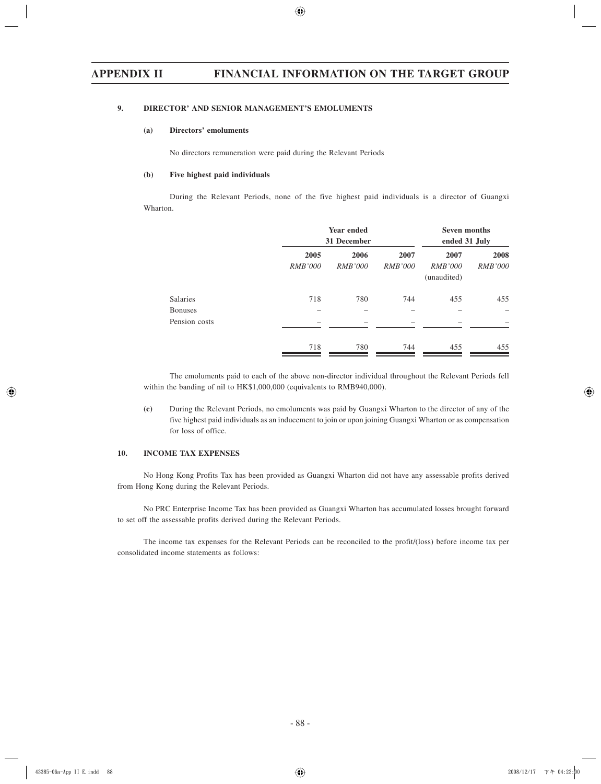# **9. DIRECTOR' AND SENIOR MANAGEMENT'S EMOLUMENTS**

#### **(a) Directors' emoluments**

No directors remuneration were paid during the Relevant Periods

#### **(b) Five highest paid individuals**

During the Relevant Periods, none of the five highest paid individuals is a director of Guangxi Wharton.

|                 |                        | Year ended<br>31 December |                        |                                       | <b>Seven months</b><br>ended 31 July |  |
|-----------------|------------------------|---------------------------|------------------------|---------------------------------------|--------------------------------------|--|
|                 | 2005<br><b>RMB'000</b> | 2006<br><i>RMB'000</i>    | 2007<br><b>RMB'000</b> | 2007<br><i>RMB'000</i><br>(unaudited) | 2008<br><b>RMB'000</b>               |  |
| <b>Salaries</b> | 718                    | 780                       | 744                    | 455                                   | 455                                  |  |
| <b>Bonuses</b>  |                        |                           |                        |                                       |                                      |  |
| Pension costs   |                        |                           |                        |                                       |                                      |  |
|                 | 718                    | 780                       | 744                    | 455                                   | 455                                  |  |

The emoluments paid to each of the above non-director individual throughout the Relevant Periods fell within the banding of nil to HK\$1,000,000 (equivalents to RMB940,000).

**(c)** During the Relevant Periods, no emoluments was paid by Guangxi Wharton to the director of any of the five highest paid individuals as an inducement to join or upon joining Guangxi Wharton or as compensation for loss of office.

### **10. INCOME TAX EXPENSES**

No Hong Kong Profits Tax has been provided as Guangxi Wharton did not have any assessable profits derived from Hong Kong during the Relevant Periods.

No PRC Enterprise Income Tax has been provided as Guangxi Wharton has accumulated losses brought forward to set off the assessable profits derived during the Relevant Periods.

The income tax expenses for the Relevant Periods can be reconciled to the profit/(loss) before income tax per consolidated income statements as follows: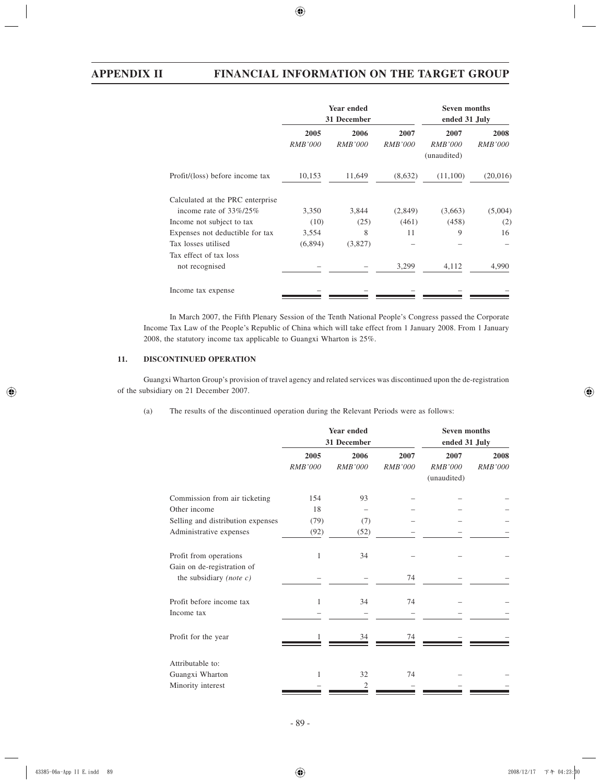|                                          | <b>Year ended</b><br>31 December |                        |                        | <b>Seven months</b><br>ended 31 July  |                        |
|------------------------------------------|----------------------------------|------------------------|------------------------|---------------------------------------|------------------------|
|                                          | 2005<br><i>RMB'000</i>           | 2006<br><i>RMB'000</i> | 2007<br><i>RMB'000</i> | 2007<br><i>RMB'000</i><br>(unaudited) | 2008<br><i>RMB'000</i> |
| Profit/(loss) before income tax          | 10,153                           | 11,649                 | (8,632)                | (11,100)                              | (20,016)               |
| Calculated at the PRC enterprise         |                                  |                        |                        |                                       |                        |
| income rate of $33\%/25\%$               | 3,350                            | 3,844                  | (2,849)                | (3,663)                               | (5,004)                |
| Income not subject to tax                | (10)                             | (25)                   | (461)                  | (458)                                 | (2)                    |
| Expenses not deductible for tax          | 3,554                            | 8                      | 11                     | 9                                     | 16                     |
| Tax losses utilised                      | (6,894)                          | (3,827)                |                        |                                       |                        |
| Tax effect of tax loss<br>not recognised |                                  |                        | 3,299                  | 4,112                                 | 4,990                  |
| Income tax expense                       |                                  |                        |                        |                                       |                        |

In March 2007, the Fifth Plenary Session of the Tenth National People's Congress passed the Corporate Income Tax Law of the People's Republic of China which will take effect from 1 January 2008. From 1 January 2008, the statutory income tax applicable to Guangxi Wharton is 25%.

# **11. DISCONTINUED OPERATION**

Guangxi Wharton Group's provision of travel agency and related services was discontinued upon the de-registration of the subsidiary on 21 December 2007.

(a) The results of the discontinued operation during the Relevant Periods were as follows:

|                                                      | <b>Year ended</b><br>31 December |                |         | <b>Seven months</b><br>ended 31 July |         |  |
|------------------------------------------------------|----------------------------------|----------------|---------|--------------------------------------|---------|--|
|                                                      | 2005                             | 2006           | 2007    | 2007                                 | 2008    |  |
|                                                      | RMB'000                          | <b>RMB'000</b> | RMB'000 | RMB'000                              | RMB'000 |  |
|                                                      |                                  |                |         | (unaudited)                          |         |  |
| Commission from air ticketing                        | 154                              | 93             |         |                                      |         |  |
| Other income                                         | 18                               |                |         |                                      |         |  |
| Selling and distribution expenses                    | (79)                             | (7)            |         |                                      |         |  |
| Administrative expenses                              | (92)                             | (52)           |         |                                      |         |  |
| Profit from operations<br>Gain on de-registration of | 1                                | 34             |         |                                      |         |  |
| the subsidiary (note $c$ )                           |                                  |                | 74      |                                      |         |  |
| Profit before income tax                             | 1                                | 34             | 74      |                                      |         |  |
| Income tax                                           |                                  |                |         |                                      |         |  |
| Profit for the year                                  |                                  | 34             | 74      |                                      |         |  |
| Attributable to:                                     |                                  |                |         |                                      |         |  |
| Guangxi Wharton                                      | 1                                | 32             | 74      |                                      |         |  |
| Minority interest                                    |                                  | 2              |         |                                      |         |  |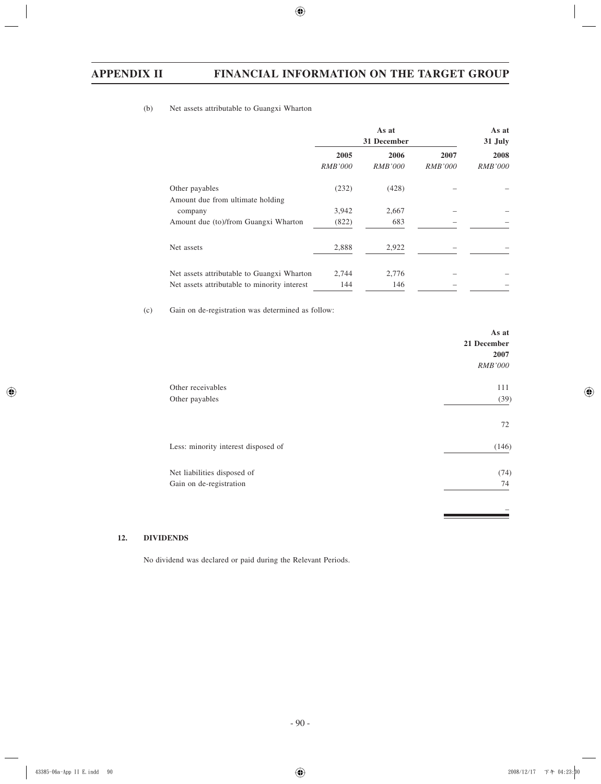# (b) Net assets attributable to Guangxi Wharton

|                                              | As at<br>31 December |                |                | As at<br>31 July |
|----------------------------------------------|----------------------|----------------|----------------|------------------|
|                                              | 2005                 | 2006           | 2007           | 2008             |
|                                              | <i>RMB'000</i>       | <i>RMB'000</i> | <i>RMB'000</i> | <i>RMB'000</i>   |
| Other payables                               | (232)                | (428)          |                |                  |
| Amount due from ultimate holding             |                      |                |                |                  |
| company                                      | 3,942                | 2,667          |                |                  |
| Amount due (to)/from Guangxi Wharton         | (822)                | 683            |                |                  |
| Net assets                                   | 2,888                | 2,922          |                |                  |
| Net assets attributable to Guangxi Wharton   | 2,744                | 2,776          |                |                  |
| Net assets attributable to minority interest | 144                  | 146            |                |                  |

(c) Gain on de-registration was determined as follow:

|                                     | As at<br>21 December<br>2007 |
|-------------------------------------|------------------------------|
|                                     | <b>RMB'000</b>               |
| Other receivables                   | 111                          |
| Other payables                      | (39)                         |
|                                     | 72                           |
| Less: minority interest disposed of | (146)                        |
| Net liabilities disposed of         | (74)                         |
| Gain on de-registration             | 74                           |
|                                     |                              |
|                                     |                              |

# **12. DIVIDENDS**

No dividend was declared or paid during the Relevant Periods.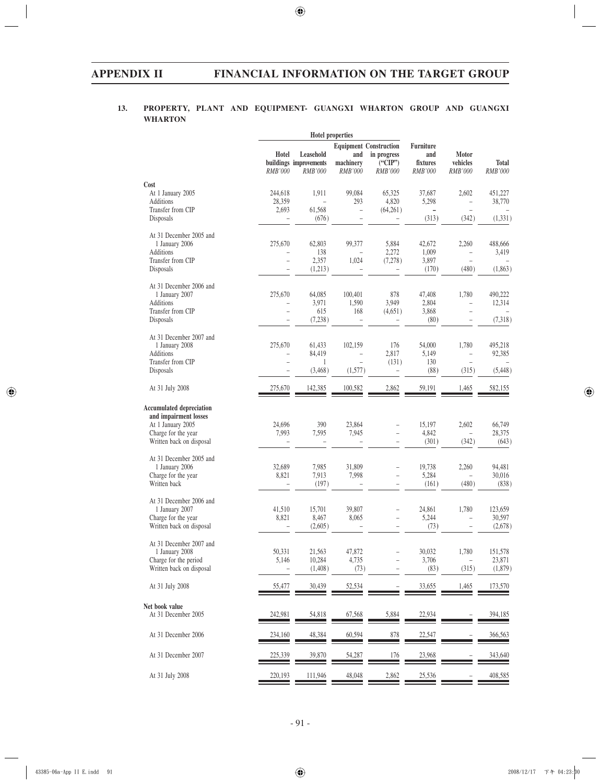# **13. PROPERTY, PLANT AND EQUIPMENT- GUANGXI WHARTON GROUP AND GUANGXI WHARTON**

|                                                                                                      |                          |                                                | <b>Hotel properties</b>             |                                                                                |                                                |                                            |                         |
|------------------------------------------------------------------------------------------------------|--------------------------|------------------------------------------------|-------------------------------------|--------------------------------------------------------------------------------|------------------------------------------------|--------------------------------------------|-------------------------|
|                                                                                                      | Hotel<br><b>RMB'000</b>  | Leasehold<br>buildings improvements<br>RMB'000 | and<br>machinery<br><i>RMB'000</i>  | <b>Equipment Construction</b><br>in progress<br>$\tilde{C}$ ("CIP")<br>RMB'000 | <b>Furniture</b><br>and<br>fixtures<br>RMB'000 | Motor<br>vehicles<br>RMB'000               | <b>Total</b><br>RMB'000 |
| Cost                                                                                                 |                          |                                                |                                     |                                                                                |                                                |                                            |                         |
| At 1 January 2005                                                                                    | 244,618                  | 1,911                                          | 99,084                              | 65,325                                                                         | 37,687                                         | 2,602                                      | 451,227                 |
| Additions<br>Transfer from CIP                                                                       | 28,359<br>2,693          | 61,568                                         | 293<br>$\overline{\phantom{0}}$     | 4,820<br>(64,261)                                                              | 5,298<br>$\qquad \qquad -$                     | $\overline{\phantom{0}}$<br>÷,             | 38,770                  |
| Disposals                                                                                            |                          | (676)                                          |                                     |                                                                                | (313)                                          | (342)                                      | (1, 331)                |
| At 31 December 2005 and                                                                              |                          |                                                |                                     |                                                                                |                                                |                                            |                         |
| 1 January 2006                                                                                       | 275,670                  | 62,803                                         | 99,377                              | 5,884                                                                          | 42,672                                         | 2,260                                      | 488,666                 |
| Additions                                                                                            |                          | 138                                            |                                     | 2,272                                                                          | 1,009                                          |                                            | 3.419                   |
| Transfer from CIP<br>Disposals                                                                       | $\equiv$                 | 2,357<br>(1,213)                               | 1,024                               | (7,278)                                                                        | 3,897<br>(170)                                 | $\equiv$<br>(480)                          | (1,863)                 |
| At 31 December 2006 and                                                                              |                          |                                                |                                     |                                                                                |                                                |                                            |                         |
| 1 January 2007                                                                                       | 275,670                  | 64,085                                         | 100,401                             | 878                                                                            | 47,408                                         | 1,780                                      | 490,222                 |
| Additions                                                                                            |                          | 3,971                                          | 1,590                               | 3,949                                                                          | 2,804                                          | ÷,                                         | 12,314                  |
| Transfer from CIP                                                                                    | L.                       | 615                                            | 168                                 | (4,651)                                                                        | 3,868                                          | ÷,                                         |                         |
| Disposals                                                                                            |                          | (7,238)                                        |                                     |                                                                                | (80)                                           |                                            | (7,318)                 |
| At 31 December 2007 and                                                                              |                          |                                                |                                     |                                                                                |                                                |                                            |                         |
| 1 January 2008                                                                                       | 275,670                  | 61,433                                         | 102,159                             | 176                                                                            | 54,000                                         | 1,780                                      | 495,218                 |
| Additions                                                                                            | $\overline{\phantom{a}}$ | 84,419                                         | $\overline{a}$                      | 2,817                                                                          | 5,149                                          | ÷,                                         | 92,385                  |
| Transfer from CIP<br>Disposals                                                                       | $\overline{\phantom{0}}$ | $\mathbf{1}$<br>(3, 468)                       | $\overline{\phantom{0}}$<br>(1,577) | (131)<br>$\overline{\phantom{0}}$                                              | 130<br>(88)                                    | $\overline{\phantom{a}}$<br>(315)          | (5, 448)                |
| At 31 July 2008                                                                                      | 275,670                  | 142,385                                        | 100,582                             | 2,862                                                                          | 59,191                                         | 1,465                                      | 582,155                 |
| <b>Accumulated depreciation</b><br>and impairment losses<br>At 1 January 2005<br>Charge for the year | 24,696<br>7,993          | 390<br>7,595                                   | 23,864<br>7,945                     | $\overline{\phantom{0}}$                                                       | 15,197<br>4,842                                | 2,602<br>$\overline{\phantom{0}}$          | 66,749<br>28,375        |
| Written back on disposal                                                                             |                          |                                                |                                     | ÷                                                                              | (301)                                          | (342)                                      | (643)                   |
|                                                                                                      |                          |                                                |                                     |                                                                                |                                                |                                            |                         |
| At 31 December 2005 and                                                                              |                          |                                                |                                     |                                                                                |                                                |                                            |                         |
| 1 January 2006                                                                                       | 32,689                   | 7,985                                          | 31,809                              | $\qquad \qquad -$                                                              | 19,738                                         | 2,260                                      | 94,481                  |
| Charge for the year<br>Written back                                                                  | 8,821                    | 7,913<br>(197)                                 | 7,998                               | L,<br>÷                                                                        | 5,284<br>(161)                                 | $\hspace{1.0cm} - \hspace{1.0cm}$<br>(480) | 30,016<br>(838)         |
| At 31 December 2006 and                                                                              |                          |                                                |                                     |                                                                                |                                                |                                            |                         |
| 1 January 2007                                                                                       | 41,510                   | 15,701                                         | 39,807                              | $\qquad \qquad -$                                                              | 24.861                                         | 1,780                                      | 123,659                 |
| Charge for the year                                                                                  | 8,821                    | 8,467                                          | 8,065                               | $\equiv$                                                                       | 5,244                                          | $\overline{\phantom{0}}$                   | 30,597                  |
| Written back on disposal                                                                             |                          | (2,605)                                        |                                     | $\overline{\phantom{0}}$                                                       | (73)                                           | $\overline{\phantom{0}}$                   | (2,678)                 |
| At 31 December 2007 and<br>1 January 2008                                                            | 50,331                   | 21,563                                         | 47,872                              |                                                                                | 30,032                                         | 1,780                                      | 151,578                 |
| Charge for the period                                                                                | 5,146                    | 10,284                                         | 4,735                               |                                                                                | 3,706                                          |                                            | 23,871                  |
| Written back on disposal                                                                             |                          | (1,408)                                        | (73)                                |                                                                                | (83)                                           | (315)                                      | (1,879)                 |
| At 31 July 2008                                                                                      | 55,477                   | 30,439                                         | 52,534                              |                                                                                | 33,655                                         | 1,465                                      | 173,570                 |
| Net book value                                                                                       |                          |                                                |                                     |                                                                                |                                                |                                            |                         |
| At 31 December 2005                                                                                  | 242,981                  | 54,818                                         | 67,568                              | 5,884                                                                          | 22,934                                         |                                            | 394,185                 |
| At 31 December 2006                                                                                  | 234,160                  | 48,384                                         | 60,594                              | $\frac{878}{1}$                                                                | 22,547                                         |                                            | 366,563                 |
| At 31 December 2007                                                                                  | 225,339                  | 39,870                                         | 54,287                              | 176                                                                            | 23,968                                         |                                            | 343,640                 |
| At 31 July 2008                                                                                      | 220,193                  | 111,946                                        | 48,048                              | 2,862                                                                          | 25,536                                         |                                            | 408,585                 |
|                                                                                                      |                          |                                                |                                     |                                                                                |                                                |                                            |                         |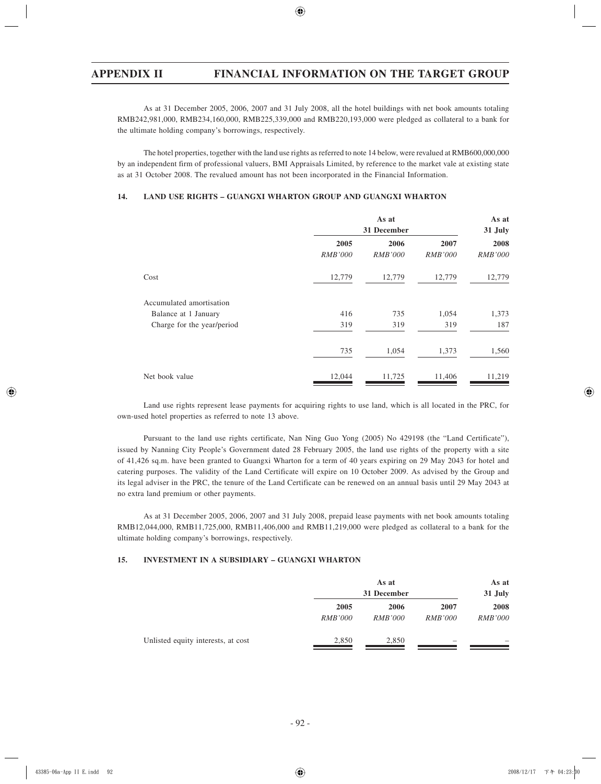As at 31 December 2005, 2006, 2007 and 31 July 2008, all the hotel buildings with net book amounts totaling RMB242,981,000, RMB234,160,000, RMB225,339,000 and RMB220,193,000 were pledged as collateral to a bank for the ultimate holding company's borrowings, respectively.

The hotel properties, together with the land use rights as referred to note 14 below, were revalued at RMB600,000,000 by an independent firm of professional valuers, BMI Appraisals Limited, by reference to the market vale at existing state as at 31 October 2008. The revalued amount has not been incorporated in the Financial Information.

## **14. LAND USE RIGHTS – GUANGXI WHARTON GROUP AND GUANGXI WHARTON**

|                            | As at<br>31 December |                |                | As at<br>31 July |
|----------------------------|----------------------|----------------|----------------|------------------|
|                            | 2005                 | 2006           | 2007           | 2008             |
|                            | <i>RMB'000</i>       | <i>RMB'000</i> | <i>RMB'000</i> | <i>RMB'000</i>   |
| Cost                       | 12,779               | 12,779         | 12,779         | 12,779           |
| Accumulated amortisation   |                      |                |                |                  |
| Balance at 1 January       | 416                  | 735            | 1,054          | 1,373            |
| Charge for the year/period | 319                  | 319            | 319            | 187              |
|                            | 735                  | 1,054          | 1,373          | 1,560            |
| Net book value             | 12,044               | 11,725         | 11,406         | 11,219           |

Land use rights represent lease payments for acquiring rights to use land, which is all located in the PRC, for own-used hotel properties as referred to note 13 above.

Pursuant to the land use rights certificate, Nan Ning Guo Yong (2005) No 429198 (the "Land Certificate"), issued by Nanning City People's Government dated 28 February 2005, the land use rights of the property with a site of 41,426 sq.m. have been granted to Guangxi Wharton for a term of 40 years expiring on 29 May 2043 for hotel and catering purposes. The validity of the Land Certificate will expire on 10 October 2009. As advised by the Group and its legal adviser in the PRC, the tenure of the Land Certificate can be renewed on an annual basis until 29 May 2043 at no extra land premium or other payments.

As at 31 December 2005, 2006, 2007 and 31 July 2008, prepaid lease payments with net book amounts totaling RMB12,044,000, RMB11,725,000, RMB11,406,000 and RMB11,219,000 were pledged as collateral to a bank for the ultimate holding company's borrowings, respectively.

## **15. INVESTMENT IN A SUBSIDIARY – GUANGXI WHARTON**

|                                    | As at<br>31 December |                |                | As at<br>31 July |
|------------------------------------|----------------------|----------------|----------------|------------------|
|                                    | 2005                 | 2006           | 2007           | 2008             |
|                                    | <i>RMB'000</i>       | <i>RMB'000</i> | <i>RMB'000</i> | <b>RMB'000</b>   |
| Unlisted equity interests, at cost | 2,850                | 2,850          | -              |                  |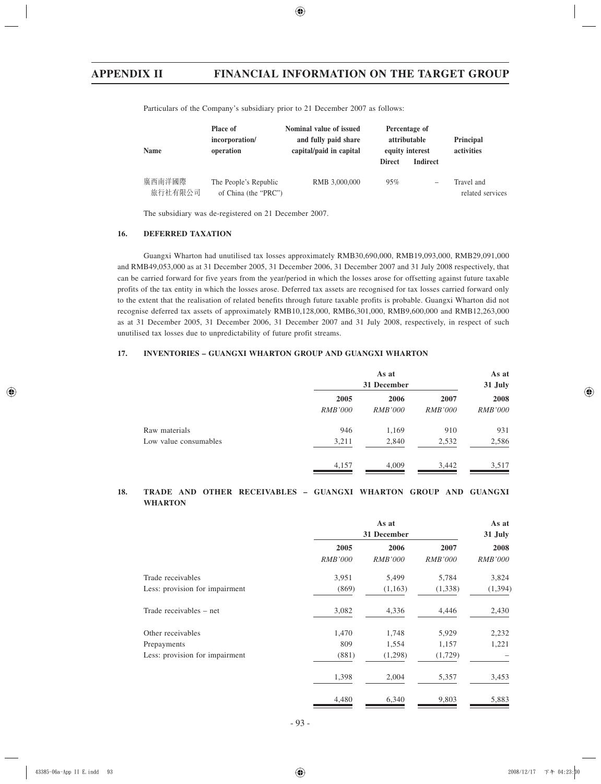| <b>Name</b>       | Place of<br>incorporation/<br>operation       | Nominal value of issued<br>and fully paid share<br>capital/paid in capital | <b>Direct</b> | Percentage of<br>attributable<br>equity interest<br><b>Indirect</b> | Principal<br>activities        |
|-------------------|-----------------------------------------------|----------------------------------------------------------------------------|---------------|---------------------------------------------------------------------|--------------------------------|
| 廣西南洋國際<br>旅行社有限公司 | The People's Republic<br>of China (the "PRC") | RMB 3,000,000                                                              | 95%           | -                                                                   | Travel and<br>related services |

Particulars of the Company's subsidiary prior to 21 December 2007 as follows:

The subsidiary was de-registered on 21 December 2007.

#### **16. DEFERRED TAXATION**

Guangxi Wharton had unutilised tax losses approximately RMB30,690,000, RMB19,093,000, RMB29,091,000 and RMB49,053,000 as at 31 December 2005, 31 December 2006, 31 December 2007 and 31 July 2008 respectively, that can be carried forward for five years from the year/period in which the losses arose for offsetting against future taxable profits of the tax entity in which the losses arose. Deferred tax assets are recognised for tax losses carried forward only to the extent that the realisation of related benefits through future taxable profits is probable. Guangxi Wharton did not recognise deferred tax assets of approximately RMB10,128,000, RMB6,301,000, RMB9,600,000 and RMB12,263,000 as at 31 December 2005, 31 December 2006, 31 December 2007 and 31 July 2008, respectively, in respect of such unutilised tax losses due to unpredictability of future profit streams.

# **17. INVENTORIES – GUANGXI WHARTON GROUP AND GUANGXI WHARTON**

|                       | As at<br>31 December |                |                | As at<br>31 July |
|-----------------------|----------------------|----------------|----------------|------------------|
|                       | 2005                 | 2006           | 2007           | 2008             |
|                       | <i>RMB'000</i>       | <i>RMB'000</i> | <i>RMB'000</i> | <i>RMB'000</i>   |
| Raw materials         | 946                  | 1,169          | 910            | 931              |
| Low value consumables | 3,211                | 2,840          | 2,532          | 2,586            |
|                       | 4,157                | 4,009          | 3,442          | 3,517            |

## **18. TRADE AND OTHER RECEIVABLES – GUANGXI WHARTON GROUP AND GUANGXI WHARTON**

|                                | As at<br>31 December   |                        |                        | As at<br>31 July       |
|--------------------------------|------------------------|------------------------|------------------------|------------------------|
|                                | 2005<br><i>RMB'000</i> | 2006<br><i>RMB'000</i> | 2007<br><i>RMB'000</i> | 2008<br><b>RMB'000</b> |
| Trade receivables              | 3,951                  | 5,499                  | 5,784                  | 3,824                  |
| Less: provision for impairment | (869)                  | (1,163)                | (1,338)                | (1, 394)               |
| Trade receivables – net        | 3,082                  | 4,336                  | 4,446                  | 2,430                  |
| Other receivables              | 1,470                  | 1,748                  | 5,929                  | 2,232                  |
| Prepayments                    | 809                    | 1,554                  | 1,157                  | 1,221                  |
| Less: provision for impairment | (881)                  | (1,298)                | (1,729)                |                        |
|                                | 1,398                  | 2,004                  | 5,357                  | 3,453                  |
|                                | 4,480                  | 6,340                  | 9,803                  | 5,883                  |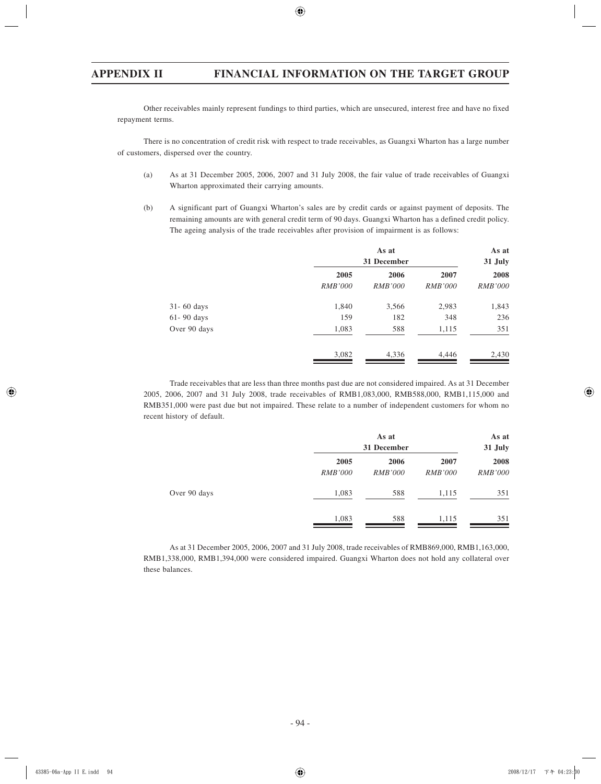Other receivables mainly represent fundings to third parties, which are unsecured, interest free and have no fixed repayment terms.

There is no concentration of credit risk with respect to trade receivables, as Guangxi Wharton has a large number of customers, dispersed over the country.

- (a) As at 31 December 2005, 2006, 2007 and 31 July 2008, the fair value of trade receivables of Guangxi Wharton approximated their carrying amounts.
- (b) A significant part of Guangxi Wharton's sales are by credit cards or against payment of deposits. The remaining amounts are with general credit term of 90 days. Guangxi Wharton has a defined credit policy. The ageing analysis of the trade receivables after provision of impairment is as follows:

|                |                | As at<br>31 December |                |                |
|----------------|----------------|----------------------|----------------|----------------|
|                | 2005           | 2006                 | 2007           | 2008           |
|                | <i>RMB'000</i> | <i>RMB'000</i>       | <i>RMB'000</i> | <i>RMB'000</i> |
| $31 - 60$ days | 1,840          | 3,566                | 2,983          | 1,843          |
| $61 - 90$ days | 159            | 182                  | 348            | 236            |
| Over 90 days   | 1,083          | 588                  | 1,115          | 351            |
|                | 3,082          | 4,336                | 4,446          | 2,430          |

Trade receivables that are less than three months past due are not considered impaired. As at 31 December 2005, 2006, 2007 and 31 July 2008, trade receivables of RMB1,083,000, RMB588,000, RMB1,115,000 and RMB351,000 were past due but not impaired. These relate to a number of independent customers for whom no recent history of default.

|              |                        | As at<br>31 December   |                        |                        |
|--------------|------------------------|------------------------|------------------------|------------------------|
|              | 2005<br><b>RMB'000</b> | 2006<br><b>RMB'000</b> | 2007<br><b>RMB'000</b> | 2008<br><i>RMB'000</i> |
| Over 90 days | 1,083                  | 588                    | 1,115                  | 351                    |
|              | 1,083                  | 588                    | 1,115                  | 351                    |

As at 31 December 2005, 2006, 2007 and 31 July 2008, trade receivables of RMB869,000, RMB1,163,000, RMB1,338,000, RMB1,394,000 were considered impaired. Guangxi Wharton does not hold any collateral over these balances.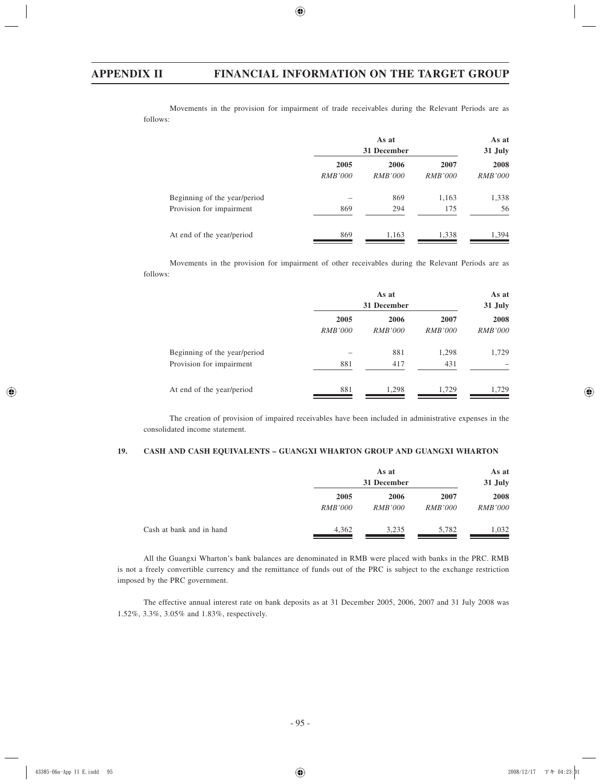Movements in the provision for impairment of trade receivables during the Relevant Periods are as follows:

|                              | As at<br>31 December |                |                | As at<br>31 July |
|------------------------------|----------------------|----------------|----------------|------------------|
|                              | 2005                 | 2006           | 2007           | 2008             |
|                              | <i>RMB'000</i>       | <i>RMB'000</i> | <i>RMB'000</i> | <i>RMB'000</i>   |
| Beginning of the year/period |                      | 869            | 1,163          | 1,338            |
| Provision for impairment     | 869                  | 294            | 175            | 56               |
| At end of the year/period    | 869                  | 1,163          | 1,338          | 1,394            |

Movements in the provision for impairment of other receivables during the Relevant Periods are as follows:

|                              | As at<br>31 December |                |                |                |
|------------------------------|----------------------|----------------|----------------|----------------|
|                              | 2005                 | 2006           | 2007           | 2008           |
|                              | <i>RMB'000</i>       | <i>RMB'000</i> | <i>RMB'000</i> | <i>RMB'000</i> |
| Beginning of the year/period |                      | 881            | 1,298          | 1,729          |
| Provision for impairment     | 881                  | 417            | 431            |                |
| At end of the year/period    | 881                  | 1,298          | 1,729          | 1,729          |

The creation of provision of impaired receivables have been included in administrative expenses in the consolidated income statement.

# **19. CASH AND CASH EQUIVALENTS – GUANGXI WHARTON GROUP AND GUANGXI WHARTON**

|                          |                | As at<br>31 December |                | As at<br>31 July |
|--------------------------|----------------|----------------------|----------------|------------------|
|                          | 2005           | 2006                 | 2007           | 2008             |
|                          | <i>RMB'000</i> | <i>RMB'000</i>       | <i>RMB'000</i> | <i>RMB'000</i>   |
| Cash at bank and in hand | 4,362          | 3,235                | 5,782          | 1,032            |

All the Guangxi Wharton's bank balances are denominated in RMB were placed with banks in the PRC. RMB is not a freely convertible currency and the remittance of funds out of the PRC is subject to the exchange restriction imposed by the PRC government.

The effective annual interest rate on bank deposits as at 31 December 2005, 2006, 2007 and 31 July 2008 was 1.52%, 3.3%, 3.05% and 1.83%, respectively.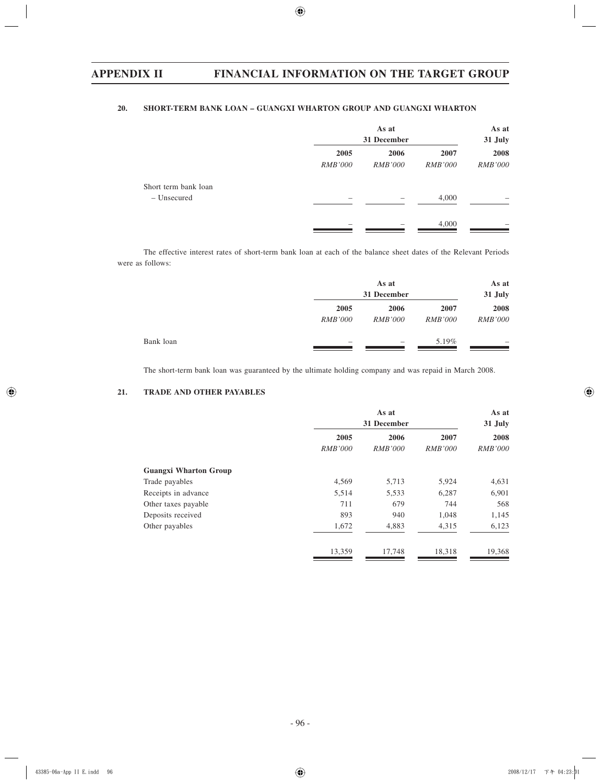# **20. SHORT-TERM BANK LOAN – GUANGXI WHARTON GROUP AND GUANGXI WHARTON**

|                      | As at<br>31 December |                | As at<br>31 July |                |
|----------------------|----------------------|----------------|------------------|----------------|
|                      | 2005                 | 2006           | 2007             | 2008           |
|                      | <b>RMB'000</b>       | <i>RMB'000</i> | <b>RMB'000</b>   | <b>RMB'000</b> |
| Short term bank loan |                      |                |                  |                |
| - Unsecured          |                      |                | 4,000            |                |
|                      |                      |                | 4,000            |                |

The effective interest rates of short-term bank loan at each of the balance sheet dates of the Relevant Periods were as follows:

|           |                | As at<br>31 December |                | As at<br>31 July         |
|-----------|----------------|----------------------|----------------|--------------------------|
|           | 2005           | 2006                 | 2007           | 2008                     |
|           | <i>RMB'000</i> | <i>RMB'000</i>       | <i>RMB'000</i> | <i>RMB'000</i>           |
| Bank loan |                |                      | 5.19%          | $\overline{\phantom{a}}$ |

The short-term bank loan was guaranteed by the ultimate holding company and was repaid in March 2008.

# **21. TRADE AND OTHER PAYABLES**

|                              |                        | As at<br>31 December   |                        | As at<br>31 July       |
|------------------------------|------------------------|------------------------|------------------------|------------------------|
|                              | 2005<br><b>RMB'000</b> | 2006<br><i>RMB'000</i> | 2007<br><b>RMB'000</b> | 2008<br><b>RMB'000</b> |
| <b>Guangxi Wharton Group</b> |                        |                        |                        |                        |
| Trade payables               | 4,569                  | 5,713                  | 5,924                  | 4,631                  |
| Receipts in advance          | 5,514                  | 5,533                  | 6,287                  | 6,901                  |
| Other taxes payable          | 711                    | 679                    | 744                    | 568                    |
| Deposits received            | 893                    | 940                    | 1,048                  | 1,145                  |
| Other payables               | 1,672                  | 4,883                  | 4,315                  | 6,123                  |
|                              | 13,359                 | 17,748                 | 18,318                 | 19,368                 |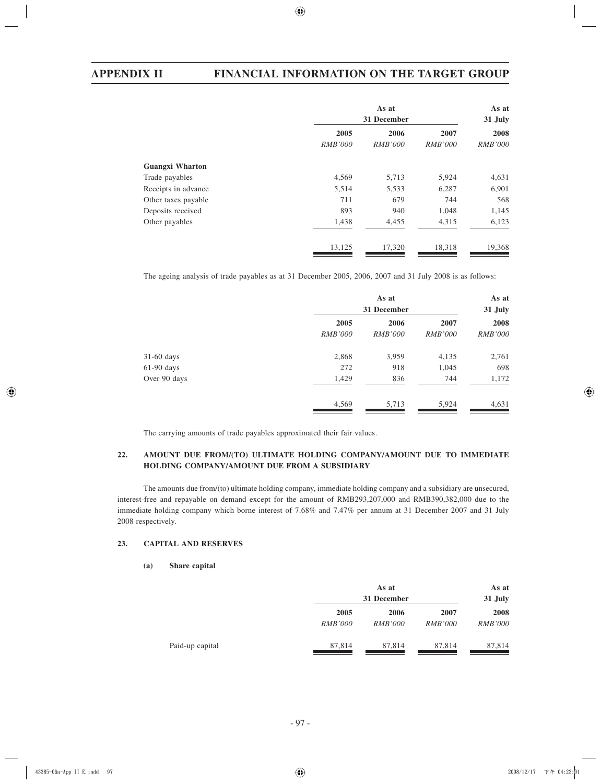|                        | As at<br>31 December   |                        | As at<br>31 July       |                        |
|------------------------|------------------------|------------------------|------------------------|------------------------|
|                        | 2005<br><i>RMB'000</i> | 2006<br><i>RMB'000</i> | 2007<br><b>RMB'000</b> | 2008<br><i>RMB'000</i> |
| <b>Guangxi Wharton</b> |                        |                        |                        |                        |
| Trade payables         | 4,569                  | 5,713                  | 5,924                  | 4,631                  |
| Receipts in advance    | 5,514                  | 5,533                  | 6,287                  | 6,901                  |
| Other taxes payable    | 711                    | 679                    | 744                    | 568                    |
| Deposits received      | 893                    | 940                    | 1,048                  | 1,145                  |
| Other payables         | 1,438                  | 4,455                  | 4,315                  | 6,123                  |
|                        | 13,125                 | 17,320                 | 18,318                 | 19,368                 |

The ageing analysis of trade payables as at 31 December 2005, 2006, 2007 and 31 July 2008 is as follows:

|              | As at<br>31 December<br>2005<br>2006<br>2007 |                | As at<br>31 July<br>2008 |                |
|--------------|----------------------------------------------|----------------|--------------------------|----------------|
|              |                                              |                |                          |                |
|              | <b>RMB'000</b>                               | <i>RMB'000</i> | <b>RMB'000</b>           | <i>RMB'000</i> |
| $31-60$ days | 2,868                                        | 3,959          | 4,135                    | 2,761          |
| $61-90$ days | 272                                          | 918            | 1,045                    | 698            |
| Over 90 days | 1,429                                        | 836            | 744                      | 1,172          |
|              | 4,569                                        | 5,713          | 5,924                    | 4,631          |

The carrying amounts of trade payables approximated their fair values.

# **22. AMOUNT DUE FROM/(TO) ULTIMATE HOLDING COMPANY/AMOUNT DUE TO IMMEDIATE HOLDING COMPANY/AMOUNT DUE FROM A SUBSIDIARY**

The amounts due from/(to) ultimate holding company, immediate holding company and a subsidiary are unsecured, interest-free and repayable on demand except for the amount of RMB293,207,000 and RMB390,382,000 due to the immediate holding company which borne interest of 7.68% and 7.47% per annum at 31 December 2007 and 31 July 2008 respectively.

## **23. CAPITAL AND RESERVES**

**(a) Share capital**

|                 |                | As at<br>31 December |                | As at<br>31 July |
|-----------------|----------------|----------------------|----------------|------------------|
|                 | 2005           | 2006                 | 2007           | 2008             |
|                 | <i>RMB'000</i> | <i>RMB'000</i>       | <i>RMB'000</i> | <i>RMB'000</i>   |
| Paid-up capital | 87,814         | 87.814               | 87,814         | 87,814           |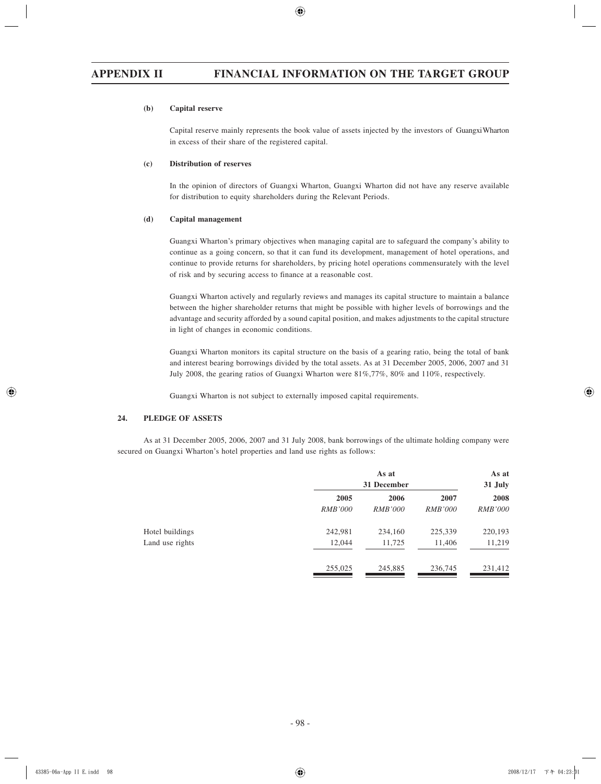### **(b) Capital reserve**

Capital reserve mainly represents the book value of assets injected by the investors of Guangxi Wharton in excess of their share of the registered capital.

## **(c) Distribution of reserves**

In the opinion of directors of Guangxi Wharton, Guangxi Wharton did not have any reserve available for distribution to equity shareholders during the Relevant Periods.

## **(d) Capital management**

Guangxi Wharton's primary objectives when managing capital are to safeguard the company's ability to continue as a going concern, so that it can fund its development, management of hotel operations, and continue to provide returns for shareholders, by pricing hotel operations commensurately with the level of risk and by securing access to finance at a reasonable cost.

Guangxi Wharton actively and regularly reviews and manages its capital structure to maintain a balance between the higher shareholder returns that might be possible with higher levels of borrowings and the advantage and security afforded by a sound capital position, and makes adjustments to the capital structure in light of changes in economic conditions.

Guangxi Wharton monitors its capital structure on the basis of a gearing ratio, being the total of bank and interest bearing borrowings divided by the total assets. As at 31 December 2005, 2006, 2007 and 31 July 2008, the gearing ratios of Guangxi Wharton were 81%,77%, 80% and 110%, respectively.

Guangxi Wharton is not subject to externally imposed capital requirements.

## **24. PLEDGE OF ASSETS**

As at 31 December 2005, 2006, 2007 and 31 July 2008, bank borrowings of the ultimate holding company were secured on Guangxi Wharton's hotel properties and land use rights as follows:

|                 | As at<br>31 December |                | As at<br>31 July |                |
|-----------------|----------------------|----------------|------------------|----------------|
|                 | 2005                 | 2006           | 2007             | 2008           |
|                 | <i>RMB'000</i>       | <i>RMB'000</i> | <i>RMB'000</i>   | <b>RMB'000</b> |
| Hotel buildings | 242,981              | 234,160        | 225,339          | 220,193        |
| Land use rights | 12,044               | 11,725         | 11,406           | 11,219         |
|                 | 255,025              | 245,885        | 236,745          | 231,412        |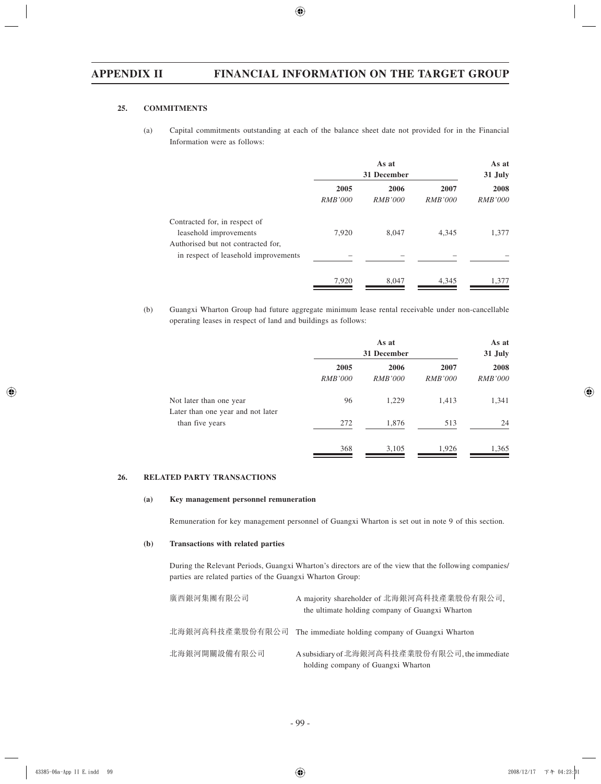# **25. COMMITMENTS**

(a) Capital commitments outstanding at each of the balance sheet date not provided for in the Financial Information were as follows:

|                                                                                               | As at<br>31 December   |                        |                        | As at<br>31 July       |
|-----------------------------------------------------------------------------------------------|------------------------|------------------------|------------------------|------------------------|
|                                                                                               | 2005<br><i>RMB'000</i> | 2006<br><i>RMB'000</i> | 2007<br><i>RMB'000</i> | 2008<br><i>RMB'000</i> |
| Contracted for, in respect of<br>leasehold improvements<br>Authorised but not contracted for, | 7,920                  | 8.047                  | 4,345                  | 1,377                  |
| in respect of leasehold improvements                                                          |                        |                        |                        |                        |
|                                                                                               | 7,920                  | 8,047                  | 4,345                  | 1,377                  |

(b) Guangxi Wharton Group had future aggregate minimum lease rental receivable under non-cancellable operating leases in respect of land and buildings as follows:

|                                                              | As at<br>31 December   |                        | As at<br>31 July       |                        |
|--------------------------------------------------------------|------------------------|------------------------|------------------------|------------------------|
|                                                              | 2005<br><b>RMB'000</b> | 2006<br><i>RMB'000</i> | 2007<br><b>RMB'000</b> | 2008<br><b>RMB'000</b> |
| Not later than one year<br>Later than one year and not later | 96                     | 1,229                  | 1,413                  | 1,341                  |
| than five years                                              | 272                    | 1,876                  | 513                    | 24                     |
|                                                              | 368                    | 3,105                  | 1,926                  | 1,365                  |

# **26. RELATED PARTY TRANSACTIONS**

## **(a) Key management personnel remuneration**

Remuneration for key management personnel of Guangxi Wharton is set out in note 9 of this section.

## **(b) Transactions with related parties**

During the Relevant Periods, Guangxi Wharton's directors are of the view that the following companies/ parties are related parties of the Guangxi Wharton Group:

| 廣西銀河集團有限公司      | A majority shareholder of 北海銀河高科技產業股份有限公司,<br>the ultimate holding company of Guangxi Wharton |
|-----------------|-----------------------------------------------------------------------------------------------|
| 北海銀河高科技產業股份有限公司 | The immediate holding company of Guangxi Wharton                                              |
| 北海銀河開關設備有限公司    | A subsidiary of 北海銀河高科技產業股份有限公司, the immediate<br>holding company of Guangxi Wharton          |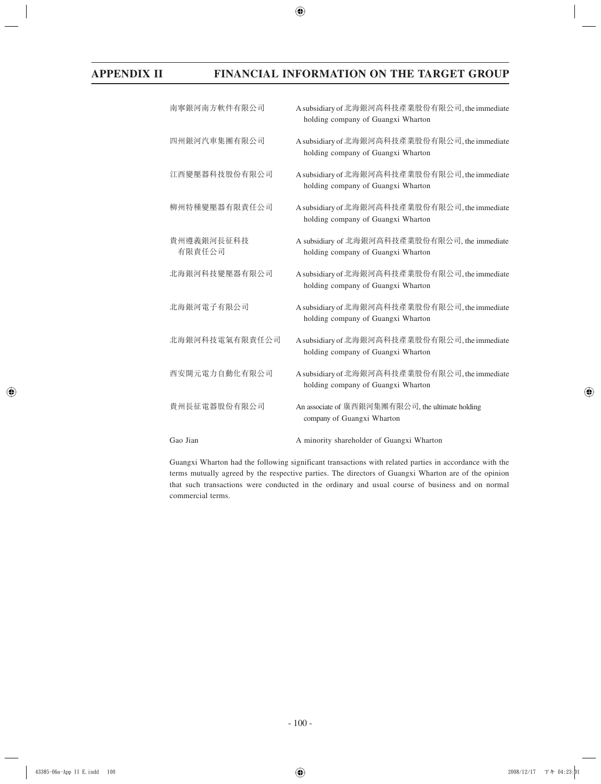| 南寧銀河南方軟件有限公司         | A subsidiary of 北海銀河高科技產業股份有限公司, the immediate<br>holding company of Guangxi Wharton |
|----------------------|--------------------------------------------------------------------------------------|
| 四州銀河汽車集團有限公司         | A subsidiary of 北海銀河高科技產業股份有限公司, the immediate<br>holding company of Guangxi Wharton |
| 江西變壓器科技股份有限公司        | A subsidiary of 北海銀河高科技產業股份有限公司, the immediate<br>holding company of Guangxi Wharton |
| 柳州特種變壓器有限責任公司        | A subsidiary of 北海銀河高科技產業股份有限公司, the immediate<br>holding company of Guangxi Wharton |
| 貴州遵義銀河長征科技<br>有限責任公司 | A subsidiary of 北海銀河高科技產業股份有限公司, the immediate<br>holding company of Guangxi Wharton |
| 北海銀河科技變壓器有限公司        | A subsidiary of 北海銀河高科技產業股份有限公司, the immediate<br>holding company of Guangxi Wharton |
| 北海銀河電子有限公司           | A subsidiary of 北海銀河高科技產業股份有限公司, the immediate<br>holding company of Guangxi Wharton |
| 北海銀河科技電氣有限責任公司       | A subsidiary of 北海銀河高科技產業股份有限公司, the immediate<br>holding company of Guangxi Wharton |
| 西安開元電力自動化有限公司        | A subsidiary of 北海銀河高科技產業股份有限公司, the immediate<br>holding company of Guangxi Wharton |
| 貴州長征電器股份有限公司         | An associate of 廣西銀河集團有限公司, the ultimate holding<br>company of Guangxi Wharton       |
| Gao Jian             | A minority shareholder of Guangxi Wharton                                            |

Guangxi Wharton had the following significant transactions with related parties in accordance with the terms mutually agreed by the respective parties. The directors of Guangxi Wharton are of the opinion that such transactions were conducted in the ordinary and usual course of business and on normal commercial terms.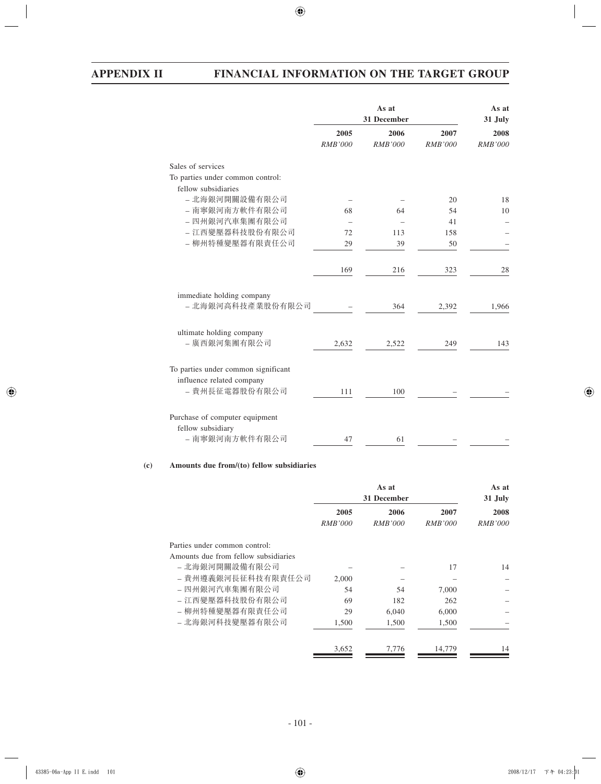|                                                                                    | As at<br>31 December |                        |                 | As at<br>31 July |  |
|------------------------------------------------------------------------------------|----------------------|------------------------|-----------------|------------------|--|
|                                                                                    | 2005<br>RMB'000      | 2006<br><i>RMB'000</i> | 2007<br>RMB'000 | 2008<br>RMB'000  |  |
| Sales of services                                                                  |                      |                        |                 |                  |  |
| To parties under common control:                                                   |                      |                        |                 |                  |  |
| fellow subsidiaries<br>- 北海銀河開關設備有限公司                                              |                      |                        | 20              | 18               |  |
| - 南寧銀河南方軟件有限公司                                                                     | 68                   | 64                     | 54              | 10               |  |
| - 四州銀河汽車集團有限公司                                                                     |                      |                        | 41              |                  |  |
| - 江西變壓器科技股份有限公司                                                                    | 72                   | 113                    | 158             |                  |  |
| - 柳州特種變壓器有限責任公司                                                                    | 29                   | 39                     | 50              |                  |  |
|                                                                                    | 169                  | 216                    | 323             | 28               |  |
| immediate holding company<br>- 北海銀河高科技產業股份有限公司                                     |                      | 364                    | 2,392           | 1,966            |  |
| ultimate holding company<br>- 廣西銀河集團有限公司                                           | 2,632                | 2,522                  | 249             | 143              |  |
| To parties under common significant<br>influence related company<br>- 貴州長征電器股份有限公司 | 111                  | 100                    |                 |                  |  |
| Purchase of computer equipment<br>fellow subsidiary<br>- 南寧銀河南方軟件有限公司              | 47                   | 61                     |                 |                  |  |

## **(c) Amounts due from/(to) fellow subsidiaries**

|                | As at<br>31 December |                | As at<br>31 July |
|----------------|----------------------|----------------|------------------|
| 2005           | 2006                 | 2007           | 2008             |
| <i>RMB'000</i> | <i>RMB'000</i>       | <i>RMB'000</i> | <i>RMB'000</i>   |
|                |                      |                |                  |
|                |                      |                |                  |
|                |                      | 17             | 14               |
| 2.000          |                      |                |                  |
| 54             | 54                   | 7,000          |                  |
| 69             | 182                  | 262            |                  |
| 29             | 6.040                | 6,000          |                  |
| 1,500          | 1,500                | 1,500          |                  |
|                |                      |                | 14               |
|                | 3,652                | 7,776          | 14,779           |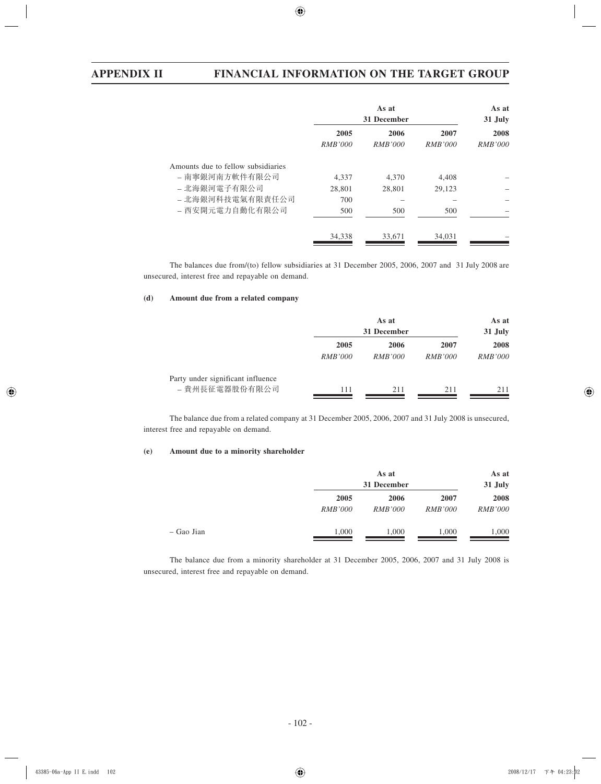|                                                      | As at<br>31 December   |                        |                        | As at<br>31 July       |
|------------------------------------------------------|------------------------|------------------------|------------------------|------------------------|
|                                                      | 2005<br><i>RMB'000</i> | 2006<br><i>RMB'000</i> | 2007<br><i>RMB'000</i> | 2008<br><i>RMB'000</i> |
| Amounts due to fellow subsidiaries<br>- 南寧銀河南方軟件有限公司 | 4.337                  | 4.370                  | 4.408                  |                        |
| - 北海銀河電子有限公司                                         | 28,801                 | 28,801                 | 29,123                 |                        |
| - 北海銀河科技電氣有限責任公司                                     | 700                    |                        |                        |                        |
| - 西安開元電力自動化有限公司                                      | 500                    | 500                    | 500                    |                        |
|                                                      | 34,338                 | 33,671                 | 34,031                 |                        |

The balances due from/(to) fellow subsidiaries at 31 December 2005, 2006, 2007 and 31 July 2008 are unsecured, interest free and repayable on demand.

## **(d) Amount due from a related company**

|                                                     | As at<br>31 December   |                        |                        | As at<br>31 July       |
|-----------------------------------------------------|------------------------|------------------------|------------------------|------------------------|
|                                                     | 2005<br><i>RMB'000</i> | 2006<br><i>RMB'000</i> | 2007<br><i>RMB'000</i> | 2008<br><i>RMB'000</i> |
| Party under significant influence<br>- 貴州長征電器股份有限公司 | 111                    | 211                    | 211                    | 211                    |

The balance due from a related company at 31 December 2005, 2006, 2007 and 31 July 2008 is unsecured, interest free and repayable on demand.

# **(e) Amount due to a minority shareholder**

|              |                | As at<br>31 December |                |                |
|--------------|----------------|----------------------|----------------|----------------|
|              | 2005           | 2006                 | 2007           | 2008           |
|              | <i>RMB'000</i> | <i>RMB'000</i>       | <i>RMB'000</i> | <i>RMB'000</i> |
| $-$ Gao Jian | 1,000          | 1,000                | 1,000          | 1,000          |

The balance due from a minority shareholder at 31 December 2005, 2006, 2007 and 31 July 2008 is unsecured, interest free and repayable on demand.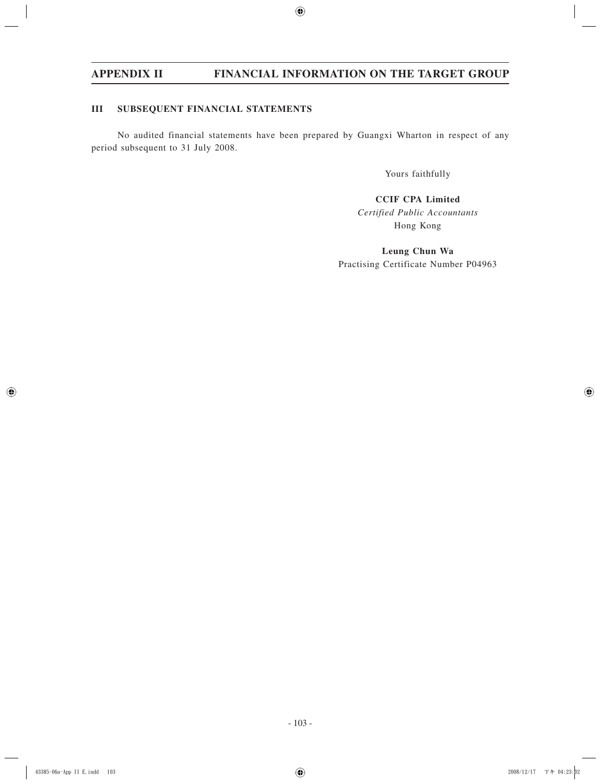# **III SUBSEQUENT FINANCIAL STATEMENTS**

No audited financial statements have been prepared by Guangxi Wharton in respect of any period subsequent to 31 July 2008.

Yours faithfully

**CCIF CPA Limited** *Certified Public Accountants* Hong Kong

**Leung Chun Wa** Practising Certificate Number P04963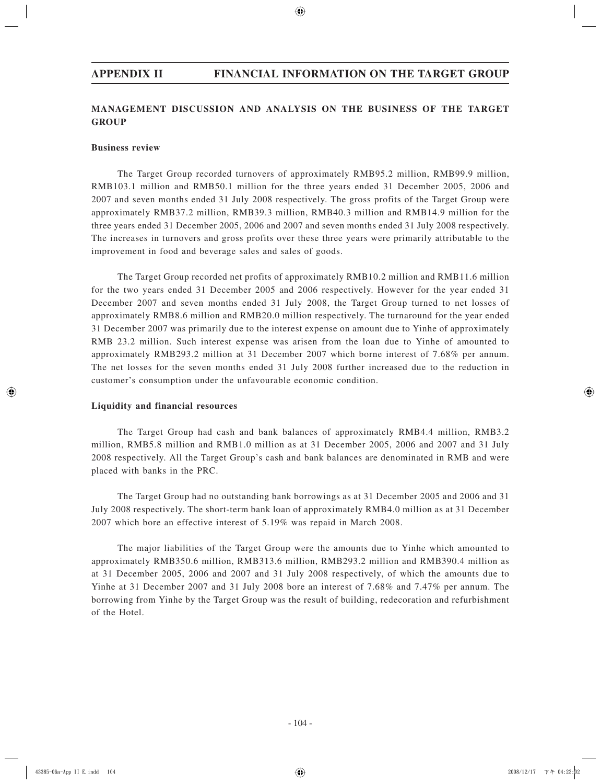# **MANAGEMENT DISCUSSION AND ANALYSIS ON THE BUSINESS OF THE TARGET GROUP**

# **Business review**

The Target Group recorded turnovers of approximately RMB95.2 million, RMB99.9 million, RMB103.1 million and RMB50.1 million for the three years ended 31 December 2005, 2006 and 2007 and seven months ended 31 July 2008 respectively. The gross profits of the Target Group were approximately RMB37.2 million, RMB39.3 million, RMB40.3 million and RMB14.9 million for the three years ended 31 December 2005, 2006 and 2007 and seven months ended 31 July 2008 respectively. The increases in turnovers and gross profits over these three years were primarily attributable to the improvement in food and beverage sales and sales of goods.

The Target Group recorded net profits of approximately RMB10.2 million and RMB11.6 million for the two years ended 31 December 2005 and 2006 respectively. However for the year ended 31 December 2007 and seven months ended 31 July 2008, the Target Group turned to net losses of approximately RMB8.6 million and RMB20.0 million respectively. The turnaround for the year ended 31 December 2007 was primarily due to the interest expense on amount due to Yinhe of approximately RMB 23.2 million. Such interest expense was arisen from the loan due to Yinhe of amounted to approximately RMB293.2 million at 31 December 2007 which borne interest of 7.68% per annum. The net losses for the seven months ended 31 July 2008 further increased due to the reduction in customer's consumption under the unfavourable economic condition.

# **Liquidity and financial resources**

The Target Group had cash and bank balances of approximately RMB4.4 million, RMB3.2 million, RMB5.8 million and RMB1.0 million as at 31 December 2005, 2006 and 2007 and 31 July 2008 respectively. All the Target Group's cash and bank balances are denominated in RMB and were placed with banks in the PRC.

The Target Group had no outstanding bank borrowings as at 31 December 2005 and 2006 and 31 July 2008 respectively. The short-term bank loan of approximately RMB4.0 million as at 31 December 2007 which bore an effective interest of 5.19% was repaid in March 2008.

The major liabilities of the Target Group were the amounts due to Yinhe which amounted to approximately RMB350.6 million, RMB313.6 million, RMB293.2 million and RMB390.4 million as at 31 December 2005, 2006 and 2007 and 31 July 2008 respectively, of which the amounts due to Yinhe at 31 December 2007 and 31 July 2008 bore an interest of 7.68% and 7.47% per annum. The borrowing from Yinhe by the Target Group was the result of building, redecoration and refurbishment of the Hotel.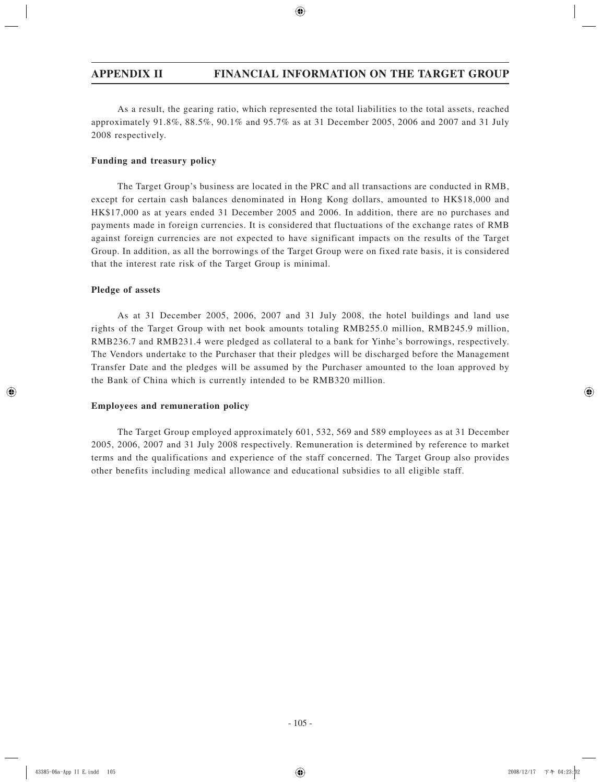As a result, the gearing ratio, which represented the total liabilities to the total assets, reached approximately 91.8%, 88.5%, 90.1% and 95.7% as at 31 December 2005, 2006 and 2007 and 31 July 2008 respectively.

# **Funding and treasury policy**

The Target Group's business are located in the PRC and all transactions are conducted in RMB, except for certain cash balances denominated in Hong Kong dollars, amounted to HK\$18,000 and HK\$17,000 as at years ended 31 December 2005 and 2006. In addition, there are no purchases and payments made in foreign currencies. It is considered that fluctuations of the exchange rates of RMB against foreign currencies are not expected to have significant impacts on the results of the Target Group. In addition, as all the borrowings of the Target Group were on fixed rate basis, it is considered that the interest rate risk of the Target Group is minimal.

# **Pledge of assets**

As at 31 December 2005, 2006, 2007 and 31 July 2008, the hotel buildings and land use rights of the Target Group with net book amounts totaling RMB255.0 million, RMB245.9 million, RMB236.7 and RMB231.4 were pledged as collateral to a bank for Yinhe's borrowings, respectively. The Vendors undertake to the Purchaser that their pledges will be discharged before the Management Transfer Date and the pledges will be assumed by the Purchaser amounted to the loan approved by the Bank of China which is currently intended to be RMB320 million.

# **Employees and remuneration policy**

The Target Group employed approximately 601, 532, 569 and 589 employees as at 31 December 2005, 2006, 2007 and 31 July 2008 respectively. Remuneration is determined by reference to market terms and the qualifications and experience of the staff concerned. The Target Group also provides other benefits including medical allowance and educational subsidies to all eligible staff.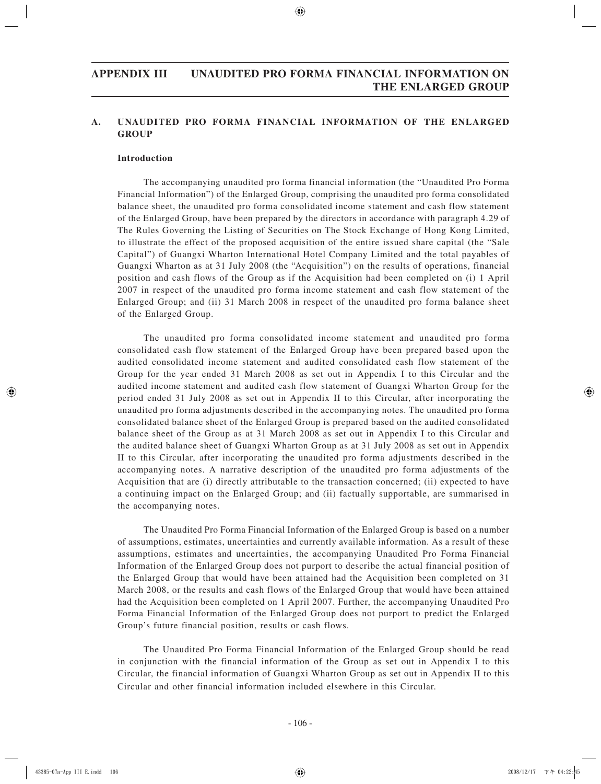# **APPENDIX III UNAUDITED PRO FORMA FINANCIAL INFORMATION ON THE ENLARGED GROUP**

# **A. UNAUDITED PRO FORMA FINANCIAL INFORMATION OF THE ENLARGED GROUP**

# **Introduction**

The accompanying unaudited pro forma financial information (the "Unaudited Pro Forma Financial Information") of the Enlarged Group, comprising the unaudited pro forma consolidated balance sheet, the unaudited pro forma consolidated income statement and cash flow statement of the Enlarged Group, have been prepared by the directors in accordance with paragraph 4.29 of The Rules Governing the Listing of Securities on The Stock Exchange of Hong Kong Limited, to illustrate the effect of the proposed acquisition of the entire issued share capital (the "Sale Capital") of Guangxi Wharton International Hotel Company Limited and the total payables of Guangxi Wharton as at 31 July 2008 (the "Acquisition") on the results of operations, financial position and cash flows of the Group as if the Acquisition had been completed on (i) 1 April 2007 in respect of the unaudited pro forma income statement and cash flow statement of the Enlarged Group; and (ii) 31 March 2008 in respect of the unaudited pro forma balance sheet of the Enlarged Group.

The unaudited pro forma consolidated income statement and unaudited pro forma consolidated cash flow statement of the Enlarged Group have been prepared based upon the audited consolidated income statement and audited consolidated cash flow statement of the Group for the year ended 31 March 2008 as set out in Appendix I to this Circular and the audited income statement and audited cash flow statement of Guangxi Wharton Group for the period ended 31 July 2008 as set out in Appendix II to this Circular, after incorporating the unaudited pro forma adjustments described in the accompanying notes. The unaudited pro forma consolidated balance sheet of the Enlarged Group is prepared based on the audited consolidated balance sheet of the Group as at 31 March 2008 as set out in Appendix I to this Circular and the audited balance sheet of Guangxi Wharton Group as at 31 July 2008 as set out in Appendix II to this Circular, after incorporating the unaudited pro forma adjustments described in the accompanying notes. A narrative description of the unaudited pro forma adjustments of the Acquisition that are (i) directly attributable to the transaction concerned; (ii) expected to have a continuing impact on the Enlarged Group; and (ii) factually supportable, are summarised in the accompanying notes.

The Unaudited Pro Forma Financial Information of the Enlarged Group is based on a number of assumptions, estimates, uncertainties and currently available information. As a result of these assumptions, estimates and uncertainties, the accompanying Unaudited Pro Forma Financial Information of the Enlarged Group does not purport to describe the actual financial position of the Enlarged Group that would have been attained had the Acquisition been completed on 31 March 2008, or the results and cash flows of the Enlarged Group that would have been attained had the Acquisition been completed on 1 April 2007. Further, the accompanying Unaudited Pro Forma Financial Information of the Enlarged Group does not purport to predict the Enlarged Group's future financial position, results or cash flows.

The Unaudited Pro Forma Financial Information of the Enlarged Group should be read in conjunction with the financial information of the Group as set out in Appendix I to this Circular, the financial information of Guangxi Wharton Group as set out in Appendix II to this Circular and other financial information included elsewhere in this Circular.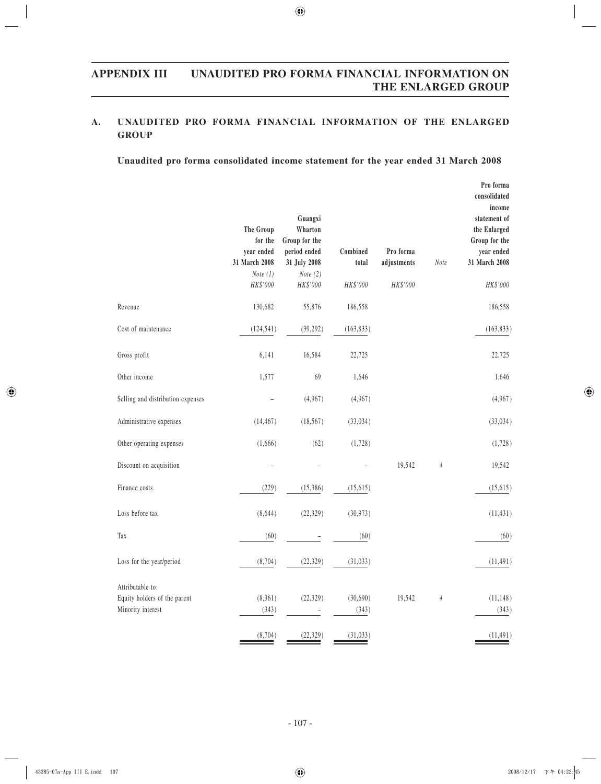## **A. UNAUDITED PRO FORMA FINANCIAL INFORMATION OF THE ENLARGED GROUP**

#### **Unaudited pro forma consolidated income statement for the year ended 31 March 2008**

|                                                                       | The Group<br>for the<br>year ended<br>31 March 2008<br><i>Note</i> $(1)$<br>HK\$'000 | Guangxi<br>Wharton<br>Group for the<br>period ended<br>31 July 2008<br>Note $(2)$<br>HK\$'000 | Combined<br>total<br>HK\$'000 | Pro forma<br>adjustments<br>HK\$'000 | Note       | Pro forma<br>consolidated<br>income<br>statement of<br>the Enlarged<br>Group for the<br>year ended<br>31 March 2008<br>HK\$'000 |
|-----------------------------------------------------------------------|--------------------------------------------------------------------------------------|-----------------------------------------------------------------------------------------------|-------------------------------|--------------------------------------|------------|---------------------------------------------------------------------------------------------------------------------------------|
| Revenue                                                               | 130,682                                                                              | 55,876                                                                                        | 186,558                       |                                      |            | 186,558                                                                                                                         |
| Cost of maintenance                                                   | (124, 541)                                                                           | (39, 292)                                                                                     | (163, 833)                    |                                      |            | (163, 833)                                                                                                                      |
| Gross profit                                                          | 6,141                                                                                | 16,584                                                                                        | 22,725                        |                                      |            | 22,725                                                                                                                          |
| Other income                                                          | 1,577                                                                                | 69                                                                                            | 1,646                         |                                      |            | 1,646                                                                                                                           |
| Selling and distribution expenses                                     |                                                                                      | (4,967)                                                                                       | (4,967)                       |                                      |            | (4,967)                                                                                                                         |
| Administrative expenses                                               | (14, 467)                                                                            | (18, 567)                                                                                     | (33, 034)                     |                                      |            | (33, 034)                                                                                                                       |
| Other operating expenses                                              | (1,666)                                                                              | (62)                                                                                          | (1,728)                       |                                      |            | (1,728)                                                                                                                         |
| Discount on acquisition                                               |                                                                                      |                                                                                               |                               | 19,542                               | $\sqrt{4}$ | 19,542                                                                                                                          |
| Finance costs                                                         | (229)                                                                                | (15,386)                                                                                      | (15, 615)                     |                                      |            | (15, 615)                                                                                                                       |
| Loss before tax                                                       | (8,644)                                                                              | (22, 329)                                                                                     | (30, 973)                     |                                      |            | (11, 431)                                                                                                                       |
| Tax                                                                   | (60)                                                                                 |                                                                                               | (60)                          |                                      |            | (60)                                                                                                                            |
| Loss for the year/period                                              | (8,704)                                                                              | (22, 329)                                                                                     | (31,033)                      |                                      |            | (11, 491)                                                                                                                       |
| Attributable to:<br>Equity holders of the parent<br>Minority interest | (8,361)<br>(343)                                                                     | (22, 329)                                                                                     | (30,690)<br>(343)             | 19,542                               | $\sqrt{4}$ | (11, 148)<br>(343)                                                                                                              |
|                                                                       | (8, 704)                                                                             | (22, 329)                                                                                     | (31,033)                      |                                      |            | (11, 491)                                                                                                                       |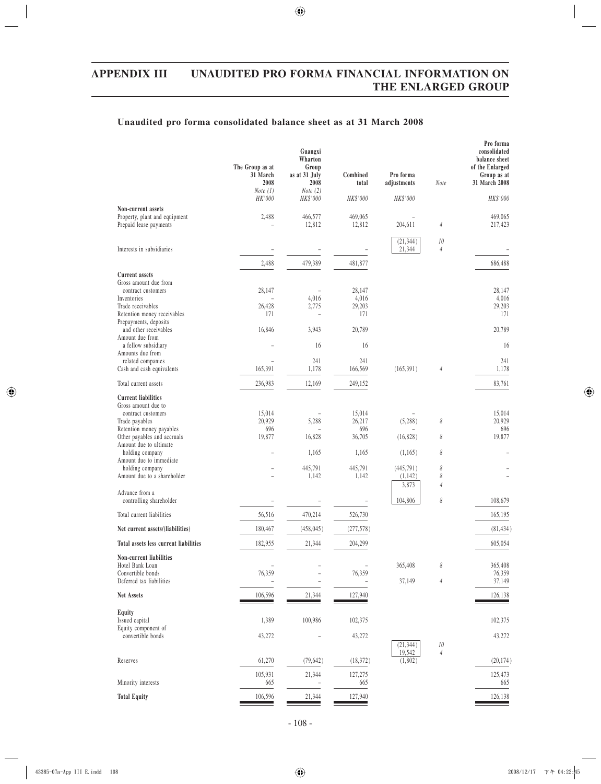## **Unaudited pro forma consolidated balance sheet as at 31 March 2008**

|                                                                                                                                                                                                   | The Group as at<br>31 March<br>2008<br><i>Note</i> $(1)$ | Guangxi<br>Wharton<br>Group<br>as at 31 July<br>2008<br>Note $(2)$ | Combined<br>total                          | Pro forma<br>adjustments       | Note                     | Pro forma<br>consolidated<br>balance sheet<br>of the Enlarged<br>Group as at<br>31 March 2008 |
|---------------------------------------------------------------------------------------------------------------------------------------------------------------------------------------------------|----------------------------------------------------------|--------------------------------------------------------------------|--------------------------------------------|--------------------------------|--------------------------|-----------------------------------------------------------------------------------------------|
|                                                                                                                                                                                                   | HK'000                                                   | HK\$'000                                                           | HK\$'000                                   | HK\$'000                       |                          | HK\$'000                                                                                      |
| Non-current assets<br>Property, plant and equipment<br>Prepaid lease payments                                                                                                                     | 2,488                                                    | 466,577<br>12,812                                                  | 469,065<br>12,812                          | 204,611                        | $\overline{4}$           | 469,065<br>217,423                                                                            |
| Interests in subsidiaries                                                                                                                                                                         |                                                          |                                                                    |                                            | (21, 344)<br>21,344            | 10<br>$\overline{4}$     |                                                                                               |
|                                                                                                                                                                                                   | 2,488                                                    | 479,389                                                            | 481,877                                    |                                |                          | 686,488                                                                                       |
| <b>Current</b> assets<br>Gross amount due from<br>contract customers<br>Inventories                                                                                                               | 28,147                                                   | 4,016                                                              | 28,147<br>4,016                            |                                |                          | 28,147<br>4,016                                                                               |
| Trade receivables<br>Retention money receivables<br>Prepayments, deposits                                                                                                                         | 26,428<br>171                                            | 2,775<br>۰                                                         | 29,203<br>171                              |                                |                          | 29,203<br>171                                                                                 |
| and other receivables<br>Amount due from                                                                                                                                                          | 16,846                                                   | 3,943                                                              | 20,789                                     |                                |                          | 20,789                                                                                        |
| a fellow subsidiary<br>Amounts due from                                                                                                                                                           |                                                          | 16                                                                 | 16                                         |                                |                          | 16                                                                                            |
| related companies<br>Cash and cash equivalents                                                                                                                                                    | 165,391                                                  | 241<br>1,178                                                       | 241<br>166,569                             | (165, 391)                     | $\overline{4}$           | 241<br>1,178                                                                                  |
| Total current assets                                                                                                                                                                              | 236,983                                                  | 12,169                                                             | 249,152                                    |                                |                          | 83,761                                                                                        |
| <b>Current liabilities</b><br>Gross amount due to<br>contract customers<br>Trade payables<br>Retention money payables<br>Other payables and accruals<br>Amount due to ultimate<br>holding company | 15,014<br>20,929<br>696<br>19,877                        | 5,288<br>16,828<br>1,165                                           | 15,014<br>26,217<br>696<br>36,705<br>1,165 | (5,288)<br>(16,828)<br>(1,165) | 8<br>8<br>8              | 15,014<br>20,929<br>696<br>19,877                                                             |
| Amount due to immediate<br>holding company<br>Amount due to a shareholder                                                                                                                         |                                                          | 445,791<br>1,142                                                   | 445,791<br>1,142                           | (445, 791)<br>(1,142)<br>3,873 | 8<br>8<br>$\overline{4}$ |                                                                                               |
| Advance from a<br>controlling shareholder                                                                                                                                                         |                                                          |                                                                    |                                            | 104,806                        | 8                        | 108,679                                                                                       |
| Total current liabilities                                                                                                                                                                         | 56.516                                                   | 470,214                                                            | 526,730                                    |                                |                          | 165,195                                                                                       |
| Net current assets/(liabilities)                                                                                                                                                                  | 180,467                                                  | (458, 045)                                                         | (277, 578)                                 |                                |                          | (81, 434)                                                                                     |
| Total assets less current liabilities                                                                                                                                                             | 182,955                                                  | 21,344                                                             | 204,299                                    |                                |                          | 605,054                                                                                       |
| Non-current liabilities<br>Hotel Bank Loan<br>Convertible bonds<br>Deferred tax liabilities                                                                                                       | 76,359                                                   |                                                                    | 76,359                                     | 365,408<br>37,149              | 8<br>$\sqrt{4}$          | 365,408<br>76,359<br>37,149                                                                   |
| <b>Net Assets</b>                                                                                                                                                                                 | 106,596                                                  | 21,344                                                             | 127,940                                    |                                |                          | 126,138                                                                                       |
| Equity<br>Issued capital<br>Equity component of                                                                                                                                                   | 1,389                                                    | 100,986                                                            | 102,375                                    |                                |                          | 102,375                                                                                       |
| convertible bonds                                                                                                                                                                                 | 43,272                                                   |                                                                    | 43,272                                     |                                |                          | 43,272                                                                                        |
| Reserves                                                                                                                                                                                          | 61,270                                                   | (79, 642)                                                          | (18, 372)                                  | (21, 344)<br>19,542<br>(1,802) | 10<br>$\overline{4}$     | (20, 174)                                                                                     |
| Minority interests                                                                                                                                                                                | 105,931<br>665                                           | 21,344                                                             | 127,275<br>665                             |                                |                          | 125,473<br>665                                                                                |
| <b>Total Equity</b>                                                                                                                                                                               | 106,596                                                  | 21,344                                                             | 127,940                                    |                                |                          | 126,138                                                                                       |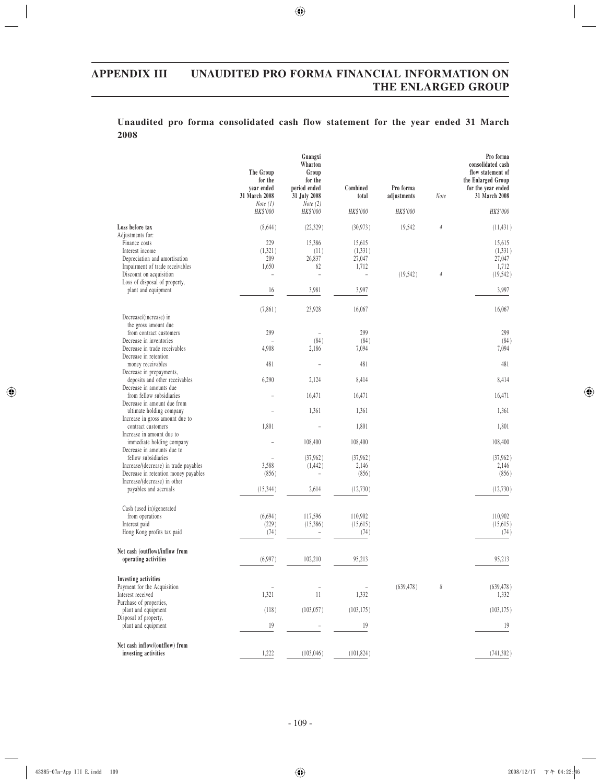|      |  | Unaudited pro forma consolidated cash flow statement for the year ended 31 March |  |  |  |  |  |
|------|--|----------------------------------------------------------------------------------|--|--|--|--|--|
| 2008 |  |                                                                                  |  |  |  |  |  |

|                                                                      | The Group<br>for the<br>year ended<br>31 March 2008 | Guangxi<br>Wharton<br>Group<br>for the<br>period ended<br>31 July 2008 | Combined<br>total | Pro forma<br>adjustments | Note                  | Pro forma<br>consolidated cash<br>flow statement of<br>the Enlarged Group<br>for the year ended<br>31 March 2008 |
|----------------------------------------------------------------------|-----------------------------------------------------|------------------------------------------------------------------------|-------------------|--------------------------|-----------------------|------------------------------------------------------------------------------------------------------------------|
|                                                                      | <i>Note</i> $(1)$<br>HK\$'000                       | Note $(2)$<br>HK\$'000                                                 | HK\$'000          | HK\$'000                 |                       | HK\$'000                                                                                                         |
| Loss before tax<br>Adjustments for:                                  | (8,644)                                             | (22,329)                                                               | (30, 973)         | 19,542                   | $\sqrt{4}$            | (11, 431)                                                                                                        |
| Finance costs                                                        | 229                                                 | 15,386                                                                 | 15,615            |                          |                       | 15,615                                                                                                           |
| Interest income                                                      | (1,321)                                             | (11)                                                                   | (1, 331)          |                          |                       | (1, 331)                                                                                                         |
| Depreciation and amortisation                                        | 209                                                 | 26,837                                                                 | 27,047            |                          |                       | 27,047                                                                                                           |
| Impairment of trade receivables                                      | 1,650                                               | 62                                                                     | 1,712             |                          |                       | 1,712                                                                                                            |
| Discount on acquisition                                              | L.                                                  | $\overline{a}$                                                         | L.                | (19, 542)                | $\overline{4}$        | (19, 542)                                                                                                        |
| Loss of disposal of property,                                        |                                                     |                                                                        |                   |                          |                       |                                                                                                                  |
| plant and equipment                                                  | 16                                                  | 3,981                                                                  | 3,997             |                          |                       | 3,997                                                                                                            |
|                                                                      | (7, 861)                                            | 23,928                                                                 | 16,067            |                          |                       | 16,067                                                                                                           |
| Decrease/(increase) in                                               |                                                     |                                                                        |                   |                          |                       |                                                                                                                  |
| the gross amount due<br>from contract customers                      | 299                                                 |                                                                        | 299               |                          |                       | 299                                                                                                              |
| Decrease in inventories                                              |                                                     | (84)                                                                   | (84)              |                          |                       | (84)                                                                                                             |
| Decrease in trade receivables                                        | 4,908                                               | 2,186                                                                  | 7,094             |                          |                       | 7,094                                                                                                            |
| Decrease in retention                                                |                                                     |                                                                        |                   |                          |                       |                                                                                                                  |
| money receivables                                                    | 481                                                 |                                                                        | 481               |                          |                       | 481                                                                                                              |
| Decrease in prepayments,                                             |                                                     |                                                                        |                   |                          |                       |                                                                                                                  |
| deposits and other receivables                                       | 6,290                                               | 2,124                                                                  | 8,414             |                          |                       | 8,414                                                                                                            |
| Decrease in amounts due                                              |                                                     |                                                                        |                   |                          |                       |                                                                                                                  |
| from fellow subsidiaries                                             |                                                     | 16,471                                                                 | 16,471            |                          |                       | 16,471                                                                                                           |
| Decrease in amount due from<br>ultimate holding company              |                                                     | 1,361                                                                  | 1,361             |                          |                       | 1,361                                                                                                            |
| Increase in gross amount due to                                      |                                                     |                                                                        |                   |                          |                       |                                                                                                                  |
| contract customers                                                   | 1,801                                               |                                                                        | 1,801             |                          |                       | 1,801                                                                                                            |
| Increase in amount due to                                            |                                                     |                                                                        |                   |                          |                       |                                                                                                                  |
| immediate holding company                                            |                                                     | 108,400                                                                | 108,400           |                          |                       | 108,400                                                                                                          |
| Decrease in amounts due to                                           |                                                     |                                                                        |                   |                          |                       |                                                                                                                  |
| fellow subsidiaries                                                  |                                                     | (37,962)                                                               | (37,962)          |                          |                       | (37,962)                                                                                                         |
| Increase/(decrease) in trade payables                                | 3,588                                               | (1, 442)                                                               | 2,146             |                          |                       | 2,146                                                                                                            |
| Decrease in retention money payables<br>Increase/(decrease) in other | (856)                                               | $\overline{a}$                                                         | (856)             |                          |                       | (856)                                                                                                            |
| payables and accruals                                                | (15, 344)                                           | 2,614                                                                  | (12, 730)         |                          |                       | (12, 730)                                                                                                        |
|                                                                      |                                                     |                                                                        |                   |                          |                       |                                                                                                                  |
| Cash (used in)/generated                                             |                                                     |                                                                        |                   |                          |                       |                                                                                                                  |
| from operations                                                      | (6, 694)                                            | 117,596                                                                | 110,902           |                          |                       | 110,902                                                                                                          |
| Interest paid                                                        | (229)                                               | (15,386)                                                               | (15, 615)         |                          |                       | (15, 615)                                                                                                        |
| Hong Kong profits tax paid                                           | (74)                                                |                                                                        | (74)              |                          |                       | (74)                                                                                                             |
| Net cash (outflow)/inflow from                                       |                                                     |                                                                        |                   |                          |                       |                                                                                                                  |
| operating activities                                                 | (6,997)                                             | 102.210                                                                | 95,213            |                          |                       | 95,213                                                                                                           |
|                                                                      |                                                     |                                                                        |                   |                          |                       |                                                                                                                  |
| <b>Investing activities</b>                                          |                                                     |                                                                        |                   |                          |                       |                                                                                                                  |
| Payment for the Acquisition                                          | $\overline{a}$                                      | $\overline{a}$                                                         |                   | (639, 478)               | $\boldsymbol{\delta}$ | (639, 478)                                                                                                       |
| Interest received                                                    | 1,321                                               | 11                                                                     | 1,332             |                          |                       | 1,332                                                                                                            |
| Purchase of properties,<br>plant and equipment                       | (118)                                               | (103, 057)                                                             | (103, 175)        |                          |                       | (103, 175)                                                                                                       |
| Disposal of property,                                                |                                                     |                                                                        |                   |                          |                       |                                                                                                                  |
| plant and equipment                                                  | 19                                                  |                                                                        | 19                |                          |                       | 19                                                                                                               |
|                                                                      |                                                     |                                                                        |                   |                          |                       |                                                                                                                  |
| Net cash inflow/(outflow) from                                       |                                                     |                                                                        |                   |                          |                       |                                                                                                                  |
| investing activities                                                 | 1,222                                               | (103, 046)                                                             | (101, 824)        |                          |                       | (741, 302)                                                                                                       |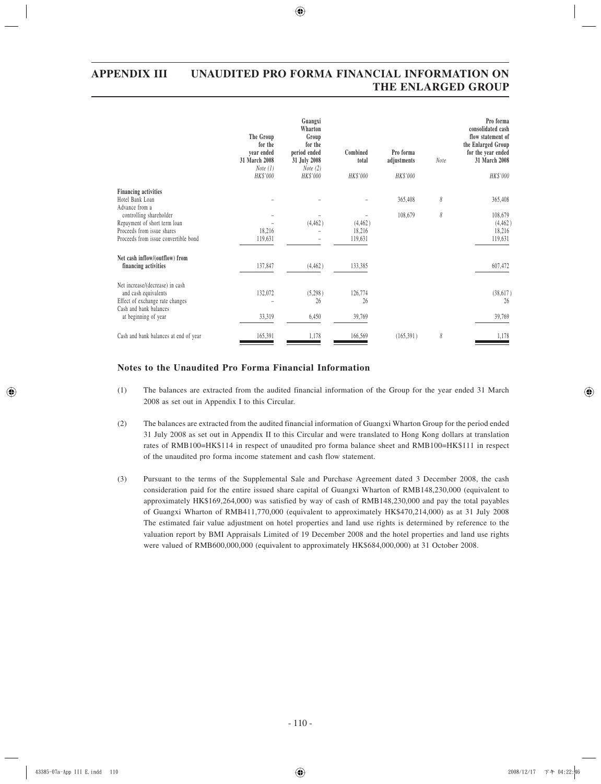|                                                           | The Group<br>for the<br>year ended<br>31 March 2008<br>Note $(1)$<br>HK\$'000 | Guangxi<br>Wharton<br>Group<br>for the<br>period ended<br>31 July 2008<br>Note $(2)$<br>HK\$'000 | Combined<br>total<br>HK\$'000 | Pro forma<br>adjustments<br>HK\$'000 | Note | Pro forma<br>consolidated cash<br>flow statement of<br>the Enlarged Group<br>for the year ended<br>31 March 2008<br>HK\$'000 |
|-----------------------------------------------------------|-------------------------------------------------------------------------------|--------------------------------------------------------------------------------------------------|-------------------------------|--------------------------------------|------|------------------------------------------------------------------------------------------------------------------------------|
| <b>Financing activities</b>                               |                                                                               |                                                                                                  |                               |                                      |      |                                                                                                                              |
| Hotel Bank Loan                                           |                                                                               |                                                                                                  |                               | 365,408                              | 8    | 365,408                                                                                                                      |
| Advance from a<br>controlling shareholder                 |                                                                               |                                                                                                  |                               | 108,679                              | 8    | 108,679                                                                                                                      |
| Repayment of short term loan                              |                                                                               | (4, 462)                                                                                         | (4, 462)                      |                                      |      | (4, 462)                                                                                                                     |
| Proceeds from issue shares                                | 18,216                                                                        |                                                                                                  | 18,216                        |                                      |      | 18,216                                                                                                                       |
| Proceeds from issue convertible bond                      | 119,631                                                                       |                                                                                                  | 119,631                       |                                      |      | 119,631                                                                                                                      |
| Net cash inflow/(outflow) from<br>financing activities    | 137,847                                                                       | (4, 462)                                                                                         | 133,385                       |                                      |      | 607,472                                                                                                                      |
| Net increase/(decrease) in cash                           |                                                                               |                                                                                                  |                               |                                      |      |                                                                                                                              |
| and cash equivalents                                      | 132,072                                                                       | (5,298)                                                                                          | 126,774                       |                                      |      | (38, 617)                                                                                                                    |
| Effect of exchange rate changes<br>Cash and bank balances |                                                                               | 26                                                                                               | 26                            |                                      |      | 26                                                                                                                           |
| at beginning of year                                      | 33,319                                                                        | 6,450                                                                                            | 39,769                        |                                      |      | 39,769                                                                                                                       |
| Cash and bank balances at end of year                     | 165,391                                                                       | 1,178                                                                                            | 166,569                       | (165, 391)                           | 8    | 1,178                                                                                                                        |

## **Notes to the Unaudited Pro Forma Financial Information**

- (1) The balances are extracted from the audited financial information of the Group for the year ended 31 March 2008 as set out in Appendix I to this Circular.
- (2) The balances are extracted from the audited financial information of Guangxi Wharton Group for the period ended 31 July 2008 as set out in Appendix II to this Circular and were translated to Hong Kong dollars at translation rates of RMB100=HK\$114 in respect of unaudited pro forma balance sheet and RMB100=HK\$111 in respect of the unaudited pro forma income statement and cash flow statement.
- (3) Pursuant to the terms of the Supplemental Sale and Purchase Agreement dated 3 December 2008, the cash consideration paid for the entire issued share capital of Guangxi Wharton of RMB148,230,000 (equivalent to approximately HK\$169,264,000) was satisfied by way of cash of RMB148,230,000 and pay the total payables of Guangxi Wharton of RMB411,770,000 (equivalent to approximately HK\$470,214,000) as at 31 July 2008 The estimated fair value adjustment on hotel properties and land use rights is determined by reference to the valuation report by BMI Appraisals Limited of 19 December 2008 and the hotel properties and land use rights were valued of RMB600,000,000 (equivalent to approximately HK\$684,000,000) at 31 October 2008.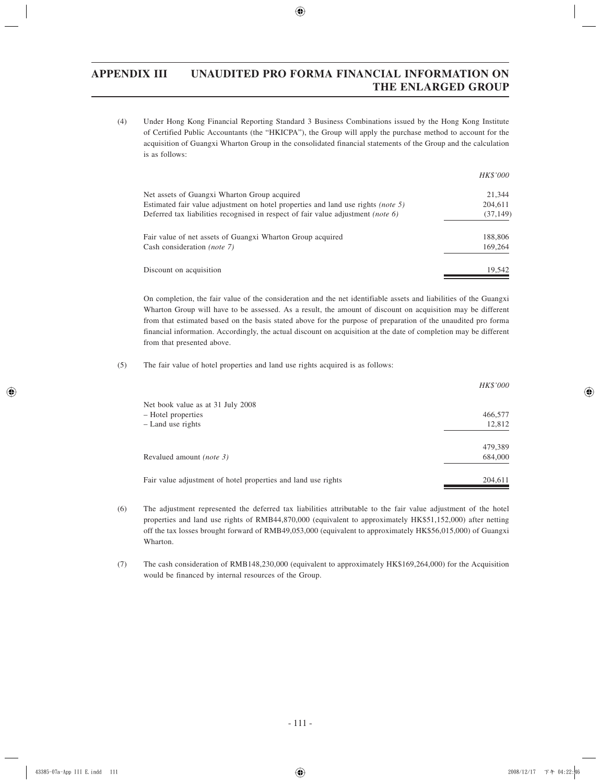(4) Under Hong Kong Financial Reporting Standard 3 Business Combinations issued by the Hong Kong Institute of Certified Public Accountants (the "HKICPA"), the Group will apply the purchase method to account for the acquisition of Guangxi Wharton Group in the consolidated financial statements of the Group and the calculation is as follows:

|                                                                                  | <i>HK\$'000</i> |
|----------------------------------------------------------------------------------|-----------------|
| Net assets of Guangxi Wharton Group acquired                                     | 21.344          |
| Estimated fair value adjustment on hotel properties and land use rights (note 5) | 204,611         |
| Deferred tax liabilities recognised in respect of fair value adjustment (note 6) | (37, 149)       |
| Fair value of net assets of Guangxi Wharton Group acquired                       | 188,806         |
| Cash consideration <i>(note 7)</i>                                               | 169,264         |
| Discount on acquisition                                                          | 19,542          |

On completion, the fair value of the consideration and the net identifiable assets and liabilities of the Guangxi Wharton Group will have to be assessed. As a result, the amount of discount on acquisition may be different from that estimated based on the basis stated above for the purpose of preparation of the unaudited pro forma financial information. Accordingly, the actual discount on acquisition at the date of completion may be different from that presented above.

#### (5) The fair value of hotel properties and land use rights acquired is as follows:

|                                                               | <i>HK\$'000</i> |
|---------------------------------------------------------------|-----------------|
| Net book value as at 31 July 2008                             |                 |
| - Hotel properties                                            | 466,577         |
| - Land use rights                                             | 12,812          |
|                                                               |                 |
|                                                               | 479,389         |
| Revalued amount <i>(note 3)</i>                               | 684,000         |
|                                                               |                 |
| Fair value adjustment of hotel properties and land use rights | 204,611         |
|                                                               |                 |

- (6) The adjustment represented the deferred tax liabilities attributable to the fair value adjustment of the hotel properties and land use rights of RMB44,870,000 (equivalent to approximately HK\$51,152,000) after netting off the tax losses brought forward of RMB49,053,000 (equivalent to approximately HK\$56,015,000) of Guangxi Wharton.
- (7) The cash consideration of RMB148,230,000 (equivalent to approximately HK\$169,264,000) for the Acquisition would be financed by internal resources of the Group.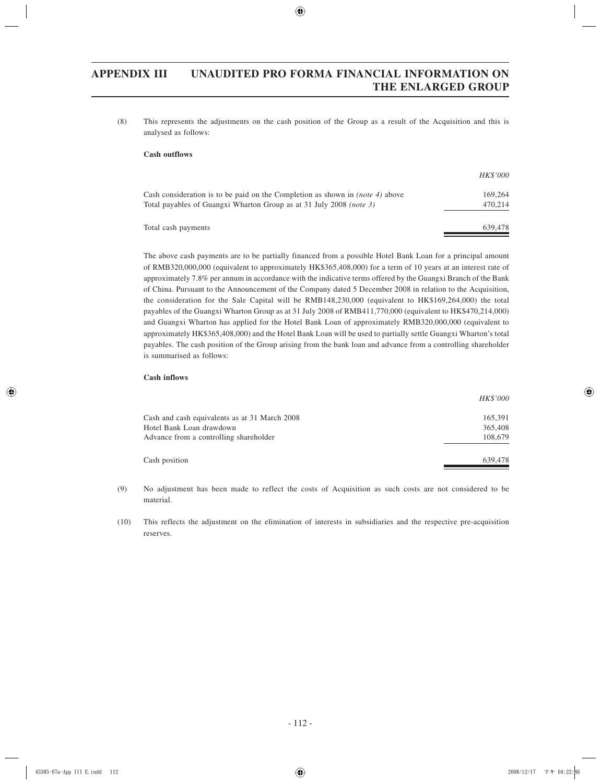(8) This represents the adjustments on the cash position of the Group as a result of the Acquisition and this is analysed as follows:

#### **Cash outflows**

|                                                                                                                                                             | <i>HK\$'000</i>    |
|-------------------------------------------------------------------------------------------------------------------------------------------------------------|--------------------|
| Cash consideration is to be paid on the Completion as shown in <i>(note 4)</i> above<br>Total payables of Guangxi Wharton Group as at 31 July 2008 (note 3) | 169,264<br>470.214 |
| Total cash payments                                                                                                                                         | 639,478            |

The above cash payments are to be partially financed from a possible Hotel Bank Loan for a principal amount of RMB320,000,000 (equivalent to approximately HK\$365,408,000) for a term of 10 years at an interest rate of approximately 7.8% per annum in accordance with the indicative terms offered by the Guangxi Branch of the Bank of China. Pursuant to the Announcement of the Company dated 5 December 2008 in relation to the Acquisition, the consideration for the Sale Capital will be RMB148,230,000 (equivalent to HK\$169,264,000) the total payables of the Guangxi Wharton Group as at 31 July 2008 of RMB411,770,000 (equivalent to HK\$470,214,000) and Guangxi Wharton has applied for the Hotel Bank Loan of approximately RMB320,000,000 (equivalent to approximately HK\$365,408,000) and the Hotel Bank Loan will be used to partially settle Guangxi Wharton's total payables. The cash position of the Group arising from the bank loan and advance from a controlling shareholder is summarised as follows:

#### **Cash inflows**

|                                               | <i>HK\$'000</i> |
|-----------------------------------------------|-----------------|
| Cash and cash equivalents as at 31 March 2008 | 165,391         |
| Hotel Bank Loan drawdown                      | 365,408         |
| Advance from a controlling shareholder        | 108,679         |
| Cash position                                 | 639,478         |

(9) No adjustment has been made to reflect the costs of Acquisition as such costs are not considered to be material.

(10) This reflects the adjustment on the elimination of interests in subsidiaries and the respective pre-acquisition reserves.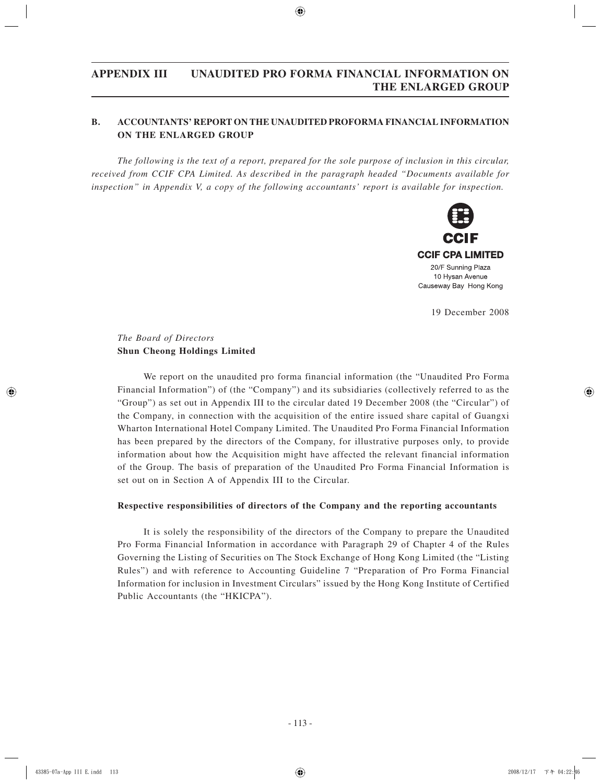## **B. ACCOUNTANTS' REPORT ON THE UNAUDITED PROFORMA FINANCIAL INFORMATION ON THE ENLARGED GROUP**

*The following is the text of a report, prepared for the sole purpose of inclusion in this circular, received from CCIF CPA Limited. As described in the paragraph headed "Documents available for inspection" in Appendix V, a copy of the following accountants' report is available for inspection.*



19 December 2008

## *The Board of Directors* **Shun Cheong Holdings Limited**

We report on the unaudited pro forma financial information (the "Unaudited Pro Forma Financial Information") of (the "Company") and its subsidiaries (collectively referred to as the "Group") as set out in Appendix III to the circular dated 19 December 2008 (the "Circular") of the Company, in connection with the acquisition of the entire issued share capital of Guangxi Wharton International Hotel Company Limited. The Unaudited Pro Forma Financial Information has been prepared by the directors of the Company, for illustrative purposes only, to provide information about how the Acquisition might have affected the relevant financial information of the Group. The basis of preparation of the Unaudited Pro Forma Financial Information is set out on in Section A of Appendix III to the Circular.

#### **Respective responsibilities of directors of the Company and the reporting accountants**

It is solely the responsibility of the directors of the Company to prepare the Unaudited Pro Forma Financial Information in accordance with Paragraph 29 of Chapter 4 of the Rules Governing the Listing of Securities on The Stock Exchange of Hong Kong Limited (the "Listing Rules") and with reference to Accounting Guideline 7 "Preparation of Pro Forma Financial Information for inclusion in Investment Circulars" issued by the Hong Kong Institute of Certified Public Accountants (the "HKICPA").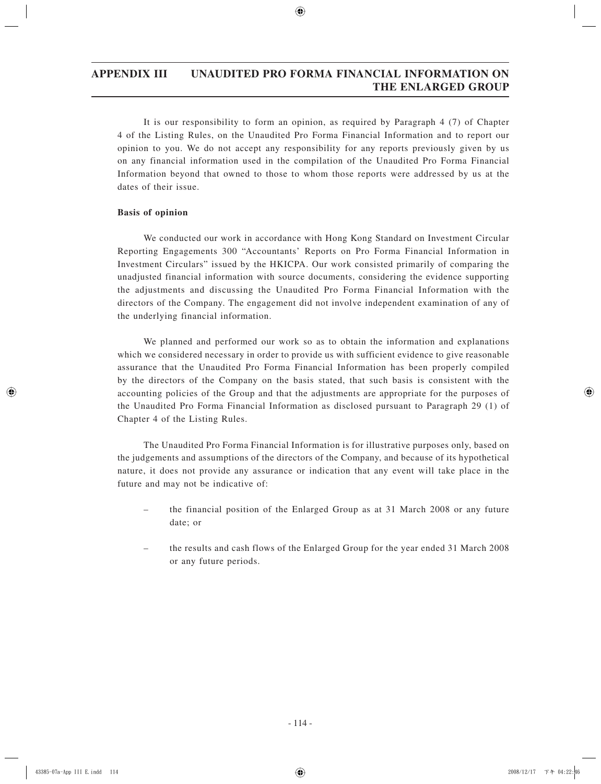It is our responsibility to form an opinion, as required by Paragraph 4 (7) of Chapter 4 of the Listing Rules, on the Unaudited Pro Forma Financial Information and to report our opinion to you. We do not accept any responsibility for any reports previously given by us on any financial information used in the compilation of the Unaudited Pro Forma Financial Information beyond that owned to those to whom those reports were addressed by us at the dates of their issue.

## **Basis of opinion**

We conducted our work in accordance with Hong Kong Standard on Investment Circular Reporting Engagements 300 "Accountants' Reports on Pro Forma Financial Information in Investment Circulars" issued by the HKICPA. Our work consisted primarily of comparing the unadjusted financial information with source documents, considering the evidence supporting the adjustments and discussing the Unaudited Pro Forma Financial Information with the directors of the Company. The engagement did not involve independent examination of any of the underlying financial information.

We planned and performed our work so as to obtain the information and explanations which we considered necessary in order to provide us with sufficient evidence to give reasonable assurance that the Unaudited Pro Forma Financial Information has been properly compiled by the directors of the Company on the basis stated, that such basis is consistent with the accounting policies of the Group and that the adjustments are appropriate for the purposes of the Unaudited Pro Forma Financial Information as disclosed pursuant to Paragraph 29 (1) of Chapter 4 of the Listing Rules.

The Unaudited Pro Forma Financial Information is for illustrative purposes only, based on the judgements and assumptions of the directors of the Company, and because of its hypothetical nature, it does not provide any assurance or indication that any event will take place in the future and may not be indicative of:

- the financial position of the Enlarged Group as at 31 March 2008 or any future date; or
- the results and cash flows of the Enlarged Group for the year ended 31 March 2008 or any future periods.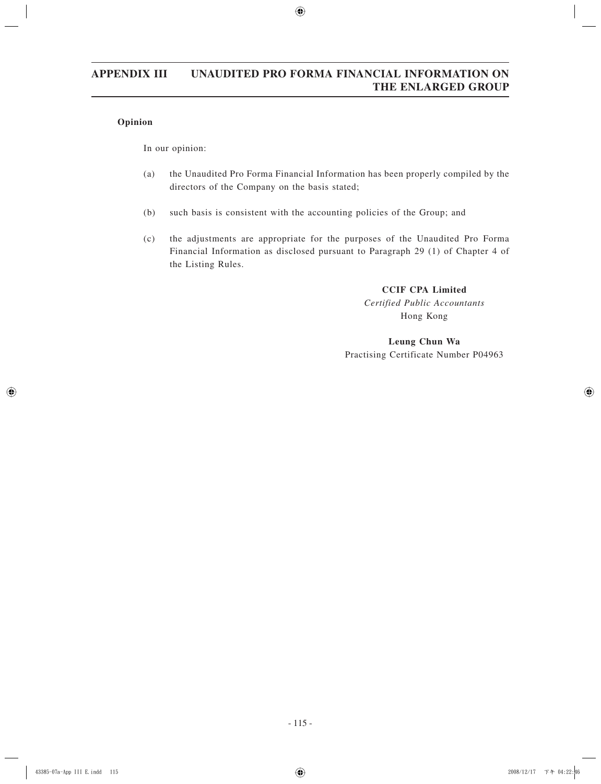## **Opinion**

In our opinion:

- (a) the Unaudited Pro Forma Financial Information has been properly compiled by the directors of the Company on the basis stated;
- (b) such basis is consistent with the accounting policies of the Group; and
- (c) the adjustments are appropriate for the purposes of the Unaudited Pro Forma Financial Information as disclosed pursuant to Paragraph 29 (1) of Chapter 4 of the Listing Rules.

**CCIF CPA Limited** *Certified Public Accountants* Hong Kong

## **Leung Chun Wa** Practising Certificate Number P04963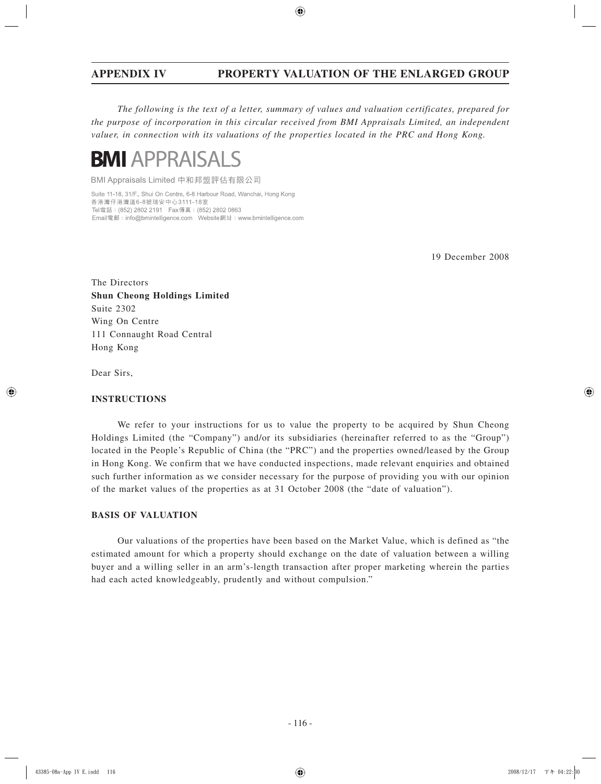*The following is the text of a letter, summary of values and valuation certificates, prepared for the purpose of incorporation in this circular received from BMI Appraisals Limited, an independent valuer, in connection with its valuations of the properties located in the PRC and Hong Kong.*



BMI Appraisals Limited 中和邦盟評估有限公司

Suite 11-18, 31/F., Shui On Centre, 6-8 Harbour Road, Wanchai, Hong Kong 香港灣仔港灣道6-8號瑞安中心3111-18室 Tel電話: (852) 2802 2191 Fax傳真: (852) 2802 0863 

19 December 2008

The Directors **Shun Cheong Holdings Limited** Suite 2302 Wing On Centre 111 Connaught Road Central Hong Kong

Dear Sirs,

#### **INSTRUCTIONS**

We refer to your instructions for us to value the property to be acquired by Shun Cheong Holdings Limited (the "Company") and/or its subsidiaries (hereinafter referred to as the "Group") located in the People's Republic of China (the "PRC") and the properties owned/leased by the Group in Hong Kong. We confirm that we have conducted inspections, made relevant enquiries and obtained such further information as we consider necessary for the purpose of providing you with our opinion of the market values of the properties as at 31 October 2008 (the "date of valuation").

#### **BASIS OF VALUATION**

Our valuations of the properties have been based on the Market Value, which is defined as "the estimated amount for which a property should exchange on the date of valuation between a willing buyer and a willing seller in an arm's-length transaction after proper marketing wherein the parties had each acted knowledgeably, prudently and without compulsion."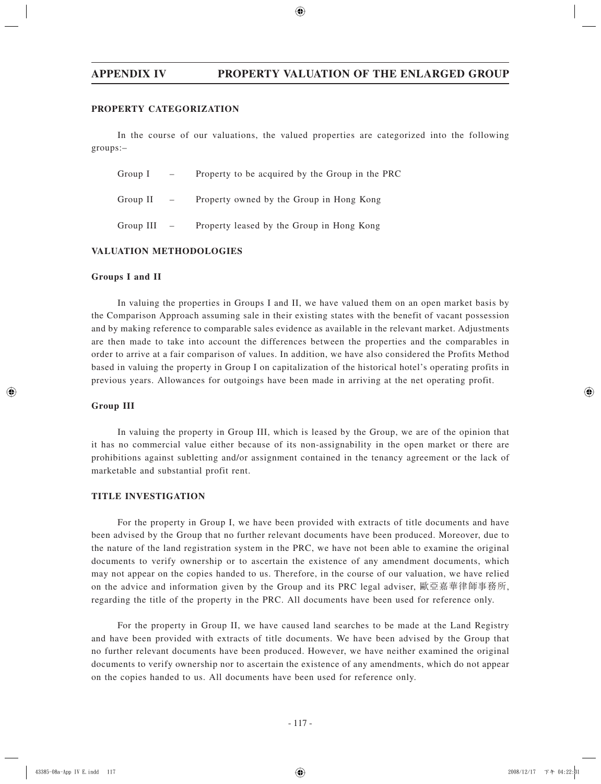#### **PROPERTY CATEGORIZATION**

In the course of our valuations, the valued properties are categorized into the following groups:–

| Group I       | $\frac{1}{2}$                                               | Property to be acquired by the Group in the PRC |
|---------------|-------------------------------------------------------------|-------------------------------------------------|
| Group II      | $\mathcal{L}^{\mathcal{L}}$ and $\mathcal{L}^{\mathcal{L}}$ | Property owned by the Group in Hong Kong        |
| $Group III -$ |                                                             | Property leased by the Group in Hong Kong       |

#### **VALUATION METHODOLOGIES**

#### **Groups I and II**

In valuing the properties in Groups I and II, we have valued them on an open market basis by the Comparison Approach assuming sale in their existing states with the benefit of vacant possession and by making reference to comparable sales evidence as available in the relevant market. Adjustments are then made to take into account the differences between the properties and the comparables in order to arrive at a fair comparison of values. In addition, we have also considered the Profits Method based in valuing the property in Group I on capitalization of the historical hotel's operating profits in previous years. Allowances for outgoings have been made in arriving at the net operating profit.

#### **Group III**

In valuing the property in Group III, which is leased by the Group, we are of the opinion that it has no commercial value either because of its non-assignability in the open market or there are prohibitions against subletting and/or assignment contained in the tenancy agreement or the lack of marketable and substantial profit rent.

#### **TITLE INVESTIGATION**

For the property in Group I, we have been provided with extracts of title documents and have been advised by the Group that no further relevant documents have been produced. Moreover, due to the nature of the land registration system in the PRC, we have not been able to examine the original documents to verify ownership or to ascertain the existence of any amendment documents, which may not appear on the copies handed to us. Therefore, in the course of our valuation, we have relied on the advice and information given by the Group and its PRC legal adviser, 歐亞嘉華律師事務所, regarding the title of the property in the PRC. All documents have been used for reference only.

For the property in Group II, we have caused land searches to be made at the Land Registry and have been provided with extracts of title documents. We have been advised by the Group that no further relevant documents have been produced. However, we have neither examined the original documents to verify ownership nor to ascertain the existence of any amendments, which do not appear on the copies handed to us. All documents have been used for reference only.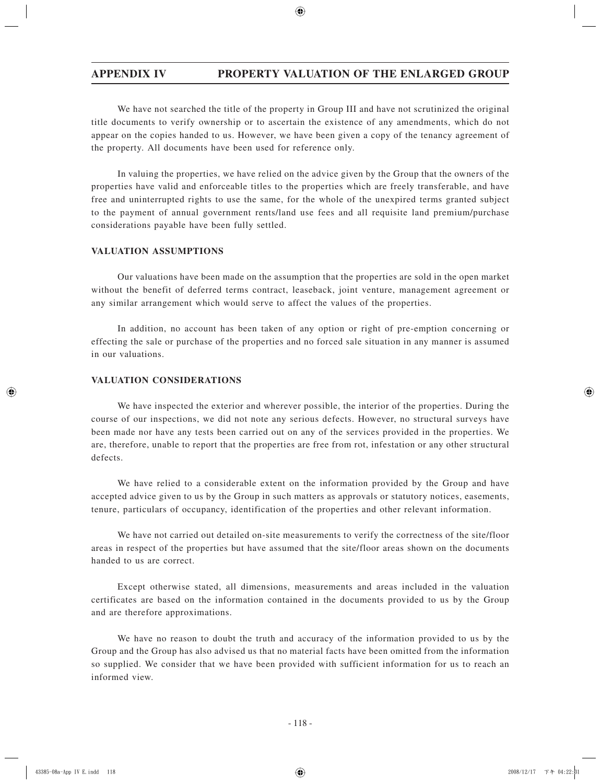We have not searched the title of the property in Group III and have not scrutinized the original title documents to verify ownership or to ascertain the existence of any amendments, which do not appear on the copies handed to us. However, we have been given a copy of the tenancy agreement of the property. All documents have been used for reference only.

In valuing the properties, we have relied on the advice given by the Group that the owners of the properties have valid and enforceable titles to the properties which are freely transferable, and have free and uninterrupted rights to use the same, for the whole of the unexpired terms granted subject to the payment of annual government rents/land use fees and all requisite land premium/purchase considerations payable have been fully settled.

#### **VALUATION ASSUMPTIONS**

Our valuations have been made on the assumption that the properties are sold in the open market without the benefit of deferred terms contract, leaseback, joint venture, management agreement or any similar arrangement which would serve to affect the values of the properties.

In addition, no account has been taken of any option or right of pre-emption concerning or effecting the sale or purchase of the properties and no forced sale situation in any manner is assumed in our valuations.

#### **VALUATION CONSIDERATIONS**

We have inspected the exterior and wherever possible, the interior of the properties. During the course of our inspections, we did not note any serious defects. However, no structural surveys have been made nor have any tests been carried out on any of the services provided in the properties. We are, therefore, unable to report that the properties are free from rot, infestation or any other structural defects.

We have relied to a considerable extent on the information provided by the Group and have accepted advice given to us by the Group in such matters as approvals or statutory notices, easements, tenure, particulars of occupancy, identification of the properties and other relevant information.

We have not carried out detailed on-site measurements to verify the correctness of the site/floor areas in respect of the properties but have assumed that the site/floor areas shown on the documents handed to us are correct.

Except otherwise stated, all dimensions, measurements and areas included in the valuation certificates are based on the information contained in the documents provided to us by the Group and are therefore approximations.

We have no reason to doubt the truth and accuracy of the information provided to us by the Group and the Group has also advised us that no material facts have been omitted from the information so supplied. We consider that we have been provided with sufficient information for us to reach an informed view.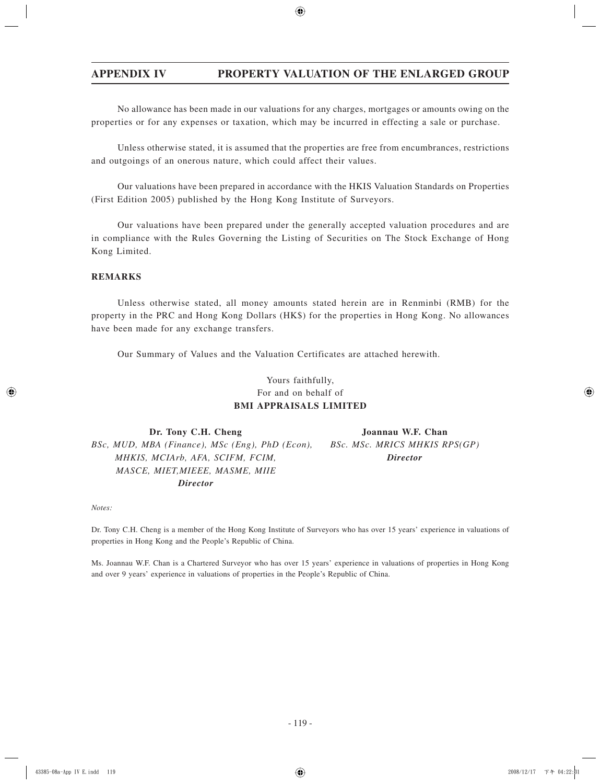No allowance has been made in our valuations for any charges, mortgages or amounts owing on the properties or for any expenses or taxation, which may be incurred in effecting a sale or purchase.

Unless otherwise stated, it is assumed that the properties are free from encumbrances, restrictions and outgoings of an onerous nature, which could affect their values.

Our valuations have been prepared in accordance with the HKIS Valuation Standards on Properties (First Edition 2005) published by the Hong Kong Institute of Surveyors.

Our valuations have been prepared under the generally accepted valuation procedures and are in compliance with the Rules Governing the Listing of Securities on The Stock Exchange of Hong Kong Limited.

## **REMARKS**

Unless otherwise stated, all money amounts stated herein are in Renminbi (RMB) for the property in the PRC and Hong Kong Dollars (HK\$) for the properties in Hong Kong. No allowances have been made for any exchange transfers.

Our Summary of Values and the Valuation Certificates are attached herewith.

## Yours faithfully, For and on behalf of **BMI APPRAISALS LIMITED**

Dr. Tony C.H. Cheng Joannau W.F. Chan  *BSc, MUD, MBA (Finance), MSc (Eng), PhD (Econ), BSc. MSc. MRICS MHKIS RPS(GP) MHKIS, MCIArb, AFA, SCIFM, FCIM, Director MASCE, MIET,MIEEE, MASME, MIIE Director*

*Notes:*

Dr. Tony C.H. Cheng is a member of the Hong Kong Institute of Surveyors who has over 15 years' experience in valuations of properties in Hong Kong and the People's Republic of China.

Ms. Joannau W.F. Chan is a Chartered Surveyor who has over 15 years' experience in valuations of properties in Hong Kong and over 9 years' experience in valuations of properties in the People's Republic of China.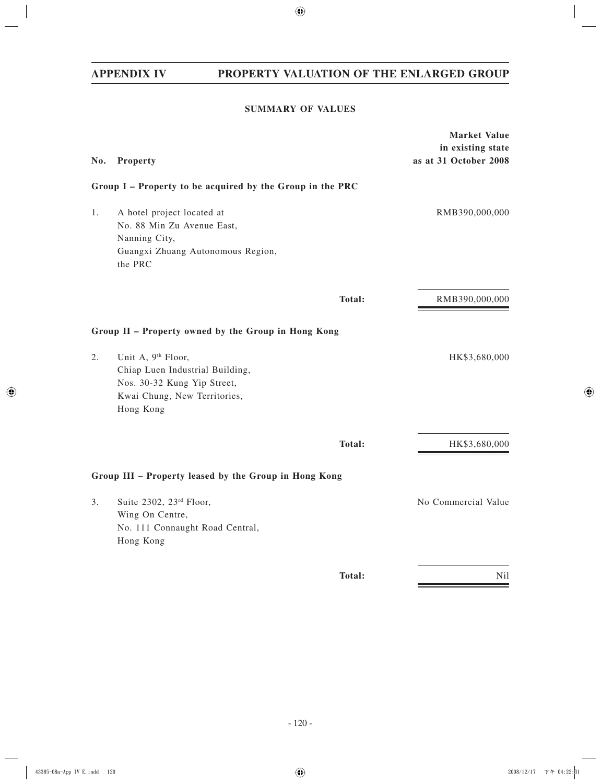## **SUMMARY OF VALUES**

|     |                                                                                                                                               | <b>Market Value</b><br>in existing state |
|-----|-----------------------------------------------------------------------------------------------------------------------------------------------|------------------------------------------|
| No. | Property                                                                                                                                      | as at 31 October 2008                    |
|     | Group I - Property to be acquired by the Group in the PRC                                                                                     |                                          |
| 1.  | A hotel project located at<br>No. 88 Min Zu Avenue East,<br>Nanning City,<br>Guangxi Zhuang Autonomous Region,<br>the PRC                     | RMB390,000,000                           |
|     | Total:                                                                                                                                        | RMB390,000,000                           |
|     | Group II - Property owned by the Group in Hong Kong                                                                                           |                                          |
| 2.  | Unit A, 9 <sup>th</sup> Floor,<br>Chiap Luen Industrial Building,<br>Nos. 30-32 Kung Yip Street,<br>Kwai Chung, New Territories,<br>Hong Kong | HK\$3,680,000                            |
|     | Total:                                                                                                                                        | HK\$3,680,000                            |
|     | Group III - Property leased by the Group in Hong Kong                                                                                         |                                          |
| 3.  | Suite 2302, 23rd Floor,<br>Wing On Centre,<br>No. 111 Connaught Road Central,<br>Hong Kong                                                    | No Commercial Value                      |
|     | Total:                                                                                                                                        | Nil                                      |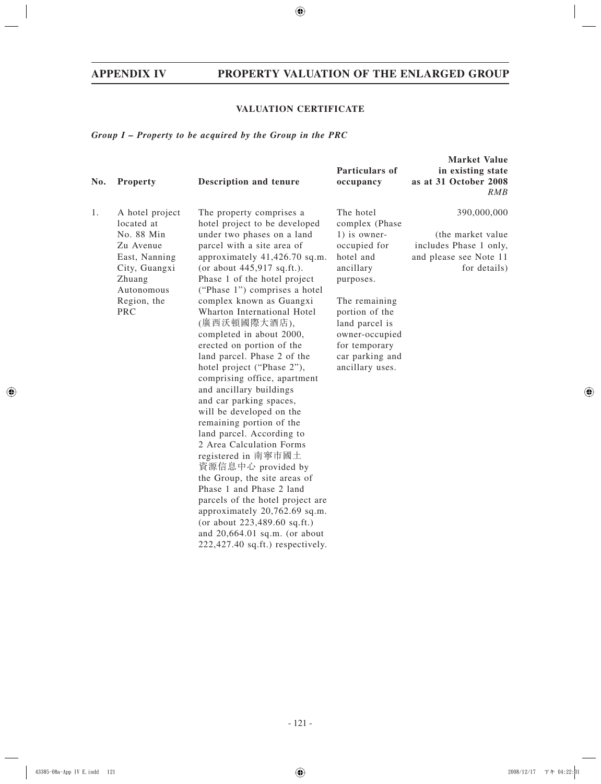## **VALUATION CERTIFICATE**

## *Group I – Property to be acquired by the Group in the PRC*

| No. | <b>Property</b>                                                                                                                                 | Description and tenure                                                                                                                                                                                                                                                                                                                                                                                                                                                                                                                                                                                                                                                                                                                                                                                                                                                                                                                                   | Particulars of<br>occupancy                                                                                                                                                                                                      | <b>Market Value</b><br>in existing state<br>as at 31 October 2008<br>RMB                              |
|-----|-------------------------------------------------------------------------------------------------------------------------------------------------|----------------------------------------------------------------------------------------------------------------------------------------------------------------------------------------------------------------------------------------------------------------------------------------------------------------------------------------------------------------------------------------------------------------------------------------------------------------------------------------------------------------------------------------------------------------------------------------------------------------------------------------------------------------------------------------------------------------------------------------------------------------------------------------------------------------------------------------------------------------------------------------------------------------------------------------------------------|----------------------------------------------------------------------------------------------------------------------------------------------------------------------------------------------------------------------------------|-------------------------------------------------------------------------------------------------------|
| 1.  | A hotel project<br>located at<br>No. 88 Min<br>Zu Avenue<br>East, Nanning<br>City, Guangxi<br>Zhuang<br>Autonomous<br>Region, the<br><b>PRC</b> | The property comprises a<br>hotel project to be developed<br>under two phases on a land<br>parcel with a site area of<br>approximately 41,426.70 sq.m.<br>(or about $445,917$ sq.ft.).<br>Phase 1 of the hotel project<br>("Phase 1") comprises a hotel<br>complex known as Guangxi<br>Wharton International Hotel<br>(廣西沃頓國際大酒店),<br>completed in about 2000,<br>erected on portion of the<br>land parcel. Phase 2 of the<br>hotel project ("Phase 2"),<br>comprising office, apartment<br>and ancillary buildings<br>and car parking spaces,<br>will be developed on the<br>remaining portion of the<br>land parcel. According to<br>2 Area Calculation Forms<br>registered in 南寧市國土<br>資源信息中心 provided by<br>the Group, the site areas of<br>Phase 1 and Phase 2 land<br>parcels of the hotel project are<br>approximately 20,762.69 sq.m.<br>(or about $223,489.60$ sq.ft.)<br>and $20,664.01$ sq.m. (or about<br>$222,427.40$ sq.ft.) respectively. | The hotel<br>complex (Phase<br>1) is owner-<br>occupied for<br>hotel and<br>ancillary<br>purposes.<br>The remaining<br>portion of the<br>land parcel is<br>owner-occupied<br>for temporary<br>car parking and<br>ancillary uses. | 390,000,000<br>(the market value)<br>includes Phase 1 only,<br>and please see Note 11<br>for details) |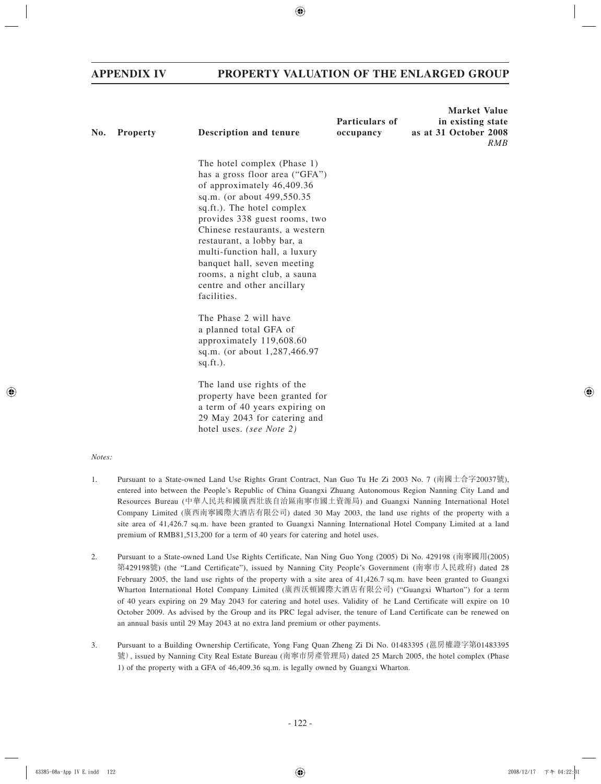| No. | <b>Property</b> | Description and tenure                                                                                                                                                                                                                                                                                                                                                                                | Particulars of<br>occupancy | <b>Market Value</b><br>in existing state<br>as at 31 October 2008<br>RMB |
|-----|-----------------|-------------------------------------------------------------------------------------------------------------------------------------------------------------------------------------------------------------------------------------------------------------------------------------------------------------------------------------------------------------------------------------------------------|-----------------------------|--------------------------------------------------------------------------|
|     |                 | The hotel complex (Phase 1)<br>has a gross floor area ("GFA")<br>of approximately 46,409.36<br>sq.m. (or about 499,550.35<br>sq.ft.). The hotel complex<br>provides 338 guest rooms, two<br>Chinese restaurants, a western<br>restaurant, a lobby bar, a<br>multi-function hall, a luxury<br>banquet hall, seven meeting<br>rooms, a night club, a sauna<br>centre and other ancillary<br>facilities. |                             |                                                                          |
|     |                 | The Phase 2 will have<br>a planned total GFA of<br>approximately 119,608.60<br>sq.m. (or about 1,287,466.97<br>$sq.fit.$ ).                                                                                                                                                                                                                                                                           |                             |                                                                          |
|     |                 | The land use rights of the<br>property have been granted for<br>a term of 40 years expiring on<br>29 May 2043 for catering and<br>hotel uses. (see Note 2)                                                                                                                                                                                                                                            |                             |                                                                          |

#### *Notes:*

- 1. Pursuant to a State-owned Land Use Rights Grant Contract, Nan Guo Tu He Zi 2003 No. 7 (南國土合字20037號), entered into between the People's Republic of China Guangxi Zhuang Autonomous Region Nanning City Land and Resources Bureau (中華人民共和國廣西壯族自治區南寧市國土資源局) and Guangxi Nanning International Hotel Company Limited (廣西南寧國際大酒店有限公司) dated 30 May 2003, the land use rights of the property with a site area of 41,426.7 sq.m. have been granted to Guangxi Nanning International Hotel Company Limited at a land premium of RMB81,513,200 for a term of 40 years for catering and hotel uses.
- 2. Pursuant to a State-owned Land Use Rights Certificate, Nan Ning Guo Yong (2005) Di No. 429198 (南寧國用(2005) 第429198號) (the "Land Certificate"), issued by Nanning City People's Government (南寧市人民政府) dated 28 February 2005, the land use rights of the property with a site area of 41,426.7 sq.m. have been granted to Guangxi Wharton International Hotel Company Limited (廣西沃頓國際大酒店有限公司) ("Guangxi Wharton") for a term of 40 years expiring on 29 May 2043 for catering and hotel uses. Validity of he Land Certificate will expire on 10 October 2009. As advised by the Group and its PRC legal adviser, the tenure of Land Certificate can be renewed on an annual basis until 29 May 2043 at no extra land premium or other payments.
- 3. Pursuant to a Building Ownership Certificate, Yong Fang Quan Zheng Zi Di No. 01483395 (邕房權證字第01483395 號), issued by Nanning City Real Estate Bureau (南寧市房產管理局) dated 25 March 2005, the hotel complex (Phase 1) of the property with a GFA of 46,409.36 sq.m. is legally owned by Guangxi Wharton.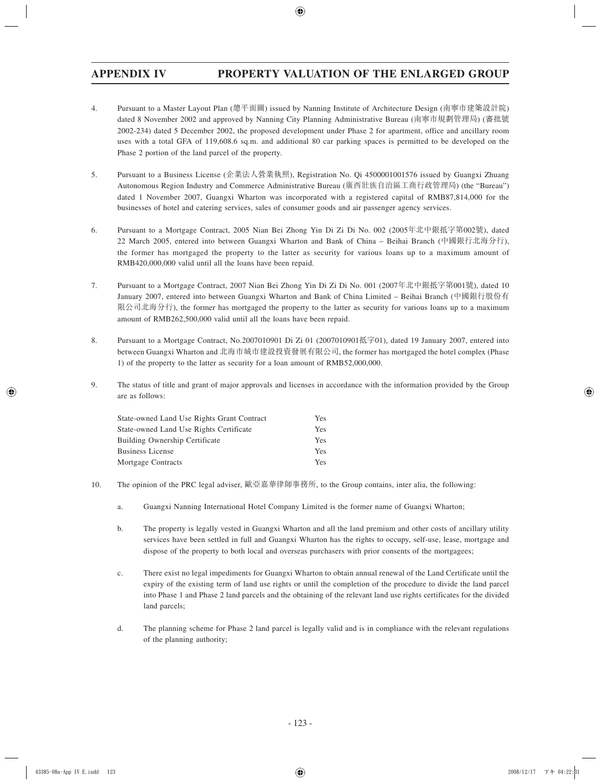- 4. Pursuant to a Master Layout Plan (總平面圖) issued by Nanning Institute of Architecture Design (南寧市建築設計院) dated 8 November 2002 and approved by Nanning City Planning Administrative Bureau (南寧市規劃管理局) (審批號 2002-234) dated 5 December 2002, the proposed development under Phase 2 for apartment, office and ancillary room uses with a total GFA of 119,608.6 sq.m. and additional 80 car parking spaces is permitted to be developed on the Phase 2 portion of the land parcel of the property.
- 5. Pursuant to a Business License (企業法人營業執照), Registration No. Qi 4500001001576 issued by Guangxi Zhuang Autonomous Region Industry and Commerce Administrative Bureau (廣西壯族自治區工商行政管理局) (the "Bureau") dated 1 November 2007, Guangxi Wharton was incorporated with a registered capital of RMB87,814,000 for the businesses of hotel and catering services, sales of consumer goods and air passenger agency services.
- 6. Pursuant to a Mortgage Contract, 2005 Nian Bei Zhong Yin Di Zi Di No. 002 (2005年北中銀抵字第002號), dated 22 March 2005, entered into between Guangxi Wharton and Bank of China – Beihai Branch (中國銀行北海分行), the former has mortgaged the property to the latter as security for various loans up to a maximum amount of RMB420,000,000 valid until all the loans have been repaid.
- 7. Pursuant to a Mortgage Contract, 2007 Nian Bei Zhong Yin Di Zi Di No. 001 (2007年北中銀抵字第001號), dated 10 January 2007, entered into between Guangxi Wharton and Bank of China Limited – Beihai Branch (中國銀行股份有 限公司北海分行), the former has mortgaged the property to the latter as security for various loans up to a maximum amount of RMB262,500,000 valid until all the loans have been repaid.
- 8. Pursuant to a Mortgage Contract, No.2007010901 Di Zi 01 (2007010901抵字01), dated 19 January 2007, entered into between Guangxi Wharton and 北海市城市建設投資發展有限公司, the former has mortgaged the hotel complex (Phase 1) of the property to the latter as security for a loan amount of RMB52,000,000.
- 9. The status of title and grant of major approvals and licenses in accordance with the information provided by the Group are as follows:

| State-owned Land Use Rights Grant Contract | Yes |
|--------------------------------------------|-----|
| State-owned Land Use Rights Certificate    | Yes |
| <b>Building Ownership Certificate</b>      | Yes |
| Business License                           | Yes |
| Mortgage Contracts                         | Yes |

- 10. The opinion of the PRC legal adviser, 歐亞嘉華律師事務所, to the Group contains, inter alia, the following:
	- a. Guangxi Nanning International Hotel Company Limited is the former name of Guangxi Wharton;
	- b. The property is legally vested in Guangxi Wharton and all the land premium and other costs of ancillary utility services have been settled in full and Guangxi Wharton has the rights to occupy, self-use, lease, mortgage and dispose of the property to both local and overseas purchasers with prior consents of the mortgagees;
	- c. There exist no legal impediments for Guangxi Wharton to obtain annual renewal of the Land Certificate until the expiry of the existing term of land use rights or until the completion of the procedure to divide the land parcel into Phase 1 and Phase 2 land parcels and the obtaining of the relevant land use rights certificates for the divided land parcels;
	- d. The planning scheme for Phase 2 land parcel is legally valid and is in compliance with the relevant regulations of the planning authority;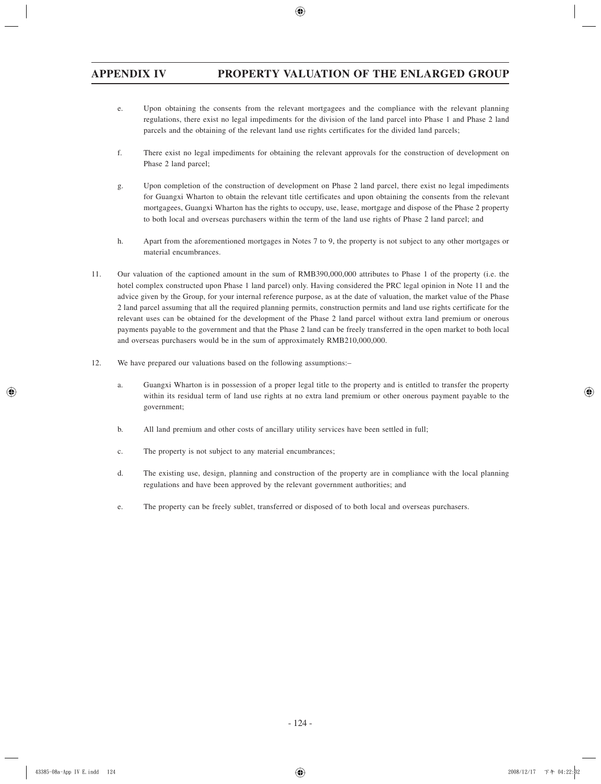- e. Upon obtaining the consents from the relevant mortgagees and the compliance with the relevant planning regulations, there exist no legal impediments for the division of the land parcel into Phase 1 and Phase 2 land parcels and the obtaining of the relevant land use rights certificates for the divided land parcels;
- f. There exist no legal impediments for obtaining the relevant approvals for the construction of development on Phase 2 land parcel;
- g. Upon completion of the construction of development on Phase 2 land parcel, there exist no legal impediments for Guangxi Wharton to obtain the relevant title certificates and upon obtaining the consents from the relevant mortgagees, Guangxi Wharton has the rights to occupy, use, lease, mortgage and dispose of the Phase 2 property to both local and overseas purchasers within the term of the land use rights of Phase 2 land parcel; and
- h. Apart from the aforementioned mortgages in Notes 7 to 9, the property is not subject to any other mortgages or material encumbrances.
- 11. Our valuation of the captioned amount in the sum of RMB390,000,000 attributes to Phase 1 of the property (i.e. the hotel complex constructed upon Phase 1 land parcel) only. Having considered the PRC legal opinion in Note 11 and the advice given by the Group, for your internal reference purpose, as at the date of valuation, the market value of the Phase 2 land parcel assuming that all the required planning permits, construction permits and land use rights certificate for the relevant uses can be obtained for the development of the Phase 2 land parcel without extra land premium or onerous payments payable to the government and that the Phase 2 land can be freely transferred in the open market to both local and overseas purchasers would be in the sum of approximately RMB210,000,000.
- 12. We have prepared our valuations based on the following assumptions:–
	- a. Guangxi Wharton is in possession of a proper legal title to the property and is entitled to transfer the property within its residual term of land use rights at no extra land premium or other onerous payment payable to the government;
	- b. All land premium and other costs of ancillary utility services have been settled in full;
	- c. The property is not subject to any material encumbrances;
	- d. The existing use, design, planning and construction of the property are in compliance with the local planning regulations and have been approved by the relevant government authorities; and
	- e. The property can be freely sublet, transferred or disposed of to both local and overseas purchasers.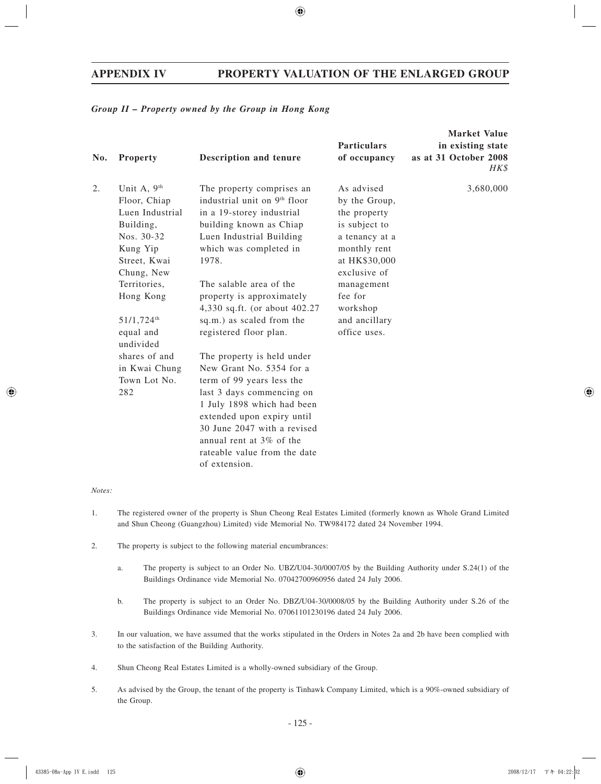#### *Group II – Property owned by the Group in Hong Kong*

| No. | Property                                                                                                                                                                                            | <b>Description and tenure</b>                                                                                                                                                                                                                                                                                                                | <b>Particulars</b><br>of occupancy                                                                                                                                                                    | <b>Market Value</b><br>in existing state<br>as at 31 October 2008<br>HK\$ |
|-----|-----------------------------------------------------------------------------------------------------------------------------------------------------------------------------------------------------|----------------------------------------------------------------------------------------------------------------------------------------------------------------------------------------------------------------------------------------------------------------------------------------------------------------------------------------------|-------------------------------------------------------------------------------------------------------------------------------------------------------------------------------------------------------|---------------------------------------------------------------------------|
| 2.  | Unit A, 9 <sup>th</sup><br>Floor, Chiap<br>Luen Industrial<br>Building,<br>Nos. 30-32<br>Kung Yip<br>Street, Kwai<br>Chung, New<br>Territories,<br>Hong Kong<br>51/1,724 <sup>th</sup><br>equal and | The property comprises an<br>industrial unit on 9 <sup>th</sup> floor<br>in a 19-storey industrial<br>building known as Chiap<br>Luen Industrial Building<br>which was completed in<br>1978.<br>The salable area of the<br>property is approximately<br>4,330 sq.ft. (or about 402.27<br>sq.m.) as scaled from the<br>registered floor plan. | As advised<br>by the Group,<br>the property<br>is subject to<br>a tenancy at a<br>monthly rent<br>at HK\$30,000<br>exclusive of<br>management<br>fee for<br>workshop<br>and ancillary<br>office uses. | 3,680,000                                                                 |
|     | undivided<br>shares of and<br>in Kwai Chung<br>Town Lot No.<br>282                                                                                                                                  | The property is held under<br>New Grant No. 5354 for a<br>term of 99 years less the<br>last 3 days commencing on<br>1 July 1898 which had been<br>extended upon expiry until<br>30 June 2047 with a revised<br>annual rent at $3\%$ of the<br>rateable value from the date<br>of extension.                                                  |                                                                                                                                                                                                       |                                                                           |

#### *Notes:*

- 1. The registered owner of the property is Shun Cheong Real Estates Limited (formerly known as Whole Grand Limited and Shun Cheong (Guangzhou) Limited) vide Memorial No. TW984172 dated 24 November 1994.
- 2. The property is subject to the following material encumbrances:
	- a. The property is subject to an Order No. UBZ/U04-30/0007/05 by the Building Authority under S.24(1) of the Buildings Ordinance vide Memorial No. 07042700960956 dated 24 July 2006.
	- b. The property is subject to an Order No. DBZ/U04-30/0008/05 by the Building Authority under S.26 of the Buildings Ordinance vide Memorial No. 07061101230196 dated 24 July 2006.
- 3. In our valuation, we have assumed that the works stipulated in the Orders in Notes 2a and 2b have been complied with to the satisfaction of the Building Authority.
- 4. Shun Cheong Real Estates Limited is a wholly-owned subsidiary of the Group.
- 5. As advised by the Group, the tenant of the property is Tinhawk Company Limited, which is a 90%-owned subsidiary of the Group.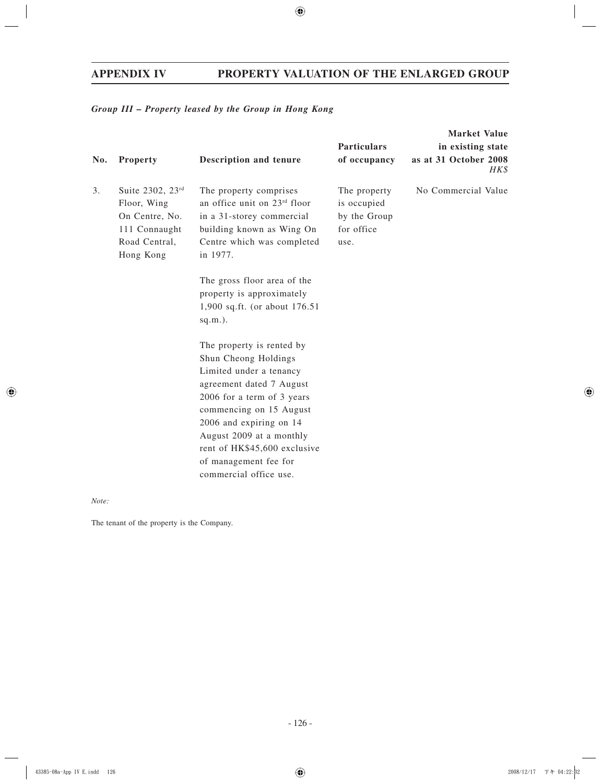## *Group III – Property leased by the Group in Hong Kong*

|     |                                                                                                  |                                                                                                                                                                                                                                                                                                                                                                                                                                                                                                                                                                                      | <b>Market Value</b>                                               |                               |  |
|-----|--------------------------------------------------------------------------------------------------|--------------------------------------------------------------------------------------------------------------------------------------------------------------------------------------------------------------------------------------------------------------------------------------------------------------------------------------------------------------------------------------------------------------------------------------------------------------------------------------------------------------------------------------------------------------------------------------|-------------------------------------------------------------------|-------------------------------|--|
|     |                                                                                                  |                                                                                                                                                                                                                                                                                                                                                                                                                                                                                                                                                                                      | <b>Particulars</b>                                                | in existing state             |  |
| No. | <b>Property</b>                                                                                  | <b>Description and tenure</b>                                                                                                                                                                                                                                                                                                                                                                                                                                                                                                                                                        | of occupancy                                                      | as at 31 October 2008<br>HK\$ |  |
| 3.  | Suite 2302, 23rd<br>Floor, Wing<br>On Centre, No.<br>111 Connaught<br>Road Central,<br>Hong Kong | The property comprises<br>an office unit on 23rd floor<br>in a 31-storey commercial<br>building known as Wing On<br>Centre which was completed<br>in 1977.<br>The gross floor area of the<br>property is approximately<br>1,900 sq.ft. (or about 176.51<br>$sq.m.$ ).<br>The property is rented by<br>Shun Cheong Holdings<br>Limited under a tenancy<br>agreement dated 7 August<br>2006 for a term of 3 years<br>commencing on 15 August<br>2006 and expiring on 14<br>August 2009 at a monthly<br>rent of HK\$45,600 exclusive<br>of management fee for<br>commercial office use. | The property<br>is occupied<br>by the Group<br>for office<br>use. | No Commercial Value           |  |

*Note:*

The tenant of the property is the Company.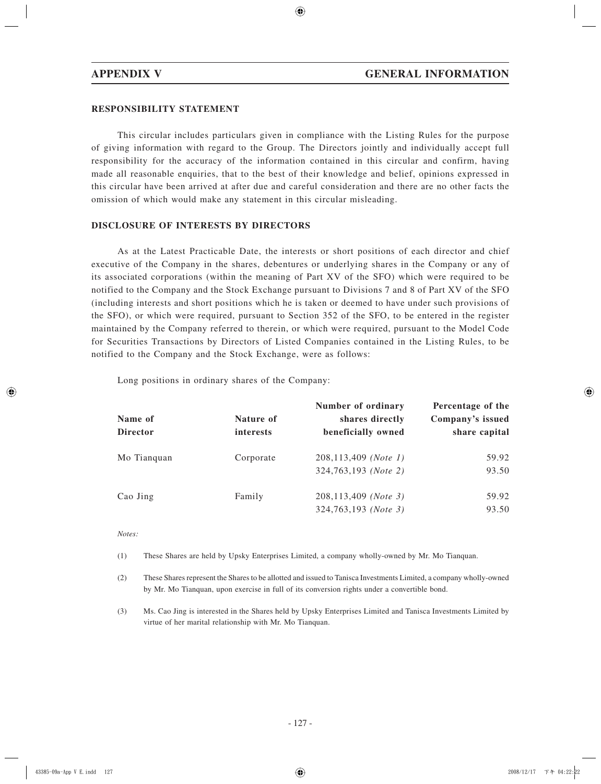## **RESPONSIBILITY STATEMENT**

This circular includes particulars given in compliance with the Listing Rules for the purpose of giving information with regard to the Group. The Directors jointly and individually accept full responsibility for the accuracy of the information contained in this circular and confirm, having made all reasonable enquiries, that to the best of their knowledge and belief, opinions expressed in this circular have been arrived at after due and careful consideration and there are no other facts the omission of which would make any statement in this circular misleading.

#### **DISCLOSURE OF INTERESTS BY DIRECTORS**

As at the Latest Practicable Date, the interests or short positions of each director and chief executive of the Company in the shares, debentures or underlying shares in the Company or any of its associated corporations (within the meaning of Part XV of the SFO) which were required to be notified to the Company and the Stock Exchange pursuant to Divisions 7 and 8 of Part XV of the SFO (including interests and short positions which he is taken or deemed to have under such provisions of the SFO), or which were required, pursuant to Section 352 of the SFO, to be entered in the register maintained by the Company referred to therein, or which were required, pursuant to the Model Code for Securities Transactions by Directors of Listed Companies contained in the Listing Rules, to be notified to the Company and the Stock Exchange, were as follows:

Long positions in ordinary shares of the Company:

| Name of         | Nature of | Number of ordinary<br>shares directly | Percentage of the<br>Company's issued |
|-----------------|-----------|---------------------------------------|---------------------------------------|
| <b>Director</b> | interests | beneficially owned                    | share capital                         |
| Mo Tianquan     | Corporate | 208,113,409 (Note 1)                  | 59.92                                 |
|                 |           | 324,763,193 (Note 2)                  | 93.50                                 |
| Cao Jing        | Family    | 208,113,409 (Note 3)                  | 59.92                                 |
|                 |           | 324,763,193 (Note 3)                  | 93.50                                 |

#### *Notes:*

(1) These Shares are held by Upsky Enterprises Limited, a company wholly-owned by Mr. Mo Tianquan.

(2) These Shares represent the Shares to be allotted and issued to Tanisca Investments Limited, a company wholly-owned by Mr. Mo Tianquan, upon exercise in full of its conversion rights under a convertible bond.

(3) Ms. Cao Jing is interested in the Shares held by Upsky Enterprises Limited and Tanisca Investments Limited by virtue of her marital relationship with Mr. Mo Tianquan.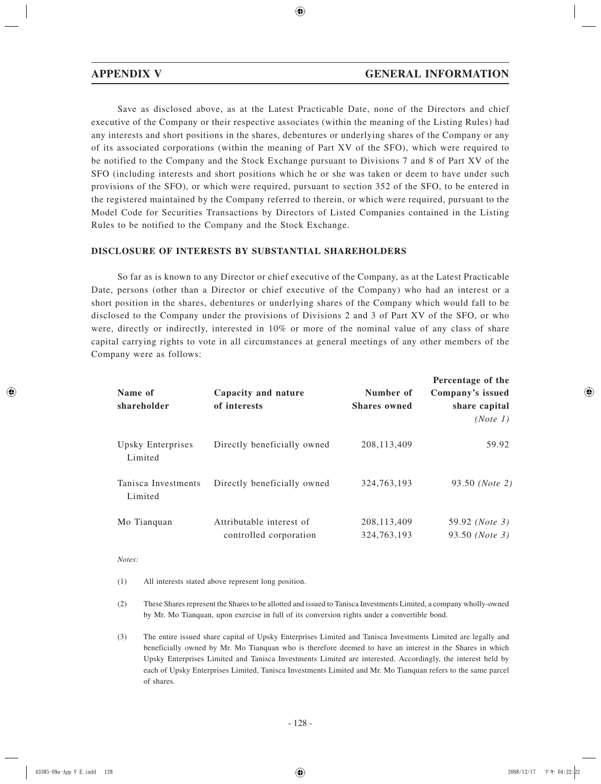Save as disclosed above, as at the Latest Practicable Date, none of the Directors and chief executive of the Company or their respective associates (within the meaning of the Listing Rules) had any interests and short positions in the shares, debentures or underlying shares of the Company or any of its associated corporations (within the meaning of Part XV of the SFO), which were required to be notified to the Company and the Stock Exchange pursuant to Divisions 7 and 8 of Part XV of the SFO (including interests and short positions which he or she was taken or deem to have under such provisions of the SFO), or which were required, pursuant to section 352 of the SFO, to be entered in the registered maintained by the Company referred to therein, or which were required, pursuant to the Model Code for Securities Transactions by Directors of Listed Companies contained in the Listing Rules to be notified to the Company and the Stock Exchange.

#### **DISCLOSURE OF INTERESTS BY SUBSTANTIAL SHAREHOLDERS**

So far as is known to any Director or chief executive of the Company, as at the Latest Practicable Date, persons (other than a Director or chief executive of the Company) who had an interest or a short position in the shares, debentures or underlying shares of the Company which would fall to be disclosed to the Company under the provisions of Divisions 2 and 3 of Part XV of the SFO, or who were, directly or indirectly, interested in 10% or more of the nominal value of any class of share capital carrying rights to vote in all circumstances at general meetings of any other members of the Company were as follows:

| Name of<br>shareholder         | Capacity and nature<br>of interests                | Number of<br><b>Shares</b> owned | Percentage of the<br>Company's issued<br>share capital<br>(Note 1) |
|--------------------------------|----------------------------------------------------|----------------------------------|--------------------------------------------------------------------|
| Upsky Enterprises<br>Limited   | Directly beneficially owned                        | 208, 113, 409                    | 59.92                                                              |
| Tanisca Investments<br>Limited | Directly beneficially owned                        | 324, 763, 193                    | 93.50 ( <i>Note</i> 2)                                             |
| Mo Tianquan                    | Attributable interest of<br>controlled corporation | 208, 113, 409<br>324, 763, 193   | 59.92 ( <i>Note</i> 3)<br>93.50 ( <i>Note</i> 3)                   |

*Notes:*

(1) All interests stated above represent long position.

(2) These Shares represent the Shares to be allotted and issued to Tanisca Investments Limited, a company wholly-owned by Mr. Mo Tianquan, upon exercise in full of its conversion rights under a convertible bond.

(3) The entire issued share capital of Upsky Enterprises Limited and Tanisca Investments Limited are legally and beneficially owned by Mr. Mo Tianquan who is therefore deemed to have an interest in the Shares in which Upsky Enterprises Limited and Tanisca Investments Limited are interested. Accordingly, the interest held by each of Upsky Enterprises Limited, Tanisca Investments Limited and Mr. Mo Tianquan refers to the same parcel of shares.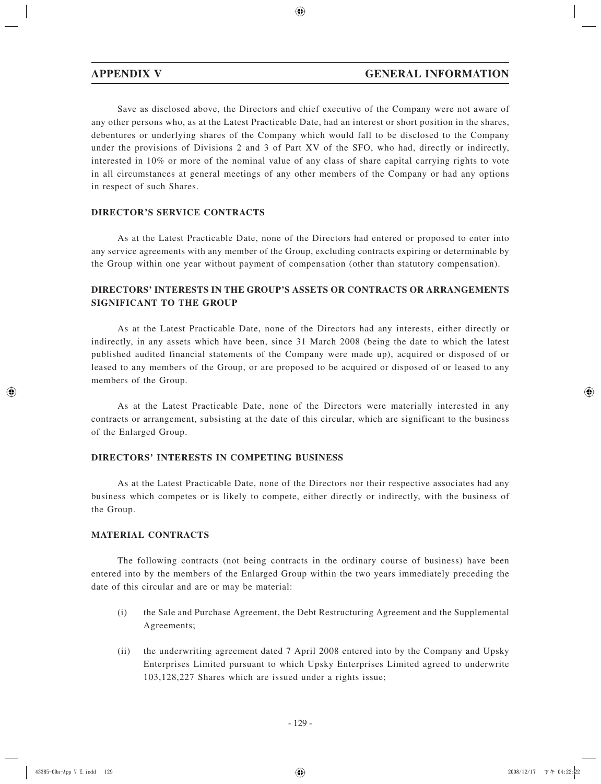Save as disclosed above, the Directors and chief executive of the Company were not aware of any other persons who, as at the Latest Practicable Date, had an interest or short position in the shares, debentures or underlying shares of the Company which would fall to be disclosed to the Company under the provisions of Divisions 2 and 3 of Part XV of the SFO, who had, directly or indirectly, interested in 10% or more of the nominal value of any class of share capital carrying rights to vote in all circumstances at general meetings of any other members of the Company or had any options in respect of such Shares.

## **DIRECTOR'S SERVICE CONTRACTS**

As at the Latest Practicable Date, none of the Directors had entered or proposed to enter into any service agreements with any member of the Group, excluding contracts expiring or determinable by the Group within one year without payment of compensation (other than statutory compensation).

## **DIRECTORS' INTERESTS IN THE GROUP'S ASSETS OR CONTRACTS OR ARRANGEMENTS SIGNIFICANT TO THE GROUP**

As at the Latest Practicable Date, none of the Directors had any interests, either directly or indirectly, in any assets which have been, since 31 March 2008 (being the date to which the latest published audited financial statements of the Company were made up), acquired or disposed of or leased to any members of the Group, or are proposed to be acquired or disposed of or leased to any members of the Group.

As at the Latest Practicable Date, none of the Directors were materially interested in any contracts or arrangement, subsisting at the date of this circular, which are significant to the business of the Enlarged Group.

## **DIRECTORS' INTERESTS IN COMPETING BUSINESS**

As at the Latest Practicable Date, none of the Directors nor their respective associates had any business which competes or is likely to compete, either directly or indirectly, with the business of the Group.

## **MATERIAL CONTRACTS**

The following contracts (not being contracts in the ordinary course of business) have been entered into by the members of the Enlarged Group within the two years immediately preceding the date of this circular and are or may be material:

- (i) the Sale and Purchase Agreement, the Debt Restructuring Agreement and the Supplemental Agreements;
- (ii) the underwriting agreement dated 7 April 2008 entered into by the Company and Upsky Enterprises Limited pursuant to which Upsky Enterprises Limited agreed to underwrite 103,128,227 Shares which are issued under a rights issue;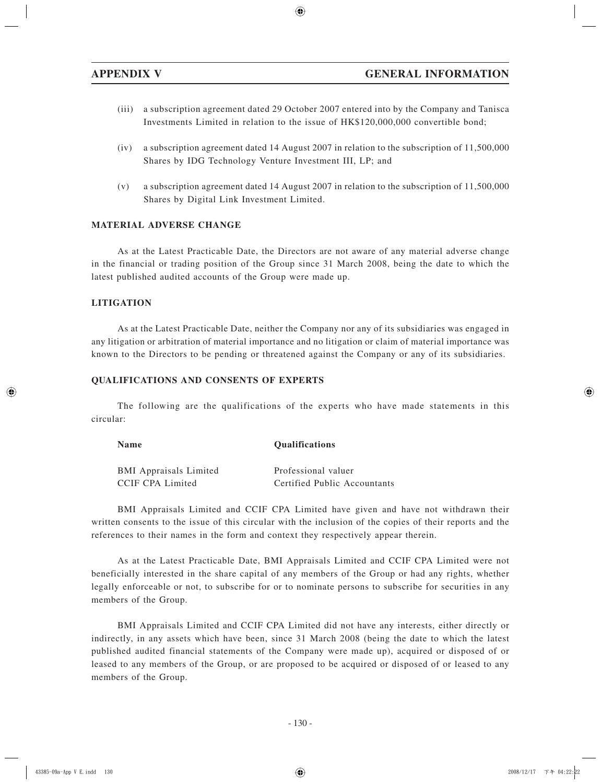- (iii) a subscription agreement dated 29 October 2007 entered into by the Company and Tanisca Investments Limited in relation to the issue of HK\$120,000,000 convertible bond;
- (iv) a subscription agreement dated 14 August 2007 in relation to the subscription of 11,500,000 Shares by IDG Technology Venture Investment III, LP; and
- (v) a subscription agreement dated 14 August 2007 in relation to the subscription of 11,500,000 Shares by Digital Link Investment Limited.

#### **MATERIAL ADVERSE CHANGE**

As at the Latest Practicable Date, the Directors are not aware of any material adverse change in the financial or trading position of the Group since 31 March 2008, being the date to which the latest published audited accounts of the Group were made up.

#### **LITIGATION**

As at the Latest Practicable Date, neither the Company nor any of its subsidiaries was engaged in any litigation or arbitration of material importance and no litigation or claim of material importance was known to the Directors to be pending or threatened against the Company or any of its subsidiaries.

#### **QUALIFICATIONS AND CONSENTS OF EXPERTS**

The following are the qualifications of the experts who have made statements in this circular:

| <b>Name</b>                   | <b>Qualifications</b>        |  |
|-------------------------------|------------------------------|--|
| <b>BMI</b> Appraisals Limited | Professional valuer          |  |
| CCIF CPA Limited              | Certified Public Accountants |  |

BMI Appraisals Limited and CCIF CPA Limited have given and have not withdrawn their written consents to the issue of this circular with the inclusion of the copies of their reports and the references to their names in the form and context they respectively appear therein.

As at the Latest Practicable Date, BMI Appraisals Limited and CCIF CPA Limited were not beneficially interested in the share capital of any members of the Group or had any rights, whether legally enforceable or not, to subscribe for or to nominate persons to subscribe for securities in any members of the Group.

BMI Appraisals Limited and CCIF CPA Limited did not have any interests, either directly or indirectly, in any assets which have been, since 31 March 2008 (being the date to which the latest published audited financial statements of the Company were made up), acquired or disposed of or leased to any members of the Group, or are proposed to be acquired or disposed of or leased to any members of the Group.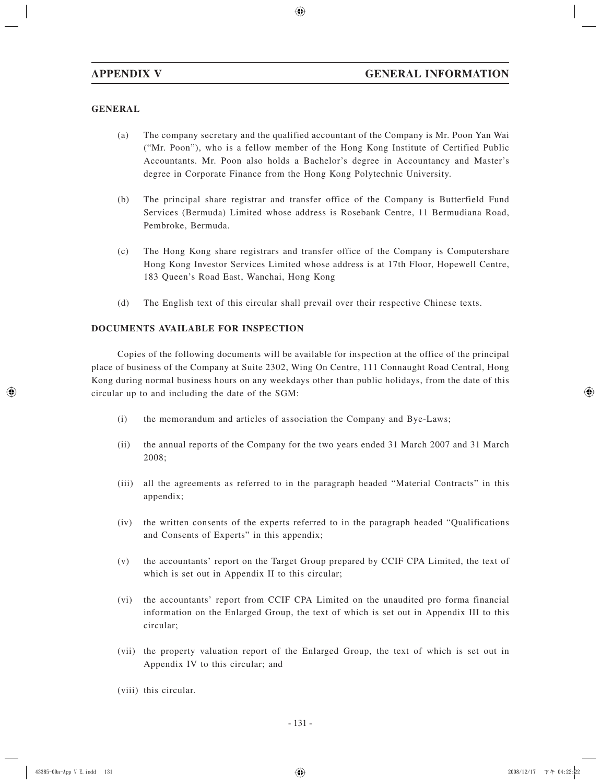## **GENERAL**

- (a) The company secretary and the qualified accountant of the Company is Mr. Poon Yan Wai ("Mr. Poon"), who is a fellow member of the Hong Kong Institute of Certified Public Accountants. Mr. Poon also holds a Bachelor's degree in Accountancy and Master's degree in Corporate Finance from the Hong Kong Polytechnic University.
- (b) The principal share registrar and transfer office of the Company is Butterfield Fund Services (Bermuda) Limited whose address is Rosebank Centre, 11 Bermudiana Road, Pembroke, Bermuda.
- (c) The Hong Kong share registrars and transfer office of the Company is Computershare Hong Kong Investor Services Limited whose address is at 17th Floor, Hopewell Centre, 183 Queen's Road East, Wanchai, Hong Kong
- (d) The English text of this circular shall prevail over their respective Chinese texts.

## **DOCUMENTS AVAILABLE FOR INSPECTION**

Copies of the following documents will be available for inspection at the office of the principal place of business of the Company at Suite 2302, Wing On Centre, 111 Connaught Road Central, Hong Kong during normal business hours on any weekdays other than public holidays, from the date of this circular up to and including the date of the SGM:

- (i) the memorandum and articles of association the Company and Bye-Laws;
- (ii) the annual reports of the Company for the two years ended 31 March 2007 and 31 March 2008;
- (iii) all the agreements as referred to in the paragraph headed "Material Contracts" in this appendix;
- (iv) the written consents of the experts referred to in the paragraph headed "Qualifications and Consents of Experts" in this appendix;
- (v) the accountants' report on the Target Group prepared by CCIF CPA Limited, the text of which is set out in Appendix II to this circular;
- (vi) the accountants' report from CCIF CPA Limited on the unaudited pro forma financial information on the Enlarged Group, the text of which is set out in Appendix III to this circular;
- (vii) the property valuation report of the Enlarged Group, the text of which is set out in Appendix IV to this circular; and
- (viii) this circular.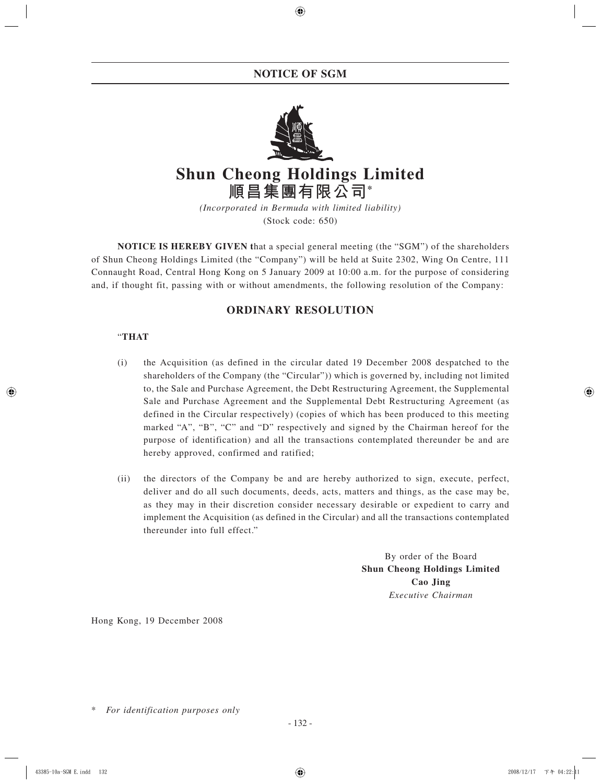## **NOTICE OF SGM**



# **Shun Cheong Holdings Limited 順昌集團有限公司\***

*(Incorporated in Bermuda with limited liability)* (Stock code: 650)

**NOTICE IS HEREBY GIVEN t**hat a special general meeting (the "SGM") of the shareholders of Shun Cheong Holdings Limited (the "Company") will be held at Suite 2302, Wing On Centre, 111 Connaught Road, Central Hong Kong on 5 January 2009 at 10:00 a.m. for the purpose of considering and, if thought fit, passing with or without amendments, the following resolution of the Company:

## **ORDINARY RESOLUTION**

## "**THAT**

- (i) the Acquisition (as defined in the circular dated 19 December 2008 despatched to the shareholders of the Company (the "Circular")) which is governed by, including not limited to, the Sale and Purchase Agreement, the Debt Restructuring Agreement, the Supplemental Sale and Purchase Agreement and the Supplemental Debt Restructuring Agreement (as defined in the Circular respectively) (copies of which has been produced to this meeting marked "A", "B", "C" and "D" respectively and signed by the Chairman hereof for the purpose of identification) and all the transactions contemplated thereunder be and are hereby approved, confirmed and ratified;
- (ii) the directors of the Company be and are hereby authorized to sign, execute, perfect, deliver and do all such documents, deeds, acts, matters and things, as the case may be, as they may in their discretion consider necessary desirable or expedient to carry and implement the Acquisition (as defined in the Circular) and all the transactions contemplated thereunder into full effect."

By order of the Board **Shun Cheong Holdings Limited Cao Jing** *Executive Chairman*

Hong Kong, 19 December 2008

 $For$  *identification purposes only*